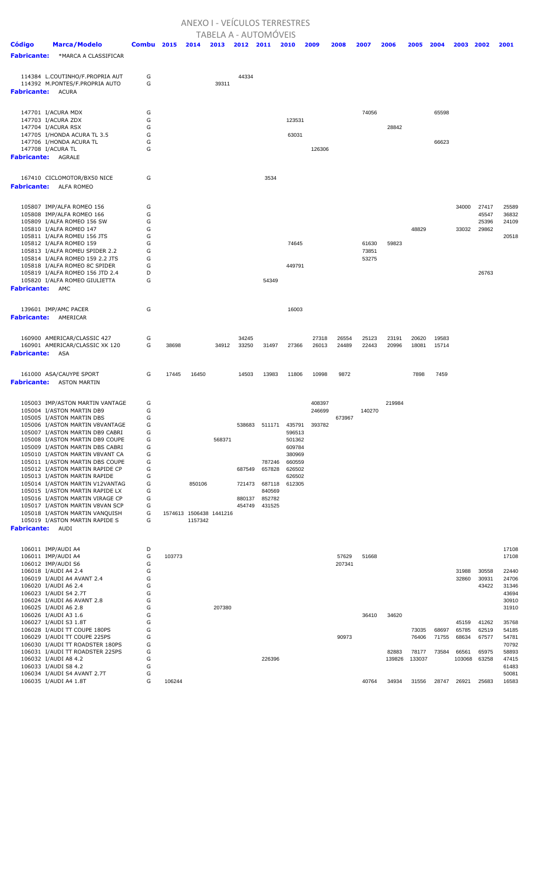## ANEXO I - VEÍCULOS TERRESTRES

|                                                                    |                   |        |                         |        |        | TABELA A - AUTOMOVEIS |                  |        |        |        |        |        |       |                |                |                |
|--------------------------------------------------------------------|-------------------|--------|-------------------------|--------|--------|-----------------------|------------------|--------|--------|--------|--------|--------|-------|----------------|----------------|----------------|
| <b>Código</b><br>Marca/Modelo                                      | <b>Combu 2015</b> |        | 2014                    | 2013   | 2012   | 2011                  | 2010             | 2009   | 2008   | 2007   | 2006   | 2005   | 2004  | 2003           | 2002           | 2001           |
| <b>Fabricante:</b><br>*MARCA A CLASSIFICAR                         |                   |        |                         |        |        |                       |                  |        |        |        |        |        |       |                |                |                |
|                                                                    |                   |        |                         |        |        |                       |                  |        |        |        |        |        |       |                |                |                |
| 114384 L.COUTINHO/F.PROPRIA AUT                                    | G                 |        |                         |        | 44334  |                       |                  |        |        |        |        |        |       |                |                |                |
| 114392 M.PONTES/F.PROPRIA AUTO                                     | G                 |        |                         | 39311  |        |                       |                  |        |        |        |        |        |       |                |                |                |
| <b>Fabricante:</b> ACURA                                           |                   |        |                         |        |        |                       |                  |        |        |        |        |        |       |                |                |                |
|                                                                    |                   |        |                         |        |        |                       |                  |        |        |        |        |        |       |                |                |                |
| 147701 I/ACURA MDX                                                 | G                 |        |                         |        |        |                       |                  |        |        | 74056  |        |        | 65598 |                |                |                |
| 147703 I/ACURA ZDX                                                 | G                 |        |                         |        |        |                       | 123531           |        |        |        |        |        |       |                |                |                |
| 147704 I/ACURA RSX                                                 | G                 |        |                         |        |        |                       |                  |        |        |        | 28842  |        |       |                |                |                |
| 147705 I/HONDA ACURA TL 3.5                                        | G                 |        |                         |        |        |                       | 63031            |        |        |        |        |        |       |                |                |                |
| 147706 I/HONDA ACURA TL                                            | G                 |        |                         |        |        |                       |                  |        |        |        |        |        | 66623 |                |                |                |
| 147708 I/ACURA TL                                                  | G                 |        |                         |        |        |                       |                  | 126306 |        |        |        |        |       |                |                |                |
| <b>Fabricante: AGRALE</b>                                          |                   |        |                         |        |        |                       |                  |        |        |        |        |        |       |                |                |                |
|                                                                    |                   |        |                         |        |        |                       |                  |        |        |        |        |        |       |                |                |                |
| 167410 CICLOMOTOR/BX50 NICE                                        | G                 |        |                         |        |        | 3534                  |                  |        |        |        |        |        |       |                |                |                |
| <b>Fabricante:</b> ALFA ROMEO                                      |                   |        |                         |        |        |                       |                  |        |        |        |        |        |       |                |                |                |
|                                                                    |                   |        |                         |        |        |                       |                  |        |        |        |        |        |       |                |                |                |
| 105807 IMP/ALFA ROMEO 156                                          | G                 |        |                         |        |        |                       |                  |        |        |        |        |        |       | 34000          | 27417          | 25589          |
| 105808 IMP/ALFA ROMEO 166                                          | G                 |        |                         |        |        |                       |                  |        |        |        |        |        |       |                | 45547          | 36832          |
| 105809 I/ALFA ROMEO 156 SW                                         | G<br>G            |        |                         |        |        |                       |                  |        |        |        |        |        |       | 33032          | 25396          | 24109          |
| 105810 I/ALFA ROMEO 147<br>105811 I/ALFA ROMEU 156 JTS             | G                 |        |                         |        |        |                       |                  |        |        |        |        | 48829  |       |                | 29862          | 20518          |
| 105812 I/ALFA ROMEO 159                                            | G                 |        |                         |        |        |                       | 74645            |        |        | 61630  | 59823  |        |       |                |                |                |
| 105813 I/ALFA ROMEU SPIDER 2.2                                     | G                 |        |                         |        |        |                       |                  |        |        | 73851  |        |        |       |                |                |                |
| 105814 I/ALFA ROMEO 159 2.2 JTS                                    | G                 |        |                         |        |        |                       |                  |        |        | 53275  |        |        |       |                |                |                |
| 105818 I/ALFA ROMEO 8C SPIDER<br>105819 I/ALFA ROMEO 156 JTD 2.4   | G<br>D            |        |                         |        |        |                       | 449791           |        |        |        |        |        |       |                | 26763          |                |
| 105820 I/ALFA ROMEO GIULIETTA                                      | G                 |        |                         |        |        | 54349                 |                  |        |        |        |        |        |       |                |                |                |
| Fabricante: AMC                                                    |                   |        |                         |        |        |                       |                  |        |        |        |        |        |       |                |                |                |
|                                                                    |                   |        |                         |        |        |                       |                  |        |        |        |        |        |       |                |                |                |
| 139601 IMP/AMC PACER                                               | G                 |        |                         |        |        |                       | 16003            |        |        |        |        |        |       |                |                |                |
| <b>Fabricante:</b> AMERICAR                                        |                   |        |                         |        |        |                       |                  |        |        |        |        |        |       |                |                |                |
|                                                                    |                   |        |                         |        |        |                       |                  |        |        |        |        |        |       |                |                |                |
|                                                                    |                   |        |                         |        |        |                       |                  |        |        |        |        |        |       |                |                |                |
| 160900 AMERICAR/CLASSIC 427                                        | G                 |        |                         |        | 34245  |                       |                  | 27318  | 26554  | 25123  | 23191  | 20620  | 19583 |                |                |                |
| 160901 AMERICAR/CLASSIC XK 120<br><b>Fabricante:</b> ASA           | G                 | 38698  |                         | 34912  | 33250  | 31497                 | 27366            | 26013  | 24489  | 22443  | 20996  | 18081  | 15714 |                |                |                |
|                                                                    |                   |        |                         |        |        |                       |                  |        |        |        |        |        |       |                |                |                |
|                                                                    |                   |        |                         |        |        |                       |                  |        |        |        |        |        |       |                |                |                |
| 161000 ASA/CAUYPE SPORT                                            | G                 | 17445  | 16450                   |        | 14503  | 13983                 | 11806            | 10998  | 9872   |        |        | 7898   | 7459  |                |                |                |
| <b>Fabricante:</b> ASTON MARTIN                                    |                   |        |                         |        |        |                       |                  |        |        |        |        |        |       |                |                |                |
|                                                                    |                   |        |                         |        |        |                       |                  |        |        |        |        |        |       |                |                |                |
| 105003 IMP/ASTON MARTIN VANTAGE                                    | G                 |        |                         |        |        |                       |                  | 408397 |        |        | 219984 |        |       |                |                |                |
| 105004 I/ASTON MARTIN DB9<br>105005 I/ASTON MARTIN DBS             | G<br>G            |        |                         |        |        |                       |                  | 246699 | 673967 | 140270 |        |        |       |                |                |                |
| 105006 I/ASTON MARTIN V8VANTAGE                                    | G                 |        |                         |        |        | 538683 511171         | 435791           | 393782 |        |        |        |        |       |                |                |                |
| 105007 I/ASTON MARTIN DB9 CABRI                                    | G                 |        |                         |        |        |                       | 596513           |        |        |        |        |        |       |                |                |                |
| 105008 I/ASTON MARTIN DB9 COUPE                                    | G                 |        |                         | 568371 |        |                       | 501362           |        |        |        |        |        |       |                |                |                |
| 105009 I/ASTON MARTIN DBS CABRI                                    | G                 |        |                         |        |        |                       | 609784           |        |        |        |        |        |       |                |                |                |
| 105010 I/ASTON MARTIN V8VANT CA<br>105011 I/ASTON MARTIN DBS COUPE | G<br>G            |        |                         |        |        | 787246                | 380969<br>660559 |        |        |        |        |        |       |                |                |                |
| 105012 I/ASTON MARTIN RAPIDE CP                                    | G                 |        |                         |        | 687549 | 657828                | 626502           |        |        |        |        |        |       |                |                |                |
| 105013 I/ASTON MARTIN RAPIDE                                       | G                 |        |                         |        |        |                       | 626502           |        |        |        |        |        |       |                |                |                |
| 105014 I/ASTON MARTIN V12VANTAG                                    | G                 |        | 850106                  |        | 721473 | 687118                | 612305           |        |        |        |        |        |       |                |                |                |
| 105015 I/ASTON MARTIN RAPIDE LX<br>105016 I/ASTON MARTIN VIRAGE CP | G<br>G            |        |                         |        | 880137 | 840569<br>852782      |                  |        |        |        |        |        |       |                |                |                |
| 105017 I/ASTON MARTIN V8VAN SCP                                    | G                 |        |                         |        | 454749 | 431525                |                  |        |        |        |        |        |       |                |                |                |
| 105018 I/ASTON MARTIN VANQUISH                                     | G                 |        | 1574613 1506438 1441216 |        |        |                       |                  |        |        |        |        |        |       |                |                |                |
| 105019 I/ASTON MARTIN RAPIDE S                                     | G                 |        | 1157342                 |        |        |                       |                  |        |        |        |        |        |       |                |                |                |
| Fabricante: AUDI                                                   |                   |        |                         |        |        |                       |                  |        |        |        |        |        |       |                |                |                |
|                                                                    |                   |        |                         |        |        |                       |                  |        |        |        |        |        |       |                |                |                |
| 106011 IMP/AUDI A4                                                 | D                 |        |                         |        |        |                       |                  |        |        |        |        |        |       |                |                | 17108          |
| 106011 IMP/AUDI A4                                                 | G                 | 103773 |                         |        |        |                       |                  |        | 57629  | 51668  |        |        |       |                |                | 17108          |
| 106012 IMP/AUDI S6                                                 | G                 |        |                         |        |        |                       |                  |        | 207341 |        |        |        |       |                |                |                |
| 106018 I/AUDI A4 2.4<br>106019 I/AUDI A4 AVANT 2.4                 | G<br>G            |        |                         |        |        |                       |                  |        |        |        |        |        |       | 31988<br>32860 | 30558<br>30931 | 22440<br>24706 |
| 106020 I/AUDI A6 2.4                                               | G                 |        |                         |        |        |                       |                  |        |        |        |        |        |       |                | 43422          | 31346          |
| 106023 I/AUDI S4 2.7T                                              | G                 |        |                         |        |        |                       |                  |        |        |        |        |        |       |                |                | 43694          |
| 106024 I/AUDI A6 AVANT 2.8                                         | G                 |        |                         |        |        |                       |                  |        |        |        |        |        |       |                |                | 30910          |
| 106025 I/AUDI A6 2.8                                               | G                 |        |                         | 207380 |        |                       |                  |        |        |        |        |        |       |                |                | 31910          |
| 106026 I/AUDI A3 1.6<br>106027 I/AUDI S3 1.8T                      | G<br>G            |        |                         |        |        |                       |                  |        |        | 36410  | 34620  |        |       | 45159          | 41262          | 35768          |
| 106028 I/AUDI TT COUPE 180PS                                       | G                 |        |                         |        |        |                       |                  |        |        |        |        | 73035  | 68697 | 65785          | 62519          | 54185          |
| 106029 I/AUDI TT COUPE 225PS                                       | G                 |        |                         |        |        |                       |                  |        | 90973  |        |        | 76406  | 71755 | 68634          | 67577          | 54781          |
| 106030 I/AUDI TT ROADSTER 180PS                                    | G                 |        |                         |        |        |                       |                  |        |        |        |        |        |       |                |                | 70792          |
| 106031 I/AUDI TT ROADSTER 225PS                                    | G                 |        |                         |        |        |                       |                  |        |        |        | 82883  | 78177  | 73584 | 66561          | 65975          | 58893          |
| 106032 I/AUDI A8 4.2<br>106033 I/AUDI S8 4.2                       | G<br>G            |        |                         |        |        | 226396                |                  |        |        |        | 139826 | 133037 |       | 103068         | 63258          | 47415<br>61483 |
| 106034 I/AUDI S4 AVANT 2.7T                                        | G                 |        |                         |        |        |                       |                  |        |        |        |        |        |       |                |                | 50081          |
| 106035 I/AUDI A4 1.8T                                              | G                 | 106244 |                         |        |        |                       |                  |        |        | 40764  | 34934  | 31556  | 28747 | 26921          | 25683          | 16583          |
|                                                                    |                   |        |                         |        |        |                       |                  |        |        |        |        |        |       |                |                |                |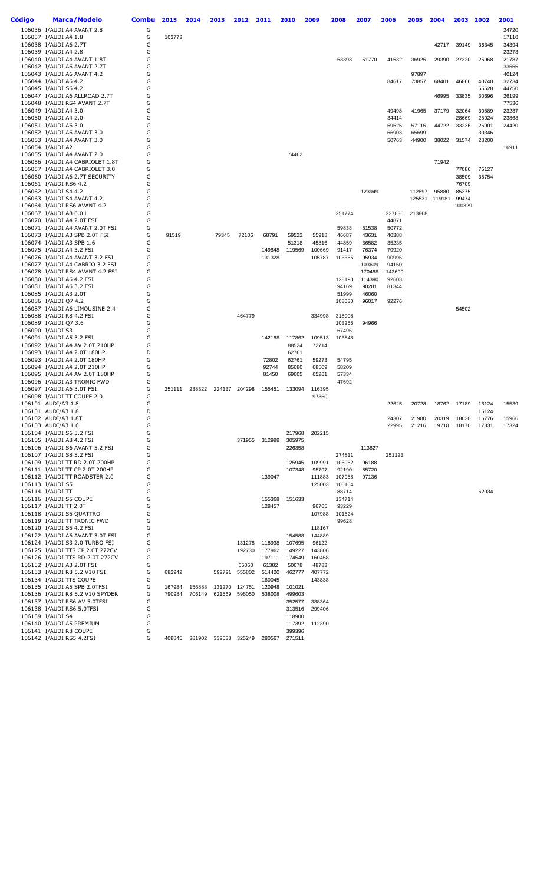| Código | Marca/Modelo                                                       | <b>Combu</b> | 2015             | 2014             | 2013                 | 2012                    | 2011             | 2010             | 2009             | 2008             | 2007            | 2006            | 2005           | 2004          | 2003           | 2002           | 2001           |
|--------|--------------------------------------------------------------------|--------------|------------------|------------------|----------------------|-------------------------|------------------|------------------|------------------|------------------|-----------------|-----------------|----------------|---------------|----------------|----------------|----------------|
|        | 106036 I/AUDI A4 AVANT 2.8                                         | G            |                  |                  |                      |                         |                  |                  |                  |                  |                 |                 |                |               |                |                | 24720          |
|        | 106037 I/AUDI A4 1.8<br>106038 I/AUDI A6 2.7T                      | G<br>G       | 103773           |                  |                      |                         |                  |                  |                  |                  |                 |                 |                | 42717         |                |                | 17110<br>34394 |
|        | 106039 I/AUDI A4 2.8                                               | G            |                  |                  |                      |                         |                  |                  |                  |                  |                 |                 |                |               | 39149          | 36345          | 23273          |
|        | 106040 I/AUDI A4 AVANT 1.8T                                        | G            |                  |                  |                      |                         |                  |                  |                  | 53393            | 51770           | 41532           | 36925          | 29390         | 27320          | 25968          | 21787          |
|        | 106042 I/AUDI A6 AVANT 2.7T                                        | G            |                  |                  |                      |                         |                  |                  |                  |                  |                 |                 |                |               |                |                | 33665          |
|        | 106043 I/AUDI A6 AVANT 4.2<br>106044 I/AUDI A6 4.2                 | G<br>G       |                  |                  |                      |                         |                  |                  |                  |                  |                 | 84617           | 97897<br>73857 | 68401         | 46866          | 40740          | 40124<br>32734 |
|        | 106045 I/AUDI S6 4.2                                               | G            |                  |                  |                      |                         |                  |                  |                  |                  |                 |                 |                |               |                | 55528          | 44750          |
|        | 106047 I/AUDI A6 ALLROAD 2.7T                                      | G            |                  |                  |                      |                         |                  |                  |                  |                  |                 |                 |                | 46995         | 33835          | 30696          | 26199          |
|        | 106048 I/AUDI RS4 AVANT 2.7T                                       | G            |                  |                  |                      |                         |                  |                  |                  |                  |                 |                 |                |               |                |                | 77536          |
|        | 106049 I/AUDI A4 3.0<br>106050 I/AUDI A4 2.0                       | G<br>G       |                  |                  |                      |                         |                  |                  |                  |                  |                 | 49498<br>34414  | 41965          | 37179         | 32064<br>28669 | 30589<br>25024 | 23237<br>23868 |
|        | 106051 I/AUDI A6 3.0                                               | G            |                  |                  |                      |                         |                  |                  |                  |                  |                 | 59525           | 57115          | 44722         | 33236          | 26901          | 24420          |
|        | 106052 I/AUDI A6 AVANT 3.0                                         | G            |                  |                  |                      |                         |                  |                  |                  |                  |                 | 66903           | 65699          |               |                | 30346          |                |
|        | 106053 I/AUDI A4 AVANT 3.0<br>106054 I/AUDI A2                     | G<br>G       |                  |                  |                      |                         |                  |                  |                  |                  |                 | 50763           | 44900          | 38022         | 31574          | 28200          | 16911          |
|        | 106055 I/AUDI A4 AVANT 2.0                                         | G            |                  |                  |                      |                         |                  | 74462            |                  |                  |                 |                 |                |               |                |                |                |
|        | 106056 I/AUDI A4 CABRIOLET 1.8T                                    | G            |                  |                  |                      |                         |                  |                  |                  |                  |                 |                 |                | 71942         |                |                |                |
|        | 106057 I/AUDI A4 CABRIOLET 3.0                                     | G            |                  |                  |                      |                         |                  |                  |                  |                  |                 |                 |                |               | 77086          | 75127          |                |
|        | 106060 I/AUDI A6 2.7T SECURITY<br>106061 I/AUDI RS6 4.2            | G<br>G       |                  |                  |                      |                         |                  |                  |                  |                  |                 |                 |                |               | 38509<br>76709 | 35754          |                |
|        | 106062 I/AUDI S4 4.2                                               | G            |                  |                  |                      |                         |                  |                  |                  |                  | 123949          |                 | 112897         | 95880         | 85375          |                |                |
|        | 106063 I/AUDI S4 AVANT 4.2                                         | G            |                  |                  |                      |                         |                  |                  |                  |                  |                 |                 |                | 125531 119181 | 99474          |                |                |
|        | 106064 I/AUDI RS6 AVANT 4.2                                        | G            |                  |                  |                      |                         |                  |                  |                  |                  |                 |                 |                |               | 100329         |                |                |
|        | 106067 I/AUDI A8 6.0 L<br>106070 I/AUDI A4 2.0T FSI                | G<br>G       |                  |                  |                      |                         |                  |                  |                  | 251774           |                 | 227830<br>44871 | 213868         |               |                |                |                |
|        | 106071 I/AUDI A4 AVANT 2.0T FSI                                    | G            |                  |                  |                      |                         |                  |                  |                  | 59838            | 51538           | 50772           |                |               |                |                |                |
|        | 106073 I/AUDI A3 SPB 2.0T FSI                                      | G            | 91519            |                  | 79345                | 72106                   | 68791            | 59522            | 55918            | 46687            | 43631           | 40388           |                |               |                |                |                |
|        | 106074 I/AUDI A3 SPB 1.6<br>106075 I/AUDI A4 3.2 FSI               | G<br>G       |                  |                  |                      |                         | 149848           | 51318<br>119569  | 45816<br>100669  | 44859<br>91417   | 36582<br>76374  | 35235<br>70920  |                |               |                |                |                |
|        | 106076 I/AUDI A4 AVANT 3.2 FSI                                     | G            |                  |                  |                      |                         | 131328           |                  | 105787           | 103365           | 95934           | 90996           |                |               |                |                |                |
|        | 106077 I/AUDI A4 CABRIO 3.2 FSI                                    | G            |                  |                  |                      |                         |                  |                  |                  |                  | 103609          | 94150           |                |               |                |                |                |
|        | 106078 I/AUDI RS4 AVANT 4.2 FSI                                    | G            |                  |                  |                      |                         |                  |                  |                  |                  | 170488          | 143699          |                |               |                |                |                |
|        | 106080 I/AUDI A6 4.2 FSI<br>106081 I/AUDI A6 3.2 FSI               | G<br>G       |                  |                  |                      |                         |                  |                  |                  | 128190<br>94169  | 114390<br>90201 | 92603<br>81344  |                |               |                |                |                |
|        | 106085 I/AUDI A3 2.0T                                              | G            |                  |                  |                      |                         |                  |                  |                  | 51999            | 46060           |                 |                |               |                |                |                |
|        | 106086 I/AUDI Q7 4.2                                               | G            |                  |                  |                      |                         |                  |                  |                  | 108030           | 96017           | 92276           |                |               |                |                |                |
|        | 106087 I/AUDI A6 LIMOUSINE 2.4                                     | G            |                  |                  |                      |                         |                  |                  |                  |                  |                 |                 |                |               | 54502          |                |                |
|        | 106088 I/AUDI R8 4.2 FSI<br>106089 I/AUDI Q7 3.6                   | G<br>G       |                  |                  |                      | 464779                  |                  |                  | 334998           | 318008<br>103255 | 94966           |                 |                |               |                |                |                |
|        | 106090 I/AUDI S3                                                   | G            |                  |                  |                      |                         |                  |                  |                  | 67496            |                 |                 |                |               |                |                |                |
|        | 106091 I/AUDI A5 3.2 FSI                                           | G            |                  |                  |                      |                         | 142188           | 117862           | 109513           | 103848           |                 |                 |                |               |                |                |                |
|        | 106092 I/AUDI A4 AV 2.0T 210HP<br>106093 I/AUDI A4 2.0T 180HP      | G<br>D       |                  |                  |                      |                         |                  | 88524<br>62761   | 72714            |                  |                 |                 |                |               |                |                |                |
|        | 106093 I/AUDI A4 2.0T 180HP                                        | G            |                  |                  |                      |                         | 72802            | 62761            | 59273            | 54795            |                 |                 |                |               |                |                |                |
|        | 106094 I/AUDI A4 2.0T 210HP                                        | G            |                  |                  |                      |                         | 92744            | 85680            | 68509            | 58209            |                 |                 |                |               |                |                |                |
|        | 106095 I/AUDI A4 AV 2.0T 180HP                                     | G            |                  |                  |                      |                         | 81450            | 69605            | 65261            | 57334            |                 |                 |                |               |                |                |                |
|        | 106096 I/AUDI A3 TRONIC FWD<br>106097 I/AUDI A6 3.0T FSI           | G<br>G       | 251111           |                  | 238322 224137 204298 |                         | 155451           | 133094           | 116395           | 47692            |                 |                 |                |               |                |                |                |
|        | 106098 I/AUDI TT COUPE 2.0                                         | G            |                  |                  |                      |                         |                  |                  | 97360            |                  |                 |                 |                |               |                |                |                |
|        | 106101 AUDI/A3 1.8                                                 | G            |                  |                  |                      |                         |                  |                  |                  |                  |                 | 22625           | 20728          | 18762         | 17189          | 16124          | 15539          |
|        | 106101 AUDI/A3 1.8<br>106102 AUDI/A3 1.8T                          | D<br>G       |                  |                  |                      |                         |                  |                  |                  |                  |                 | 24307           | 21980          | 20319         | 18030          | 16124<br>16776 | 15966          |
|        | 106103 AUDI/A3 1.6                                                 | G            |                  |                  |                      |                         |                  |                  |                  |                  |                 | 22995           | 21216          | 19718         | 18170          | 17831          | 17324          |
|        | 106104 I/AUDI S6 5.2 FSI                                           | G            |                  |                  |                      |                         |                  | 217968           | 202215           |                  |                 |                 |                |               |                |                |                |
|        | 106105 I/AUDI A8 4.2 FSI                                           | G            |                  |                  |                      | 371955                  | 312988           | 305975           |                  |                  |                 |                 |                |               |                |                |                |
|        | 106106 I/AUDI S6 AVANT 5.2 FSI<br>106107 I/AUDI S8 5.2 FSI         | G<br>G       |                  |                  |                      |                         |                  | 226358           |                  | 274811           | 113827          | 251123          |                |               |                |                |                |
|        | 106109 I/AUDI TT RD 2.0T 200HP                                     | G            |                  |                  |                      |                         |                  | 125945           | 109991           | 106062           | 96188           |                 |                |               |                |                |                |
|        | 106111 I/AUDI TT CP 2.0T 200HP                                     | G            |                  |                  |                      |                         |                  | 107348           | 95797            | 92190            | 85720           |                 |                |               |                |                |                |
|        | 106112 I/AUDI TT ROADSTER 2.0<br>106113 I/AUDI S5                  | G<br>G       |                  |                  |                      |                         | 139047           |                  | 111883<br>125003 | 107958<br>100164 | 97136           |                 |                |               |                |                |                |
|        | 106114 I/AUDI TT                                                   | G            |                  |                  |                      |                         |                  |                  |                  | 88714            |                 |                 |                |               |                | 62034          |                |
|        | 106116 I/AUDI S5 COUPE                                             | G            |                  |                  |                      |                         | 155368           | 151633           |                  | 134714           |                 |                 |                |               |                |                |                |
|        | 106117 I/AUDI TT 2.0T                                              | G            |                  |                  |                      |                         | 128457           |                  | 96765            | 93229            |                 |                 |                |               |                |                |                |
|        | 106118 I/AUDI S5 QUATTRO<br>106119 I/AUDI TT TRONIC FWD            | G<br>G       |                  |                  |                      |                         |                  |                  | 107988           | 101824<br>99628  |                 |                 |                |               |                |                |                |
|        | 106120 I/AUDI S5 4.2 FSI                                           | G            |                  |                  |                      |                         |                  |                  | 118167           |                  |                 |                 |                |               |                |                |                |
|        | 106122 I/AUDI A6 AVANT 3.0T FSI                                    | G            |                  |                  |                      |                         |                  | 154588           | 144889           |                  |                 |                 |                |               |                |                |                |
|        | 106124 I/AUDI S3 2.0 TURBO FSI                                     | G            |                  |                  |                      | 131278                  | 118938           | 107695           | 96122            |                  |                 |                 |                |               |                |                |                |
|        | 106125 I/AUDI TTS CP 2.0T 272CV<br>106126 I/AUDI TTS RD 2.0T 272CV | G<br>G       |                  |                  |                      | 192730                  | 177962<br>197111 | 149227<br>174549 | 143806<br>160458 |                  |                 |                 |                |               |                |                |                |
|        | 106132 I/AUDI A3 2.0T FSI                                          | G            |                  |                  |                      | 65050                   | 61382            | 50678            | 48783            |                  |                 |                 |                |               |                |                |                |
|        | 106133 I/AUDI R8 5.2 V10 FSI                                       | G            | 682942           |                  | 592721               | 555802                  | 514420           | 462777           | 407772           |                  |                 |                 |                |               |                |                |                |
|        | 106134 I/AUDI TTS COUPE                                            | G<br>G       |                  |                  |                      |                         | 160045<br>120948 | 101021           | 143838           |                  |                 |                 |                |               |                |                |                |
|        | 106135 I/AUDI A5 SPB 2.0TFSI<br>106136 I/AUDI R8 5.2 V10 SPYDER    | G            | 167984<br>790984 | 156888<br>706149 | 621569               | 131270 124751<br>596050 | 538008           | 499603           |                  |                  |                 |                 |                |               |                |                |                |
|        | 106137 I/AUDI RS6 AV 5.0TFSI                                       | G            |                  |                  |                      |                         |                  | 352577           | 338364           |                  |                 |                 |                |               |                |                |                |
|        | 106138 I/AUDI RS6 5.0TFSI                                          | G            |                  |                  |                      |                         |                  | 313516           | 299406           |                  |                 |                 |                |               |                |                |                |
|        | 106139 I/AUDI S4                                                   | G<br>G       |                  |                  |                      |                         |                  | 118900<br>117392 | 112390           |                  |                 |                 |                |               |                |                |                |
|        | 106140 I/AUDI A5 PREMIUM<br>106141 I/AUDI R8 COUPE                 | G            |                  |                  |                      |                         |                  | 399396           |                  |                  |                 |                 |                |               |                |                |                |
|        | 106142 I/AUDI RS5 4.2FSI                                           | G            | 408845           | 381902           |                      | 332538 325249           | 280567           | 271511           |                  |                  |                 |                 |                |               |                |                |                |
|        |                                                                    |              |                  |                  |                      |                         |                  |                  |                  |                  |                 |                 |                |               |                |                |                |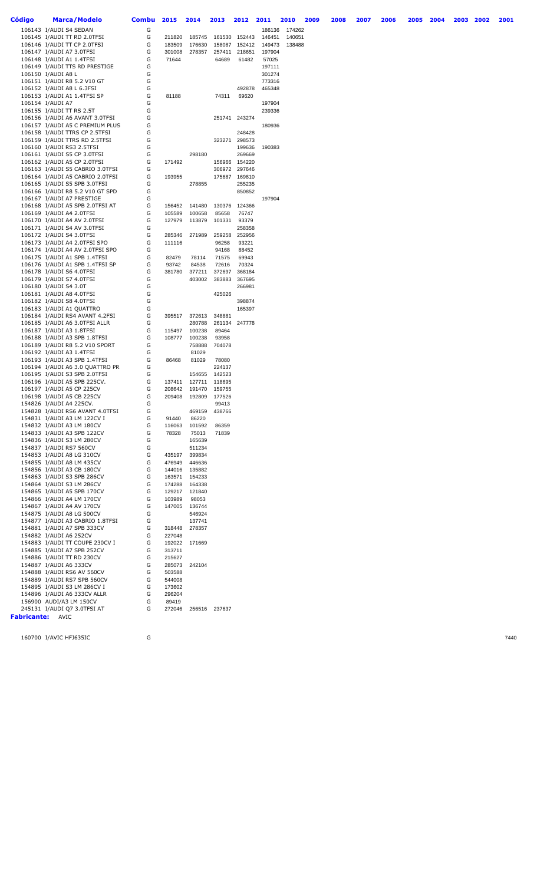| Código                  | Marca/Modelo                                                       | <b>Combu</b> | 2015             | 2014                           | 2013             | 2012                           | 2011             | 2010   | 2009   | 2008 | 2007 | 2006 | 2005 | 2004 | 2003 | 2002 | 2001 |
|-------------------------|--------------------------------------------------------------------|--------------|------------------|--------------------------------|------------------|--------------------------------|------------------|--------|--------|------|------|------|------|------|------|------|------|
|                         | 106143 I/AUDI S4 SEDAN                                             | G            |                  |                                |                  |                                | 186136           | 174262 |        |      |      |      |      |      |      |      |      |
|                         | 106145 I/AUDI TT RD 2.0TFSI                                        | G            | 211820           | 185745                         |                  | 161530 152443                  | 146451           | 140651 |        |      |      |      |      |      |      |      |      |
|                         | 106146 I/AUDI TT CP 2.0TFSI                                        | G            | 183509           | 176630                         | 158087           | 152412                         | 149473           |        | 138488 |      |      |      |      |      |      |      |      |
|                         | 106147 I/AUDI A7 3.0TFSI                                           | G            | 301008           | 278357                         |                  | 257411 218651                  | 197904           |        |        |      |      |      |      |      |      |      |      |
|                         | 106148 I/AUDI A1 1.4TFSI                                           | G            | 71644            |                                | 64689            | 61482                          | 57025            |        |        |      |      |      |      |      |      |      |      |
|                         | 106149 I/AUDI TTS RD PRESTIGE<br>106150 I/AUDI A8 L                | G<br>G       |                  |                                |                  |                                | 197111<br>301274 |        |        |      |      |      |      |      |      |      |      |
|                         | 106151 I/AUDI R8 5.2 V10 GT                                        | G            |                  |                                |                  |                                | 773316           |        |        |      |      |      |      |      |      |      |      |
|                         | 106152 I/AUDI A8 L 6.3FSI                                          | G            |                  |                                |                  | 492878                         | 465348           |        |        |      |      |      |      |      |      |      |      |
|                         | 106153 I/AUDI A1 1.4TFSI SP                                        | G            | 81188            |                                | 74311            | 69620                          |                  |        |        |      |      |      |      |      |      |      |      |
|                         | 106154 I/AUDI A7                                                   | G            |                  |                                |                  |                                | 197904           |        |        |      |      |      |      |      |      |      |      |
|                         | 106155 I/AUDI TT RS 2.5T                                           | G            |                  |                                |                  |                                | 239336           |        |        |      |      |      |      |      |      |      |      |
|                         | 106156 I/AUDI A6 AVANT 3.0TFSI<br>106157 I/AUDI A5 C PREMIUM PLUS  | G<br>G       |                  |                                |                  | 251741 243274                  | 180936           |        |        |      |      |      |      |      |      |      |      |
|                         | 106158 I/AUDI TTRS CP 2.5TFSI                                      | G            |                  |                                |                  | 248428                         |                  |        |        |      |      |      |      |      |      |      |      |
|                         | 106159 I/AUDI TTRS RD 2.5TFSI                                      | G            |                  |                                | 323271           | 298573                         |                  |        |        |      |      |      |      |      |      |      |      |
|                         | 106160 I/AUDI RS3 2.5TFSI                                          | G            |                  |                                |                  | 199636                         | 190383           |        |        |      |      |      |      |      |      |      |      |
|                         | 106161 I/AUDI S5 CP 3.0TFSI                                        | G            |                  | 298180                         |                  | 269669                         |                  |        |        |      |      |      |      |      |      |      |      |
|                         | 106162 I/AUDI A5 CP 2.0TFSI                                        | G            | 171492           |                                |                  | 156966 154220                  |                  |        |        |      |      |      |      |      |      |      |      |
|                         | 106163 I/AUDI S5 CABRIO 3.0TFSI<br>106164 I/AUDI A5 CABRIO 2.0TFSI | G<br>G       | 193955           |                                |                  | 306972 297646<br>175687 169810 |                  |        |        |      |      |      |      |      |      |      |      |
|                         | 106165 I/AUDI S5 SPB 3.0TFSI                                       | G            |                  | 278855                         |                  | 255235                         |                  |        |        |      |      |      |      |      |      |      |      |
|                         | 106166 I/AUDI R8 5.2 V10 GT SPD                                    | G            |                  |                                |                  | 850852                         |                  |        |        |      |      |      |      |      |      |      |      |
|                         | 106167 I/AUDI A7 PRESTIGE                                          | G            |                  |                                |                  |                                | 197904           |        |        |      |      |      |      |      |      |      |      |
|                         | 106168 I/AUDI A5 SPB 2.0TFSI AT                                    | G            | 156452           | 141480                         | 130376           | 124366                         |                  |        |        |      |      |      |      |      |      |      |      |
|                         | 106169 I/AUDI A4 2.0TFSI                                           | G            | 105589           | 100658                         | 85658            | 76747                          |                  |        |        |      |      |      |      |      |      |      |      |
|                         | 106170 I/AUDI A4 AV 2.0TFSI<br>106171 I/AUDI S4 AV 3.0TFSI         | G<br>G       | 127979           | 113879                         | 101331           | 93379<br>258358                |                  |        |        |      |      |      |      |      |      |      |      |
|                         | 106172 I/AUDI S4 3.0TFSI                                           | G            | 285346           | 271989                         | 259258           | 252956                         |                  |        |        |      |      |      |      |      |      |      |      |
|                         | 106173 I/AUDI A4 2.0TFSI SPO                                       | G            | 111116           |                                | 96258            | 93221                          |                  |        |        |      |      |      |      |      |      |      |      |
|                         | 106174 I/AUDI A4 AV 2.0TFSI SPO                                    | G            |                  |                                | 94168            | 88452                          |                  |        |        |      |      |      |      |      |      |      |      |
|                         | 106175 I/AUDI A1 SPB 1.4TFSI                                       | G            | 82479            | 78114                          | 71575            | 69943                          |                  |        |        |      |      |      |      |      |      |      |      |
|                         | 106176 I/AUDI A1 SPB 1.4TFSI SP                                    | G            | 93742            | 84538                          | 72616            | 70324                          |                  |        |        |      |      |      |      |      |      |      |      |
|                         | 106178 I/AUDI S6 4.0TFSI<br>106179 I/AUDI S7 4.0TFSI               | G<br>G       | 381780           | 377211<br>403002               | 372697<br>383883 | 368184<br>367695               |                  |        |        |      |      |      |      |      |      |      |      |
|                         | 106180 I/AUDI S4 3.0T                                              | G            |                  |                                |                  | 266981                         |                  |        |        |      |      |      |      |      |      |      |      |
|                         | 106181 I/AUDI A8 4.0TFSI                                           | G            |                  |                                | 425026           |                                |                  |        |        |      |      |      |      |      |      |      |      |
|                         | 106182 I/AUDI S8 4.0TFSI                                           | G            |                  |                                |                  | 398874                         |                  |        |        |      |      |      |      |      |      |      |      |
|                         | 106183 I/AUDI A1 QUATTRO                                           | G            |                  |                                |                  | 165397                         |                  |        |        |      |      |      |      |      |      |      |      |
|                         | 106184 I/AUDI RS4 AVANT 4.2FSI                                     | G            | 395517           | 372613                         | 348881           |                                |                  |        |        |      |      |      |      |      |      |      |      |
|                         | 106185 I/AUDI A6 3.0TFSI ALLR<br>106187 I/AUDI A3 1.8TFSI          | G<br>G       | 115497           | 280788<br>100238               | 89464            | 261134 247778                  |                  |        |        |      |      |      |      |      |      |      |      |
|                         | 106188 I/AUDI A3 SPB 1.8TFSI                                       | G            | 108777           | 100238                         | 93958            |                                |                  |        |        |      |      |      |      |      |      |      |      |
|                         | 106189 I/AUDI R8 5.2 V10 SPORT                                     | G            |                  | 758888                         | 704078           |                                |                  |        |        |      |      |      |      |      |      |      |      |
|                         | 106192 I/AUDI A3 1.4TFSI                                           | G            |                  | 81029                          |                  |                                |                  |        |        |      |      |      |      |      |      |      |      |
|                         | 106193 I/AUDI A3 SPB 1.4TFSI                                       | G            | 86468            | 81029                          | 78080            |                                |                  |        |        |      |      |      |      |      |      |      |      |
|                         | 106194 I/AUDI A6 3.0 QUATTRO PR<br>106195 I/AUDI S3 SPB 2.0TFSI    | G<br>G       |                  | 154655                         | 224137<br>142523 |                                |                  |        |        |      |      |      |      |      |      |      |      |
|                         | 106196 I/AUDI A5 SPB 225CV.                                        | G            | 137411           | 127711                         | 118695           |                                |                  |        |        |      |      |      |      |      |      |      |      |
|                         | 106197 I/AUDI A5 CP 225CV                                          | G            | 208642           | 191470                         | 159755           |                                |                  |        |        |      |      |      |      |      |      |      |      |
|                         | 106198 I/AUDI A5 CB 225CV                                          | G            | 209408           | 192809                         | 177526           |                                |                  |        |        |      |      |      |      |      |      |      |      |
|                         | 154826 I/AUDI A4 225CV.                                            | G            |                  |                                | 99413            |                                |                  |        |        |      |      |      |      |      |      |      |      |
|                         | 154828 I/AUDI RS6 AVANT 4.0TFSI                                    | G            |                  | 469159                         | 438766           |                                |                  |        |        |      |      |      |      |      |      |      |      |
|                         | 154831 I/AUDI A3 LM 122CV I<br>154832 I/AUDI A3 LM 180CV           | G<br>G       | 91440<br>116063  | 86220<br>101592                | 86359            |                                |                  |        |        |      |      |      |      |      |      |      |      |
|                         | 154833 I/AUDI A3 SPB 122CV                                         | G            | 78328            | 75013                          | 71839            |                                |                  |        |        |      |      |      |      |      |      |      |      |
|                         | 154836 I/AUDI S3 LM 280CV                                          | G            |                  | 165639                         |                  |                                |                  |        |        |      |      |      |      |      |      |      |      |
|                         | 154837 I/AUDI RS7 560CV                                            | G            |                  | 511234                         |                  |                                |                  |        |        |      |      |      |      |      |      |      |      |
|                         | 154853 I/AUDI A8 LG 310CV                                          | G            | 435197           | 399834                         |                  |                                |                  |        |        |      |      |      |      |      |      |      |      |
|                         | 154855 I/AUDI A8 LM 435CV<br>154856 I/AUDI A3 CB 180CV             | G<br>G       |                  | 476949 446636<br>144016 135882 |                  |                                |                  |        |        |      |      |      |      |      |      |      |      |
|                         | 154863 I/AUDI S3 SPB 286CV                                         | G            |                  | 163571 154233                  |                  |                                |                  |        |        |      |      |      |      |      |      |      |      |
|                         | 154864 I/AUDI S3 LM 286CV                                          | G            | 174288           | 164338                         |                  |                                |                  |        |        |      |      |      |      |      |      |      |      |
|                         | 154865 I/AUDI A5 SPB 170CV                                         | G            |                  | 129217 121840                  |                  |                                |                  |        |        |      |      |      |      |      |      |      |      |
|                         | 154866 I/AUDI A4 LM 170CV                                          | G            | 103989           | 98053                          |                  |                                |                  |        |        |      |      |      |      |      |      |      |      |
|                         | 154867 I/AUDI A4 AV 170CV<br>154875 I/AUDI A8 LG 500CV             | G<br>G       |                  | 147005 136744                  |                  |                                |                  |        |        |      |      |      |      |      |      |      |      |
|                         | 154877 I/AUDI A3 CABRIO 1.8TFSI                                    | G            |                  | 546924<br>137741               |                  |                                |                  |        |        |      |      |      |      |      |      |      |      |
|                         | 154881 I/AUDI A7 SPB 333CV                                         | G            | 318448           | 278357                         |                  |                                |                  |        |        |      |      |      |      |      |      |      |      |
|                         | 154882 I/AUDI A6 252CV                                             | G            | 227048           |                                |                  |                                |                  |        |        |      |      |      |      |      |      |      |      |
|                         | 154883 I/AUDI TT COUPE 230CV I                                     | G            |                  | 192022 171669                  |                  |                                |                  |        |        |      |      |      |      |      |      |      |      |
|                         | 154885 I/AUDI A7 SPB 252CV                                         | G            | 313711           |                                |                  |                                |                  |        |        |      |      |      |      |      |      |      |      |
|                         | 154886 I/AUDI TT RD 230CV                                          | G<br>G       | 215627           |                                |                  |                                |                  |        |        |      |      |      |      |      |      |      |      |
|                         | 154887 I/AUDI A6 333CV<br>154888 I/AUDI RS6 AV 560CV               | G            | 285073<br>503588 | 242104                         |                  |                                |                  |        |        |      |      |      |      |      |      |      |      |
|                         | 154889 I/AUDI RS7 SPB 560CV                                        | G            | 544008           |                                |                  |                                |                  |        |        |      |      |      |      |      |      |      |      |
|                         | 154895 I/AUDI S3 LM 286CV I                                        | G            | 173602           |                                |                  |                                |                  |        |        |      |      |      |      |      |      |      |      |
|                         | 154896 I/AUDI A6 333CV ALLR                                        | G            | 296204           |                                |                  |                                |                  |        |        |      |      |      |      |      |      |      |      |
|                         | 156900 AUDI/A3 LM 150CV                                            | G            | 89419            |                                |                  |                                |                  |        |        |      |      |      |      |      |      |      |      |
|                         | 245131 I/AUDI Q7 3.0TFSI AT                                        | G            |                  | 272046 256516 237637           |                  |                                |                  |        |        |      |      |      |      |      |      |      |      |
| <b>Fabricante: AVIC</b> |                                                                    |              |                  |                                |                  |                                |                  |        |        |      |      |      |      |      |      |      |      |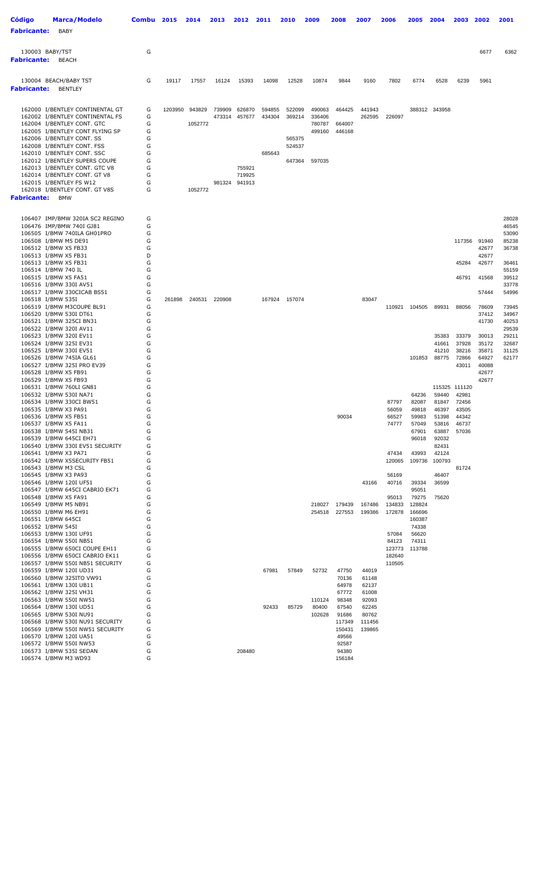| Código<br><b>Fabricante:</b>                | <b>Marca/Modelo</b><br><b>BABY</b>                                                                                                                                                                                                                            | <b>Combu 2015</b>                         |         | 2014              | 2013             | 2012                              | 2011                       | 2010                                           | 2009                                           | 2008                                                          | 2007                                                          | 2006                                | 2005                                                           | 2004                                                              | 2003                                                       | 2002                                               | 2001                                      |
|---------------------------------------------|---------------------------------------------------------------------------------------------------------------------------------------------------------------------------------------------------------------------------------------------------------------|-------------------------------------------|---------|-------------------|------------------|-----------------------------------|----------------------------|------------------------------------------------|------------------------------------------------|---------------------------------------------------------------|---------------------------------------------------------------|-------------------------------------|----------------------------------------------------------------|-------------------------------------------------------------------|------------------------------------------------------------|----------------------------------------------------|-------------------------------------------|
| 130003 BABY/TST<br><b>Fabricante: BEACH</b> |                                                                                                                                                                                                                                                               | G                                         |         |                   |                  |                                   |                            |                                                |                                                |                                                               |                                                               |                                     |                                                                |                                                                   |                                                            | 6677                                               | 6362                                      |
| <b>Fabricante: BENTLEY</b>                  | 130004 BEACH/BABY TST                                                                                                                                                                                                                                         | G                                         | 19117   | 17557             | 16124            | 15393                             | 14098                      | 12528                                          | 10874                                          | 9844                                                          | 9160                                                          | 7802                                | 6774                                                           | 6528                                                              | 6239                                                       | 5961                                               |                                           |
|                                             | 162000 I/BENTLEY CONTINENTAL GT<br>162002 I/BENTLEY CONTINENTAL FS<br>162004 I/BENTLEY CONT. GTC<br>162005 I/BENTLEY CONT FLYING SP<br>162006 I/BENTLEY CONT. SS<br>162008 I/BENTLEY CONT. FSS<br>162010 I/BENTLEY CONT. SSC<br>162012 I/BENTLEY SUPERS COUPE | G<br>G<br>G<br>G<br>G<br>G<br>G<br>G      | 1203950 | 943829<br>1052772 | 739909<br>473314 | 626870<br>457677                  | 594855<br>434304<br>685643 | 522099<br>369214<br>565375<br>524537<br>647364 | 490063<br>336406<br>780787<br>499160<br>597035 | 464425<br>664007<br>446168                                    | 441943<br>262595                                              | 226097                              |                                                                | 388312 343958                                                     |                                                            |                                                    |                                           |
| Fabricante:                                 | 162013 I/BENTLEY CONT. GTC V8<br>162014 I/BENTLEY CONT. GT V8<br>162015 I/BENTLEY FS W12<br>162018 I/BENTLEY CONT. GT V8S<br>BMW                                                                                                                              | G<br>G<br>G<br>G                          |         | 1052772           |                  | 755921<br>719925<br>981324 941913 |                            |                                                |                                                |                                                               |                                                               |                                     |                                                                |                                                                   |                                                            |                                                    |                                           |
|                                             | 106407 IMP/BMW 320IA SC2 REGINO<br>106476 IMP/BMW 740I GJ81<br>106505 I/BMW 740ILA GH01PRO                                                                                                                                                                    | G<br>G<br>G                               |         |                   |                  |                                   |                            |                                                |                                                |                                                               |                                                               |                                     |                                                                |                                                                   |                                                            |                                                    | 28028<br>46545<br>53090                   |
|                                             | 106508 I/BMW M5 DE91<br>106512 I/BMW X5 FB33<br>106513 I/BMW X5 FB31<br>106513 I/BMW X5 FB31                                                                                                                                                                  | G<br>G<br>D<br>G                          |         |                   |                  |                                   |                            |                                                |                                                |                                                               |                                                               |                                     |                                                                |                                                                   | 45284                                                      | 117356 91940<br>42677<br>42677<br>42677            | 85238<br>36738<br>36461                   |
|                                             | 106514 I/BMW 740 IL<br>106515 I/BMW X5 FA51<br>106516 I/BMW 330I AV51<br>106517 I/BMW 330CICAB BS51                                                                                                                                                           | G<br>G<br>G<br>G                          |         |                   |                  |                                   |                            |                                                |                                                |                                                               |                                                               |                                     |                                                                |                                                                   | 46791                                                      | 41568<br>57444                                     | 55159<br>39512<br>33778<br>54996          |
| 106518 I/BMW 535I                           | 106519 I/BMW M3COUPE BL91<br>106520 I/BMW 530I DT61<br>106521 I/BMW 325CI BN31                                                                                                                                                                                | G<br>G<br>G<br>G                          | 261898  | 240531            | 220908           |                                   | 167924                     | 157074                                         |                                                |                                                               | 83047                                                         |                                     | 110921 104505                                                  | 89931                                                             | 88056                                                      | 78609<br>37412<br>41730                            | 73945<br>34967<br>40253                   |
|                                             | 106522 I/BMW 320I AV11<br>106523 I/BMW 320I EV11<br>106524 I/BMW 325I EV31<br>106525 I/BMW 330I EV51<br>106526 I/BMW 745IA GL61<br>106527 I/BMW 325I PRO EV39<br>106528 I/BMW X5 FB91                                                                         | G<br>G<br>G<br>G<br>G<br>G<br>G           |         |                   |                  |                                   |                            |                                                |                                                |                                                               |                                                               |                                     | 101853                                                         | 35383<br>41661<br>41210<br>88775                                  | 33379<br>37928<br>38216<br>72866<br>43011                  | 30013<br>35172<br>35871<br>64927<br>40088<br>42677 | 29539<br>29211<br>32687<br>31125<br>62177 |
|                                             | 106529 I/BMW X5 FB93<br>106531 I/BMW 760LI GN81<br>106532 I/BMW 530I NA71<br>106534 I/BMW 330CI BW51<br>106535 I/BMW X3 PA91<br>106536 I/BMW X5 FB51<br>106537 I/BMW X5 FA11<br>106538 I/BMW 545I NB31<br>106539 I/BMW 645CI EH71                             | G<br>G<br>G<br>G<br>G<br>G<br>G<br>G<br>G |         |                   |                  |                                   |                            |                                                |                                                | 90034                                                         |                                                               | 87797<br>56059<br>66527<br>74777    | 64236<br>82087<br>49818<br>59983<br>57049<br>67901<br>96018    | 59440<br>81847 72456<br>46397<br>51398<br>53816<br>63887<br>92032 | 115325 111120<br>42981<br>43505<br>44342<br>46737<br>57036 | 42677                                              |                                           |
|                                             | 106540 I/BMW 330I EV51 SECURITY<br>106541 I/BMW X3 PA71<br>106542 I/BMW X5SECURITY FB51<br>106543 I/BMW M3 CSL<br>106545 I/BMW X3 PA93<br>106546 I/BMW 120I UF51                                                                                              | G<br>G<br>G<br>G<br>G<br>G                |         |                   |                  |                                   |                            |                                                |                                                |                                                               | 43166                                                         | 47434<br>120065<br>56169<br>40716   | 43993<br>109736<br>39334                                       | 82431<br>42124<br>100793<br>46407<br>36599                        | 81724                                                      |                                                    |                                           |
| 106552 I/BMW 545I                           | 106547 I/BMW 645CI CABRIO EK71<br>106548 I/BMW X5 FA91<br>106549 I/BMW M5 NB91<br>106550 I/BMW M6 EH91<br>106551 I/BMW 645CI<br>106553 I/BMW 130I UF91                                                                                                        | G<br>G<br>G<br>G<br>G<br>G<br>G           |         |                   |                  |                                   |                            |                                                | 218027<br>254518                               | 179439<br>227553                                              | 167486<br>199386                                              | 95013<br>134833<br>172878<br>57084  | 95051<br>79275<br>128824<br>166696<br>160387<br>74338<br>56620 | 75620                                                             |                                                            |                                                    |                                           |
|                                             | 106554 I/BMW 550I NB51<br>106555 I/BMW 650CI COUPE EH11<br>106556 I/BMW 650CI CABRIO EK11<br>106557 I/BMW 550I NB51 SECURITY<br>106559 I/BMW 120I UD31<br>106560 I/BMW 325ITO VW91                                                                            | G<br>G<br>G<br>G<br>G<br>G                |         |                   |                  |                                   | 67981                      | 57849                                          | 52732                                          | 47750<br>70136                                                | 44019<br>61148                                                | 84123<br>123773<br>182640<br>110505 | 74311<br>113788                                                |                                                                   |                                                            |                                                    |                                           |
|                                             | 106561 I/BMW 130I UB11<br>106562 I/BMW 325I VH31<br>106563 I/BMW 550I NW51<br>106564 I/BMW 130I UD51<br>106565 I/BMW 530I NU91<br>106568 I/BMW 530I NU91 SECURITY<br>106569 I/BMW 550I NW51 SECURITY                                                          | G<br>G<br>G<br>G<br>G<br>G<br>G           |         |                   |                  |                                   | 92433                      | 85729                                          | 110124<br>80400<br>102628                      | 64978<br>67772<br>98348<br>67540<br>91686<br>117349<br>150431 | 62137<br>61008<br>92093<br>62245<br>80762<br>111456<br>139865 |                                     |                                                                |                                                                   |                                                            |                                                    |                                           |
|                                             | 106570 I/BMW 120I UA51<br>106572 I/BMW 550I NW53<br>106573 I/BMW 535I SEDAN<br>106574 I/BMW M3 WD93                                                                                                                                                           | G<br>G<br>G<br>G                          |         |                   |                  | 208480                            |                            |                                                |                                                | 49566<br>92587<br>94380<br>156184                             |                                                               |                                     |                                                                |                                                                   |                                                            |                                                    |                                           |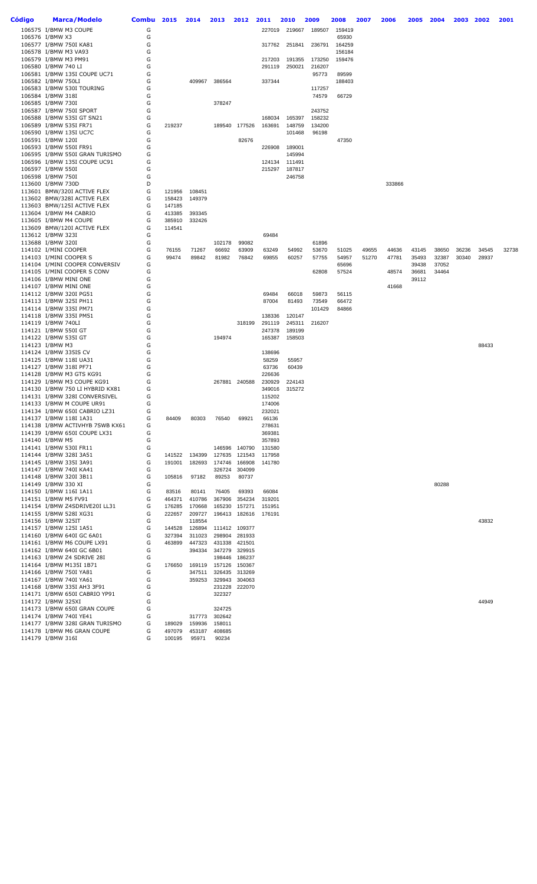| Código | Marca/Modelo                                             | Combu  | 2015   | 2014   | 2013   | 2012                           | 2011             | 2010             | 2009             | 2008           | 2007  | 2006   | 2005           | 2004           | 2003  | 2002  | 2001  |
|--------|----------------------------------------------------------|--------|--------|--------|--------|--------------------------------|------------------|------------------|------------------|----------------|-------|--------|----------------|----------------|-------|-------|-------|
|        | 106575 I/BMW M3 COUPE                                    | G      |        |        |        |                                | 227019           | 219667           | 189507           | 159419         |       |        |                |                |       |       |       |
|        | 106576 I/BMW X3                                          | G      |        |        |        |                                |                  |                  |                  | 65930          |       |        |                |                |       |       |       |
|        | 106577 I/BMW 750I KA81                                   | G      |        |        |        |                                | 317762           | 251841           | 236791           | 164259         |       |        |                |                |       |       |       |
|        | 106578 I/BMW M3 VA93                                     | G      |        |        |        |                                |                  |                  |                  | 156184         |       |        |                |                |       |       |       |
|        | 106579 I/BMW M3 PM91<br>106580 I/BMW 740 LI              | G<br>G |        |        |        |                                | 217203<br>291119 | 191355<br>250021 | 173250<br>216207 | 159476         |       |        |                |                |       |       |       |
|        | 106581 I/BMW 135I COUPE UC71                             | G      |        |        |        |                                |                  |                  | 95773            | 89599          |       |        |                |                |       |       |       |
|        | 106582 I/BMW 750LI                                       | G      |        | 409967 | 386564 |                                | 337344           |                  |                  | 188403         |       |        |                |                |       |       |       |
|        | 106583 I/BMW 530I TOURING                                | G      |        |        |        |                                |                  |                  | 117257           |                |       |        |                |                |       |       |       |
|        | 106584 I/BMW 318I                                        | G      |        |        |        |                                |                  |                  | 74579            | 66729          |       |        |                |                |       |       |       |
|        | 106585 I/BMW 730I                                        | G      |        |        | 378247 |                                |                  |                  |                  |                |       |        |                |                |       |       |       |
|        | 106587 I/BMW 750I SPORT                                  | G      |        |        |        |                                |                  |                  | 243752           |                |       |        |                |                |       |       |       |
|        | 106588 I/BMW 535I GT SN21                                | G      |        |        |        |                                | 168034           | 165397           | 158232           |                |       |        |                |                |       |       |       |
|        | 106589 I/BMW 535I FR71                                   | G      | 219237 |        | 189540 | 177526                         | 163691           | 148759           | 134200           |                |       |        |                |                |       |       |       |
|        | 106590 I/BMW 135I UC7C                                   | G      |        |        |        |                                |                  | 101468           | 96198            |                |       |        |                |                |       |       |       |
|        | 106591 I/BMW 120I                                        | G      |        |        |        | 82676                          |                  |                  |                  | 47350          |       |        |                |                |       |       |       |
|        | 106593 I/BMW 550I FR91<br>106595 I/BMW 550I GRAN TURISMO | G<br>G |        |        |        |                                | 226908           | 189001<br>145994 |                  |                |       |        |                |                |       |       |       |
|        | 106596 I/BMW 135I COUPE UC91                             | G      |        |        |        |                                | 124134           | 111491           |                  |                |       |        |                |                |       |       |       |
|        | 106597 I/BMW 550I                                        | G      |        |        |        |                                | 215297           | 187817           |                  |                |       |        |                |                |       |       |       |
|        | 106598 I/BMW 750I                                        | G      |        |        |        |                                |                  | 246758           |                  |                |       |        |                |                |       |       |       |
|        | 113600 I/BMW 730D                                        | D      |        |        |        |                                |                  |                  |                  |                |       | 333866 |                |                |       |       |       |
|        | 113601 BMW/320I ACTIVE FLEX                              | G      | 121956 | 108451 |        |                                |                  |                  |                  |                |       |        |                |                |       |       |       |
|        | 113602 BMW/328I ACTIVE FLEX                              | G      | 158423 | 149379 |        |                                |                  |                  |                  |                |       |        |                |                |       |       |       |
|        | 113603 BMW/125I ACTIVE FLEX                              | G      | 147185 |        |        |                                |                  |                  |                  |                |       |        |                |                |       |       |       |
|        | 113604 I/BMW M4 CABRIO                                   | G      | 413385 | 393345 |        |                                |                  |                  |                  |                |       |        |                |                |       |       |       |
|        | 113605 I/BMW M4 COUPE                                    | G      | 385910 | 332426 |        |                                |                  |                  |                  |                |       |        |                |                |       |       |       |
|        | 113609 BMW/120I ACTIVE FLEX                              | G      | 114541 |        |        |                                |                  |                  |                  |                |       |        |                |                |       |       |       |
|        | 113612 I/BMW 323I                                        | G      |        |        |        |                                | 69484            |                  |                  |                |       |        |                |                |       |       |       |
|        | 113688 I/BMW 320I                                        | G      |        |        | 102178 | 99082                          |                  |                  | 61896            |                |       |        |                |                |       |       |       |
|        | 114102 I/MINI COOPER                                     | G<br>G | 76155  | 71267  | 66692  | 63909                          | 63249            | 54992            | 53670            | 51025          | 49655 | 44636  | 43145          | 38650          | 36236 | 34545 | 32738 |
|        | 114103 I/MINI COOPER S<br>114104 I/MINI COOPER CONVERSIV | G      | 99474  | 89842  | 81982  | 76842                          | 69855            | 60257            | 57755            | 54957<br>65696 | 51270 | 47781  | 35493<br>39438 | 32387<br>37052 | 30340 | 28937 |       |
|        | 114105 I/MINI COOPER S CONV                              | G      |        |        |        |                                |                  |                  | 62808            | 57524          |       | 48574  | 36681          | 34464          |       |       |       |
|        | 114106 I/BMW MINI ONE                                    | G      |        |        |        |                                |                  |                  |                  |                |       |        | 39112          |                |       |       |       |
|        | 114107 I/BMW MINI ONE                                    | G      |        |        |        |                                |                  |                  |                  |                |       | 41668  |                |                |       |       |       |
|        | 114112 I/BMW 320I PG51                                   | G      |        |        |        |                                | 69484            | 66018            | 59873            | 56115          |       |        |                |                |       |       |       |
|        | 114113 I/BMW 325I PH11                                   | G      |        |        |        |                                | 87004            | 81493            | 73549            | 66472          |       |        |                |                |       |       |       |
|        | 114114 I/BMW 335I PM71                                   | G      |        |        |        |                                |                  |                  | 101429           | 84866          |       |        |                |                |       |       |       |
|        | 114118 I/BMW 335I PM51                                   | G      |        |        |        |                                | 138336           | 120147           |                  |                |       |        |                |                |       |       |       |
|        | 114119 I/BMW 740LI                                       | G      |        |        |        | 318199                         | 291119           | 245311           | 216207           |                |       |        |                |                |       |       |       |
|        | 114121 I/BMW 550I GT                                     | G      |        |        |        |                                | 247378           | 189199           |                  |                |       |        |                |                |       |       |       |
|        | 114122 I/BMW 535I GT                                     | G      |        |        | 194974 |                                | 165387           | 158503           |                  |                |       |        |                |                |       |       |       |
|        | 114123 I/BMW M3                                          | G      |        |        |        |                                |                  |                  |                  |                |       |        |                |                |       | 88433 |       |
|        | 114124 I/BMW 335IS CV                                    | G      |        |        |        |                                | 138696           |                  |                  |                |       |        |                |                |       |       |       |
|        | 114125 I/BMW 118I UA31<br>114127 I/BMW 318I PF71         | G<br>G |        |        |        |                                | 58259<br>63736   | 55957<br>60439   |                  |                |       |        |                |                |       |       |       |
|        | 114128 I/BMW M3 GTS KG91                                 | G      |        |        |        |                                | 226636           |                  |                  |                |       |        |                |                |       |       |       |
|        | 114129 I/BMW M3 COUPE KG91                               | G      |        |        |        | 267881 240588                  | 230929           | 224143           |                  |                |       |        |                |                |       |       |       |
|        | 114130 I/BMW 750 LI HYBRID KX81                          | G      |        |        |        |                                | 349016           | 315272           |                  |                |       |        |                |                |       |       |       |
|        | 114131 I/BMW 328I CONVERSIVEL                            | G      |        |        |        |                                | 115202           |                  |                  |                |       |        |                |                |       |       |       |
|        | 114133 I/BMW M COUPE UR91                                | G      |        |        |        |                                | 174006           |                  |                  |                |       |        |                |                |       |       |       |
|        | 114134 I/BMW 650I CABRIO LZ31                            | G      |        |        |        |                                | 232021           |                  |                  |                |       |        |                |                |       |       |       |
|        | 114137 I/BMW 118I 1A31                                   | G      | 84409  | 80303  | 76540  | 69921                          | 66136            |                  |                  |                |       |        |                |                |       |       |       |
|        | 114138 I/BMW ACTIVHYB 7SWB KX61                          | G      |        |        |        |                                | 278631           |                  |                  |                |       |        |                |                |       |       |       |
|        | 114139 I/BMW 650I COUPE LX31                             | G      |        |        |        |                                | 369381           |                  |                  |                |       |        |                |                |       |       |       |
|        | 114140 I/BMW M5<br>114141 I/BMW 530I FR11                | G<br>G |        |        |        | 140790                         | 357893<br>131580 |                  |                  |                |       |        |                |                |       |       |       |
|        | 114144 I/BMW 328I 3A51                                   | G      | 141522 | 134399 | 146596 | 127635 121543                  | 117958           |                  |                  |                |       |        |                |                |       |       |       |
|        | 114145 I/BMW 335I 3A91                                   | G      | 191001 | 182693 | 174746 | 166908                         | 141780           |                  |                  |                |       |        |                |                |       |       |       |
|        | 114147 I/BMW 740I KA41                                   | G      |        |        | 326724 | 304099                         |                  |                  |                  |                |       |        |                |                |       |       |       |
|        | 114148 I/BMW 320I 3B11                                   | G      | 105816 | 97182  | 89253  | 80737                          |                  |                  |                  |                |       |        |                |                |       |       |       |
|        | 114149 I/BMW 330 XI                                      | G      |        |        |        |                                |                  |                  |                  |                |       |        |                | 80288          |       |       |       |
|        | 114150 I/BMW 116I 1A11                                   | G      | 83516  | 80141  | 76405  | 69393                          | 66084            |                  |                  |                |       |        |                |                |       |       |       |
|        | 114151 I/BMW M5 FV91                                     | G      | 464371 | 410786 | 367906 | 354234                         | 319201           |                  |                  |                |       |        |                |                |       |       |       |
|        | 114154 I/BMW Z4SDRIVE20I LL31                            | G      | 176285 | 170668 | 165230 | 157271                         | 151951           |                  |                  |                |       |        |                |                |       |       |       |
|        | 114155 I/BMW 528I XG31                                   | G      | 222657 | 209727 | 196413 | 182616                         | 176191           |                  |                  |                |       |        |                |                |       |       |       |
|        | 114156 I/BMW 325IT                                       | G      |        | 118554 |        |                                |                  |                  |                  |                |       |        |                |                |       | 43832 |       |
|        | 114157 I/BMW 125I 1A51                                   | G      | 144528 | 126894 |        | 111412 109377                  |                  |                  |                  |                |       |        |                |                |       |       |       |
|        | 114160 I/BMW 640I GC 6A01                                | G<br>G | 327394 | 311023 | 298904 | 281933                         |                  |                  |                  |                |       |        |                |                |       |       |       |
|        | 114161 I/BMW M6 COUPE LX91                               | G      | 463899 | 447323 |        | 431338 421501<br>347279 329915 |                  |                  |                  |                |       |        |                |                |       |       |       |
|        | 114162 I/BMW 640I GC 6B01<br>114163 I/BMW Z4 SDRIVE 28I  | G      |        | 394334 |        | 198446 186237                  |                  |                  |                  |                |       |        |                |                |       |       |       |
|        | 114164 I/BMW M135I 1B71                                  | G      | 176650 | 169119 |        | 157126 150367                  |                  |                  |                  |                |       |        |                |                |       |       |       |
|        | 114166 I/BMW 750I YA81                                   | G      |        | 347511 |        | 326435 313269                  |                  |                  |                  |                |       |        |                |                |       |       |       |
|        | 114167 I/BMW 740I YA61                                   | G      |        | 359253 | 329943 | 304063                         |                  |                  |                  |                |       |        |                |                |       |       |       |
|        | 114168 I/BMW 335I AH3 3F91                               | G      |        |        |        | 231228 222070                  |                  |                  |                  |                |       |        |                |                |       |       |       |
|        | 114171 I/BMW 650I CABRIO YP91                            | G      |        |        | 322327 |                                |                  |                  |                  |                |       |        |                |                |       |       |       |
|        | 114172 I/BMW 325XI                                       | G      |        |        |        |                                |                  |                  |                  |                |       |        |                |                |       | 44949 |       |
|        | 114173 I/BMW 650I GRAN COUPE                             | G      |        |        | 324725 |                                |                  |                  |                  |                |       |        |                |                |       |       |       |
|        | 114174 I/BMW 740I YE41                                   | G      |        | 317773 | 302642 |                                |                  |                  |                  |                |       |        |                |                |       |       |       |
|        | 114177 I/BMW 328I GRAN TURISMO                           | G      | 189029 | 159936 | 158011 |                                |                  |                  |                  |                |       |        |                |                |       |       |       |
|        | 114178 I/BMW M6 GRAN COUPE                               | G      | 497079 | 453187 | 408685 |                                |                  |                  |                  |                |       |        |                |                |       |       |       |
|        | 114179 I/BMW 316I                                        | G      | 100195 | 95971  | 90234  |                                |                  |                  |                  |                |       |        |                |                |       |       |       |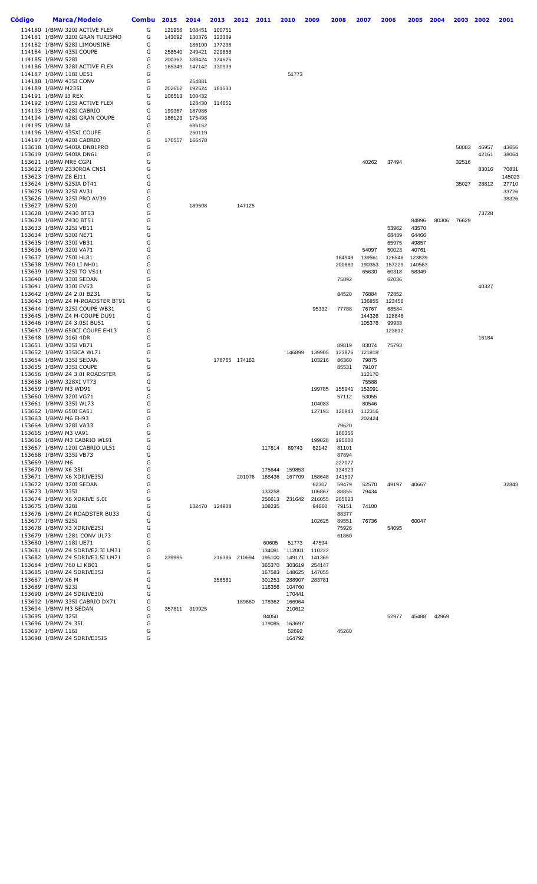| Código | <b>Marca/Modelo</b>                                          | <b>Combu</b> | 2015             | 2014             | 2013             | 2012          | 2011             | 2010             | 2009             | 2008            | 2007             | 2006            | 2005           | 2004  | 2003  | 2002  | 2001            |
|--------|--------------------------------------------------------------|--------------|------------------|------------------|------------------|---------------|------------------|------------------|------------------|-----------------|------------------|-----------------|----------------|-------|-------|-------|-----------------|
|        | 114180 I/BMW 320I ACTIVE FLEX                                | G            | 121956           | 108451           | 100751           |               |                  |                  |                  |                 |                  |                 |                |       |       |       |                 |
|        | 114181 I/BMW 320I GRAN TURISMO                               | G            | 143092           | 130376           | 123389           |               |                  |                  |                  |                 |                  |                 |                |       |       |       |                 |
|        | 114182 I/BMW 528I LIMOUSINE                                  | G<br>G       |                  | 186100           | 177238           |               |                  |                  |                  |                 |                  |                 |                |       |       |       |                 |
|        | 114184 I/BMW 435I COUPE<br>114185 I/BMW 528I                 | G            | 258540<br>200362 | 249421<br>188424 | 229856<br>174625 |               |                  |                  |                  |                 |                  |                 |                |       |       |       |                 |
|        | 114186 I/BMW 328I ACTIVE FLEX                                | G            | 165349           | 147142           | 130939           |               |                  |                  |                  |                 |                  |                 |                |       |       |       |                 |
|        | 114187 I/BMW 118I UE51                                       | G            |                  |                  |                  |               |                  | 51773            |                  |                 |                  |                 |                |       |       |       |                 |
|        | 114188 I/BMW 435I CONV                                       | G            |                  | 254881           |                  |               |                  |                  |                  |                 |                  |                 |                |       |       |       |                 |
|        | 114189 I/BMW M235I                                           | G            | 202612           | 192524           | 181533           |               |                  |                  |                  |                 |                  |                 |                |       |       |       |                 |
|        | 114191 I/BMW I3 REX<br>114192 I/BMW 125I ACTIVE FLEX         | G<br>G       | 106513           | 100432<br>128430 | 114651           |               |                  |                  |                  |                 |                  |                 |                |       |       |       |                 |
|        | 114193 I/BMW 428I CABRIO                                     | G            | 199367           | 187986           |                  |               |                  |                  |                  |                 |                  |                 |                |       |       |       |                 |
|        | 114194 I/BMW 428I GRAN COUPE                                 | G            | 186123           | 175498           |                  |               |                  |                  |                  |                 |                  |                 |                |       |       |       |                 |
|        | 114195 I/BMW I8                                              | G            |                  | 686152           |                  |               |                  |                  |                  |                 |                  |                 |                |       |       |       |                 |
|        | 114196 I/BMW 435XI COUPE                                     | G<br>G       | 176557           | 250119           |                  |               |                  |                  |                  |                 |                  |                 |                |       |       |       |                 |
|        | 114197 I/BMW 420I CABRIO<br>153618 I/BMW 540IA DN81PRO       | G            |                  | 166478           |                  |               |                  |                  |                  |                 |                  |                 |                |       | 50083 | 46957 | 43656           |
|        | 153619 I/BMW 540IA DN61                                      | G            |                  |                  |                  |               |                  |                  |                  |                 |                  |                 |                |       |       | 42161 | 38064           |
|        | 153621 I/BMW MRE CGPI                                        | G            |                  |                  |                  |               |                  |                  |                  |                 | 40262            | 37494           |                |       | 32516 |       |                 |
|        | 153622 I/BMW Z330ROA CN51                                    | G            |                  |                  |                  |               |                  |                  |                  |                 |                  |                 |                |       |       | 83016 | 70831           |
|        | 153623 I/BMW Z8 EJ11<br>153624 I/BMW 525IA DT41              | G<br>G       |                  |                  |                  |               |                  |                  |                  |                 |                  |                 |                |       | 35027 | 28812 | 145023<br>27710 |
|        | 153625 I/BMW 325I AV31                                       | G            |                  |                  |                  |               |                  |                  |                  |                 |                  |                 |                |       |       |       | 33726           |
|        | 153626 I/BMW 325I PRO AV39                                   | G            |                  |                  |                  |               |                  |                  |                  |                 |                  |                 |                |       |       |       | 38326           |
|        | 153627 I/BMW 520I                                            | G            |                  | 189508           |                  | 147125        |                  |                  |                  |                 |                  |                 |                |       |       |       |                 |
|        | 153628 I/BMW Z430 BT53                                       | G            |                  |                  |                  |               |                  |                  |                  |                 |                  |                 |                |       |       | 73728 |                 |
|        | 153629 I/BMW Z430 BT51<br>153633 I/BMW 325I VB11             | G<br>G       |                  |                  |                  |               |                  |                  |                  |                 |                  | 53962           | 84896<br>43570 | 80306 | 76629 |       |                 |
|        | 153634 I/BMW 530I NE71                                       | G            |                  |                  |                  |               |                  |                  |                  |                 |                  | 68439           | 64466          |       |       |       |                 |
|        | 153635 I/BMW 330I VB31                                       | G            |                  |                  |                  |               |                  |                  |                  |                 |                  | 65975           | 49857          |       |       |       |                 |
|        | 153636 I/BMW 320I VA71                                       | G            |                  |                  |                  |               |                  |                  |                  |                 | 54097            | 50023           | 40761          |       |       |       |                 |
|        | 153637 I/BMW 750I HL81                                       | G            |                  |                  |                  |               |                  |                  |                  | 164949          | 139561           | 126548          | 123839         |       |       |       |                 |
|        | 153638 I/BMW 760 LI NH01                                     | G            |                  |                  |                  |               |                  |                  |                  | 200880          | 190353           | 157229          | 140563         |       |       |       |                 |
|        | 153639 I/BMW 325I TO VS11<br>153640 I/BMW 330I SEDAN         | G<br>G       |                  |                  |                  |               |                  |                  |                  | 75892           | 65630            | 60318<br>62036  | 58349          |       |       |       |                 |
|        | 153641 I/BMW 330I EV53                                       | G            |                  |                  |                  |               |                  |                  |                  |                 |                  |                 |                |       |       | 40327 |                 |
|        | 153642 I/BMW Z4 2.0I BZ31                                    | G            |                  |                  |                  |               |                  |                  |                  | 84520           | 76884            | 72852           |                |       |       |       |                 |
|        | 153643 I/BMW Z4 M-ROADSTER BT91                              | G            |                  |                  |                  |               |                  |                  |                  |                 | 136855           | 123456          |                |       |       |       |                 |
|        | 153644 I/BMW 325I COUPE WB31                                 | G            |                  |                  |                  |               |                  |                  | 95332            | 77788           | 76767            | 68584           |                |       |       |       |                 |
|        | 153645 I/BMW Z4 M-COUPE DU91<br>153646 I/BMW Z4 3.0SI BU51   | G<br>G       |                  |                  |                  |               |                  |                  |                  |                 | 144326<br>105376 | 128848<br>99933 |                |       |       |       |                 |
|        | 153647 I/BMW 650CI COUPE EH13                                | G            |                  |                  |                  |               |                  |                  |                  |                 |                  | 123812          |                |       |       |       |                 |
|        | 153648 I/BMW 316I 4DR                                        | G            |                  |                  |                  |               |                  |                  |                  |                 |                  |                 |                |       |       | 16184 |                 |
|        | 153651 I/BMW 335I VB71                                       | G            |                  |                  |                  |               |                  |                  |                  | 89819           | 83074            | 75793           |                |       |       |       |                 |
|        | 153652 I/BMW 335ICA WL71                                     | G<br>G       |                  |                  |                  | 178765 174162 |                  | 146899           | 139905<br>103216 | 123876<br>86360 | 121818<br>79875  |                 |                |       |       |       |                 |
|        | 153654 I/BMW 335I SEDAN<br>153655 I/BMW 335I COUPE           | G            |                  |                  |                  |               |                  |                  |                  | 85531           | 79107            |                 |                |       |       |       |                 |
|        | 153656 I/BMW Z4 3.0I ROADSTER                                | G            |                  |                  |                  |               |                  |                  |                  |                 | 112170           |                 |                |       |       |       |                 |
|        | 153658 I/BMW 328XI VT73                                      | G            |                  |                  |                  |               |                  |                  |                  |                 | 75588            |                 |                |       |       |       |                 |
|        | 153659 I/BMW M3 WD91                                         | G            |                  |                  |                  |               |                  |                  | 199785           | 155941          | 152091           |                 |                |       |       |       |                 |
|        | 153660 I/BMW 320I VG71<br>153661 I/BMW 335I WL73             | G<br>G       |                  |                  |                  |               |                  |                  | 104083           | 57112           | 53055<br>80546   |                 |                |       |       |       |                 |
|        | 153662 I/BMW 650I EA51                                       | G            |                  |                  |                  |               |                  |                  | 127193           | 120943          | 112316           |                 |                |       |       |       |                 |
|        | 153663 I/BMW M6 EH93                                         | G            |                  |                  |                  |               |                  |                  |                  |                 | 202424           |                 |                |       |       |       |                 |
|        | 153664 I/BMW 328I VA33                                       | G            |                  |                  |                  |               |                  |                  |                  | 79620           |                  |                 |                |       |       |       |                 |
|        | 153665 I/BMW M3 VA91                                         | G<br>G       |                  |                  |                  |               |                  |                  |                  | 160356          |                  |                 |                |       |       |       |                 |
|        | 153666 I/BMW M3 CABRIO WL91<br>153667 I/BMW 120I CABRIO UL51 | G            |                  |                  |                  |               | 117814           | 89743            | 199028<br>82142  | 195000<br>81101 |                  |                 |                |       |       |       |                 |
|        | 153668 I/BMW 335I VB73                                       | G            |                  |                  |                  |               |                  |                  |                  | 87894           |                  |                 |                |       |       |       |                 |
|        | 153669 I/BMW M6                                              | G            |                  |                  |                  |               |                  |                  |                  | 227077          |                  |                 |                |       |       |       |                 |
|        | 153670 I/BMW X6 35I                                          | G            |                  |                  |                  |               | 175644           | 159853           |                  | 134923          |                  |                 |                |       |       |       |                 |
|        | 153671 I/BMW X6 XDRIVE35I<br>153672 I/BMW 320I SEDAN         | G<br>G       |                  |                  |                  | 201076        | 188436           | 167709           | 158648<br>62307  | 141507<br>59479 | 52570            | 49197           | 40667          |       |       |       | 32843           |
|        | 153673 I/BMW 335I                                            | G            |                  |                  |                  |               | 133258           |                  | 106867           | 88855           | 79434            |                 |                |       |       |       |                 |
|        | 153674 I/BMW X6 XDRIVE 5.0I                                  | G            |                  |                  |                  |               | 256613           | 231642           | 216055           | 205623          |                  |                 |                |       |       |       |                 |
|        | 153675 I/BMW 328I                                            | G            |                  |                  | 132470 124908    |               | 108235           |                  | 94660            | 79151           | 74100            |                 |                |       |       |       |                 |
|        | 153676 I/BMW Z4 ROADSTER BU33                                | G            |                  |                  |                  |               |                  |                  |                  | 88377           |                  |                 |                |       |       |       |                 |
|        | 153677 I/BMW 525I                                            | G<br>G       |                  |                  |                  |               |                  |                  | 102625           | 89551           | 76736            | 54095           | 60047          |       |       |       |                 |
|        | 153678 I/BMW X3 XDRIVE25I<br>153679 I/BMW 1281 CONV UL73     | G            |                  |                  |                  |               |                  |                  |                  | 75926<br>61860  |                  |                 |                |       |       |       |                 |
|        | 153680 I/BMW 118I UE71                                       | G            |                  |                  |                  |               | 60605            | 51773            | 47594            |                 |                  |                 |                |       |       |       |                 |
|        | 153681 I/BMW Z4 SDRIVE2.3I LM31                              | G            |                  |                  |                  |               | 134081           | 112001           | 110222           |                 |                  |                 |                |       |       |       |                 |
|        | 153682 I/BMW Z4 SDRIVE3.5I LM71                              | G            | 239995           |                  |                  | 216386 210694 | 195100           | 149171           | 141365           |                 |                  |                 |                |       |       |       |                 |
|        | 153684 I/BMW 760 LI KB01                                     | G<br>G       |                  |                  |                  |               | 365370           | 303619           | 254147           |                 |                  |                 |                |       |       |       |                 |
|        | 153685 I/BMW Z4 SDRIVE35I<br>153687 I/BMW X6 M               | G            |                  |                  | 356561           |               | 167583<br>301253 | 148625<br>288907 | 147055<br>283781 |                 |                  |                 |                |       |       |       |                 |
|        | 153689 I/BMW 523I                                            | G            |                  |                  |                  |               | 116356           | 104760           |                  |                 |                  |                 |                |       |       |       |                 |
|        | 153690 I/BMW Z4 SDRIVE30I                                    | G            |                  |                  |                  |               |                  | 170441           |                  |                 |                  |                 |                |       |       |       |                 |
|        | 153692 I/BMW 335I CABRIO DX71                                | G            |                  |                  |                  | 189660        | 178362           | 166964           |                  |                 |                  |                 |                |       |       |       |                 |
|        | 153694 I/BMW M3 SEDAN                                        | G<br>G       |                  | 357811 319925    |                  |               | 84050            | 210612           |                  |                 |                  | 52977           | 45488          | 42969 |       |       |                 |
|        | 153695 I/BMW 325I<br>153696 I/BMW Z4 35I                     | G            |                  |                  |                  |               | 179085           | 163697           |                  |                 |                  |                 |                |       |       |       |                 |
|        | 153697 I/BMW 116I                                            | G            |                  |                  |                  |               |                  | 52692            |                  | 45260           |                  |                 |                |       |       |       |                 |
|        | 153698 I/BMW Z4 SDRIVE35IS                                   | G            |                  |                  |                  |               |                  | 164792           |                  |                 |                  |                 |                |       |       |       |                 |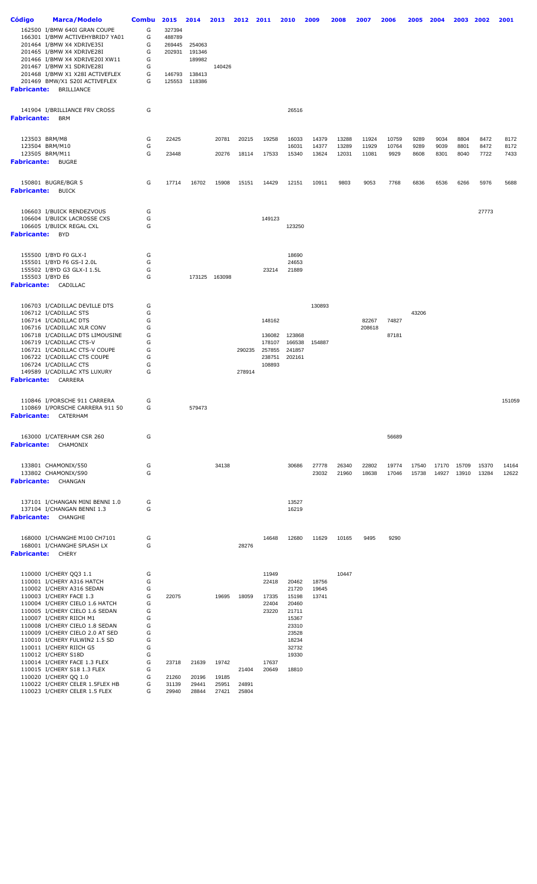| <b>Código</b>      | <b>Marca/Modelo</b><br>162500 I/BMW 640I GRAN COUPE<br>166301 I/BMW ACTIVEHYBRID7 YA01<br>201464 I/BMW X4 XDRIVE35I<br>201465 I/BMW X4 XDRIVE28I<br>201466 I/BMW X4 XDRIVE20I XW11<br>201467 I/BMW X1 SDRIVE28I<br>201468 I/BMW X1 X28I ACTIVEFLEX | Combu<br>G<br>G<br>G<br>G<br>G<br>G<br>G | 2015<br>327394<br>488789<br>269445<br>202931<br>146793 | 2014<br>254063<br>191346<br>189982<br>138413 | 2013<br>140426 | 2012   | 2011             | 2010             | 2009           | 2008           | 2007            | 2006           | 2005           | 2004           | 2003           | 2002           | 2001           |
|--------------------|----------------------------------------------------------------------------------------------------------------------------------------------------------------------------------------------------------------------------------------------------|------------------------------------------|--------------------------------------------------------|----------------------------------------------|----------------|--------|------------------|------------------|----------------|----------------|-----------------|----------------|----------------|----------------|----------------|----------------|----------------|
|                    | 201469 BMW/X1 S20I ACTIVEFLEX<br><b>Fabricante: BRILLIANCE</b>                                                                                                                                                                                     | G                                        | 125553                                                 | 118386                                       |                |        |                  |                  |                |                |                 |                |                |                |                |                |                |
| <b>Fabricante:</b> | 141904 I/BRILLIANCE FRV CROSS<br><b>BRM</b>                                                                                                                                                                                                        | G                                        |                                                        |                                              |                |        |                  | 26516            |                |                |                 |                |                |                |                |                |                |
|                    | 123503 BRM/M8                                                                                                                                                                                                                                      | G                                        | 22425                                                  |                                              | 20781          | 20215  | 19258            | 16033            | 14379          | 13288          | 11924           | 10759          | 9289           | 9034           | 8804           | 8472           | 8172           |
|                    | 123504 BRM/M10                                                                                                                                                                                                                                     | G                                        |                                                        |                                              |                |        |                  | 16031            | 14377          | 13289          | 11929           | 10764          | 9289           | 9039           | 8801           | 8472           | 8172           |
|                    | 123505 BRM/M11<br><b>Fabricante: BUGRE</b>                                                                                                                                                                                                         | G                                        | 23448                                                  |                                              | 20276          | 18114  | 17533            | 15340            | 13624          | 12031          | 11081           | 9929           | 8608           | 8301           | 8040           | 7722           | 7433           |
| Fabricante:        | 150801 BUGRE/BGR 5<br><b>BUICK</b>                                                                                                                                                                                                                 | G                                        | 17714                                                  | 16702                                        | 15908          | 15151  | 14429            | 12151            | 10911          | 9803           | 9053            | 7768           | 6836           | 6536           | 6266           | 5976           | 5688           |
|                    | 106603 I/BUICK RENDEZVOUS                                                                                                                                                                                                                          | G                                        |                                                        |                                              |                |        |                  |                  |                |                |                 |                |                |                |                | 27773          |                |
| Fabricante:        | 106604 I/BUICK LACROSSE CXS<br>106605 I/BUICK REGAL CXL<br><b>BYD</b>                                                                                                                                                                              | G<br>G                                   |                                                        |                                              |                |        | 149123           | 123250           |                |                |                 |                |                |                |                |                |                |
|                    | 155500 I/BYD F0 GLX-I                                                                                                                                                                                                                              | G                                        |                                                        |                                              |                |        |                  | 18690            |                |                |                 |                |                |                |                |                |                |
|                    | 155501 I/BYD F6 GS-I 2.0L                                                                                                                                                                                                                          | G                                        |                                                        |                                              |                |        |                  | 24653            |                |                |                 |                |                |                |                |                |                |
|                    | 155502 I/BYD G3 GLX-I 1.5L<br>155503 I/BYD E6                                                                                                                                                                                                      | G<br>G                                   |                                                        | 173125                                       | 163098         |        | 23214            | 21889            |                |                |                 |                |                |                |                |                |                |
|                    | <b>Fabricante:</b> CADILLAC                                                                                                                                                                                                                        |                                          |                                                        |                                              |                |        |                  |                  |                |                |                 |                |                |                |                |                |                |
|                    | 106703 I/CADILLAC DEVILLE DTS                                                                                                                                                                                                                      | G                                        |                                                        |                                              |                |        |                  |                  | 130893         |                |                 |                |                |                |                |                |                |
|                    | 106712 I/CADILLAC STS                                                                                                                                                                                                                              | G                                        |                                                        |                                              |                |        |                  |                  |                |                |                 |                | 43206          |                |                |                |                |
|                    | 106714 I/CADILLAC DTS<br>106716 I/CADILLAC XLR CONV                                                                                                                                                                                                | G<br>G                                   |                                                        |                                              |                |        | 148162           |                  |                |                | 82267<br>208618 | 74827          |                |                |                |                |                |
|                    | 106718 I/CADILLAC DTS LIMOUSINE                                                                                                                                                                                                                    | G                                        |                                                        |                                              |                |        | 136082           | 123868           |                |                |                 | 87181          |                |                |                |                |                |
|                    | 106719 I/CADILLAC CTS-V<br>106721 I/CADILLAC CTS-V COUPE                                                                                                                                                                                           | G<br>G                                   |                                                        |                                              |                | 290235 | 178107<br>257855 | 166538<br>241857 | 154887         |                |                 |                |                |                |                |                |                |
|                    | 106722 I/CADILLAC CTS COUPE                                                                                                                                                                                                                        | G                                        |                                                        |                                              |                |        | 238751           | 202161           |                |                |                 |                |                |                |                |                |                |
|                    | 106724 I/CADILLAC CTS<br>149589 I/CADILLAC XTS LUXURY                                                                                                                                                                                              | G<br>G                                   |                                                        |                                              |                | 278914 | 108893           |                  |                |                |                 |                |                |                |                |                |                |
|                    | <b>Fabricante:</b> CARRERA                                                                                                                                                                                                                         |                                          |                                                        |                                              |                |        |                  |                  |                |                |                 |                |                |                |                |                |                |
|                    | 110846 I/PORSCHE 911 CARRERA<br>110869 I/PORSCHE CARRERA 911 50<br>Fabricante: CATERHAM                                                                                                                                                            | G<br>G                                   |                                                        | 579473                                       |                |        |                  |                  |                |                |                 |                |                |                |                |                | 151059         |
|                    | 163000 I/CATERHAM CSR 260<br>Fabricante: CHAMONIX                                                                                                                                                                                                  | G                                        |                                                        |                                              |                |        |                  |                  |                |                |                 | 56689          |                |                |                |                |                |
|                    | 133801 CHAMONIX/550<br>133802 CHAMONIX/S90                                                                                                                                                                                                         | G<br>G                                   |                                                        |                                              | 34138          |        |                  | 30686            | 27778<br>23032 | 26340<br>21960 | 22802<br>18638  | 19774<br>17046 | 17540<br>15738 | 17170<br>14927 | 15709<br>13910 | 15370<br>13284 | 14164<br>12622 |
|                    | <b>Fabricante:</b> CHANGAN                                                                                                                                                                                                                         |                                          |                                                        |                                              |                |        |                  |                  |                |                |                 |                |                |                |                |                |                |
|                    | 137101 I/CHANGAN MINI BENNI 1.0                                                                                                                                                                                                                    | G                                        |                                                        |                                              |                |        |                  | 13527            |                |                |                 |                |                |                |                |                |                |
|                    | 137104 I/CHANGAN BENNI 1.3<br><b>Fabricante:</b> CHANGHE                                                                                                                                                                                           | G                                        |                                                        |                                              |                |        |                  | 16219            |                |                |                 |                |                |                |                |                |                |
|                    | 168000 I/CHANGHE M100 CH7101                                                                                                                                                                                                                       | G                                        |                                                        |                                              |                |        | 14648            | 12680            | 11629          | 10165          | 9495            | 9290           |                |                |                |                |                |
|                    | 168001 I/CHANGHE SPLASH LX<br><b>Fabricante:</b> CHERY                                                                                                                                                                                             | G                                        |                                                        |                                              |                | 28276  |                  |                  |                |                |                 |                |                |                |                |                |                |
|                    |                                                                                                                                                                                                                                                    |                                          |                                                        |                                              |                |        |                  |                  |                |                |                 |                |                |                |                |                |                |
|                    | 110000 I/CHERY QQ3 1.1<br>110001 I/CHERY A316 HATCH                                                                                                                                                                                                | G<br>G                                   |                                                        |                                              |                |        | 11949<br>22418   | 20462            | 18756          | 10447          |                 |                |                |                |                |                |                |
|                    | 110002 I/CHERY A316 SEDAN                                                                                                                                                                                                                          | G                                        |                                                        |                                              |                |        |                  | 21720            | 19645          |                |                 |                |                |                |                |                |                |
|                    | 110003 I/CHERY FACE 1.3<br>110004 I/CHERY CIELO 1.6 HATCH                                                                                                                                                                                          | G<br>G                                   | 22075                                                  |                                              | 19695          | 18059  | 17335<br>22404   | 15198<br>20460   | 13741          |                |                 |                |                |                |                |                |                |
|                    | 110005 I/CHERY CIELO 1.6 SEDAN                                                                                                                                                                                                                     | G                                        |                                                        |                                              |                |        | 23220            | 21711            |                |                |                 |                |                |                |                |                |                |
|                    | 110007 I/CHERY RIICH M1<br>110008 I/CHERY CIELO 1.8 SEDAN                                                                                                                                                                                          | G<br>G                                   |                                                        |                                              |                |        |                  | 15367<br>23310   |                |                |                 |                |                |                |                |                |                |
|                    | 110009 I/CHERY CIELO 2.0 AT SED                                                                                                                                                                                                                    | G                                        |                                                        |                                              |                |        |                  | 23528            |                |                |                 |                |                |                |                |                |                |
|                    | 110010 I/CHERY FULWIN2 1.5 SD                                                                                                                                                                                                                      | G                                        |                                                        |                                              |                |        |                  | 18234            |                |                |                 |                |                |                |                |                |                |
|                    | 110011 I/CHERY RIICH G5<br>110012 I/CHERY S18D                                                                                                                                                                                                     | G<br>G                                   |                                                        |                                              |                |        |                  | 32732<br>19330   |                |                |                 |                |                |                |                |                |                |
|                    | 110014 I/CHERY FACE 1.3 FLEX                                                                                                                                                                                                                       | G                                        | 23718                                                  | 21639                                        | 19742          |        | 17637            |                  |                |                |                 |                |                |                |                |                |                |
|                    | 110015 I/CHERY S18 1.3 FLEX<br>110020 I/CHERY QQ 1.0                                                                                                                                                                                               | G<br>G                                   | 21260                                                  | 20196                                        | 19185          | 21404  | 20649            | 18810            |                |                |                 |                |                |                |                |                |                |
|                    | 110022 I/CHERY CELER 1.5FLEX HB                                                                                                                                                                                                                    | G                                        | 31139                                                  | 29441                                        | 25951          | 24891  |                  |                  |                |                |                 |                |                |                |                |                |                |
|                    | 110023 I/CHERY CELER 1.5 FLEX                                                                                                                                                                                                                      | G                                        | 29940                                                  | 28844                                        | 27421          | 25804  |                  |                  |                |                |                 |                |                |                |                |                |                |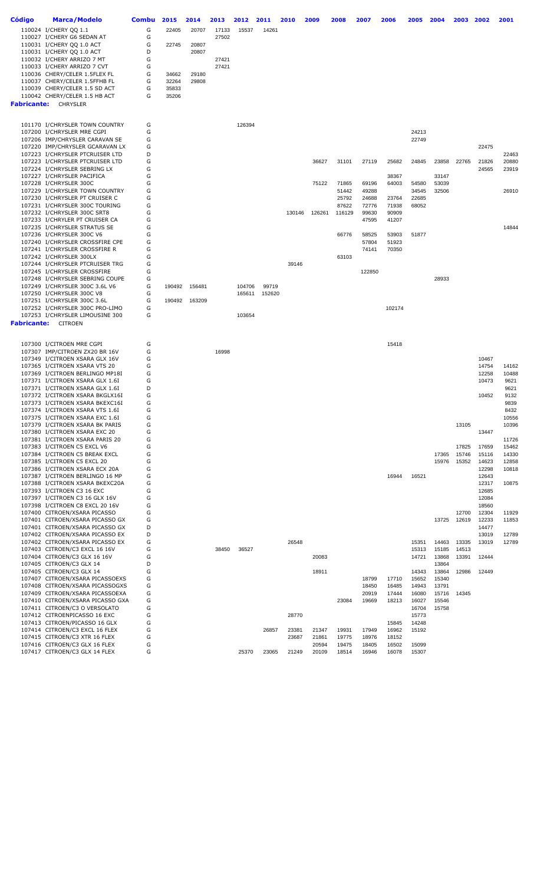| Código | Marca/Modelo                                                       | Combu  | 2015   | 2014   | 2013  | 2012   | 2011   | 2010  | 2009          | 2008           | 2007           | 2006           | 2005           | 2004           | 2003  | 2002           | 2001         |
|--------|--------------------------------------------------------------------|--------|--------|--------|-------|--------|--------|-------|---------------|----------------|----------------|----------------|----------------|----------------|-------|----------------|--------------|
|        | 110024 I/CHERY QQ 1.1                                              | G      | 22405  | 20707  | 17133 | 15537  | 14261  |       |               |                |                |                |                |                |       |                |              |
|        | 110027 I/CHERY G6 SEDAN AT                                         | G      |        |        | 27502 |        |        |       |               |                |                |                |                |                |       |                |              |
|        | 110031 I/CHERY QQ 1.0 ACT                                          | G      | 22745  | 20807  |       |        |        |       |               |                |                |                |                |                |       |                |              |
|        | 110031 I/CHERY QQ 1.0 ACT                                          | D      |        | 20807  |       |        |        |       |               |                |                |                |                |                |       |                |              |
|        | 110032 I/CHERY ARRIZO 7 MT                                         | G      |        |        | 27421 |        |        |       |               |                |                |                |                |                |       |                |              |
|        | 110033 I/CHERY ARRIZO 7 CVT                                        | G      |        |        | 27421 |        |        |       |               |                |                |                |                |                |       |                |              |
|        | 110036 CHERY/CELER 1.5FLEX FL                                      | G      | 34662  | 29180  |       |        |        |       |               |                |                |                |                |                |       |                |              |
|        | 110037 CHERY/CELER 1.5FFHB FL                                      | G      | 32264  | 29808  |       |        |        |       |               |                |                |                |                |                |       |                |              |
|        | 110039 CHERY/CELER 1.5 SD ACT                                      | G      | 35833  |        |       |        |        |       |               |                |                |                |                |                |       |                |              |
|        | 110042 CHERY/CELER 1.5 HB ACT                                      | G      | 35206  |        |       |        |        |       |               |                |                |                |                |                |       |                |              |
|        | <b>Fabricante:</b> CHRYSLER                                        |        |        |        |       |        |        |       |               |                |                |                |                |                |       |                |              |
|        |                                                                    |        |        |        |       |        |        |       |               |                |                |                |                |                |       |                |              |
|        | 101170 I/CHRYSLER TOWN COUNTRY                                     | G      |        |        |       | 126394 |        |       |               |                |                |                |                |                |       |                |              |
|        | 107200 I/CHRYSLER MRE CGPI                                         | G      |        |        |       |        |        |       |               |                |                |                | 24213          |                |       |                |              |
|        | 107206 IMP/CHRYSLER CARAVAN SE                                     | G      |        |        |       |        |        |       |               |                |                |                | 22749          |                |       |                |              |
|        | 107220 IMP/CHRYSLER GCARAVAN LX                                    | G      |        |        |       |        |        |       |               |                |                |                |                |                |       | 22475          |              |
|        | 107223 I/CHRYSLER PTCRUISER LTD                                    | D      |        |        |       |        |        |       |               |                |                |                |                |                |       |                | 22463        |
|        | 107223 I/CHRYSLER PTCRUISER LTD                                    | G      |        |        |       |        |        |       | 36627         | 31101          | 27119          | 25682          | 24845          | 23858          | 22765 | 21826          | 20880        |
|        | 107224 I/CHRYSLER SEBRING LX                                       | G      |        |        |       |        |        |       |               |                |                |                |                |                |       | 24565          | 23919        |
|        | 107227 I/CHRYSLER PACIFICA                                         | G      |        |        |       |        |        |       |               |                |                | 38367          |                | 33147          |       |                |              |
|        | 107228 I/CHRYSLER 300C                                             | G      |        |        |       |        |        |       | 75122         | 71865          | 69196          | 64003          | 54580          | 53039          |       |                |              |
|        | 107229 I/CHRYSLER TOWN COUNTRY                                     | G<br>G |        |        |       |        |        |       |               | 51442          | 49288          |                | 34545          | 32506          |       |                | 26910        |
|        | 107230 I/CHRYSLER PT CRUISER C<br>107231 I/CHRYSLER 300C TOURING   | G      |        |        |       |        |        |       |               | 25792<br>87622 | 24688<br>72776 | 23764<br>71938 | 22685<br>68052 |                |       |                |              |
|        | 107232 I/CHRYSLER 300C SRT8                                        | G      |        |        |       |        |        |       | 130146 126261 | 116129         | 99630          | 90909          |                |                |       |                |              |
|        | 107233 I/CHRYLER PT CRUISER CA                                     | G      |        |        |       |        |        |       |               |                | 47595          | 41207          |                |                |       |                |              |
|        | 107235 I/CHRYSLER STRATUS SE                                       | G      |        |        |       |        |        |       |               |                |                |                |                |                |       |                | 14844        |
|        | 107236 I/CHRYSLER 300C V6                                          | G      |        |        |       |        |        |       |               | 66776          | 58525          | 53903          | 51877          |                |       |                |              |
|        | 107240 I/CHRYSLER CROSSFIRE CPE                                    | G      |        |        |       |        |        |       |               |                | 57804          | 51923          |                |                |       |                |              |
|        | 107241 I/CHRYSLER CROSSFIRE R                                      | G      |        |        |       |        |        |       |               |                | 74141          | 70350          |                |                |       |                |              |
|        | 107242 I/CHRYSLER 300LX                                            | G      |        |        |       |        |        |       |               | 63103          |                |                |                |                |       |                |              |
|        | 107244 I/CHRYSLER PTCRUISER TRG                                    | G      |        |        |       |        |        | 39146 |               |                |                |                |                |                |       |                |              |
|        | 107245 I/CHRYSLER CROSSFIRE                                        | G      |        |        |       |        |        |       |               |                | 122850         |                |                |                |       |                |              |
|        | 107248 I/CHRYSLER SEBRING COUPE                                    | G      |        |        |       |        |        |       |               |                |                |                |                | 28933          |       |                |              |
|        | 107249 I/CHRYSLER 300C 3.6L V6                                     | G      | 190492 | 156481 |       | 104706 | 99719  |       |               |                |                |                |                |                |       |                |              |
|        | 107250 I/CHRYSLER 300C V8                                          | G      |        |        |       | 165611 | 152620 |       |               |                |                |                |                |                |       |                |              |
|        | 107251 I/CHRYSLER 300C 3.6L                                        | G      | 190492 | 163209 |       |        |        |       |               |                |                |                |                |                |       |                |              |
|        | 107252 I/CHRYSLER 300C PRO-LIMO                                    | G<br>G |        |        |       |        |        |       |               |                |                | 102174         |                |                |       |                |              |
|        | 107253 I/CHRYSLER LIMOUSINE 300                                    |        |        |        |       | 103654 |        |       |               |                |                |                |                |                |       |                |              |
|        | <b>Fabricante:</b> CITROEN                                         |        |        |        |       |        |        |       |               |                |                |                |                |                |       |                |              |
|        |                                                                    |        |        |        |       |        |        |       |               |                |                |                |                |                |       |                |              |
|        | 107300 I/CITROEN MRE CGPI                                          | G      |        |        |       |        |        |       |               |                |                | 15418          |                |                |       |                |              |
|        | 107307 IMP/CITROEN ZX20 BR 16V                                     | G      |        |        | 16998 |        |        |       |               |                |                |                |                |                |       |                |              |
|        | 107349 I/CITROEN XSARA GLX 16V                                     | G      |        |        |       |        |        |       |               |                |                |                |                |                |       | 10467          |              |
|        | 107365 I/CITROEN XSARA VTS 20                                      | G      |        |        |       |        |        |       |               |                |                |                |                |                |       | 14754          | 14162        |
|        | 107369 I/CITROEN BERLINGO MP18I                                    | G      |        |        |       |        |        |       |               |                |                |                |                |                |       | 12258          | 10488        |
|        | 107371 I/CITROEN XSARA GLX 1.6I<br>107371 I/CITROEN XSARA GLX 1.6I | G<br>D |        |        |       |        |        |       |               |                |                |                |                |                |       | 10473          | 9621         |
|        | 107372 I/CITROEN XSARA BKGLX16I                                    | G      |        |        |       |        |        |       |               |                |                |                |                |                |       | 10452          | 9621<br>9132 |
|        | 107373 I/CITROEN XSARA BKEXC16I                                    | G      |        |        |       |        |        |       |               |                |                |                |                |                |       |                | 9839         |
|        | 107374 I/CITROEN XSARA VTS 1.6I                                    | G      |        |        |       |        |        |       |               |                |                |                |                |                |       |                | 8432         |
|        | 107375 I/CITROEN XSARA EXC 1.6I                                    | G      |        |        |       |        |        |       |               |                |                |                |                |                |       |                | 10556        |
|        | 107379 I/CITROEN XSARA BK PARIS                                    | G      |        |        |       |        |        |       |               |                |                |                |                |                | 13105 |                | 10396        |
|        | 107380 I/CITROEN XSARA EXC 20                                      | G      |        |        |       |        |        |       |               |                |                |                |                |                |       | 13447          |              |
|        | 107381 I/CITROEN XSARA PARIS 20                                    | G      |        |        |       |        |        |       |               |                |                |                |                |                |       |                | 11726        |
|        | 107383 I/CITROEN C5 EXCL V6                                        | G      |        |        |       |        |        |       |               |                |                |                |                |                | 17825 | 17659          | 15462        |
|        | 107384 I/CITROEN C5 BREAK EXCL                                     | G      |        |        |       |        |        |       |               |                |                |                |                | 17365          | 15746 | 15116          | 14330        |
|        | 107385 I/CITROEN C5 EXCL 20                                        | G      |        |        |       |        |        |       |               |                |                |                |                | 15976          | 15352 | 14623          | 12858        |
|        | 107386 I/CITROEN XSARA ECX 20A                                     | G      |        |        |       |        |        |       |               |                |                |                |                |                |       | 12298          | 10818        |
|        | 107387 I/CITROEN BERLINGO 16 MP                                    | G      |        |        |       |        |        |       |               |                |                | 16944          | 16521          |                |       | 12643          |              |
|        | 107388 I/CITROEN XSARA BKEXC20A<br>107393 I/CITROEN C3 16 EXC      | G<br>G |        |        |       |        |        |       |               |                |                |                |                |                |       | 12317<br>12685 | 10875        |
|        | 107397 I/CITROEN C3 16 GLX 16V                                     | G      |        |        |       |        |        |       |               |                |                |                |                |                |       | 12084          |              |
|        | 107398 I/CITROEN C8 EXCL 20 16V                                    | G      |        |        |       |        |        |       |               |                |                |                |                |                |       | 18560          |              |
|        | 107400 CITROEN/XSARA PICASSO                                       | G      |        |        |       |        |        |       |               |                |                |                |                |                | 12700 | 12304          | 11929        |
|        | 107401 CITROEN/XSARA PICASSO GX                                    | G      |        |        |       |        |        |       |               |                |                |                |                | 13725          | 12619 | 12233          | 11853        |
|        | 107401 CITROEN/XSARA PICASSO GX                                    | D      |        |        |       |        |        |       |               |                |                |                |                |                |       | 14477          |              |
|        | 107402 CITROEN/XSARA PICASSO EX                                    | D      |        |        |       |        |        |       |               |                |                |                |                |                |       | 13019          | 12789        |
|        | 107402 CITROEN/XSARA PICASSO EX                                    | G      |        |        |       |        |        | 26548 |               |                |                |                | 15351          | 14463          | 13335 | 13019          | 12789        |
|        | 107403 CITROEN/C3 EXCL 16 16V                                      | G      |        |        | 38450 | 36527  |        |       |               |                |                |                | 15313          | 15185          | 14513 |                |              |
|        | 107404 CITROEN/C3 GLX 16 16V                                       | G      |        |        |       |        |        |       | 20083         |                |                |                | 14721          | 13868          | 13391 | 12444          |              |
|        | 107405 CITROEN/C3 GLX 14                                           | D      |        |        |       |        |        |       |               |                |                |                |                | 13864          |       |                |              |
|        | 107405 CITROEN/C3 GLX 14                                           | G      |        |        |       |        |        |       | 18911         |                |                |                | 14343          | 13864          | 12986 | 12449          |              |
|        | 107407 CITROEN/XSARA PICASSOEXS                                    | G      |        |        |       |        |        |       |               |                | 18799          | 17710          | 15652          | 15340          |       |                |              |
|        | 107408 CITROEN/XSARA PICASSOGXS                                    | G      |        |        |       |        |        |       |               |                | 18450          | 16485          | 14943          | 13791          |       |                |              |
|        | 107409 CITROEN/XSARA PICASSOEXA                                    | G      |        |        |       |        |        |       |               |                | 20919          | 17444          | 16080          | 15716          | 14345 |                |              |
|        | 107410 CITROEN/XSARA PICASSO GXA<br>107411 CITROEN/C3 O VERSOLATO  | G<br>G |        |        |       |        |        |       |               | 23084          | 19669          | 18213          | 16027<br>16704 | 15546<br>15758 |       |                |              |
|        | 107412 CITROENPICASSO 16 EXC                                       | G      |        |        |       |        |        | 28770 |               |                |                |                | 15773          |                |       |                |              |
|        | 107413 CITROEN/PICASSO 16 GLX                                      | G      |        |        |       |        |        |       |               |                |                | 15845          | 14248          |                |       |                |              |
|        | 107414 CITROEN/C3 EXCL 16 FLEX                                     | G      |        |        |       |        | 26857  | 23381 | 21347         | 19931          | 17949          | 16962          | 15192          |                |       |                |              |
|        | 107415 CITROEN/C3 XTR 16 FLEX                                      | G      |        |        |       |        |        | 23687 | 21861         | 19775          | 18976          | 18152          |                |                |       |                |              |
|        | 107416 CITROEN/C3 GLX 16 FLEX                                      | G      |        |        |       |        |        |       | 20594         | 19475          | 18405          | 16502          | 15099          |                |       |                |              |

CITROEN/C3 GLX 14 FLEX G 25370 23065 21249 20109 18514 16946 16078 15307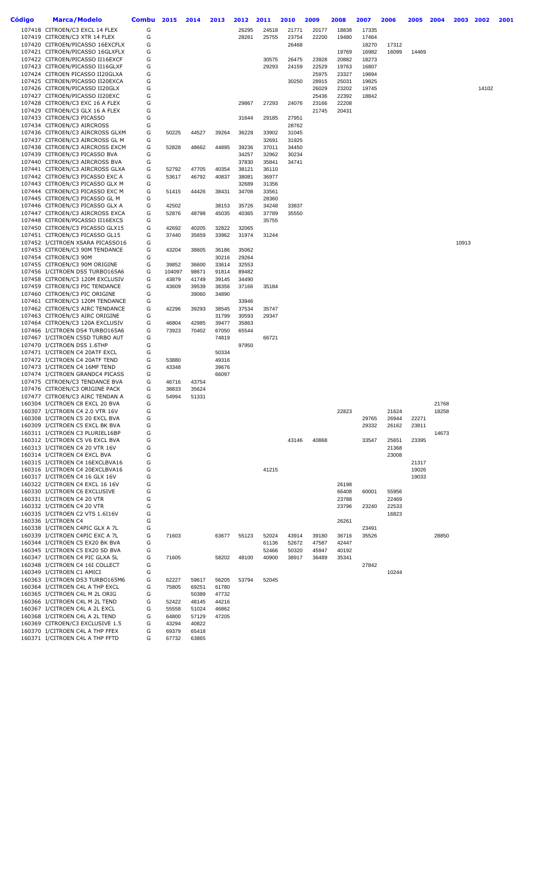| Código | <b>Marca/Modelo</b>                                                | <b>Combu</b> | 2015           | 2014           | 2013  | 2012           | 2011           | 2010  | 2009           | 2008           | 2007           | 2006           | 2005  | 2004  | 2003  | 2002  | 2001 |
|--------|--------------------------------------------------------------------|--------------|----------------|----------------|-------|----------------|----------------|-------|----------------|----------------|----------------|----------------|-------|-------|-------|-------|------|
|        | 107418 CITROEN/C3 EXCL 14 FLEX                                     | G            |                |                |       | 26295          | 24518          | 21771 | 20177          | 18838          | 17335          |                |       |       |       |       |      |
|        | 107419 CITROEN/C3 XTR 14 FLEX                                      | G            |                |                |       | 28261          | 25755          | 23754 | 22200          | 19480          | 17464          |                |       |       |       |       |      |
|        | 107420 CITROEN/PICASSO 16EXCFLX                                    | G            |                |                |       |                |                | 26468 |                |                | 18270          | 17312          |       |       |       |       |      |
|        | 107421 CITROEN/PICASSO 16GLXFLX                                    | G            |                |                |       |                |                |       |                | 19769          | 16982          | 16099          | 14469 |       |       |       |      |
|        | 107422 CITROEN/PICASSO II16EXCF                                    | G            |                |                |       |                | 30575          | 26475 | 23928          | 20882          | 18273          |                |       |       |       |       |      |
|        | 107423 CITROEN/PICASSO II16GLXF                                    | G            |                |                |       |                | 29293          | 24159 | 22529          | 19763          | 16807          |                |       |       |       |       |      |
|        | 107424 CITROEN PICASSO II20GLXA<br>107425 CITROEN/PICASSO II20EXCA | G<br>G       |                |                |       |                |                | 30250 | 25975<br>28915 | 23327<br>25031 | 19894<br>19825 |                |       |       |       |       |      |
|        | 107426 CITROEN/PICASSO II20GLX                                     | G            |                |                |       |                |                |       | 26029          | 23202          | 19745          |                |       |       |       | 14102 |      |
|        | 107427 CITROEN/PICASSO II20EXC                                     | G            |                |                |       |                |                |       | 25436          | 22392          | 18842          |                |       |       |       |       |      |
|        | 107428 CITROEN/C3 EXC 16 A FLEX                                    | G            |                |                |       | 29867          | 27293          | 24076 | 23166          | 22208          |                |                |       |       |       |       |      |
|        | 107429 CITROEN/C3 GLX 16 A FLEX                                    | G            |                |                |       |                |                |       | 21745          | 20431          |                |                |       |       |       |       |      |
|        | 107433 CITROEN/C3 PICASSO                                          | G            |                |                |       | 31644          | 29185          | 27951 |                |                |                |                |       |       |       |       |      |
|        | 107434 CITROEN/C3 AIRCROSS                                         | G            |                |                |       |                |                | 28762 |                |                |                |                |       |       |       |       |      |
|        | 107436 CITROEN/C3 AIRCROSS GLXM                                    | G            | 50225          | 44527          | 39264 | 36228          | 33902          | 31045 |                |                |                |                |       |       |       |       |      |
|        | 107437 CITROEN/C3 AIRCROSS GL M                                    | G            |                |                |       |                | 32691          | 31925 |                |                |                |                |       |       |       |       |      |
|        | 107438 CITROEN/C3 AIRCROSS EXCM                                    | G            | 52828          | 48662          | 44895 | 39236          | 37011          | 34450 |                |                |                |                |       |       |       |       |      |
|        | 107439 CITROEN/C3 PICASSO BVA                                      | G            |                |                |       | 34257          | 32962          | 30234 |                |                |                |                |       |       |       |       |      |
|        | 107440 CITROEN/C3 AIRCROSS BVA                                     | G            |                |                |       | 37830          | 35841          | 34741 |                |                |                |                |       |       |       |       |      |
|        | 107441 CITROEN/C3 AIRCROSS GLXA                                    | G<br>G       | 52792          | 47705          | 40354 | 38121          | 36110          |       |                |                |                |                |       |       |       |       |      |
|        | 107442 CITROEN/C3 PICASSO EXC A<br>107443 CITROEN/C3 PICASSO GLX M | G            | 53617          | 46792          | 40837 | 38081<br>32689 | 36977<br>31356 |       |                |                |                |                |       |       |       |       |      |
|        | 107444 CITROEN/C3 PICASSO EXC M                                    | G            | 51415          | 44426          | 38431 | 34708          | 33561          |       |                |                |                |                |       |       |       |       |      |
|        | 107445 CITROEN/C3 PICASSO GL M                                     | G            |                |                |       |                | 28360          |       |                |                |                |                |       |       |       |       |      |
|        | 107446 CITROEN/C3 PICASSO GLX A                                    | G            | 42502          |                | 38153 | 35726          | 34248          | 33837 |                |                |                |                |       |       |       |       |      |
|        | 107447 CITROEN/C3 AIRCROSS EXCA                                    | G            | 52876          | 48798          | 45035 | 40365          | 37789          | 35550 |                |                |                |                |       |       |       |       |      |
|        | 107448 CITROEN/PICASSO II16EXCS                                    | G            |                |                |       |                | 35755          |       |                |                |                |                |       |       |       |       |      |
|        | 107450 CITROEN/C3 PICASSO GLX15                                    | G            | 42692          | 40205          | 32822 | 32065          |                |       |                |                |                |                |       |       |       |       |      |
|        | 107451 CITROEN/C3 PICASSO GL15                                     | G            | 37440          | 35659          | 33962 | 31974          | 31244          |       |                |                |                |                |       |       |       |       |      |
|        | 107452 I/CITROEN XSARA PICASSO16                                   | G            |                |                |       |                |                |       |                |                |                |                |       |       | 10913 |       |      |
|        | 107453 CITROEN/C3 90M TENDANCE                                     | G            | 43204          | 38605          | 36186 | 35062          |                |       |                |                |                |                |       |       |       |       |      |
|        | 107454 CITROEN/C3 90M                                              | G            |                |                | 30216 | 29264          |                |       |                |                |                |                |       |       |       |       |      |
|        | 107455 CITROEN/C3 90M ORIGINE                                      | G            | 39852          | 36600          | 33614 | 32553          |                |       |                |                |                |                |       |       |       |       |      |
|        | 107456 I/CITROEN DS5 TURB0165A6                                    | G            | 104097         | 98671          | 91814 | 89482          |                |       |                |                |                |                |       |       |       |       |      |
|        | 107458 CITROEN/C3 120M EXCLUSIV                                    | G            | 43879          | 41749          | 39145 | 34490          |                |       |                |                |                |                |       |       |       |       |      |
|        | 107459 CITROEN/C3 PIC TENDANCE                                     | G            | 43609          | 39539          | 38356 | 37166          | 35184          |       |                |                |                |                |       |       |       |       |      |
|        | 107460 CITROEN/C3 PIC ORIGINE                                      | G            |                | 39060          | 34890 |                |                |       |                |                |                |                |       |       |       |       |      |
|        | 107461 CITROEN/C3 120M TENDANCE<br>107462 CITROEN/C3 AIRC TENDANCE | G<br>G       | 42296          | 39293          | 38545 | 33946<br>37534 | 35747          |       |                |                |                |                |       |       |       |       |      |
|        | 107463 CITROEN/C3 AIRC ORIGINE                                     | G            |                |                | 31799 | 30593          | 29347          |       |                |                |                |                |       |       |       |       |      |
|        | 107464 CITROEN/C3 120A EXCLUSIV                                    | G            | 46804          | 42985          | 39477 | 35863          |                |       |                |                |                |                |       |       |       |       |      |
|        | 107466 I/CITROEN DS4 TURBO165A6                                    | G            | 73923          | 70402          | 67050 | 65544          |                |       |                |                |                |                |       |       |       |       |      |
|        | 107467 I/CITROEN C5SD TURBO AUT                                    | G            |                |                | 74819 |                | 66721          |       |                |                |                |                |       |       |       |       |      |
|        | 107470 I/CITROEN DS5 1.6THP                                        | G            |                |                |       | 97950          |                |       |                |                |                |                |       |       |       |       |      |
|        | 107471 I/CITROEN C4 20ATF EXCL                                     | G            |                |                | 50334 |                |                |       |                |                |                |                |       |       |       |       |      |
|        | 107472 I/CITROEN C4 20ATF TEND                                     | G            | 53880          |                | 49316 |                |                |       |                |                |                |                |       |       |       |       |      |
|        | 107473 I/CITROEN C4 16MF TEND                                      | G            | 43348          |                | 39676 |                |                |       |                |                |                |                |       |       |       |       |      |
|        | 107474 I/CITROEN GRANDC4 PICASS                                    | G            |                |                | 66097 |                |                |       |                |                |                |                |       |       |       |       |      |
|        | 107475 CITROEN/C3 TENDANCE BVA                                     | G            | 46716          | 43754          |       |                |                |       |                |                |                |                |       |       |       |       |      |
|        | 107476 CITROEN/C3 ORIGINE PACK                                     | G            | 38833          | 35624          |       |                |                |       |                |                |                |                |       |       |       |       |      |
|        | 107477 CITROEN/C3 AIRC TENDAN A                                    | G<br>G       | 54994          | 51331          |       |                |                |       |                |                |                |                |       | 21768 |       |       |      |
|        | 160304 I/CITROEN C8 EXCL 20 BVA<br>160307 I/CITROEN C4 2.0 VTR 16V | G            |                |                |       |                |                |       |                | 22823          |                | 21624          |       | 18258 |       |       |      |
|        | 160308 I/CITROEN C5 20 EXCL BVA                                    | G            |                |                |       |                |                |       |                |                | 29765          | 26944          | 22271 |       |       |       |      |
|        | 160309 I/CITROEN C5 EXCL BK BVA                                    | G            |                |                |       |                |                |       |                |                | 29332          | 26162          | 23811 |       |       |       |      |
|        | 160311 I/CITROEN C3 PLURIEL16BP                                    | G            |                |                |       |                |                |       |                |                |                |                |       | 14673 |       |       |      |
|        | 160312 I/CITROEN C5 V6 EXCL BVA                                    | G            |                |                |       |                |                | 43146 | 40868          |                | 33547          | 25651          | 23395 |       |       |       |      |
|        | 160313 I/CITROEN C4 20 VTR 16V                                     | G            |                |                |       |                |                |       |                |                |                | 21368          |       |       |       |       |      |
|        | 160314 I/CITROEN C4 EXCL BVA                                       | G            |                |                |       |                |                |       |                |                |                | 23008          |       |       |       |       |      |
|        | 160315 I/CITROEN C4 16EXCLBVA16                                    | G            |                |                |       |                |                |       |                |                |                |                | 21317 |       |       |       |      |
|        | 160316 I/CITROEN C4 20EXCLBVA16                                    | G            |                |                |       |                | 41215          |       |                |                |                |                | 19026 |       |       |       |      |
|        | 160317 I/CITROEN C4 16 GLX 16V                                     | G            |                |                |       |                |                |       |                |                |                |                | 19033 |       |       |       |      |
|        | 160322 I/CITROEN C4 EXCL 16 16V                                    | G            |                |                |       |                |                |       |                | 26198          |                |                |       |       |       |       |      |
|        | 160330 I/CITROEN C6 EXCLUSIVE                                      | G            |                |                |       |                |                |       |                | 66408          | 60001          | 55956          |       |       |       |       |      |
|        | 160331 I/CITROEN C4 20 VTR                                         | G            |                |                |       |                |                |       |                | 23788          |                | 22469          |       |       |       |       |      |
|        | 160332 I/CITROEN C4 20 VTR<br>160335 I/CITROEN C2 VTS 1.6I16V      | G<br>G       |                |                |       |                |                |       |                | 23796          | 23240          | 22533<br>16823 |       |       |       |       |      |
|        | 160336 I/CITROEN C4                                                | G            |                |                |       |                |                |       |                | 26261          |                |                |       |       |       |       |      |
|        | 160338 I/CITROEN C4PIC GLX A 7L                                    | G            |                |                |       |                |                |       |                |                | 23491          |                |       |       |       |       |      |
|        | 160339 I/CITROEN C4PIC EXC A 7L                                    | G            | 71603          |                | 63677 | 55123          | 52024          | 43914 | 39180          | 36716          | 35526          |                |       | 28850 |       |       |      |
|        | 160344 I/CITROEN C5 EX20 BK BVA                                    | G            |                |                |       |                | 61136          | 52672 | 47587          | 42447          |                |                |       |       |       |       |      |
|        | 160345 I/CITROEN C5 EX20 SD BVA                                    | G            |                |                |       |                | 52466          | 50320 | 45947          | 40192          |                |                |       |       |       |       |      |
|        | 160347 I/CITROEN C4 PIC GLXA 5L                                    | G            | 71605          |                | 58202 | 48100          | 40900          | 38917 | 36489          | 35341          |                |                |       |       |       |       |      |
|        | 160348 I/CITROEN C4 16I COLLECT                                    | G            |                |                |       |                |                |       |                |                | 27842          |                |       |       |       |       |      |
|        | 160349 I/CITROEN C1 AMICI                                          | G            |                |                |       |                |                |       |                |                |                | 10244          |       |       |       |       |      |
|        | 160363 I/CITROEN DS3 TURB0165M6                                    | G            | 62227          | 59617          | 56205 | 53794          | 52045          |       |                |                |                |                |       |       |       |       |      |
|        | 160364 I/CITROEN C4L A THP EXCL                                    | G            | 75805          | 69251          | 61780 |                |                |       |                |                |                |                |       |       |       |       |      |
|        | 160365 I/CITROEN C4L M 2L ORIG                                     | G            |                | 50389          | 47732 |                |                |       |                |                |                |                |       |       |       |       |      |
|        | 160366 I/CITROEN C4L M 2L TEND                                     | G            | 52422          | 48145          | 44216 |                |                |       |                |                |                |                |       |       |       |       |      |
|        | 160367 I/CITROEN C4L A 2L EXCL                                     | G            | 55558          | 51024          | 46862 |                |                |       |                |                |                |                |       |       |       |       |      |
|        | 160368 I/CITROEN C4L A 2L TEND                                     | G            | 64800          | 57129          | 47205 |                |                |       |                |                |                |                |       |       |       |       |      |
|        | 160369 CITROEN/C3 EXCLUSIVE 1.5                                    | G            | 43294          | 40822          |       |                |                |       |                |                |                |                |       |       |       |       |      |
|        | 160370 I/CITROEN C4L A THP FFEX<br>160371 I/CITROEN C4L A THP FFTD | G<br>G       | 69379<br>67732 | 65418<br>63865 |       |                |                |       |                |                |                |                |       |       |       |       |      |
|        |                                                                    |              |                |                |       |                |                |       |                |                |                |                |       |       |       |       |      |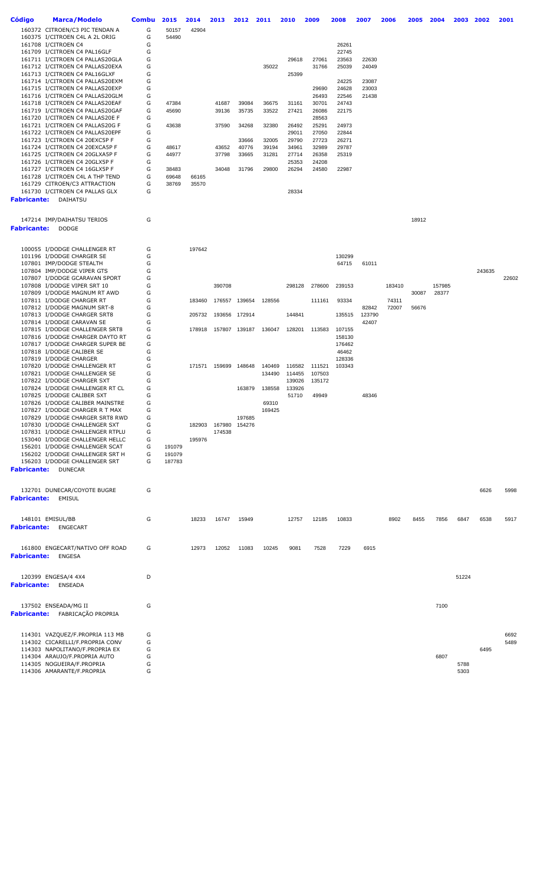| <b>Código</b> | <b>Marca/Modelo</b>                                                | <b>Combu</b> | 2015   | 2014   | 2013          | 2012          | 2011   | 2010           | 2009           | 2008            | 2007            | 2006   | 2005  | 2004   | 2003  | 2002   | 2001  |
|---------------|--------------------------------------------------------------------|--------------|--------|--------|---------------|---------------|--------|----------------|----------------|-----------------|-----------------|--------|-------|--------|-------|--------|-------|
|               | 160372 CITROEN/C3 PIC TENDAN A                                     | G            | 50157  | 42904  |               |               |        |                |                |                 |                 |        |       |        |       |        |       |
|               | 160375 I/CITROEN C4L A 2L ORIG                                     | G            | 54490  |        |               |               |        |                |                |                 |                 |        |       |        |       |        |       |
|               | 161708 I/CITROEN C4                                                | G            |        |        |               |               |        |                |                | 26261           |                 |        |       |        |       |        |       |
|               | 161709 I/CITROEN C4 PAL16GLF                                       | G            |        |        |               |               |        |                |                | 22745           |                 |        |       |        |       |        |       |
|               | 161711 I/CITROEN C4 PALLAS20GLA                                    | G            |        |        |               |               |        | 29618          | 27061          | 23563           | 22630           |        |       |        |       |        |       |
|               | 161712 I/CITROEN C4 PALLAS20EXA<br>161713 I/CITROEN C4 PAL16GLXF   | G<br>G       |        |        |               |               | 35022  | 25399          | 31766          | 25039           | 24049           |        |       |        |       |        |       |
|               | 161714 I/CITROEN C4 PALLAS20EXM                                    | G            |        |        |               |               |        |                |                | 24225           | 23087           |        |       |        |       |        |       |
|               | 161715 I/CITROEN C4 PALLAS20EXP                                    | G            |        |        |               |               |        |                | 29690          | 24628           | 23003           |        |       |        |       |        |       |
|               | 161716 I/CITROEN C4 PALLAS20GLM                                    | G            |        |        |               |               |        |                | 26493          | 22546           | 21438           |        |       |        |       |        |       |
|               | 161718 I/CITROEN C4 PALLAS20EAF                                    | G            | 47384  |        | 41687         | 39084         | 36675  | 31161          | 30701          | 24743           |                 |        |       |        |       |        |       |
|               | 161719 I/CITROEN C4 PALLAS20GAF<br>161720 I/CITROEN C4 PALLAS20E F | G<br>G       | 45690  |        | 39136         | 35735         | 33522  | 27421          | 26086<br>28563 | 22175           |                 |        |       |        |       |        |       |
|               | 161721 I/CITROEN C4 PALLAS20G F                                    | G            | 43638  |        | 37590         | 34268         | 32380  | 26492          | 25291          | 24973           |                 |        |       |        |       |        |       |
|               | 161722 I/CITROEN C4 PALLAS20EPF                                    | G            |        |        |               |               |        | 29011          | 27050          | 22844           |                 |        |       |        |       |        |       |
|               | 161723 I/CITROEN C4 20EXC5P F                                      | G            |        |        |               | 33666         | 32005  | 29790          | 27723          | 26271           |                 |        |       |        |       |        |       |
|               | 161724 I/CITROEN C4 20EXCA5P F                                     | G            | 48617  |        | 43652         | 40776         | 39194  | 34961          | 32989          | 29787           |                 |        |       |        |       |        |       |
|               | 161725 I/CITROEN C4 20GLXA5P F                                     | G            | 44977  |        | 37798         | 33665         | 31281  | 27714          | 26358          | 25319           |                 |        |       |        |       |        |       |
|               | 161726 I/CITROEN C4 20GLX5P F<br>161727 I/CITROEN C4 16GLX5P F     | G<br>G       | 38483  |        | 34048         | 31796         | 29800  | 25353<br>26294 | 24208<br>24580 | 22987           |                 |        |       |        |       |        |       |
|               | 161728 I/CITROEN C4L A THP TEND                                    | G            | 69648  | 66165  |               |               |        |                |                |                 |                 |        |       |        |       |        |       |
|               | 161729 CITROEN/C3 ATTRACTION                                       | G            | 38769  | 35570  |               |               |        |                |                |                 |                 |        |       |        |       |        |       |
|               | 161730 I/CITROEN C4 PALLAS GLX                                     | G            |        |        |               |               |        | 28334          |                |                 |                 |        |       |        |       |        |       |
|               | <b>Fabricante: DAIHATSU</b>                                        |              |        |        |               |               |        |                |                |                 |                 |        |       |        |       |        |       |
|               | 147214 IMP/DAIHATSU TERIOS                                         | G            |        |        |               |               |        |                |                |                 |                 |        | 18912 |        |       |        |       |
|               | Fabricante: DODGE                                                  |              |        |        |               |               |        |                |                |                 |                 |        |       |        |       |        |       |
|               |                                                                    |              |        |        |               |               |        |                |                |                 |                 |        |       |        |       |        |       |
|               | 100055 I/DODGE CHALLENGER RT                                       | G            |        | 197642 |               |               |        |                |                |                 |                 |        |       |        |       |        |       |
|               | 101196 I/DODGE CHARGER SE                                          | G            |        |        |               |               |        |                |                | 130299          |                 |        |       |        |       |        |       |
|               | 107801 IMP/DODGE STEALTH<br>107804 IMP/DODGE VIPER GTS             | G<br>G       |        |        |               |               |        |                |                | 64715           | 61011           |        |       |        |       | 243635 |       |
|               | 107807 I/DODGE GCARAVAN SPORT                                      | G            |        |        |               |               |        |                |                |                 |                 |        |       |        |       |        | 22602 |
|               | 107808 I/DODGE VIPER SRT 10                                        | G            |        |        | 390708        |               |        | 298128         | 278600         | 239153          |                 | 183410 |       | 157985 |       |        |       |
|               | 107809 I/DODGE MAGNUM RT AWD                                       | G            |        |        |               |               |        |                |                |                 |                 |        | 30087 | 28377  |       |        |       |
|               | 107811 I/DODGE CHARGER RT                                          | G            |        | 183460 | 176557        | 139654        | 128556 |                | 111161         | 93334           |                 | 74311  |       |        |       |        |       |
|               | 107812 I/DODGE MAGNUM SRT-8<br>107813 I/DODGE CHARGER SRT8         | G<br>G       |        | 205732 | 193656        | 172914        |        | 144841         |                | 135515          | 82842<br>123790 | 72007  | 56676 |        |       |        |       |
|               | 107814 I/DODGE CARAVAN SE                                          | G            |        |        |               |               |        |                |                |                 | 42407           |        |       |        |       |        |       |
|               | 107815 I/DODGE CHALLENGER SRT8                                     | G            |        | 178918 |               | 157807 139187 | 136047 | 128201         | 113583         | 107155          |                 |        |       |        |       |        |       |
|               | 107816 I/DODGE CHARGER DAYTO RT                                    | G            |        |        |               |               |        |                |                | 158130          |                 |        |       |        |       |        |       |
|               | 107817 I/DODGE CHARGER SUPER BE                                    | G            |        |        |               |               |        |                |                | 176462          |                 |        |       |        |       |        |       |
|               | 107818 I/DODGE CALIBER SE<br>107819 I/DODGE CHARGER                | G<br>G       |        |        |               |               |        |                |                | 46462<br>128336 |                 |        |       |        |       |        |       |
|               | 107820 I/DODGE CHALLENGER RT                                       | G            |        |        | 171571 159699 | 148648        | 140469 | 116582         | 111521         | 103343          |                 |        |       |        |       |        |       |
|               | 107821 I/DODGE CHALLENGER SE                                       | G            |        |        |               |               | 134490 | 114455         | 107503         |                 |                 |        |       |        |       |        |       |
|               | 107822 I/DODGE CHARGER SXT                                         | G            |        |        |               |               |        | 139026         | 135172         |                 |                 |        |       |        |       |        |       |
|               | 107824 I/DODGE CHALLENGER RT CL                                    | G            |        |        |               | 163879        | 138558 | 133926         |                |                 |                 |        |       |        |       |        |       |
|               | 107825 I/DODGE CALIBER SXT<br>107826 I/DODGE CALIBER MAINSTRE      | G<br>G       |        |        |               |               | 69310  | 51710          | 49949          |                 | 48346           |        |       |        |       |        |       |
|               | 107827 I/DODGE CHARGER R T MAX                                     | G            |        |        |               |               | 169425 |                |                |                 |                 |        |       |        |       |        |       |
|               | 107829 I/DODGE CHARGER SRT8 RWD                                    | G            |        |        |               | 197685        |        |                |                |                 |                 |        |       |        |       |        |       |
|               | 107830 I/DODGE CHALLENGER SXT                                      | G            |        | 182903 | 167980        | 154276        |        |                |                |                 |                 |        |       |        |       |        |       |
|               | 107831 I/DODGE CHALLENGER RTPLU                                    | G            |        |        | 174538        |               |        |                |                |                 |                 |        |       |        |       |        |       |
|               | 153040 I/DODGE CHALLENGER HELLC<br>156201 I/DODGE CHALLENGER SCAT  | G<br>G       | 191079 | 195976 |               |               |        |                |                |                 |                 |        |       |        |       |        |       |
|               | 156202 I/DODGE CHALLENGER SRT H                                    | G            | 191079 |        |               |               |        |                |                |                 |                 |        |       |        |       |        |       |
|               | 156203 I/DODGE CHALLENGER SRT                                      | G            | 187783 |        |               |               |        |                |                |                 |                 |        |       |        |       |        |       |
|               | <b>Fabricante: DUNECAR</b>                                         |              |        |        |               |               |        |                |                |                 |                 |        |       |        |       |        |       |
|               |                                                                    |              |        |        |               |               |        |                |                |                 |                 |        |       |        |       |        |       |
|               | 132701 DUNECAR/COYOTE BUGRE<br><b>Fabricante: EMISUL</b>           | G            |        |        |               |               |        |                |                |                 |                 |        |       |        |       | 6626   | 5998  |
|               |                                                                    |              |        |        |               |               |        |                |                |                 |                 |        |       |        |       |        |       |
|               | 148101 EMISUL/BB                                                   | G            |        | 18233  |               | 16747 15949   |        | 12757          | 12185          | 10833           |                 | 8902   | 8455  | 7856   | 6847  | 6538   | 5917  |
|               | <b>Fabricante: ENGECART</b>                                        |              |        |        |               |               |        |                |                |                 |                 |        |       |        |       |        |       |
|               |                                                                    |              |        |        |               |               |        |                |                |                 |                 |        |       |        |       |        |       |
|               | 161800 ENGECART/NATIVO OFF ROAD<br><b>Fabricante:</b> ENGESA       | G            |        | 12973  | 12052         | 11083         | 10245  | 9081           | 7528           | 7229            | 6915            |        |       |        |       |        |       |
|               |                                                                    |              |        |        |               |               |        |                |                |                 |                 |        |       |        |       |        |       |
|               | 120399 ENGESA/4 4X4                                                | D            |        |        |               |               |        |                |                |                 |                 |        |       |        | 51224 |        |       |
|               | <b>Fabricante:</b> ENSEADA                                         |              |        |        |               |               |        |                |                |                 |                 |        |       |        |       |        |       |
|               | 137502 ENSEADA/MG II                                               | G            |        |        |               |               |        |                |                |                 |                 |        |       | 7100   |       |        |       |
|               | <b>Fabricante:</b> FABRICAÇÃO PROPRIA                              |              |        |        |               |               |        |                |                |                 |                 |        |       |        |       |        |       |
|               |                                                                    |              |        |        |               |               |        |                |                |                 |                 |        |       |        |       |        |       |
|               | 114301 VAZQUEZ/F.PROPRIA 113 MB                                    | G            |        |        |               |               |        |                |                |                 |                 |        |       |        |       |        | 6692  |
|               | 114302 CICARELLI/F.PROPRIA CONV<br>114303 NAPOLITANO/F.PROPRIA EX  | G<br>G       |        |        |               |               |        |                |                |                 |                 |        |       |        |       | 6495   | 5489  |
|               | 114304 ARAUJO/F.PROPRIA AUTO                                       | G            |        |        |               |               |        |                |                |                 |                 |        |       | 6807   |       |        |       |
|               | 114305 NOGUEIRA/F.PROPRIA                                          | G            |        |        |               |               |        |                |                |                 |                 |        |       |        | 5788  |        |       |
|               | 114306 AMARANTE/F.PROPRIA                                          | G            |        |        |               |               |        |                |                |                 |                 |        |       |        | 5303  |        |       |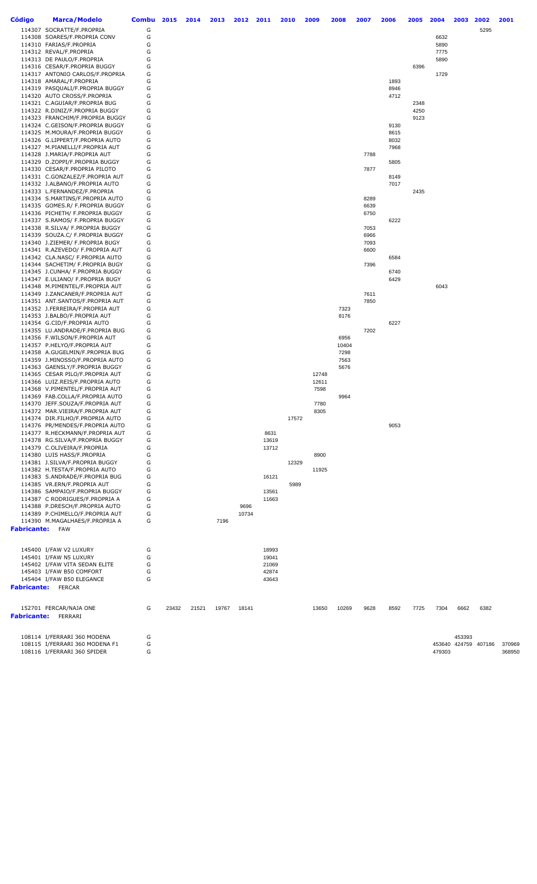| <b>Código</b>          | <b>Marca/Modelo</b>                                                | Combu  | 2015  | 2014  | 2013  | 2012  | 2011           | 2010  | 2009           | 2008  | 2007 | 2006         | 2005 | 2004   | 2003   | 2002                 | 2001   |
|------------------------|--------------------------------------------------------------------|--------|-------|-------|-------|-------|----------------|-------|----------------|-------|------|--------------|------|--------|--------|----------------------|--------|
|                        | 114307 SOCRATTE/F.PROPRIA                                          | G      |       |       |       |       |                |       |                |       |      |              |      |        |        | 5295                 |        |
|                        | 114308 SOARES/F.PROPRIA CONV                                       | G      |       |       |       |       |                |       |                |       |      |              |      | 6632   |        |                      |        |
|                        | 114310 FARIAS/F.PROPRIA                                            | G      |       |       |       |       |                |       |                |       |      |              |      | 5890   |        |                      |        |
|                        | 114312 REVAL/F.PROPRIA                                             | G      |       |       |       |       |                |       |                |       |      |              |      | 7775   |        |                      |        |
|                        | 114313 DE PAULO/F.PROPRIA                                          | G<br>G |       |       |       |       |                |       |                |       |      |              | 6396 | 5890   |        |                      |        |
|                        | 114316 CESAR/F.PROPRIA BUGGY<br>114317 ANTONIO CARLOS/F.PROPRIA    | G      |       |       |       |       |                |       |                |       |      |              |      | 1729   |        |                      |        |
|                        | 114318 AMARAL/F.PROPRIA                                            | G      |       |       |       |       |                |       |                |       |      | 1893         |      |        |        |                      |        |
|                        | 114319 PASQUALI/F.PROPRIA BUGGY                                    | G      |       |       |       |       |                |       |                |       |      | 8946         |      |        |        |                      |        |
|                        | 114320 AUTO CROSS/F.PROPRIA                                        | G      |       |       |       |       |                |       |                |       |      | 4712         |      |        |        |                      |        |
|                        | 114321 C.AGUIAR/F.PROPRIA BUG                                      | G      |       |       |       |       |                |       |                |       |      |              | 2348 |        |        |                      |        |
|                        | 114322 R.DINIZ/F.PROPRIA BUGGY                                     | G      |       |       |       |       |                |       |                |       |      |              | 4250 |        |        |                      |        |
|                        | 114323 FRANCHIM/F.PROPRIA BUGGY                                    | G      |       |       |       |       |                |       |                |       |      |              | 9123 |        |        |                      |        |
|                        | 114324 C.GEISON/F.PROPRIA BUGGY<br>114325 M.MOURA/F.PROPRIA BUGGY  | G<br>G |       |       |       |       |                |       |                |       |      | 9130<br>8615 |      |        |        |                      |        |
|                        | 114326 G.LIPPERT/F.PROPRIA AUTO                                    | G      |       |       |       |       |                |       |                |       |      | 8032         |      |        |        |                      |        |
|                        | 114327 M.PIANELLI/F.PROPRIA AUT                                    | G      |       |       |       |       |                |       |                |       |      | 7968         |      |        |        |                      |        |
|                        | 114328 J.MARIA/F.PROPRIA AUT                                       | G      |       |       |       |       |                |       |                |       | 7788 |              |      |        |        |                      |        |
|                        | 114329 D.ZOPPI/F.PROPRIA BUGGY                                     | G      |       |       |       |       |                |       |                |       |      | 5805         |      |        |        |                      |        |
|                        | 114330 CESAR/F.PROPRIA PILOTO                                      | G      |       |       |       |       |                |       |                |       | 7877 |              |      |        |        |                      |        |
|                        | 114331 C.GONZALEZ/F.PROPRIA AUT                                    | G      |       |       |       |       |                |       |                |       |      | 8149         |      |        |        |                      |        |
|                        | 114332 J.ALBANO/F.PROPRIA AUTO<br>114333 L.FERNANDEZ/F.PROPRIA     | G<br>G |       |       |       |       |                |       |                |       |      | 7017         | 2435 |        |        |                      |        |
|                        | 114334 S.MARTINS/F.PROPRIA AUTO                                    | G      |       |       |       |       |                |       |                |       | 8289 |              |      |        |        |                      |        |
|                        | 114335 GOMES.R/ F.PROPRIA BUGGY                                    | G      |       |       |       |       |                |       |                |       | 6639 |              |      |        |        |                      |        |
|                        | 114336 PICHETH/ F.PROPRIA BUGGY                                    | G      |       |       |       |       |                |       |                |       | 6750 |              |      |        |        |                      |        |
|                        | 114337 S.RAMOS/ F.PROPRIA BUGGY                                    | G      |       |       |       |       |                |       |                |       |      | 6222         |      |        |        |                      |        |
|                        | 114338 R.SILVA/ F.PROPRIA BUGGY                                    | G      |       |       |       |       |                |       |                |       | 7053 |              |      |        |        |                      |        |
|                        | 114339 SOUZA.C/ F.PROPRIA BUGGY                                    | G      |       |       |       |       |                |       |                |       | 6966 |              |      |        |        |                      |        |
|                        | 114340 J.ZIEMER/ F.PROPRIA BUGY                                    | G      |       |       |       |       |                |       |                |       | 7093 |              |      |        |        |                      |        |
|                        | 114341 R.AZEVEDO/ F.PROPRIA AUT<br>114342 CLA.NASC/ F.PROPRIA AUTO | G<br>G |       |       |       |       |                |       |                |       | 6600 | 6584         |      |        |        |                      |        |
|                        | 114344 SACHETIM/ F.PROPRIA BUGY                                    | G      |       |       |       |       |                |       |                |       | 7396 |              |      |        |        |                      |        |
|                        | 114345 J.CUNHA/ F.PROPRIA BUGGY                                    | G      |       |       |       |       |                |       |                |       |      | 6740         |      |        |        |                      |        |
|                        | 114347 E.ULIANO/ F.PROPRIA BUGY                                    | G      |       |       |       |       |                |       |                |       |      | 6429         |      |        |        |                      |        |
|                        | 114348 M.PIMENTEL/F.PROPRIA AUT                                    | G      |       |       |       |       |                |       |                |       |      |              |      | 6043   |        |                      |        |
|                        | 114349 J.ZANCANER/F.PROPRIA AUT                                    | G      |       |       |       |       |                |       |                |       | 7611 |              |      |        |        |                      |        |
|                        | 114351 ANT.SANTOS/F.PROPRIA AUT                                    | G      |       |       |       |       |                |       |                |       | 7850 |              |      |        |        |                      |        |
|                        | 114352 J.FERREIRA/F.PROPRIA AUT                                    | G<br>G |       |       |       |       |                |       |                | 7323  |      |              |      |        |        |                      |        |
|                        | 114353 J.BALBO/F.PROPRIA AUT<br>114354 G.CID/F.PROPRIA AUTO        | G      |       |       |       |       |                |       |                | 8176  |      | 6227         |      |        |        |                      |        |
|                        | 114355 LU.ANDRADE/F.PROPRIA BUG                                    | G      |       |       |       |       |                |       |                |       | 7202 |              |      |        |        |                      |        |
|                        | 114356 F.WILSON/F.PROPRIA AUT                                      | G      |       |       |       |       |                |       |                | 6956  |      |              |      |        |        |                      |        |
|                        | 114357 P.HELYO/F.PROPRIA AUT                                       | G      |       |       |       |       |                |       |                | 10404 |      |              |      |        |        |                      |        |
|                        | 114358 A.GUGELMIN/F.PROPRIA BUG                                    | G      |       |       |       |       |                |       |                | 7298  |      |              |      |        |        |                      |        |
|                        | 114359 J.MINOSSO/F.PROPRIA AUTO                                    | G      |       |       |       |       |                |       |                | 7563  |      |              |      |        |        |                      |        |
|                        | 114363 GAENSLY/F.PROPRIA BUGGY                                     | G      |       |       |       |       |                |       |                | 5676  |      |              |      |        |        |                      |        |
|                        | 114365 CESAR PILO/F.PROPRIA AUT<br>114366 LUIZ.REIS/F.PROPRIA AUTO | G<br>G |       |       |       |       |                |       | 12748<br>12611 |       |      |              |      |        |        |                      |        |
|                        | 114368 V.PIMENTEL/F.PROPRIA AUT                                    | G      |       |       |       |       |                |       | 7598           |       |      |              |      |        |        |                      |        |
|                        | 114369 FAB.COLLA/F.PROPRIA AUTO                                    | G      |       |       |       |       |                |       |                | 9964  |      |              |      |        |        |                      |        |
|                        | 114370 JEFF.SOUZA/F.PROPRIA AUT                                    | G      |       |       |       |       |                |       | 7780           |       |      |              |      |        |        |                      |        |
|                        | 114372 MAR.VIEIRA/F.PROPRIA AUT                                    | G      |       |       |       |       |                |       | 8305           |       |      |              |      |        |        |                      |        |
|                        | 114374 DIR.FILHO/F.PROPRIA AUTO                                    | G      |       |       |       |       |                | 17572 |                |       |      |              |      |        |        |                      |        |
|                        | 114376 PR/MENDES/F.PROPRIA AUTO                                    | G      |       |       |       |       |                |       |                |       |      | 9053         |      |        |        |                      |        |
|                        | 114377 R.HECKMANN/F.PROPRIA AUT<br>114378 RG.SILVA/F.PROPRIA BUGGY | G<br>G |       |       |       |       | 8631<br>13619  |       |                |       |      |              |      |        |        |                      |        |
|                        | 114379 C.OLIVEIRA/F.PROPRIA                                        | G      |       |       |       |       | 13712          |       |                |       |      |              |      |        |        |                      |        |
|                        | 114380 LUIS HASS/F.PROPRIA                                         | G      |       |       |       |       |                |       | 8900           |       |      |              |      |        |        |                      |        |
|                        | 114381 J.SILVA/F.PROPRIA BUGGY                                     | G      |       |       |       |       |                | 12329 |                |       |      |              |      |        |        |                      |        |
|                        | 114382 H.TESTA/F.PROPRIA AUTO                                      | G      |       |       |       |       |                |       | 11925          |       |      |              |      |        |        |                      |        |
|                        | 114383 S.ANDRADE/F.PROPRIA BUG                                     | G      |       |       |       |       | 16121          |       |                |       |      |              |      |        |        |                      |        |
|                        | 114385 VR.ERN/F.PROPRIA AUT                                        | G      |       |       |       |       |                | 5989  |                |       |      |              |      |        |        |                      |        |
|                        | 114386 SAMPAIO/F.PROPRIA BUGGY<br>114387 C RODRIGUES/F.PROPRIA A   | G<br>G |       |       |       |       | 13561<br>11663 |       |                |       |      |              |      |        |        |                      |        |
|                        | 114388 P.DRESCH/F.PROPRIA AUTO                                     | G      |       |       |       | 9696  |                |       |                |       |      |              |      |        |        |                      |        |
|                        | 114389 P.CHIMELLO/F.PROPRIA AUT                                    | G      |       |       |       | 10734 |                |       |                |       |      |              |      |        |        |                      |        |
|                        | 114390 M.MAGALHAES/F.PROPRIA A                                     | G      |       |       | 7196  |       |                |       |                |       |      |              |      |        |        |                      |        |
| <b>Fabricante:</b> FAW |                                                                    |        |       |       |       |       |                |       |                |       |      |              |      |        |        |                      |        |
|                        |                                                                    |        |       |       |       |       |                |       |                |       |      |              |      |        |        |                      |        |
|                        |                                                                    |        |       |       |       |       |                |       |                |       |      |              |      |        |        |                      |        |
|                        | 145400 I/FAW V2 LUXURY<br>145401 I/FAW N5 LUXURY                   | G<br>G |       |       |       |       | 18993<br>19041 |       |                |       |      |              |      |        |        |                      |        |
|                        | 145402 I/FAW VITA SEDAN ELITE                                      | G      |       |       |       |       | 21069          |       |                |       |      |              |      |        |        |                      |        |
|                        | 145403 I/FAW B50 COMFORT                                           | G      |       |       |       |       | 42874          |       |                |       |      |              |      |        |        |                      |        |
|                        | 145404 I/FAW B50 ELEGANCE                                          | G      |       |       |       |       | 43643          |       |                |       |      |              |      |        |        |                      |        |
|                        | <b>Fabricante:</b> FERCAR                                          |        |       |       |       |       |                |       |                |       |      |              |      |        |        |                      |        |
|                        |                                                                    |        |       |       |       |       |                |       |                |       |      |              |      |        |        |                      |        |
|                        | 152701 FERCAR/NAJA ONE                                             | G      | 23432 | 21521 | 19767 | 18141 |                |       | 13650          | 10269 | 9628 | 8592         | 7725 | 7304   | 6662   | 6382                 |        |
|                        | <b>Fabricante:</b> FERRARI                                         |        |       |       |       |       |                |       |                |       |      |              |      |        |        |                      |        |
|                        |                                                                    |        |       |       |       |       |                |       |                |       |      |              |      |        |        |                      |        |
|                        |                                                                    |        |       |       |       |       |                |       |                |       |      |              |      |        |        |                      |        |
|                        | 108114 I/FERRARI 360 MODENA<br>108115 I/FERRARI 360 MODENA F1      | G<br>G |       |       |       |       |                |       |                |       |      |              |      |        | 453393 | 453640 424759 407186 | 370969 |
|                        | 108116 I/FERRARI 360 SPIDER                                        | G      |       |       |       |       |                |       |                |       |      |              |      | 479303 |        |                      | 368950 |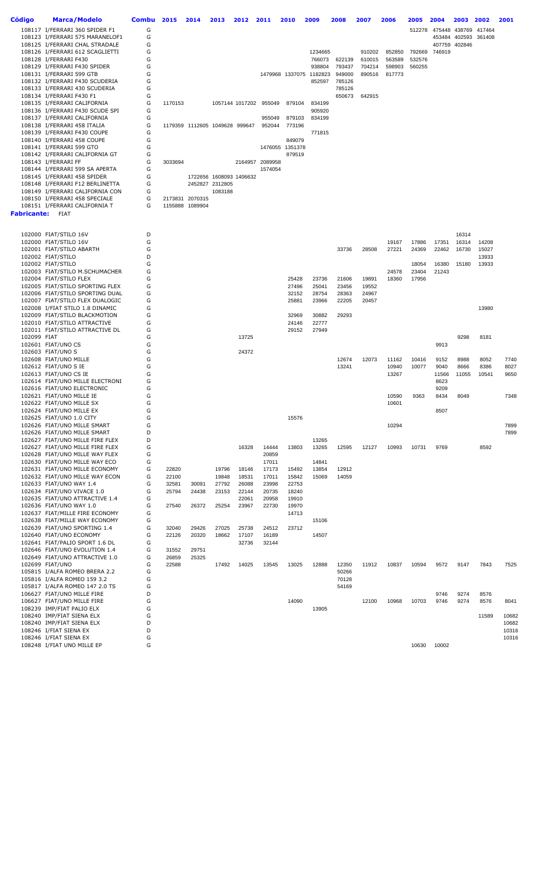| Código      | <b>Marca/Modelo</b>                                                | Combu  | 2015    | 2014                           | 2013                                       | 2012  | 2011                   | 2010             | 2009                    | 2008             | 2007             | 2006             | 2005             | 2004   | 2003   | 2002   | 2001           |
|-------------|--------------------------------------------------------------------|--------|---------|--------------------------------|--------------------------------------------|-------|------------------------|------------------|-------------------------|------------------|------------------|------------------|------------------|--------|--------|--------|----------------|
|             | 108117 I/FERRARI 360 SPIDER F1                                     | G      |         |                                |                                            |       |                        |                  |                         |                  |                  |                  | 512278           | 475448 | 438769 | 417464 |                |
|             | 108123 I/FERRARI 575 MARANELOF1                                    | G      |         |                                |                                            |       |                        |                  |                         |                  |                  |                  |                  | 453484 | 402593 | 361408 |                |
|             | 108125 I/FERRARI CHAL STRADALE                                     | G      |         |                                |                                            |       |                        |                  |                         |                  |                  |                  |                  | 407759 | 402846 |        |                |
|             | 108126 I/FERRARI 612 SCAGLIETTI                                    | G      |         |                                |                                            |       |                        |                  | 1234665                 |                  | 910202           | 852850           | 792669           | 746919 |        |        |                |
|             | 108128 I/FERRARI F430<br>108129 I/FERRARI F430 SPIDER              | G<br>G |         |                                |                                            |       |                        |                  | 766073<br>938804        | 622139<br>793437 | 610015<br>704214 | 563589<br>598903 | 532576<br>560255 |        |        |        |                |
|             | 108131 I/FERRARI 599 GTB                                           | G      |         |                                |                                            |       |                        |                  | 1479968 1337075 1182823 | 949000           | 890516           | 817773           |                  |        |        |        |                |
|             | 108132 I/FERRARI F430 SCUDERIA                                     | G      |         |                                |                                            |       |                        |                  | 852597                  | 785126           |                  |                  |                  |        |        |        |                |
|             | 108133 I/FERRARI 430 SCUDERIA                                      | G      |         |                                |                                            |       |                        |                  |                         | 785126           |                  |                  |                  |        |        |        |                |
|             | 108134 I/FERRARI F430 F1                                           | G      |         |                                |                                            |       |                        |                  |                         | 650673           | 642915           |                  |                  |        |        |        |                |
|             | 108135 I/FERRARI CALIFORNIA                                        | G      | 1170153 |                                |                                            |       | 1057144 1017202 955049 | 879104           | 834199                  |                  |                  |                  |                  |        |        |        |                |
|             | 108136 I/FERRARI F430 SCUDE SPI                                    | G      |         |                                |                                            |       |                        |                  | 905920                  |                  |                  |                  |                  |        |        |        |                |
|             | 108137 I/FERRARI CALIFORNIA<br>108138 I/FERRARI 458 ITALIA         | G<br>G |         | 1179359 1112605 1049628 999647 |                                            |       | 955049<br>952044       | 879103<br>773196 | 834199                  |                  |                  |                  |                  |        |        |        |                |
|             | 108139 I/FERRARI F430 COUPE                                        | G      |         |                                |                                            |       |                        |                  | 771815                  |                  |                  |                  |                  |        |        |        |                |
|             | 108140 I/FERRARI 458 COUPE                                         | G      |         |                                |                                            |       |                        | 849079           |                         |                  |                  |                  |                  |        |        |        |                |
|             | 108141 I/FERRARI 599 GTO                                           | G      |         |                                |                                            |       |                        | 1476055 1351378  |                         |                  |                  |                  |                  |        |        |        |                |
|             | 108142 I/FERRARI CALIFORNIA GT                                     | G      |         |                                |                                            |       |                        | 879519           |                         |                  |                  |                  |                  |        |        |        |                |
|             | 108143 I/FERRARI FF                                                | G      | 3033694 |                                |                                            |       | 2164957 2089958        |                  |                         |                  |                  |                  |                  |        |        |        |                |
|             | 108144 I/FERRARI 599 SA APERTA                                     | G<br>G |         |                                |                                            |       | 1574054                |                  |                         |                  |                  |                  |                  |        |        |        |                |
|             | 108145 I/FERRARI 458 SPIDER<br>108148 I/FERRARI F12 BERLINETTA     | G      |         |                                | 1722656 1608093 1406632<br>2452827 2312805 |       |                        |                  |                         |                  |                  |                  |                  |        |        |        |                |
|             | 108149 I/FERRARI CALIFORNIA CON                                    | G      |         |                                | 1083188                                    |       |                        |                  |                         |                  |                  |                  |                  |        |        |        |                |
|             | 108150 I/FERRARI 458 SPECIALE                                      | G      |         | 2173831 2070315                |                                            |       |                        |                  |                         |                  |                  |                  |                  |        |        |        |                |
|             | 108151 I/FERRARI CALIFORNIA T                                      | G      |         | 1155888 1089904                |                                            |       |                        |                  |                         |                  |                  |                  |                  |        |        |        |                |
| Fabricante: | FIAT                                                               |        |         |                                |                                            |       |                        |                  |                         |                  |                  |                  |                  |        |        |        |                |
|             |                                                                    |        |         |                                |                                            |       |                        |                  |                         |                  |                  |                  |                  |        |        |        |                |
|             | 102000 FIAT/STILO 16V                                              | D      |         |                                |                                            |       |                        |                  |                         |                  |                  |                  |                  |        | 16314  |        |                |
|             | 102000 FIAT/STILO 16V                                              | G      |         |                                |                                            |       |                        |                  |                         |                  |                  | 19167            | 17886            | 17351  | 16314  | 14208  |                |
|             | 102001 FIAT/STILO ABARTH                                           | G      |         |                                |                                            |       |                        |                  |                         | 33736            | 28508            | 27221            | 24369            | 22462  | 16730  | 15027  |                |
|             | 102002 FIAT/STILO                                                  | D      |         |                                |                                            |       |                        |                  |                         |                  |                  |                  |                  |        |        | 13933  |                |
|             | 102002 FIAT/STILO                                                  | G      |         |                                |                                            |       |                        |                  |                         |                  |                  |                  | 18054            | 16380  | 15180  | 13933  |                |
|             | 102003 FIAT/STILO M.SCHUMACHER                                     | G      |         |                                |                                            |       |                        |                  |                         |                  |                  | 24578            | 23404            | 21243  |        |        |                |
|             | 102004 FIAT/STILO FLEX                                             | G<br>G |         |                                |                                            |       |                        | 25428            | 23736                   | 21606            | 19891            | 18360            | 17956            |        |        |        |                |
|             | 102005 FIAT/STILO SPORTING FLEX<br>102006 FIAT/STILO SPORTING DUAL | G      |         |                                |                                            |       |                        | 27496<br>32152   | 25041<br>28754          | 23456<br>28363   | 19552<br>24967   |                  |                  |        |        |        |                |
|             | 102007 FIAT/STILO FLEX DUALOGIC                                    | G      |         |                                |                                            |       |                        | 25881            | 23966                   | 22205            | 20457            |                  |                  |        |        |        |                |
|             | 102008 I/FIAT STILO 1.8 DINAMIC                                    | G      |         |                                |                                            |       |                        |                  |                         |                  |                  |                  |                  |        |        | 13980  |                |
|             | 102009 FIAT/STILO BLACKMOTION                                      | G      |         |                                |                                            |       |                        | 32969            | 30882                   | 29293            |                  |                  |                  |        |        |        |                |
|             | 102010 FIAT/STILO ATTRACTIVE                                       | G      |         |                                |                                            |       |                        | 24146            | 22777                   |                  |                  |                  |                  |        |        |        |                |
|             | 102011 FIAT/STILO ATTRACTIVE DL                                    | G      |         |                                |                                            |       |                        | 29152            | 27949                   |                  |                  |                  |                  |        |        |        |                |
| 102099 FIAT |                                                                    | G<br>G |         |                                |                                            | 13725 |                        |                  |                         |                  |                  |                  |                  |        | 9298   | 8181   |                |
|             | 102601 FIAT/UNO CS<br>102603 FIAT/UNO S                            | G      |         |                                |                                            | 24372 |                        |                  |                         |                  |                  |                  |                  | 9913   |        |        |                |
|             | 102608 FIAT/UNO MILLE                                              | G      |         |                                |                                            |       |                        |                  |                         | 12674            | 12073            | 11162            | 10416            | 9152   | 8988   | 8052   | 7740           |
|             | 102612 FIAT/UNO S IE                                               | G      |         |                                |                                            |       |                        |                  |                         | 13241            |                  | 10940            | 10077            | 9040   | 8666   | 8386   | 8027           |
|             | 102613 FIAT/UNO CS IE                                              | G      |         |                                |                                            |       |                        |                  |                         |                  |                  | 13267            |                  | 11566  | 11055  | 10541  | 9650           |
|             | 102614 FIAT/UNO MILLE ELECTRONI                                    | G      |         |                                |                                            |       |                        |                  |                         |                  |                  |                  |                  | 8623   |        |        |                |
|             | 102616 FIAT/UNO ELECTRONIC                                         | G      |         |                                |                                            |       |                        |                  |                         |                  |                  |                  |                  | 9209   |        |        |                |
|             | 102621 FIAT/UNO MILLE IE<br>102622 FIAT/UNO MILLE SX               | G<br>G |         |                                |                                            |       |                        |                  |                         |                  |                  | 10590<br>10601   | 9363             | 8434   | 8049   |        | 7348           |
|             | 102624 FIAT/UNO MILLE EX                                           | G      |         |                                |                                            |       |                        |                  |                         |                  |                  |                  |                  | 8507   |        |        |                |
|             | 102625 FIAT/UNO 1.0 CITY                                           | G      |         |                                |                                            |       |                        | 15576            |                         |                  |                  |                  |                  |        |        |        |                |
|             | 102626 FIAT/UNO MILLE SMART                                        | G      |         |                                |                                            |       |                        |                  |                         |                  |                  | 10294            |                  |        |        |        | 7899           |
|             | 102626 FIAT/UNO MILLE SMART                                        | D      |         |                                |                                            |       |                        |                  |                         |                  |                  |                  |                  |        |        |        | 7899           |
|             | 102627 FIAT/UNO MILLE FIRE FLEX                                    | D      |         |                                |                                            |       |                        |                  | 13265                   |                  |                  |                  |                  |        |        |        |                |
|             | 102627 FIAT/UNO MILLE FIRE FLEX                                    | G      |         |                                |                                            | 16328 | 14444                  | 13803            | 13265                   | 12595            | 12127            | 10993            | 10731            | 9769   |        | 8592   |                |
|             | 102628 FIAT/UNO MILLE WAY FLEX<br>102630 FIAT/UNO MILLE WAY ECO    | G<br>G |         |                                |                                            |       | 20859<br>17011         |                  | 14841                   |                  |                  |                  |                  |        |        |        |                |
|             | 102631 FIAT/UNO MILLE ECONOMY                                      | G      | 22820   |                                | 19796                                      | 18146 | 17173                  | 15492            | 13854                   | 12912            |                  |                  |                  |        |        |        |                |
|             | 102632 FIAT/UNO MILLE WAY ECON                                     | G      | 22100   |                                | 19848                                      | 18531 | 17011                  | 15842            | 15069                   | 14059            |                  |                  |                  |        |        |        |                |
|             | 102633 FIAT/UNO WAY 1.4                                            | G      | 32581   | 30091                          | 27792                                      | 26088 | 23998                  | 22753            |                         |                  |                  |                  |                  |        |        |        |                |
|             | 102634 FIAT/UNO VIVACE 1.0                                         | G      | 25794   | 24438                          | 23153                                      | 22144 | 20735                  | 18240            |                         |                  |                  |                  |                  |        |        |        |                |
|             | 102635 FIAT/UNO ATTRACTIVE 1.4                                     | G      |         |                                |                                            | 22061 | 20958                  | 19910            |                         |                  |                  |                  |                  |        |        |        |                |
|             | 102636 FIAT/UNO WAY 1.0                                            | G      | 27540   | 26372                          | 25254                                      | 23967 | 22730                  | 19970            |                         |                  |                  |                  |                  |        |        |        |                |
|             | 102637 FIAT/MILLE FIRE ECONOMY<br>102638 FIAT/MILLE WAY ECONOMY    | G<br>G |         |                                |                                            |       |                        | 14713            | 15106                   |                  |                  |                  |                  |        |        |        |                |
|             | 102639 FIAT/UNO SPORTING 1.4                                       | G      | 32040   | 29426                          | 27025                                      | 25738 | 24512                  | 23712            |                         |                  |                  |                  |                  |        |        |        |                |
|             | 102640 FIAT/UNO ECONOMY                                            | G      | 22126   | 20320                          | 18662                                      | 17107 | 16189                  |                  | 14507                   |                  |                  |                  |                  |        |        |        |                |
|             | 102641 FIAT/PALIO SPORT 1.6 DL                                     | G      |         |                                |                                            | 32736 | 32144                  |                  |                         |                  |                  |                  |                  |        |        |        |                |
|             | 102646 FIAT/UNO EVOLUTION 1.4                                      | G      | 31552   | 29751                          |                                            |       |                        |                  |                         |                  |                  |                  |                  |        |        |        |                |
|             | 102649 FIAT/UNO ATTRACTIVE 1.0                                     | G      | 26859   | 25325                          |                                            |       |                        |                  |                         |                  |                  |                  |                  |        |        |        |                |
|             | 102699 FIAT/UNO                                                    | G      | 22588   |                                | 17492                                      | 14025 | 13545                  | 13025            | 12888                   | 12350            | 11912            | 10837            | 10594            | 9572   | 9147   | 7843   | 7525           |
|             | 105815 I/ALFA ROMEO BRERA 2.2                                      | G<br>G |         |                                |                                            |       |                        |                  |                         | 50266            |                  |                  |                  |        |        |        |                |
|             | 105816 I/ALFA ROMEO 159 3.2<br>105817 I/ALFA ROMEO 147 2.0 TS      | G      |         |                                |                                            |       |                        |                  |                         | 70128<br>54169   |                  |                  |                  |        |        |        |                |
|             | 106627 FIAT/UNO MILLE FIRE                                         | D      |         |                                |                                            |       |                        |                  |                         |                  |                  |                  |                  | 9746   | 9274   | 8576   |                |
|             | 106627 FIAT/UNO MILLE FIRE                                         | G      |         |                                |                                            |       |                        | 14090            |                         |                  | 12100            | 10968            | 10703            | 9746   | 9274   | 8576   | 8041           |
|             | 108239 IMP/FIAT PALIO ELX                                          | G      |         |                                |                                            |       |                        |                  | 13905                   |                  |                  |                  |                  |        |        |        |                |
|             | 108240 IMP/FIAT SIENA ELX                                          | G      |         |                                |                                            |       |                        |                  |                         |                  |                  |                  |                  |        |        | 11589  | 10682          |
|             | 108240 IMP/FIAT SIENA ELX                                          | D      |         |                                |                                            |       |                        |                  |                         |                  |                  |                  |                  |        |        |        | 10682          |
|             | 108246 I/FIAT SIENA EX<br>108246 I/FIAT SIENA EX                   | D<br>G |         |                                |                                            |       |                        |                  |                         |                  |                  |                  |                  |        |        |        | 10316<br>10316 |
|             | 108248 I/FIAT UNO MILLE EP                                         | G      |         |                                |                                            |       |                        |                  |                         |                  |                  |                  | 10630            | 10002  |        |        |                |
|             |                                                                    |        |         |                                |                                            |       |                        |                  |                         |                  |                  |                  |                  |        |        |        |                |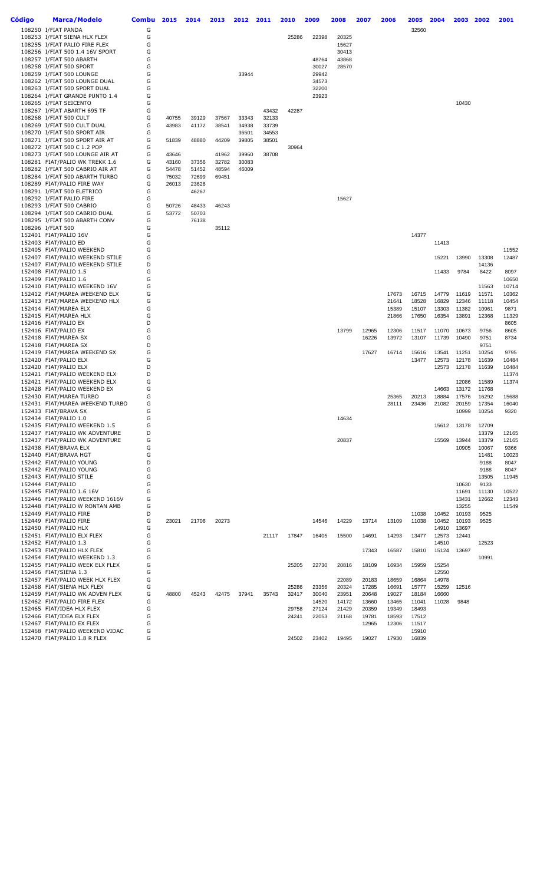| Código | Marca/Modelo                                                       | Combu  | 2015           | 2014           | 2013           | 2012           | 2011           | 2010  | 2009           | 2008           | 2007           | 2006           | 2005           | 2004           | 2003           | 2002           | 2001           |
|--------|--------------------------------------------------------------------|--------|----------------|----------------|----------------|----------------|----------------|-------|----------------|----------------|----------------|----------------|----------------|----------------|----------------|----------------|----------------|
|        | 108250 I/FIAT PANDA                                                | G      |                |                |                |                |                |       |                |                |                |                | 32560          |                |                |                |                |
|        | 108253 I/FIAT SIENA HLX FLEX                                       | G      |                |                |                |                |                | 25286 | 22398          | 20325          |                |                |                |                |                |                |                |
|        | 108255 I/FIAT PALIO FIRE FLEX<br>108256 I/FIAT 500 1.4 16V SPORT   | G<br>G |                |                |                |                |                |       |                | 15627<br>30413 |                |                |                |                |                |                |                |
|        | 108257 I/FIAT 500 ABARTH                                           | G      |                |                |                |                |                |       | 48764          | 43868          |                |                |                |                |                |                |                |
|        | 108258 I/FIAT 500 SPORT                                            | G      |                |                |                |                |                |       | 30027          | 28570          |                |                |                |                |                |                |                |
|        | 108259 I/FIAT 500 LOUNGE                                           | G      |                |                |                | 33944          |                |       | 29942          |                |                |                |                |                |                |                |                |
|        | 108262 I/FIAT 500 LOUNGE DUAL                                      | G      |                |                |                |                |                |       | 34573          |                |                |                |                |                |                |                |                |
|        | 108263 I/FIAT 500 SPORT DUAL<br>108264 I/FIAT GRANDE PUNTO 1.4     | G<br>G |                |                |                |                |                |       | 32200<br>23923 |                |                |                |                |                |                |                |                |
|        | 108265 I/FIAT SEICENTO                                             | G      |                |                |                |                |                |       |                |                |                |                |                |                | 10430          |                |                |
|        | 108267 I/FIAT ABARTH 695 TF                                        | G      |                |                |                |                | 43432          | 42287 |                |                |                |                |                |                |                |                |                |
|        | 108268 I/FIAT 500 CULT                                             | G      | 40755          | 39129          | 37567          | 33343          | 32133          |       |                |                |                |                |                |                |                |                |                |
|        | 108269 I/FIAT 500 CULT DUAL                                        | G      | 43983          | 41172          | 38541          | 34938          | 33739          |       |                |                |                |                |                |                |                |                |                |
|        | 108270 I/FIAT 500 SPORT AIR<br>108271 I/FIAT 500 SPORT AIR AT      | G<br>G | 51839          | 48880          | 44209          | 36501<br>39805 | 34553<br>38501 |       |                |                |                |                |                |                |                |                |                |
|        | 108272 I/FIAT 500 C 1.2 POP                                        | G      |                |                |                |                |                | 30964 |                |                |                |                |                |                |                |                |                |
|        | 108273 I/FIAT 500 LOUNGE AIR AT                                    | G      | 43646          |                | 41962          | 39960          | 38708          |       |                |                |                |                |                |                |                |                |                |
|        | 108281 FIAT/PALIO WK TREKK 1.6                                     | G      | 43160          | 37356          | 32782          | 30083          |                |       |                |                |                |                |                |                |                |                |                |
|        | 108282 I/FIAT 500 CABRIO AIR AT<br>108284 I/FIAT 500 ABARTH TURBO  | G<br>G | 54478<br>75032 | 51452<br>72699 | 48594<br>69451 | 46009          |                |       |                |                |                |                |                |                |                |                |                |
|        | 108289 FIAT/PALIO FIRE WAY                                         | G      | 26013          | 23628          |                |                |                |       |                |                |                |                |                |                |                |                |                |
|        | 108291 I/FIAT 500 ELETRICO                                         | G      |                | 46267          |                |                |                |       |                |                |                |                |                |                |                |                |                |
|        | 108292 I/FIAT PALIO FIRE                                           | G      |                |                |                |                |                |       |                | 15627          |                |                |                |                |                |                |                |
|        | 108293 I/FIAT 500 CABRIO                                           | G      | 50726          | 48433          | 46243          |                |                |       |                |                |                |                |                |                |                |                |                |
|        | 108294 I/FIAT 500 CABRIO DUAL<br>108295 I/FIAT 500 ABARTH CONV     | G<br>G | 53772          | 50703<br>76138 |                |                |                |       |                |                |                |                |                |                |                |                |                |
|        | 108296 I/FIAT 500                                                  | G      |                |                | 35112          |                |                |       |                |                |                |                |                |                |                |                |                |
|        | 152401 FIAT/PALIO 16V                                              | G      |                |                |                |                |                |       |                |                |                |                | 14377          |                |                |                |                |
|        | 152403 FIAT/PALIO ED                                               | G      |                |                |                |                |                |       |                |                |                |                |                | 11413          |                |                |                |
|        | 152405 FIAT/PALIO WEEKEND                                          | G      |                |                |                |                |                |       |                |                |                |                |                |                |                |                | 11552          |
|        | 152407 FIAT/PALIO WEEKEND STILE<br>152407 FIAT/PALIO WEEKEND STILE | G<br>D |                |                |                |                |                |       |                |                |                |                |                | 15221          | 13990          | 13308<br>14136 | 12487          |
|        | 152408 FIAT/PALIO 1.5                                              | G      |                |                |                |                |                |       |                |                |                |                |                | 11433          | 9784           | 8422           | 8097           |
|        | 152409 FIAT/PALIO 1.6                                              | G      |                |                |                |                |                |       |                |                |                |                |                |                |                |                | 10650          |
|        | 152410 FIAT/PALIO WEEKEND 16V                                      | G      |                |                |                |                |                |       |                |                |                |                |                |                |                | 11563          | 10714          |
|        | 152412 FIAT/MAREA WEEKEND ELX                                      | G      |                |                |                |                |                |       |                |                |                | 17673          | 16715          | 14779          | 11619          | 11571          | 10362          |
|        | 152413 FIAT/MAREA WEEKEND HLX<br>152414 FIAT/MAREA ELX             | G<br>G |                |                |                |                |                |       |                |                |                | 21641<br>15389 | 18528<br>15107 | 16829<br>13303 | 12346<br>11382 | 11118<br>10961 | 10454<br>9871  |
|        | 152415 FIAT/MAREA HLX                                              | G      |                |                |                |                |                |       |                |                |                | 21866          | 17650          | 16354          | 13891          | 12368          | 11329          |
|        | 152416 FIAT/PALIO EX                                               | D      |                |                |                |                |                |       |                |                |                |                |                |                |                |                | 8605           |
|        | 152416 FIAT/PALIO EX                                               | G      |                |                |                |                |                |       |                | 13799          | 12965          | 12306          | 11517          | 11070          | 10673          | 9756           | 8605           |
|        | 152418 FIAT/MAREA SX<br>152418 FIAT/MAREA SX                       | G<br>D |                |                |                |                |                |       |                |                | 16226          | 13972          | 13107          | 11739          | 10490          | 9751<br>9751   | 8734           |
|        | 152419 FIAT/MAREA WEEKEND SX                                       | G      |                |                |                |                |                |       |                |                | 17627          | 16714          | 15616          | 13541          | 11251          | 10254          | 9795           |
|        | 152420 FIAT/PALIO ELX                                              | G      |                |                |                |                |                |       |                |                |                |                | 13477          | 12573          | 12178          | 11639          | 10484          |
|        | 152420 FIAT/PALIO ELX                                              | D      |                |                |                |                |                |       |                |                |                |                |                | 12573          | 12178          | 11639          | 10484          |
|        | 152421 FIAT/PALIO WEEKEND ELX<br>152421 FIAT/PALIO WEEKEND ELX     | D<br>G |                |                |                |                |                |       |                |                |                |                |                |                |                | 11589          | 11374<br>11374 |
|        | 152428 FIAT/PALIO WEEKEND EX                                       | G      |                |                |                |                |                |       |                |                |                |                |                | 14663          | 12086<br>13172 | 11768          |                |
|        | 152430 FIAT/MAREA TURBO                                            | G      |                |                |                |                |                |       |                |                |                | 25365          | 20213          | 18884          | 17576          | 16292          | 15688          |
|        | 152431 FIAT/MAREA WEEKEND TURBO                                    | G      |                |                |                |                |                |       |                |                |                | 28111          | 23436          | 21082          | 20159          | 17354          | 16040          |
|        | 152433 FIAT/BRAVA SX                                               | G      |                |                |                |                |                |       |                |                |                |                |                |                | 10999          | 10254          | 9320           |
|        | 152434 FIAT/PALIO 1.0<br>152435 FIAT/PALIO WEEKEND 1.5             | G<br>G |                |                |                |                |                |       |                | 14634          |                |                |                |                | 15612 13178    | 12709          |                |
|        | 152437 FIAT/PALIO WK ADVENTURE                                     | D      |                |                |                |                |                |       |                |                |                |                |                |                |                | 13379          | 12165          |
|        | 152437 FIAT/PALIO WK ADVENTURE                                     | G      |                |                |                |                |                |       |                | 20837          |                |                |                | 15569          | 13944          | 13379          | 12165          |
|        | 152438 FIAT/BRAVA ELX                                              | G      |                |                |                |                |                |       |                |                |                |                |                |                | 10905          | 10067          | 9366           |
|        | 152440 FIAT/BRAVA HGT<br>152442 FIAT/PALIO YOUNG                   | G<br>D |                |                |                |                |                |       |                |                |                |                |                |                |                | 11481<br>9188  | 10023<br>8047  |
|        | 152442 FIAT/PALIO YOUNG                                            | G      |                |                |                |                |                |       |                |                |                |                |                |                |                | 9188           | 8047           |
|        | 152443 FIAT/PALIO STILE                                            | G      |                |                |                |                |                |       |                |                |                |                |                |                |                | 13505          | 11945          |
|        | 152444 FIAT/PALIO                                                  | G      |                |                |                |                |                |       |                |                |                |                |                |                | 10630          | 9133           |                |
|        | 152445 FIAT/PALIO 1.6 16V                                          | G      |                |                |                |                |                |       |                |                |                |                |                |                | 11691          | 11130          | 10522          |
|        | 152446 FIAT/PALIO WEEKEND 1616V<br>152448 FIAT/PALIO W RONTAN AMB  | G<br>G |                |                |                |                |                |       |                |                |                |                |                |                | 13431<br>13255 | 12662          | 12343<br>11549 |
|        | 152449 FIAT/PALIO FIRE                                             | D      |                |                |                |                |                |       |                |                |                |                | 11038          | 10452          | 10193          | 9525           |                |
|        | 152449 FIAT/PALIO FIRE                                             | G      | 23021          | 21706          | 20273          |                |                |       | 14546          | 14229          | 13714          | 13109          | 11038          | 10452          | 10193          | 9525           |                |
|        | 152450 FIAT/PALIO HLX                                              | G      |                |                |                |                |                |       |                |                |                |                |                | 14910          | 13697          |                |                |
|        | 152451 FIAT/PALIO ELX FLEX                                         | G<br>G |                |                |                |                | 21117          | 17847 | 16405          | 15500          | 14691          | 14293          | 13477          | 12573<br>14510 | 12441          |                |                |
|        | 152452 FIAT/PALIO 1.3<br>152453 FIAT/PALIO HLX FLEX                | G      |                |                |                |                |                |       |                |                | 17343          | 16587          | 15810          | 15124          | 13697          | 12523          |                |
|        | 152454 FIAT/PALIO WEEKEND 1.3                                      | G      |                |                |                |                |                |       |                |                |                |                |                |                |                | 10991          |                |
|        | 152455 FIAT/PALIO WEEK ELX FLEX                                    | G      |                |                |                |                |                | 25205 | 22730          | 20816          | 18109          | 16934          | 15959          | 15254          |                |                |                |
|        | 152456 FIAT/SIENA 1.3                                              | G      |                |                |                |                |                |       |                |                |                |                |                | 12550          |                |                |                |
|        | 152457 FIAT/PALIO WEEK HLX FLEX                                    | G<br>G |                |                |                |                |                | 25286 | 23356          | 22089<br>20324 | 20183<br>17285 | 18659<br>16691 | 16864<br>15777 | 14978<br>15259 | 12516          |                |                |
|        | 152458 FIAT/SIENA HLX FLEX<br>152459 FIAT/PALIO WK ADVEN FLEX      | G      | 48800          | 45243          | 42475          | 37941          | 35743          | 32417 | 30040          | 23951          | 20648          | 19027          | 18184          | 16660          |                |                |                |
|        | 152462 FIAT/PALIO FIRE FLEX                                        | G      |                |                |                |                |                |       | 14520          | 14172          | 13660          | 13465          | 11041          | 11028          | 9848           |                |                |
|        | 152465 FIAT/IDEA HLX FLEX                                          | G      |                |                |                |                |                | 29758 | 27124          | 21429          | 20359          | 19349          | 18493          |                |                |                |                |
|        | 152466 FIAT/IDEA ELX FLEX                                          | G      |                |                |                |                |                | 24241 | 22053          | 21168          | 19781          | 18593          | 17512          |                |                |                |                |
|        | 152467 FIAT/PALIO EX FLEX<br>152468 FIAT/PALIO WEEKEND VIDAC       | G<br>G |                |                |                |                |                |       |                |                | 12965          | 12306          | 11517<br>15910 |                |                |                |                |
|        | 152470 FIAT/PALIO 1.8 R FLEX                                       | G      |                |                |                |                |                | 24502 | 23402          | 19495          | 19027          | 17930          | 16839          |                |                |                |                |
|        |                                                                    |        |                |                |                |                |                |       |                |                |                |                |                |                |                |                |                |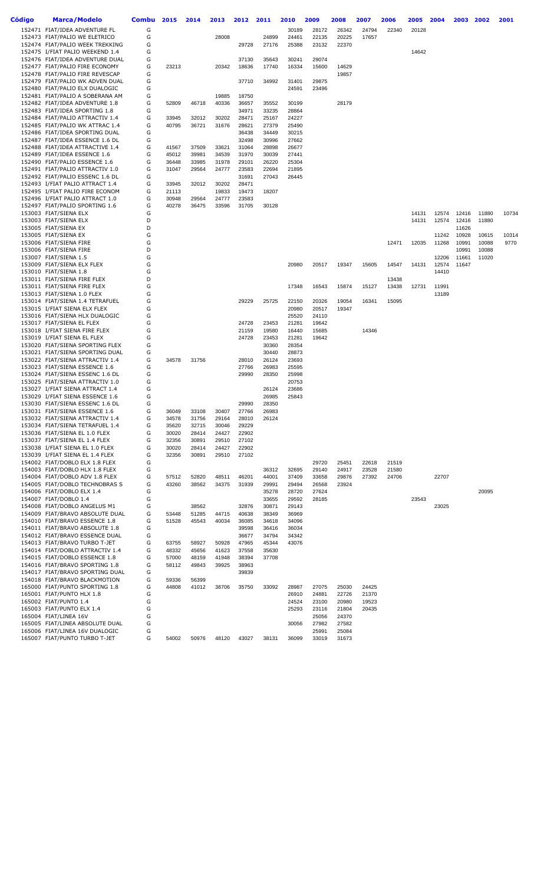| Código | <b>Marca/Modelo</b>                                                | Combu  | 2015           | 2014           | 2013           | 2012           | 2011           | 2010           | 2009           | 2008           | 2007           | 2006           | 2005  | 2004           | 2003           | 2002           | 2001  |
|--------|--------------------------------------------------------------------|--------|----------------|----------------|----------------|----------------|----------------|----------------|----------------|----------------|----------------|----------------|-------|----------------|----------------|----------------|-------|
|        | 152471 FIAT/IDEA ADVENTURE FL                                      | G      |                |                |                |                |                | 30189          | 28172          | 26342          | 24794          | 22340          | 20128 |                |                |                |       |
|        | 152473 FIAT/PALIO WE ELETRICO                                      | G      |                |                | 28008          |                | 24899          | 24461          | 22135          | 20225          | 17657          |                |       |                |                |                |       |
|        | 152474 FIAT/PALIO WEEK TREKKING<br>152475 I/FIAT PALIO WEEKEND 1.4 | G<br>G |                |                |                | 29728          | 27176          | 25388          | 23132          | 22370          |                |                | 14642 |                |                |                |       |
|        | 152476 FIAT/IDEA ADVENTURE DUAL                                    | G      |                |                |                | 37130          | 35643          | 30241          | 29074          |                |                |                |       |                |                |                |       |
|        | 152477 FIAT/PALIO FIRE ECONOMY                                     | G      | 23213          |                | 20342          | 18636          | 17740          | 16334          | 15600          | 14629          |                |                |       |                |                |                |       |
|        | 152478 FIAT/PALIO FIRE REVESCAP                                    | G      |                |                |                |                |                |                |                | 19857          |                |                |       |                |                |                |       |
|        | 152479 FIAT/PALIO WK ADVEN DUAL                                    | G      |                |                |                | 37710          | 34992          | 31401          | 29875          |                |                |                |       |                |                |                |       |
|        | 152480 FIAT/PALIO ELX DUALOGIC<br>152481 FIAT/PALIO A SOBERANA AM  | G<br>G |                |                | 19885          | 18750          |                | 24591          | 23496          |                |                |                |       |                |                |                |       |
|        | 152482 FIAT/IDEA ADVENTURE 1.8                                     | G      | 52809          | 46718          | 40336          | 36657          | 35552          | 30199          |                | 28179          |                |                |       |                |                |                |       |
|        | 152483 FIAT/IDEA SPORTING 1.8                                      | G      |                |                |                | 34971          | 33235          | 28864          |                |                |                |                |       |                |                |                |       |
|        | 152484 FIAT/PALIO ATTRACTIV 1.4                                    | G      | 33945          | 32012          | 30202          | 28471          | 25167          | 24227          |                |                |                |                |       |                |                |                |       |
|        | 152485 FIAT/PALIO WK ATTRAC 1.4                                    | G      | 40795          | 36721          | 31676          | 28621          | 27379          | 25490          |                |                |                |                |       |                |                |                |       |
|        | 152486 FIAT/IDEA SPORTING DUAL<br>152487 FIAT/IDEA ESSENCE 1.6 DL  | G<br>G |                |                |                | 36438<br>32498 | 34449<br>30996 | 30215<br>27662 |                |                |                |                |       |                |                |                |       |
|        | 152488 FIAT/IDEA ATTRACTIVE 1.4                                    | G      | 41567          | 37509          | 33621          | 31064          | 28898          | 26677          |                |                |                |                |       |                |                |                |       |
|        | 152489 FIAT/IDEA ESSENCE 1.6                                       | G      | 45012          | 39981          | 34539          | 31970          | 30039          | 27441          |                |                |                |                |       |                |                |                |       |
|        | 152490 FIAT/PALIO ESSENCE 1.6                                      | G      | 36448          | 33985          | 31978          | 29101          | 26220          | 25304          |                |                |                |                |       |                |                |                |       |
|        | 152491 FIAT/PALIO ATTRACTIV 1.0<br>152492 FIAT/PALIO ESSENC 1.6 DL | G<br>G | 31047          | 29564          | 24777          | 23583<br>31691 | 22694<br>27043 | 21895<br>26445 |                |                |                |                |       |                |                |                |       |
|        | 152493 I/FIAT PALIO ATTRACT 1.4                                    | G      | 33945          | 32012          | 30202          | 28471          |                |                |                |                |                |                |       |                |                |                |       |
|        | 152495 I/FIAT PALIO FIRE ECONOM                                    | G      | 21113          |                | 19833          | 19473          | 18207          |                |                |                |                |                |       |                |                |                |       |
|        | 152496 I/FIAT PALIO ATTRACT 1.0                                    | G      | 30948          | 29564          | 24777          | 23583          |                |                |                |                |                |                |       |                |                |                |       |
|        | 152497 FIAT/PALIO SPORTING 1.6<br>153003 FIAT/SIENA ELX            | G<br>G | 40278          | 36475          | 33596          | 31705          | 30128          |                |                |                |                |                | 14131 | 12574          | 12416          | 11880          | 10734 |
|        | 153003 FIAT/SIENA ELX                                              | D      |                |                |                |                |                |                |                |                |                |                | 14131 | 12574          | 12416          | 11880          |       |
|        | 153005 FIAT/SIENA EX                                               | D      |                |                |                |                |                |                |                |                |                |                |       |                | 11626          |                |       |
|        | 153005 FIAT/SIENA EX                                               | G      |                |                |                |                |                |                |                |                |                |                |       | 11242          | 10928          | 10615          | 10314 |
|        | 153006 FIAT/SIENA FIRE                                             | G<br>D |                |                |                |                |                |                |                |                |                | 12471          | 12035 | 11268          | 10991          | 10088          | 9770  |
|        | 153006 FIAT/SIENA FIRE<br>153007 FIAT/SIENA 1.5                    | G      |                |                |                |                |                |                |                |                |                |                |       | 12206          | 10991<br>11661 | 10088<br>11020 |       |
|        | 153009 FIAT/SIENA ELX FLEX                                         | G      |                |                |                |                |                | 20980          | 20517          | 19347          | 15605          | 14547          | 14131 | 12574          | 11647          |                |       |
|        | 153010 FIAT/SIENA 1.8                                              | G      |                |                |                |                |                |                |                |                |                |                |       | 14410          |                |                |       |
|        | 153011 FIAT/SIENA FIRE FLEX                                        | D      |                |                |                |                |                |                |                |                |                | 13438          |       |                |                |                |       |
|        | 153011 FIAT/SIENA FIRE FLEX<br>153013 FIAT/SIENA 1.0 FLEX          | G<br>G |                |                |                |                |                | 17348          | 16543          | 15874          | 15127          | 13438          | 12731 | 11991<br>13189 |                |                |       |
|        | 153014 FIAT/SIENA 1.4 TETRAFUEL                                    | G      |                |                |                | 29229          | 25725          | 22150          | 20326          | 19054          | 16341          | 15095          |       |                |                |                |       |
|        | 153015 I/FIAT SIENA ELX FLEX                                       | G      |                |                |                |                |                | 20980          | 20517          | 19347          |                |                |       |                |                |                |       |
|        | 153016 FIAT/SIENA HLX DUALOGIC                                     | G      |                |                |                |                |                | 25520          | 24110          |                |                |                |       |                |                |                |       |
|        | 153017 FIAT/SIENA EL FLEX<br>153018 I/FIAT SIENA FIRE FLEX         | G<br>G |                |                |                | 24728<br>21159 | 23453<br>19580 | 21281<br>16440 | 19642<br>15685 |                | 14346          |                |       |                |                |                |       |
|        | 153019 I/FIAT SIENA EL FLEX                                        | G      |                |                |                | 24728          | 23453          | 21281          | 19642          |                |                |                |       |                |                |                |       |
|        | 153020 FIAT/SIENA SPORTING FLEX                                    | G      |                |                |                |                | 30360          | 28354          |                |                |                |                |       |                |                |                |       |
|        | 153021 FIAT/SIENA SPORTING DUAL                                    | G      |                |                |                |                | 30440          | 28873          |                |                |                |                |       |                |                |                |       |
|        | 153022 FIAT/SIENA ATTRACTIV 1.4<br>153023 FIAT/SIENA ESSENCE 1.6   | G<br>G | 34578          | 31756          |                | 28010<br>27766 | 26124<br>26983 | 23693<br>25595 |                |                |                |                |       |                |                |                |       |
|        | 153024 FIAT/SIENA ESSENC 1.6 DL                                    | G      |                |                |                | 29990          | 28350          | 25998          |                |                |                |                |       |                |                |                |       |
|        | 153025 FIAT/SIENA ATTRACTIV 1.0                                    | G      |                |                |                |                |                | 20753          |                |                |                |                |       |                |                |                |       |
|        | 153027 I/FIAT SIENA ATTRACT 1.4                                    | G      |                |                |                |                | 26124          | 23686          |                |                |                |                |       |                |                |                |       |
|        | 153029 I/FIAT SIENA ESSENCE 1.6<br>153030 FIAT/SIENA ESSENC 1.6 DL | G<br>G |                |                |                | 29990          | 26985<br>28350 | 25843          |                |                |                |                |       |                |                |                |       |
|        | 153031 FIAT/SIENA ESSENCE 1.6                                      | G      | 36049          | 33108          | 30407          | 27766          | 26983          |                |                |                |                |                |       |                |                |                |       |
|        | 153032 FIAT/SIENA ATTRACTIV 1.4                                    | G      | 34578          | 31756          | 29164          | 28010          | 26124          |                |                |                |                |                |       |                |                |                |       |
|        | 153034 FIAT/SIENA TETRAFUEL 1.4                                    | G<br>G | 35620          | 32715          | 30046          | 29229<br>22902 |                |                |                |                |                |                |       |                |                |                |       |
|        | 153036 FIAT/SIENA EL 1.0 FLEX<br>153037 FIAT/SIENA EL 1.4 FLEX     | G      | 30020<br>32356 | 28414<br>30891 | 24427<br>29510 | 27102          |                |                |                |                |                |                |       |                |                |                |       |
|        | 153038 I/FIAT SIENA EL 1.0 FLEX                                    | G      | 30020          | 28414          | 24427          | 22902          |                |                |                |                |                |                |       |                |                |                |       |
|        | 153039 I/FIAT SIENA EL 1.4 FLEX                                    | G      | 32356          | 30891          | 29510          | 27102          |                |                |                |                |                |                |       |                |                |                |       |
|        | 154002 FIAT/DOBLO ELX 1.8 FLEX                                     | G<br>G |                |                |                |                |                |                | 29720          | 25451          | 22618          | 21519          |       |                |                |                |       |
|        | 154003 FIAT/DOBLO HLX 1.8 FLEX<br>154004 FIAT/DOBLO ADV 1.8 FLEX   | G      | 57512          | 52820          | 48511          | 46201          | 36312<br>44001 | 32695<br>37409 | 29140<br>33658 | 24917<br>29876 | 23528<br>27392 | 21580<br>24706 |       | 22707          |                |                |       |
|        | 154005 FIAT/DOBLO TECHNOBRAS S                                     | G      | 43260          | 38562          | 34375          | 31939          | 29991          | 29494          | 26568          | 23924          |                |                |       |                |                |                |       |
|        | 154006 FIAT/DOBLO ELX 1.4                                          | G      |                |                |                |                | 35278          | 28720          | 27624          |                |                |                |       |                |                | 20095          |       |
|        | 154007 FIAT/DOBLO 1.4<br>154008 FIAT/DOBLO ANGELUS M1              | G      |                |                |                |                | 33655          | 29592          | 28185          |                |                |                | 23543 |                |                |                |       |
|        | 154009 FIAT/BRAVO ABSOLUTE DUAL                                    | G<br>G | 53448          | 38562<br>51285 | 44715          | 32876<br>40638 | 30871<br>38349 | 29143<br>36969 |                |                |                |                |       | 23025          |                |                |       |
|        | 154010 FIAT/BRAVO ESSENCE 1.8                                      | G      | 51528          | 45543          | 40034          | 36085          | 34618          | 34096          |                |                |                |                |       |                |                |                |       |
|        | 154011 FIAT/BRAVO ABSOLUTE 1.8                                     | G      |                |                |                | 39598          | 36416          | 36034          |                |                |                |                |       |                |                |                |       |
|        | 154012 FIAT/BRAVO ESSENCE DUAL                                     | G      |                |                |                | 36677          | 34794          | 34342          |                |                |                |                |       |                |                |                |       |
|        | 154013 FIAT/BRAVO TURBO T-JET<br>154014 FIAT/DOBLO ATTRACTIV 1.4   | G<br>G | 63755<br>48332 | 58927<br>45656 | 50928<br>41623 | 47965<br>37558 | 45344<br>35630 | 43076          |                |                |                |                |       |                |                |                |       |
|        | 154015 FIAT/DOBLO ESSENCE 1.8                                      | G      | 57000          | 48159          | 41948          | 38394          | 37708          |                |                |                |                |                |       |                |                |                |       |
|        | 154016 FIAT/BRAVO SPORTING 1.8                                     | G      | 58112          | 49843          | 39925          | 38963          |                |                |                |                |                |                |       |                |                |                |       |
|        | 154017 FIAT/BRAVO SPORTING DUAL                                    | G      |                |                |                | 39839          |                |                |                |                |                |                |       |                |                |                |       |
|        | 154018 FIAT/BRAVO BLACKMOTION<br>165000 FIAT/PUNTO SPORTING 1.8    | G<br>G | 59336<br>44808 | 56399<br>41012 | 38706          | 35750          | 33092          | 28987          | 27075          | 25030          | 24425          |                |       |                |                |                |       |
|        | 165001 FIAT/PUNTO HLX 1.8                                          | G      |                |                |                |                |                | 26910          | 24881          | 22726          | 21370          |                |       |                |                |                |       |
|        | 165002 FIAT/PUNTO 1.4                                              | G      |                |                |                |                |                | 24524          | 23100          | 20980          | 19523          |                |       |                |                |                |       |
|        | 165003 FIAT/PUNTO ELX 1.4                                          | G      |                |                |                |                |                | 25293          | 23116          | 21804          | 20435          |                |       |                |                |                |       |
|        | 165004 FIAT/LINEA 16V<br>165005 FIAT/LINEA ABSOLUTE DUAL           | G<br>G |                |                |                |                |                | 30056          | 25056<br>27982 | 24370<br>27582 |                |                |       |                |                |                |       |
|        | 165006 FIAT/LINEA 16V DUALOGIC                                     | G      |                |                |                |                |                |                | 25991          | 25084          |                |                |       |                |                |                |       |
|        | 165007 FIAT/PUNTO TURBO T-JET                                      | G      | 54002          | 50976          | 48120          | 43027          | 38131          | 36099          | 33019          | 31673          |                |                |       |                |                |                |       |
|        |                                                                    |        |                |                |                |                |                |                |                |                |                |                |       |                |                |                |       |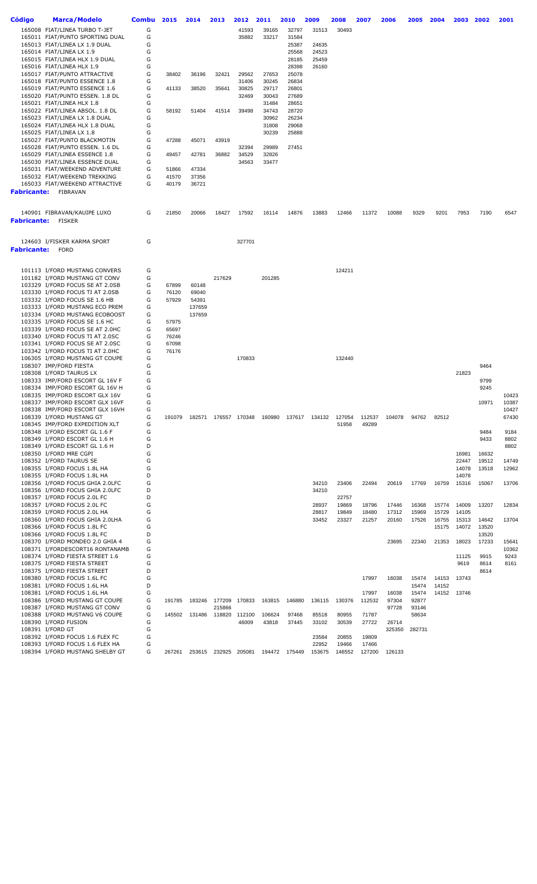| Código      | <b>Marca/Modelo</b>                                               | <b>Combu</b> | 2015   | 2014   | 2013                 | 2012           | 2011           | 2010           | 2009          | 2008   | 2007            | 2006           | 2005           | 2004  | 2003           | 2002  | 2001  |
|-------------|-------------------------------------------------------------------|--------------|--------|--------|----------------------|----------------|----------------|----------------|---------------|--------|-----------------|----------------|----------------|-------|----------------|-------|-------|
|             | 165008 FIAT/LINEA TURBO T-JET                                     | G            |        |        |                      | 41593          | 39165          | 32797          | 31513         | 30493  |                 |                |                |       |                |       |       |
|             | 165011 FIAT/PUNTO SPORTING DUAL                                   | G            |        |        |                      | 35882          | 33217          | 31584          |               |        |                 |                |                |       |                |       |       |
|             | 165013 FIAT/LINEA LX 1.9 DUAL                                     | G            |        |        |                      |                |                | 25387          | 24635         |        |                 |                |                |       |                |       |       |
|             | 165014 FIAT/LINEA LX 1.9                                          | G            |        |        |                      |                |                | 25568          | 24523         |        |                 |                |                |       |                |       |       |
|             | 165015 FIAT/LINEA HLX 1.9 DUAL                                    | G            |        |        |                      |                |                | 28185          | 25459         |        |                 |                |                |       |                |       |       |
|             | 165016 FIAT/LINEA HLX 1.9                                         | G            |        |        |                      |                |                | 28398          | 26160         |        |                 |                |                |       |                |       |       |
|             | 165017 FIAT/PUNTO ATTRACTIVE                                      | G            | 38402  | 36196  | 32421                | 29562          | 27653          | 25078          |               |        |                 |                |                |       |                |       |       |
|             | 165018 FIAT/PUNTO ESSENCE 1.8                                     | G<br>G       |        |        |                      | 31406          | 30245          | 26834<br>26801 |               |        |                 |                |                |       |                |       |       |
|             | 165019 FIAT/PUNTO ESSENCE 1.6<br>165020 FIAT/PUNTO ESSEN. 1.8 DL  | G            | 41133  | 38520  | 35641                | 30825<br>32469 | 29717<br>30043 | 27689          |               |        |                 |                |                |       |                |       |       |
|             | 165021 FIAT/LINEA HLX 1.8                                         | G            |        |        |                      |                | 31484          | 28651          |               |        |                 |                |                |       |                |       |       |
|             | 165022 FIAT/LINEA ABSOL. 1.8 DL                                   | G            | 58192  | 51404  | 41514                | 39498          | 34743          | 28720          |               |        |                 |                |                |       |                |       |       |
|             | 165023 FIAT/LINEA LX 1.8 DUAL                                     | G            |        |        |                      |                | 30962          | 26234          |               |        |                 |                |                |       |                |       |       |
|             | 165024 FIAT/LINEA HLX 1.8 DUAL                                    | G            |        |        |                      |                | 31808          | 29068          |               |        |                 |                |                |       |                |       |       |
|             | 165025 FIAT/LINEA LX 1.8                                          | G            |        |        |                      |                | 30239          | 25888          |               |        |                 |                |                |       |                |       |       |
|             | 165027 FIAT/PUNTO BLACKMOTIN                                      | G            | 47288  | 45071  | 43919                |                |                |                |               |        |                 |                |                |       |                |       |       |
|             | 165028 FIAT/PUNTO ESSEN. 1.6 DL                                   | G            |        |        |                      | 32394          | 29989          | 27451          |               |        |                 |                |                |       |                |       |       |
|             | 165029 FIAT/LINEA ESSENCE 1.8<br>165030 FIAT/LINEA ESSENCE DUAL   | G<br>G       | 49457  | 42781  | 36882                | 34529<br>34563 | 32826<br>33477 |                |               |        |                 |                |                |       |                |       |       |
|             | 165031 FIAT/WEEKEND ADVENTURE                                     | G            | 51866  | 47334  |                      |                |                |                |               |        |                 |                |                |       |                |       |       |
|             | 165032 FIAT/WEEKEND TREKKING                                      | G            | 41570  | 37356  |                      |                |                |                |               |        |                 |                |                |       |                |       |       |
|             | 165033 FIAT/WEEKEND ATTRACTIVE                                    | G            | 40179  | 36721  |                      |                |                |                |               |        |                 |                |                |       |                |       |       |
| Fabricante: | FIBRAVAN                                                          |              |        |        |                      |                |                |                |               |        |                 |                |                |       |                |       |       |
|             |                                                                   |              |        |        |                      |                |                |                |               |        |                 |                |                |       |                |       |       |
|             | 140901 FIBRAVAN/KAUIPE LUXO                                       | G            | 21850  | 20066  | 18427                | 17592          | 16114          | 14876          | 13883         | 12466  | 11372           | 10088          | 9329           | 9201  | 7953           | 7190  | 6547  |
| Fabricante: | FISKER                                                            |              |        |        |                      |                |                |                |               |        |                 |                |                |       |                |       |       |
|             |                                                                   |              |        |        |                      |                |                |                |               |        |                 |                |                |       |                |       |       |
|             | 124603 I/FISKER KARMA SPORT                                       | G            |        |        |                      | 327701         |                |                |               |        |                 |                |                |       |                |       |       |
| Fabricante: | <b>FORD</b>                                                       |              |        |        |                      |                |                |                |               |        |                 |                |                |       |                |       |       |
|             |                                                                   |              |        |        |                      |                |                |                |               |        |                 |                |                |       |                |       |       |
|             | 101113 I/FORD MUSTANG CONVERS                                     | G            |        |        |                      |                |                |                |               | 124211 |                 |                |                |       |                |       |       |
|             | 101182 I/FORD MUSTANG GT CONV                                     | G            |        |        | 217629               |                | 201285         |                |               |        |                 |                |                |       |                |       |       |
|             | 103329 I/FORD FOCUS SE AT 2.0SB                                   | G            | 67899  | 60148  |                      |                |                |                |               |        |                 |                |                |       |                |       |       |
|             | 103330 I/FORD FOCUS TI AT 2.0SB                                   | G            | 76120  | 69040  |                      |                |                |                |               |        |                 |                |                |       |                |       |       |
|             | 103332 I/FORD FOCUS SE 1.6 HB                                     | G            | 57929  | 54391  |                      |                |                |                |               |        |                 |                |                |       |                |       |       |
|             | 103333 I/FORD MUSTANG ECO PREM                                    | G            |        | 137659 |                      |                |                |                |               |        |                 |                |                |       |                |       |       |
|             | 103334 I/FORD MUSTANG ECOBOOST                                    | G            |        | 137659 |                      |                |                |                |               |        |                 |                |                |       |                |       |       |
|             | 103335 I/FORD FOCUS SE 1.6 HC                                     | G            | 57975  |        |                      |                |                |                |               |        |                 |                |                |       |                |       |       |
|             | 103339 I/FORD FOCUS SE AT 2.0HC                                   | G            | 65697  |        |                      |                |                |                |               |        |                 |                |                |       |                |       |       |
|             | 103340 I/FORD FOCUS TI AT 2.0SC                                   | G            | 76246  |        |                      |                |                |                |               |        |                 |                |                |       |                |       |       |
|             | 103341 I/FORD FOCUS SE AT 2.0SC                                   | G<br>G       | 67098  |        |                      |                |                |                |               |        |                 |                |                |       |                |       |       |
|             | 103342 I/FORD FOCUS TI AT 2.0HC<br>106305 I/FORD MUSTANG GT COUPE | G            | 76176  |        |                      | 170833         |                |                |               | 132440 |                 |                |                |       |                |       |       |
|             | 108307 IMP/FORD FIESTA                                            | G            |        |        |                      |                |                |                |               |        |                 |                |                |       |                | 9464  |       |
|             | 108308 I/FORD TAURUS LX                                           | G            |        |        |                      |                |                |                |               |        |                 |                |                |       | 21823          |       |       |
|             | 108333 IMP/FORD ESCORT GL 16V F                                   | G            |        |        |                      |                |                |                |               |        |                 |                |                |       |                | 9799  |       |
|             | 108334 IMP/FORD ESCORT GL 16V H                                   | G            |        |        |                      |                |                |                |               |        |                 |                |                |       |                | 9245  |       |
|             | 108335 IMP/FORD ESCORT GLX 16V                                    | G            |        |        |                      |                |                |                |               |        |                 |                |                |       |                |       | 10423 |
|             | 108337 IMP/FORD ESCORT GLX 16VF                                   | G            |        |        |                      |                |                |                |               |        |                 |                |                |       |                | 10971 | 10387 |
|             | 108338 IMP/FORD ESCORT GLX 16VH                                   | G            |        |        |                      |                |                |                |               |        |                 |                |                |       |                |       | 10427 |
|             | 108339 I/FORD MUSTANG GT                                          | G            | 191079 | 182571 |                      | 176557 170348  | 160980         |                | 137617 134132 | 127054 | 112537          | 104078         | 94762          | 82512 |                |       | 67430 |
|             | 108345 IMP/FORD EXPEDITION XLT                                    | G            |        |        |                      |                |                |                |               | 51958  | 49289           |                |                |       |                |       |       |
|             | 108348 I/FORD ESCORT GL 1.6 F                                     | G            |        |        |                      |                |                |                |               |        |                 |                |                |       |                | 9484  | 9184  |
|             | 108349 I/FORD ESCORT GL 1.6 H                                     | G            |        |        |                      |                |                |                |               |        |                 |                |                |       |                | 9433  | 8802  |
|             | 108349 I/FORD ESCORT GL 1.6 H                                     | D            |        |        |                      |                |                |                |               |        |                 |                |                |       |                |       | 8802  |
|             | 108350 I/FORD MRE CGPI                                            | G            |        |        |                      |                |                |                |               |        |                 |                |                |       | 16981          | 16632 |       |
|             | 108352 I/FORD TAURUS SE                                           | G            |        |        |                      |                |                |                |               |        |                 |                |                |       | 22447          | 19512 | 14749 |
|             | 108355 I/FORD FOCUS 1.8L HA<br>108355 I/FORD FOCUS 1.8L HA        | G<br>D       |        |        |                      |                |                |                |               |        |                 |                |                |       | 14078<br>14078 | 13518 | 12962 |
|             | 108356 I/FORD FOCUS GHIA 2.0LFC                                   | G            |        |        |                      |                |                |                | 34210         | 23406  | 22494           | 20619          | 17769          | 16759 | 15316          | 15067 | 13706 |
|             | 108356 I/FORD FOCUS GHIA 2.0LFC                                   | D            |        |        |                      |                |                |                | 34210         |        |                 |                |                |       |                |       |       |
|             | 108357 I/FORD FOCUS 2.0L FC                                       | D            |        |        |                      |                |                |                |               | 22757  |                 |                |                |       |                |       |       |
|             | 108357 I/FORD FOCUS 2.0L FC                                       | G            |        |        |                      |                |                |                | 28937         | 19869  | 18796           | 17446          | 16368          | 15774 | 14009          | 13207 | 12834 |
|             | 108359 I/FORD FOCUS 2.0L HA                                       | G            |        |        |                      |                |                |                | 28817         | 19849  | 18480           | 17312          | 15969          | 15729 | 14105          |       |       |
|             | 108360 I/FORD FOCUS GHIA 2.0LHA                                   | G            |        |        |                      |                |                |                | 33452         | 23327  | 21257           | 20160          | 17526          | 16755 | 15313          | 14642 | 13704 |
|             | 108366 I/FORD FOCUS 1.8L FC                                       | G            |        |        |                      |                |                |                |               |        |                 |                |                | 15175 | 14072          | 13520 |       |
|             | 108366 I/FORD FOCUS 1.8L FC                                       | D            |        |        |                      |                |                |                |               |        |                 |                |                |       |                | 13520 |       |
|             | 108370 I/FORD MONDEO 2.0 GHIA 4                                   | G            |        |        |                      |                |                |                |               |        |                 | 23695          | 22340          | 21353 | 18023          | 17233 | 15641 |
|             | 108371 I/FORDESCORT16 RONTANAMB                                   | G            |        |        |                      |                |                |                |               |        |                 |                |                |       |                |       | 10362 |
|             | 108374 I/FORD FIESTA STREET 1.6                                   | G            |        |        |                      |                |                |                |               |        |                 |                |                |       | 11125          | 9915  | 9243  |
|             | 108375 I/FORD FIESTA STREET                                       | G            |        |        |                      |                |                |                |               |        |                 |                |                |       | 9619           | 8614  | 8161  |
|             | 108375 I/FORD FIESTA STREET                                       | D            |        |        |                      |                |                |                |               |        |                 |                |                |       |                | 8614  |       |
|             | 108380 I/FORD FOCUS 1.6L FC                                       | G            |        |        |                      |                |                |                |               |        | 17997           | 16038          | 15474          | 14153 | 13743          |       |       |
|             | 108381 I/FORD FOCUS 1.6L HA                                       | D            |        |        |                      |                |                |                |               |        |                 |                | 15474          | 14152 |                |       |       |
|             | 108381 I/FORD FOCUS 1.6L HA<br>108386 I/FORD MUSTANG GT COUPE     | G<br>G       |        | 183246 |                      | 170833         |                |                | 136115        |        | 17997<br>112532 | 16038<br>97304 | 15474<br>92877 |       | 14152 13746    |       |       |
|             | 108387 I/FORD MUSTANG GT CONV                                     | G            | 191785 |        | 177209<br>215866     |                | 163815         | 146880         |               | 130376 |                 | 97728          | 93146          |       |                |       |       |
|             | 108388 I/FORD MUSTANG V6 COUPE                                    | G            | 145502 | 131486 | 118820               | 112100         | 106624         | 97468          | 85518         | 80955  | 71787           |                | 58634          |       |                |       |       |
|             | 108390 I/FORD FUSION                                              | G            |        |        |                      | 46009          | 43818          | 37445          | 33102         | 30539  | 27722           | 26714          |                |       |                |       |       |
|             | 108391 I/FORD GT                                                  | G            |        |        |                      |                |                |                |               |        |                 | 325350         | 282731         |       |                |       |       |
|             | 108392 I/FORD FOCUS 1.6 FLEX FC                                   | G            |        |        |                      |                |                |                | 23584         | 20855  | 19809           |                |                |       |                |       |       |
|             | 108393 I/FORD FOCUS 1.6 FLEX HA                                   | G            |        |        |                      |                |                |                | 22952         | 19466  | 17466           |                |                |       |                |       |       |
|             | 108394 I/FORD MUSTANG SHELBY GT                                   | G            | 267261 |        | 253615 232925 205081 |                |                | 194472 175449  | 153675        | 146552 | 127200          | 126133         |                |       |                |       |       |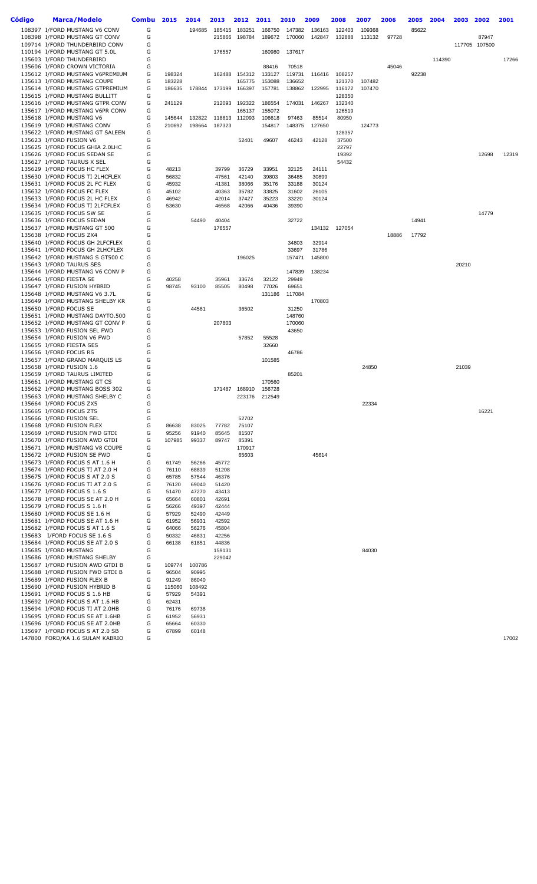| Código | Marca/Modelo                                                       | <b>Combu</b> | 2015            | 2014            | 2013           | 2012           | 2011            | 2010            | 2009           | 2008             | 2007   | 2006  | 2005  | 2004   | 2003  | 2002          | 2001  |
|--------|--------------------------------------------------------------------|--------------|-----------------|-----------------|----------------|----------------|-----------------|-----------------|----------------|------------------|--------|-------|-------|--------|-------|---------------|-------|
|        | 108397 I/FORD MUSTANG V6 CONV                                      | G            |                 | 194685          | 185415         | 183251         | 166750          | 147382          | 136163         | 122403           | 109368 |       | 85622 |        |       |               |       |
|        | 108398 I/FORD MUSTANG GT CONV                                      | G            |                 |                 | 215866         | 198784         | 189672          | 170060          | 142847         | 132888           | 113132 | 97728 |       |        |       | 87947         |       |
|        | 109714 I/FORD THUNDERBIRD CONV<br>110194 I/FORD MUSTANG GT 5.0L    | G<br>G       |                 |                 | 176557         |                | 160980          | 137617          |                |                  |        |       |       |        |       | 117705 107500 |       |
|        | 135603 I/FORD THUNDERBIRD                                          | G            |                 |                 |                |                |                 |                 |                |                  |        |       |       | 114390 |       |               | 17266 |
|        | 135606 I/FORD CROWN VICTORIA                                       | G            |                 |                 |                |                | 88416           | 70518           |                |                  |        | 45046 |       |        |       |               |       |
|        | 135612 I/FORD MUSTANG V6PREMIUM                                    | G            | 198324          |                 |                | 162488 154312  | 133127          | 119731          | 116416         | 108257           |        |       | 92238 |        |       |               |       |
|        | 135613 I/FORD MUSTANG COUPE                                        | G            | 183228          |                 |                | 165775         | 153088          | 136652          |                | 121370           | 107482 |       |       |        |       |               |       |
|        | 135614 I/FORD MUSTANG GTPREMIUM                                    | G<br>G       | 186635          | 178844          | 173199         | 166397         | 157781          | 138862          | 122995         | 116172           | 107470 |       |       |        |       |               |       |
|        | 135615 I/FORD MUSTANG BULLITT<br>135616 I/FORD MUSTANG GTPR CONV   | G            | 241129          |                 | 212093         | 192322         | 186554          | 174031          | 146267         | 128350<br>132340 |        |       |       |        |       |               |       |
|        | 135617 I/FORD MUSTANG V6PR CONV                                    | G            |                 |                 |                | 165137         | 155072          |                 |                | 126519           |        |       |       |        |       |               |       |
|        | 135618 I/FORD MUSTANG V6                                           | G            | 145644          | 132822          | 118813         | 112093         | 106618          | 97463           | 85514          | 80950            |        |       |       |        |       |               |       |
|        | 135619 I/FORD MUSTANG CONV                                         | G            | 210692          | 198664          | 187323         |                | 154817          | 148375          | 127650         |                  | 124773 |       |       |        |       |               |       |
|        | 135622 I/FORD MUSTANG GT SALEEN                                    | G            |                 |                 |                |                |                 |                 |                | 128357           |        |       |       |        |       |               |       |
|        | 135623 I/FORD FUSION V6<br>135625 I/FORD FOCUS GHIA 2.0LHC         | G<br>G       |                 |                 |                | 52401          | 49607           | 46243           | 42128          | 37500<br>22797   |        |       |       |        |       |               |       |
|        | 135626 I/FORD FOCUS SEDAN SE                                       | G            |                 |                 |                |                |                 |                 |                | 19392            |        |       |       |        |       | 12698         | 12319 |
|        | 135627 I/FORD TAURUS X SEL                                         | G            |                 |                 |                |                |                 |                 |                | 54432            |        |       |       |        |       |               |       |
|        | 135629 I/FORD FOCUS HC FLEX                                        | G            | 48213           |                 | 39799          | 36729          | 33951           | 32125           | 24111          |                  |        |       |       |        |       |               |       |
|        | 135630 I/FORD FOCUS TI 2LHCFLEX                                    | G            | 56832           |                 | 47561          | 42140          | 39803           | 36485           | 30899          |                  |        |       |       |        |       |               |       |
|        | 135631 I/FORD FOCUS 2L FC FLEX<br>135632 I/FORD FOCUS FC FLEX      | G<br>G       | 45932<br>45102  |                 | 41381<br>40363 | 38066<br>35782 | 35176<br>33825  | 33188<br>31602  | 30124<br>26105 |                  |        |       |       |        |       |               |       |
|        | 135633 I/FORD FOCUS 2L HC FLEX                                     | G            | 46942           |                 | 42014          | 37427          | 35223           | 33220           | 30124          |                  |        |       |       |        |       |               |       |
|        | 135634 I/FORD FOCUS TI 2LFCFLEX                                    | G            | 53630           |                 | 46568          | 42066          | 40436           | 39390           |                |                  |        |       |       |        |       |               |       |
|        | 135635 I/FORD FOCUS SW SE                                          | G            |                 |                 |                |                |                 |                 |                |                  |        |       |       |        |       | 14779         |       |
|        | 135636 I/FORD FOCUS SEDAN                                          | G            |                 | 54490           | 40404          |                |                 | 32722           |                |                  |        |       | 14941 |        |       |               |       |
|        | 135637 I/FORD MUSTANG GT 500                                       | G            |                 |                 | 176557         |                |                 |                 | 134132         | 127054           |        |       |       |        |       |               |       |
|        | 135638 I/FORD FOCUS ZX4<br>135640 I/FORD FOCUS GH 2LFCFLEX         | G<br>G       |                 |                 |                |                |                 | 34803           | 32914          |                  |        | 18886 | 17792 |        |       |               |       |
|        | 135641 I/FORD FOCUS GH 2LHCFLEX                                    | G            |                 |                 |                |                |                 | 33697           | 31786          |                  |        |       |       |        |       |               |       |
|        | 135642 I/FORD MUSTANG S GT500 C                                    | G            |                 |                 |                | 196025         |                 | 157471          | 145800         |                  |        |       |       |        |       |               |       |
|        | 135643 I/FORD TAURUS SES                                           | G            |                 |                 |                |                |                 |                 |                |                  |        |       |       |        | 20210 |               |       |
|        | 135644 I/FORD MUSTANG V6 CONV P                                    | G            |                 |                 |                |                |                 | 147839          | 138234         |                  |        |       |       |        |       |               |       |
|        | 135646 I/FORD FIESTA SE                                            | G            | 40258           |                 | 35961          | 33674          | 32122           | 29949           |                |                  |        |       |       |        |       |               |       |
|        | 135647 I/FORD FUSION HYBRID<br>135648 I/FORD MUSTANG V6 3.7L       | G<br>G       | 98745           | 93100           | 85505          | 80498          | 77026<br>131186 | 69651<br>117084 |                |                  |        |       |       |        |       |               |       |
|        | 135649 I/FORD MUSTANG SHELBY KR                                    | G            |                 |                 |                |                |                 |                 | 170803         |                  |        |       |       |        |       |               |       |
|        | 135650 I/FORD FOCUS SE                                             | G            |                 | 44561           |                | 36502          |                 | 31250           |                |                  |        |       |       |        |       |               |       |
|        | 135651 I/FORD MUSTANG DAYTO.500                                    | G            |                 |                 |                |                |                 | 148760          |                |                  |        |       |       |        |       |               |       |
|        | 135652 I/FORD MUSTANG GT CONV P                                    | G            |                 |                 | 207803         |                |                 | 170060          |                |                  |        |       |       |        |       |               |       |
|        | 135653 I/FORD FUSION SEL FWD<br>135654 I/FORD FUSION V6 FWD        | G<br>G       |                 |                 |                | 57852          | 55528           | 43650           |                |                  |        |       |       |        |       |               |       |
|        | 135655 I/FORD FIESTA SES                                           | G            |                 |                 |                |                | 32660           |                 |                |                  |        |       |       |        |       |               |       |
|        | 135656 I/FORD FOCUS RS                                             | G            |                 |                 |                |                |                 | 46786           |                |                  |        |       |       |        |       |               |       |
|        | 135657 I/FORD GRAND MARQUIS LS                                     | G            |                 |                 |                |                | 101585          |                 |                |                  |        |       |       |        |       |               |       |
|        | 135658 I/FORD FUSION 1.6                                           | G            |                 |                 |                |                |                 |                 |                |                  | 24850  |       |       |        | 21039 |               |       |
|        | 135659 I/FORD TAURUS LIMITED                                       | G<br>G       |                 |                 |                |                | 170560          | 85201           |                |                  |        |       |       |        |       |               |       |
|        | 135661 I/FORD MUSTANG GT CS<br>135662 I/FORD MUSTANG BOSS 302      | G            |                 |                 |                | 171487 168910  | 156728          |                 |                |                  |        |       |       |        |       |               |       |
|        | 135663 I/FORD MUSTANG SHELBY C                                     | G            |                 |                 |                | 223176         | 212549          |                 |                |                  |        |       |       |        |       |               |       |
|        | 135664 I/FORD FOCUS ZX5                                            | G            |                 |                 |                |                |                 |                 |                |                  | 22334  |       |       |        |       |               |       |
|        | 135665 I/FORD FOCUS ZTS                                            | G            |                 |                 |                |                |                 |                 |                |                  |        |       |       |        |       | 16221         |       |
|        | 135666 I/FORD FUSION SEL                                           | G<br>G       |                 |                 |                | 52702          |                 |                 |                |                  |        |       |       |        |       |               |       |
|        | 135668 I/FORD FUSION FLEX<br>135669 I/FORD FUSION FWD GTDI         | G            | 86638<br>95256  | 83025<br>91940  | 77782<br>85645 | 75107<br>81507 |                 |                 |                |                  |        |       |       |        |       |               |       |
|        | 135670 I/FORD FUSION AWD GTDI                                      | G            | 107985          | 99337           | 89747          | 85391          |                 |                 |                |                  |        |       |       |        |       |               |       |
|        | 135671 I/FORD MUSTANG V8 COUPE                                     | G            |                 |                 |                | 170917         |                 |                 |                |                  |        |       |       |        |       |               |       |
|        | 135672 I/FORD FUSION SE FWD                                        | G            |                 |                 |                | 65603          |                 |                 | 45614          |                  |        |       |       |        |       |               |       |
|        | 135673 I/FORD FOCUS S AT 1.6 H                                     | G            | 61749           | 56266           | 45772          |                |                 |                 |                |                  |        |       |       |        |       |               |       |
|        | 135674 I/FORD FOCUS TI AT 2.0 H<br>135675 I/FORD FOCUS S AT 2.0 S  | G<br>G       | 76110<br>65785  | 68839<br>57544  | 51208<br>46376 |                |                 |                 |                |                  |        |       |       |        |       |               |       |
|        | 135676 I/FORD FOCUS TI AT 2.0 S                                    | G            | 76120           | 69040           | 51420          |                |                 |                 |                |                  |        |       |       |        |       |               |       |
|        | 135677 I/FORD FOCUS S 1.6 S                                        | G            | 51470           | 47270           | 43413          |                |                 |                 |                |                  |        |       |       |        |       |               |       |
|        | 135678 I/FORD FOCUS SE AT 2.0 H                                    | G            | 65664           | 60801           | 42691          |                |                 |                 |                |                  |        |       |       |        |       |               |       |
|        | 135679 I/FORD FOCUS S 1.6 H                                        | G            | 56266           | 49397           | 42444          |                |                 |                 |                |                  |        |       |       |        |       |               |       |
|        | 135680 I/FORD FOCUS SE 1.6 H<br>135681 I/FORD FOCUS SE AT 1.6 H    | G<br>G       | 57929<br>61952  | 52490<br>56931  | 42449<br>42592 |                |                 |                 |                |                  |        |       |       |        |       |               |       |
|        | 135682 I/FORD FOCUS S AT 1.6 S                                     | G            | 64066           | 56276           | 45804          |                |                 |                 |                |                  |        |       |       |        |       |               |       |
|        | 135683 I/FORD FOCUS SE 1.6 S                                       | G            | 50332           | 46831           | 42256          |                |                 |                 |                |                  |        |       |       |        |       |               |       |
|        | 135684 I/FORD FOCUS SE AT 2.0 S                                    | G            | 66138           | 61851           | 44836          |                |                 |                 |                |                  |        |       |       |        |       |               |       |
|        | 135685 I/FORD MUSTANG                                              | G            |                 |                 | 159131         |                |                 |                 |                |                  | 84030  |       |       |        |       |               |       |
|        | 135686 I/FORD MUSTANG SHELBY                                       | G            |                 |                 | 229042         |                |                 |                 |                |                  |        |       |       |        |       |               |       |
|        | 135687 I/FORD FUSION AWD GTDI B<br>135688 I/FORD FUSION FWD GTDI B | G<br>G       | 109774<br>96504 | 100786<br>90995 |                |                |                 |                 |                |                  |        |       |       |        |       |               |       |
|        | 135689 I/FORD FUSION FLEX B                                        | G            | 91249           | 86040           |                |                |                 |                 |                |                  |        |       |       |        |       |               |       |
|        | 135690 I/FORD FUSION HYBRID B                                      | G            | 115060          | 108492          |                |                |                 |                 |                |                  |        |       |       |        |       |               |       |
|        | 135691 I/FORD FOCUS S 1.6 HB                                       | G            | 57929           | 54391           |                |                |                 |                 |                |                  |        |       |       |        |       |               |       |
|        | 135692 I/FORD FOCUS S AT 1.6 HB                                    | G            | 62431           |                 |                |                |                 |                 |                |                  |        |       |       |        |       |               |       |
|        | 135694 I/FORD FOCUS TI AT 2.0HB<br>135695 I/FORD FOCUS SE AT 1.6HB | G<br>G       | 76176<br>61952  | 69738<br>56931  |                |                |                 |                 |                |                  |        |       |       |        |       |               |       |
|        | 135696 I/FORD FOCUS SE AT 2.0HB                                    | G            | 65664           | 60330           |                |                |                 |                 |                |                  |        |       |       |        |       |               |       |
|        | 135697 I/FORD FOCUS S AT 2.0 SB                                    | G            | 67899           | 60148           |                |                |                 |                 |                |                  |        |       |       |        |       |               |       |
|        | 147800 FORD/KA 1.6 SULAM KABRIO                                    | G            |                 |                 |                |                |                 |                 |                |                  |        |       |       |        |       |               | 17002 |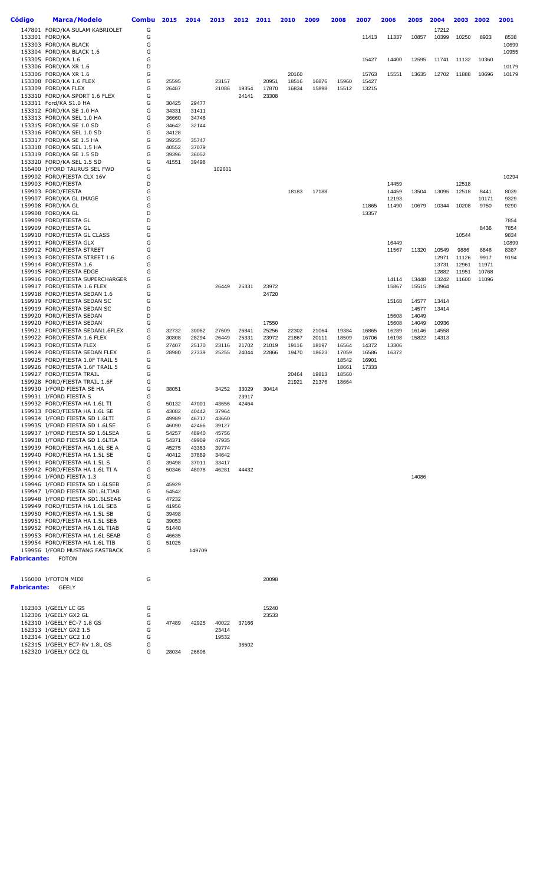| Código             | <b>Marca/Modelo</b>                                                | <b>Combu</b> | 2015           | 2014           | 2013           | 2012  | 2011           | 2010  | 2009  | 2008           | 2007  | 2006           | 2005           | 2004           | 2003  | 2002          | 2001          |
|--------------------|--------------------------------------------------------------------|--------------|----------------|----------------|----------------|-------|----------------|-------|-------|----------------|-------|----------------|----------------|----------------|-------|---------------|---------------|
|                    | 147801 FORD/KA SULAM KABRIOLET<br>153301 FORD/KA                   | G<br>G       |                |                |                |       |                |       |       |                | 11413 | 11337          | 10857          | 17212<br>10399 | 10250 | 8923          | 8538          |
|                    | 153303 FORD/KA BLACK                                               | G            |                |                |                |       |                |       |       |                |       |                |                |                |       |               | 10699         |
|                    | 153304 FORD/KA BLACK 1.6                                           | G            |                |                |                |       |                |       |       |                |       |                |                |                |       |               | 10955         |
|                    | 153305 FORD/KA 1.6<br>153306 FORD/KA XR 1.6                        | G<br>D       |                |                |                |       |                |       |       |                | 15427 | 14400          | 12595          | 11741          | 11132 | 10360         | 10179         |
|                    | 153306 FORD/KA XR 1.6                                              | G            |                |                |                |       |                | 20160 |       |                | 15763 | 15551          | 13635          | 12702          | 11888 | 10696         | 10179         |
|                    | 153308 FORD/KA 1.6 FLEX                                            | G            | 25595          |                | 23157          |       | 20951          | 18516 | 16876 | 15960          | 15427 |                |                |                |       |               |               |
|                    | 153309 FORD/KA FLEX                                                | G            | 26487          |                | 21086          | 19354 | 17870          | 16834 | 15898 | 15512          | 13215 |                |                |                |       |               |               |
|                    | 153310 FORD/KA SPORT 1.6 FLEX                                      | G            |                |                |                | 24141 | 23308          |       |       |                |       |                |                |                |       |               |               |
|                    | 153311 Ford/KA S1.0 HA<br>153312 FORD/KA SE 1.0 HA                 | G<br>G       | 30425<br>34331 | 29477          |                |       |                |       |       |                |       |                |                |                |       |               |               |
|                    | 153313 FORD/KA SEL 1.0 HA                                          | G            | 36660          | 31411<br>34746 |                |       |                |       |       |                |       |                |                |                |       |               |               |
|                    | 153315 FORD/KA SE 1.0 SD                                           | G            | 34642          | 32144          |                |       |                |       |       |                |       |                |                |                |       |               |               |
|                    | 153316 FORD/KA SEL 1.0 SD                                          | G            | 34128          |                |                |       |                |       |       |                |       |                |                |                |       |               |               |
|                    | 153317 FORD/KA SE 1.5 HA                                           | G            | 39235          | 35747          |                |       |                |       |       |                |       |                |                |                |       |               |               |
|                    | 153318 FORD/KA SEL 1.5 HA<br>153319 FORD/KA SE 1.5 SD              | G<br>G       | 40552<br>39396 | 37079<br>36052 |                |       |                |       |       |                |       |                |                |                |       |               |               |
|                    | 153320 FORD/KA SEL 1.5 SD                                          | G            | 41551          | 39498          |                |       |                |       |       |                |       |                |                |                |       |               |               |
|                    | 156400 I/FORD TAURUS SEL FWD                                       | G            |                |                | 102601         |       |                |       |       |                |       |                |                |                |       |               |               |
|                    | 159902 FORD/FIESTA CLX 16V                                         | G            |                |                |                |       |                |       |       |                |       |                |                |                |       |               | 10294         |
|                    | 159903 FORD/FIESTA                                                 | D            |                |                |                |       |                |       |       |                |       | 14459          |                |                | 12518 |               |               |
|                    | 159903 FORD/FIESTA<br>159907 FORD/KA GL IMAGE                      | G<br>G       |                |                |                |       |                | 18183 | 17188 |                |       | 14459<br>12193 | 13504          | 13095          | 12518 | 8441<br>10171 | 8039<br>9329  |
|                    | 159908 FORD/KA GL                                                  | G            |                |                |                |       |                |       |       |                | 11865 | 11490          | 10679          | 10344          | 10208 | 9750          | 9290          |
|                    | 159908 FORD/KA GL                                                  | D            |                |                |                |       |                |       |       |                | 13357 |                |                |                |       |               |               |
|                    | 159909 FORD/FIESTA GL                                              | D            |                |                |                |       |                |       |       |                |       |                |                |                |       |               | 7854          |
|                    | 159909 FORD/FIESTA GL                                              | G            |                |                |                |       |                |       |       |                |       |                |                |                |       | 8436          | 7854          |
|                    | 159910 FORD/FIESTA GL CLASS<br>159911 FORD/FIESTA GLX              | G<br>G       |                |                |                |       |                |       |       |                |       | 16449          |                |                | 10544 |               | 9834<br>10899 |
|                    | 159912 FORD/FIESTA STREET                                          | G            |                |                |                |       |                |       |       |                |       | 11567          | 11320          | 10549          | 9886  | 8846          | 8387          |
|                    | 159913 FORD/FIESTA STREET 1.6                                      | G            |                |                |                |       |                |       |       |                |       |                |                | 12971          | 11126 | 9917          | 9194          |
|                    | 159914 FORD/FIESTA 1.6                                             | G            |                |                |                |       |                |       |       |                |       |                |                | 13731          | 12961 | 11971         |               |
|                    | 159915 FORD/FIESTA EDGE                                            | G            |                |                |                |       |                |       |       |                |       |                |                | 12882          | 11951 | 10768         |               |
|                    | 159916 FORD/FIESTA SUPERCHARGER<br>159917 FORD/FIESTA 1.6 FLEX     | G<br>G       |                |                | 26449          | 25331 | 23972          |       |       |                |       | 14114<br>15867 | 13448<br>15515 | 13242<br>13964 | 11600 | 11096         |               |
|                    | 159918 FORD/FIESTA SEDAN 1.6                                       | G            |                |                |                |       | 24720          |       |       |                |       |                |                |                |       |               |               |
|                    | 159919 FORD/FIESTA SEDAN SC                                        | G            |                |                |                |       |                |       |       |                |       | 15168          | 14577          | 13414          |       |               |               |
|                    | 159919 FORD/FIESTA SEDAN SC                                        | D            |                |                |                |       |                |       |       |                |       |                | 14577          | 13414          |       |               |               |
|                    | 159920 FORD/FIESTA SEDAN                                           | D<br>G       |                |                |                |       |                |       |       |                |       | 15608          | 14049          |                |       |               |               |
|                    | 159920 FORD/FIESTA SEDAN<br>159921 FORD/FIESTA SEDAN1.6FLEX        | G            | 32732          | 30062          | 27609          | 26841 | 17550<br>25256 | 22302 | 21064 | 19384          | 16865 | 15608<br>16289 | 14049<br>16146 | 10936<br>14558 |       |               |               |
|                    | 159922 FORD/FIESTA 1.6 FLEX                                        | G            | 30808          | 28294          | 26449          | 25331 | 23972          | 21867 | 20111 | 18509          | 16706 | 16198          | 15822          | 14313          |       |               |               |
|                    | 159923 FORD/FIESTA FLEX                                            | G            | 27407          | 25170          | 23116          | 21702 | 21019          | 19116 | 18197 | 16564          | 14372 | 13306          |                |                |       |               |               |
|                    | 159924 FORD/FIESTA SEDAN FLEX                                      | G            | 28980          | 27339          | 25255          | 24044 | 22866          | 19470 | 18623 | 17059          | 16586 | 16372          |                |                |       |               |               |
|                    | 159925 FORD/FIESTA 1.0F TRAIL 5                                    | G            |                |                |                |       |                |       |       | 18542          | 16901 |                |                |                |       |               |               |
|                    | 159926 FORD/FIESTA 1.6F TRAIL 5<br>159927 FORD/FIESTA TRAIL        | G<br>G       |                |                |                |       |                | 20464 | 19813 | 18661<br>18560 | 17333 |                |                |                |       |               |               |
|                    | 159928 FORD/FIESTA TRAIL 1.6F                                      | G            |                |                |                |       |                | 21921 | 21376 | 18664          |       |                |                |                |       |               |               |
|                    | 159930 I/FORD FIESTA SE HA                                         | G            | 38051          |                | 34252          | 33029 | 30414          |       |       |                |       |                |                |                |       |               |               |
|                    | 159931 I/FORD FIESTA S                                             | G            |                |                |                | 23917 |                |       |       |                |       |                |                |                |       |               |               |
|                    | 159932 FORD/FIESTA HA 1.6L TI<br>159933 FORD/FIESTA HA 1.6L SE     | G<br>G       | 50132<br>43082 | 47001<br>40442 | 43656<br>37964 | 42464 |                |       |       |                |       |                |                |                |       |               |               |
|                    | 159934 I/FORD FIESTA SD 1.6LTI                                     | G            | 49989          | 46717          | 43660          |       |                |       |       |                |       |                |                |                |       |               |               |
|                    | 159935 I/FORD FIESTA SD 1.6LSE                                     | G            | 46090          | 42466          | 39127          |       |                |       |       |                |       |                |                |                |       |               |               |
|                    | 159937 I/FORD FIESTA SD 1.6LSEA                                    | G            | 54257          | 48940          | 45756          |       |                |       |       |                |       |                |                |                |       |               |               |
|                    | 159938 I/FORD FIESTA SD 1.6LTIA                                    | G            | 54371          | 49909          | 47935          |       |                |       |       |                |       |                |                |                |       |               |               |
|                    | 159939 FORD/FIESTA HA 1.6L SE A<br>159940 FORD/FIESTA HA 1.5L SE   | G<br>G       | 45275<br>40412 | 43363<br>37869 | 39774<br>34642 |       |                |       |       |                |       |                |                |                |       |               |               |
|                    | 159941 FORD/FIESTA HA 1.5L S                                       | G            | 39498          | 37011          | 33417          |       |                |       |       |                |       |                |                |                |       |               |               |
|                    | 159942 FORD/FIESTA HA 1.6L TI A                                    | G            | 50346          | 48078          | 46281          | 44432 |                |       |       |                |       |                |                |                |       |               |               |
|                    | 159944 I/FORD FIESTA 1.3                                           | G            |                |                |                |       |                |       |       |                |       |                | 14086          |                |       |               |               |
|                    | 159946 I/FORD FIESTA SD 1.6LSEB                                    | G<br>G       | 45929          |                |                |       |                |       |       |                |       |                |                |                |       |               |               |
|                    | 159947 I/FORD FIESTA SD1.6LTIAB<br>159948 I/FORD FIESTA SD1.6LSEAB | G            | 54542<br>47232 |                |                |       |                |       |       |                |       |                |                |                |       |               |               |
|                    | 159949 FORD/FIESTA HA 1.6L SEB                                     | G            | 41956          |                |                |       |                |       |       |                |       |                |                |                |       |               |               |
|                    | 159950 FORD/FIESTA HA 1.5L SB                                      | G            | 39498          |                |                |       |                |       |       |                |       |                |                |                |       |               |               |
|                    | 159951 FORD/FIESTA HA 1.5L SEB                                     | G            | 39053          |                |                |       |                |       |       |                |       |                |                |                |       |               |               |
|                    | 159952 FORD/FIESTA HA 1.6L TIAB                                    | G            | 51440          |                |                |       |                |       |       |                |       |                |                |                |       |               |               |
|                    | 159953 FORD/FIESTA HA 1.6L SEAB<br>159954 FORD/FIESTA HA 1.6L TIB  | G<br>G       | 46635<br>51025 |                |                |       |                |       |       |                |       |                |                |                |       |               |               |
|                    | 159956 I/FORD MUSTANG FASTBACK                                     | G            |                | 149709         |                |       |                |       |       |                |       |                |                |                |       |               |               |
| <b>Fabricante:</b> | <b>FOTON</b>                                                       |              |                |                |                |       |                |       |       |                |       |                |                |                |       |               |               |
|                    | 156000 I/FOTON MIDI                                                | G            |                |                |                |       | 20098          |       |       |                |       |                |                |                |       |               |               |
| Fabricante:        | GEELY                                                              |              |                |                |                |       |                |       |       |                |       |                |                |                |       |               |               |
|                    | 162303 I/GEELY LC GS                                               | G            |                |                |                |       | 15240          |       |       |                |       |                |                |                |       |               |               |
|                    | 162306 I/GEELY GX2 GL                                              | G            |                |                |                |       | 23533          |       |       |                |       |                |                |                |       |               |               |
|                    | 162310 I/GEELY EC-7 1.8 GS                                         | G            | 47489          | 42925          | 40022          | 37166 |                |       |       |                |       |                |                |                |       |               |               |
|                    | 162313 I/GEELY GX2 1.5<br>162314 I/GEELY GC2 1.0                   | G<br>G       |                |                | 23414<br>19532 |       |                |       |       |                |       |                |                |                |       |               |               |
|                    | 162315 I/GEELY EC7-RV 1.8L GS                                      | G            |                |                |                | 36502 |                |       |       |                |       |                |                |                |       |               |               |
|                    | 162320 I/GEELY GC2 GL                                              | G            | 28034          | 26606          |                |       |                |       |       |                |       |                |                |                |       |               |               |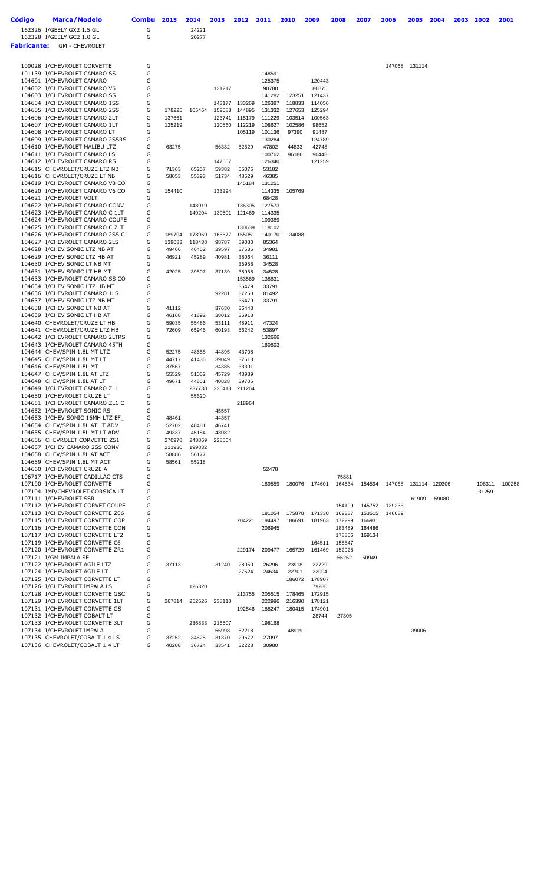| Código      | Marca/Modelo                                                       | <b>Combu</b> | 2015            | 2014             | 2013           | 2012            | 2011             | 2010             | 2009             | 2008             | 2007             | 2006          | 2005          | 2004          | 2003 | 2002   | 2001   |
|-------------|--------------------------------------------------------------------|--------------|-----------------|------------------|----------------|-----------------|------------------|------------------|------------------|------------------|------------------|---------------|---------------|---------------|------|--------|--------|
|             | 162326 I/GEELY GX2 1.5 GL                                          | G            |                 | 24221            |                |                 |                  |                  |                  |                  |                  |               |               |               |      |        |        |
|             | 162328 I/GEELY GC2 1.0 GL                                          | G            |                 | 20277            |                |                 |                  |                  |                  |                  |                  |               |               |               |      |        |        |
| Fabricante: | <b>GM - CHEVROLET</b>                                              |              |                 |                  |                |                 |                  |                  |                  |                  |                  |               |               |               |      |        |        |
|             |                                                                    |              |                 |                  |                |                 |                  |                  |                  |                  |                  |               |               |               |      |        |        |
|             | 100028 I/CHEVROLET CORVETTE                                        | G            |                 |                  |                |                 |                  |                  |                  |                  |                  |               | 147068 131114 |               |      |        |        |
|             | 101139 I/CHEVROLET CAMARO SS                                       | G            |                 |                  |                |                 | 148591           |                  |                  |                  |                  |               |               |               |      |        |        |
|             | 104601 I/CHEVROLET CAMARO                                          | G            |                 |                  |                |                 | 125375           |                  | 120443           |                  |                  |               |               |               |      |        |        |
|             | 104602 I/CHEVROLET CAMARO V6                                       | G<br>G       |                 |                  | 131217         |                 | 90780            |                  | 86875            |                  |                  |               |               |               |      |        |        |
|             | 104603 I/CHEVROLET CAMARO SS<br>104604 I/CHEVROLET CAMARO 1SS      | G            |                 |                  |                | 143177 133269   | 141282<br>126387 | 123251<br>118833 | 121437<br>114056 |                  |                  |               |               |               |      |        |        |
|             | 104605 I/CHEVROLET CAMARO 2SS                                      | G            | 178225          | 165464           | 152083         | 144895          | 131332           | 127653           | 125294           |                  |                  |               |               |               |      |        |        |
|             | 104606 I/CHEVROLET CAMARO 2LT                                      | G            | 137661          |                  |                | 123741 115179   | 111229           | 103514           | 100563           |                  |                  |               |               |               |      |        |        |
|             | 104607 I/CHEVROLET CAMARO 1LT                                      | G            | 125219          |                  | 120560         | 112219          | 108627           | 102586           | 98652            |                  |                  |               |               |               |      |        |        |
|             | 104608 I/CHEVROLET CAMARO LT                                       | G            |                 |                  |                | 105119          | 101136           | 97390            | 91487            |                  |                  |               |               |               |      |        |        |
|             | 104609 I/CHEVROLET CAMARO 2SSRS                                    | G            |                 |                  |                |                 | 130284           |                  | 124789           |                  |                  |               |               |               |      |        |        |
|             | 104610 I/CHEVROLET MALIBU LTZ                                      | G            | 63275           |                  | 56332          | 52529           | 47802            | 44833            | 42748            |                  |                  |               |               |               |      |        |        |
|             | 104611 I/CHEVROLET CAMARO LS<br>104612 I/CHEVROLET CAMARO RS       | G<br>G       |                 |                  | 147657         |                 | 100762<br>126340 | 96186            | 90448<br>121259  |                  |                  |               |               |               |      |        |        |
|             | 104615 CHEVROLET/CRUZE LTZ NB                                      | G            | 71363           | 65257            | 59382          | 55075           | 53182            |                  |                  |                  |                  |               |               |               |      |        |        |
|             | 104616 CHEVROLET/CRUZE LT NB                                       | G            | 58053           | 55393            | 51734          | 48529           | 46385            |                  |                  |                  |                  |               |               |               |      |        |        |
|             | 104619 I/CHEVROLET CAMARO V8 CO                                    | G            |                 |                  |                | 145184          | 131251           |                  |                  |                  |                  |               |               |               |      |        |        |
|             | 104620 I/CHEVROLET CAMARO V6 CO                                    | G            | 154410          |                  | 133294         |                 | 114335           | 105769           |                  |                  |                  |               |               |               |      |        |        |
|             | 104621 I/CHEVROLET VOLT                                            | G            |                 |                  |                |                 | 68428            |                  |                  |                  |                  |               |               |               |      |        |        |
|             | 104622 I/CHEVROLET CAMARO CONV<br>104623 I/CHEVROLET CAMARO C 1LT  | G<br>G       |                 | 148919<br>140204 | 130501         | 136305          | 127573<br>114335 |                  |                  |                  |                  |               |               |               |      |        |        |
|             | 104624 I/CHEVROLET CAMARO COUPE                                    | G            |                 |                  |                | 121469          | 109389           |                  |                  |                  |                  |               |               |               |      |        |        |
|             | 104625 I/CHEVROLET CAMARO C 2LT                                    | G            |                 |                  |                | 130639          | 118102           |                  |                  |                  |                  |               |               |               |      |        |        |
|             | 104626 I/CHEVROLET CAMARO 2SS C                                    | G            | 189794          | 178959           | 166577         | 155051          | 140170           | 134088           |                  |                  |                  |               |               |               |      |        |        |
|             | 104627 I/CHEVROLET CAMARO 2LS                                      | G            | 139083          | 118438           | 98787          | 89080           | 85364            |                  |                  |                  |                  |               |               |               |      |        |        |
|             | 104628 I/CHEV SONIC LTZ NB AT                                      | G            | 49466           | 46452            | 39597          | 37536           | 34981            |                  |                  |                  |                  |               |               |               |      |        |        |
|             | 104629 I/CHEV SONIC LTZ HB AT                                      | G            | 46921           | 45289            | 40981          | 38064           | 36111            |                  |                  |                  |                  |               |               |               |      |        |        |
|             | 104630 I/CHEV SONIC LT NB MT                                       | G            |                 |                  |                | 35958           | 34528            |                  |                  |                  |                  |               |               |               |      |        |        |
|             | 104631 I/CHEV SONIC LT HB MT<br>104633 I/CHEVROLET CAMARO SS CO    | G<br>G       | 42025           | 39507            | 37139          | 35958<br>153569 | 34528<br>138831  |                  |                  |                  |                  |               |               |               |      |        |        |
|             | 104634 I/CHEV SONIC LTZ HB MT                                      | G            |                 |                  |                | 35479           | 33791            |                  |                  |                  |                  |               |               |               |      |        |        |
|             | 104636 I/CHEVROLET CAMARO 1LS                                      | G            |                 |                  | 92281          | 87250           | 81492            |                  |                  |                  |                  |               |               |               |      |        |        |
|             | 104637 I/CHEV SONIC LTZ NB MT                                      | G            |                 |                  |                | 35479           | 33791            |                  |                  |                  |                  |               |               |               |      |        |        |
|             | 104638 I/CHEV SONIC LT NB AT                                       | G            | 41112           |                  | 37630          | 36443           |                  |                  |                  |                  |                  |               |               |               |      |        |        |
|             | 104639 I/CHEV SONIC LT HB AT                                       | G            | 46168           | 41892            | 38012          | 36913           |                  |                  |                  |                  |                  |               |               |               |      |        |        |
|             | 104640 CHEVROLET/CRUZE LT HB                                       | G            | 59035           | 55486            | 53111          | 48911           | 47324            |                  |                  |                  |                  |               |               |               |      |        |        |
|             | 104641 CHEVROLET/CRUZE LTZ HB<br>104642 I/CHEVROLET CAMARO 2LTRS   | G<br>G       | 72609           | 65946            | 60193          | 56242           | 53897<br>132666  |                  |                  |                  |                  |               |               |               |      |        |        |
|             | 104643 I/CHEVROLET CAMARO 45TH                                     | G            |                 |                  |                |                 | 160803           |                  |                  |                  |                  |               |               |               |      |        |        |
|             | 104644 CHEV/SPIN 1.8L MT LTZ                                       | G            | 52275           | 48658            | 44895          | 43708           |                  |                  |                  |                  |                  |               |               |               |      |        |        |
|             | 104645 CHEV/SPIN 1.8L MT LT                                        | G            | 44717           | 41436            | 39049          | 37613           |                  |                  |                  |                  |                  |               |               |               |      |        |        |
|             | 104646 CHEV/SPIN 1.8L MT                                           | G            | 37567           |                  | 34385          | 33301           |                  |                  |                  |                  |                  |               |               |               |      |        |        |
|             | 104647 CHEV/SPIN 1.8L AT LTZ                                       | G            | 55529           | 51052            | 45729          | 43939           |                  |                  |                  |                  |                  |               |               |               |      |        |        |
|             | 104648 CHEV/SPIN 1.8L AT LT                                        | G            | 49671           | 44851            | 40828          | 39705           |                  |                  |                  |                  |                  |               |               |               |      |        |        |
|             | 104649 I/CHEVROLET CAMARO ZL1                                      | G            |                 | 237738           | 226418         | 211264          |                  |                  |                  |                  |                  |               |               |               |      |        |        |
|             | 104650 I/CHEVROLET CRUZE LT<br>104651 I/CHEVROLET CAMARO ZL1 C     | G<br>G       |                 | 55620            |                | 218964          |                  |                  |                  |                  |                  |               |               |               |      |        |        |
|             | 104652 I/CHEVROLET SONIC RS                                        | G            |                 |                  | 45557          |                 |                  |                  |                  |                  |                  |               |               |               |      |        |        |
|             | 104653 I/CHEV SONIC 16MH LTZ EF                                    | G            | 48461           |                  | 44357          |                 |                  |                  |                  |                  |                  |               |               |               |      |        |        |
|             | 104654 CHEV/SPIN 1.8L AT LT ADV                                    | G            | 52702           | 48481            | 46741          |                 |                  |                  |                  |                  |                  |               |               |               |      |        |        |
|             | 104655 CHEV/SPIN 1.8L MT LT ADV                                    | G            | 49337           | 45184            | 43082          |                 |                  |                  |                  |                  |                  |               |               |               |      |        |        |
|             | 104656 CHEVROLET CORVETTE Z51                                      | G            | 270978          | 248869           | 228564         |                 |                  |                  |                  |                  |                  |               |               |               |      |        |        |
|             | 104657 I/CHEV CAMARO 2SS CONV                                      | G<br>G       | 211930<br>58886 | 199832<br>56177  |                |                 |                  |                  |                  |                  |                  |               |               |               |      |        |        |
|             | 104658 CHEV/SPIN 1.8L AT ACT<br>104659 CHEV/SPIN 1.8L MT ACT       | G            | 58561           | 55218            |                |                 |                  |                  |                  |                  |                  |               |               |               |      |        |        |
|             | 104660 I/CHEVROLET CRUZE A                                         | G            |                 |                  |                |                 | 52478            |                  |                  |                  |                  |               |               |               |      |        |        |
|             | 106717 I/CHEVROLET CADILLAC CTS                                    | G            |                 |                  |                |                 |                  |                  |                  | 75881            |                  |               |               |               |      |        |        |
|             | 107100 I/CHEVROLET CORVETTE                                        | G            |                 |                  |                |                 | 189559           |                  | 180076 174601    | 164534           |                  | 154594 147068 |               | 131114 120306 |      | 106311 | 100258 |
|             | 107104 IMP/CHEVROLET CORSICA LT                                    | G            |                 |                  |                |                 |                  |                  |                  |                  |                  |               |               |               |      | 31259  |        |
|             | 107111 I/CHEVROLET SSR                                             | G            |                 |                  |                |                 |                  |                  |                  |                  |                  |               | 61909         | 59080         |      |        |        |
|             | 107112 I/CHEVROLET CORVET COUPE<br>107113 I/CHEVROLET CORVETTE Z06 | G            |                 |                  |                |                 |                  |                  |                  | 154199           | 145752           | 139233        |               |               |      |        |        |
|             | 107115 I/CHEVROLET CORVETTE COP                                    | G<br>G       |                 |                  |                | 204221          | 181054<br>194497 | 175878<br>186691 | 171330<br>181963 | 162387<br>172299 | 153515<br>166931 | 146689        |               |               |      |        |        |
|             | 107116 I/CHEVROLET CORVETTE CON                                    | G            |                 |                  |                |                 | 206945           |                  |                  | 183489           | 164486           |               |               |               |      |        |        |
|             | 107117 I/CHEVROLET CORVETTE LT2                                    | G            |                 |                  |                |                 |                  |                  |                  | 178856           | 169134           |               |               |               |      |        |        |
|             | 107119 I/CHEVROLET CORVETTE C6                                     | G            |                 |                  |                |                 |                  |                  | 164511           | 155847           |                  |               |               |               |      |        |        |
|             | 107120 I/CHEVROLET CORVETTE ZR1                                    | G            |                 |                  |                | 229174          | 209477           | 165729           | 161469           | 152928           |                  |               |               |               |      |        |        |
|             | 107121 I/GM IMPALA SE                                              | G            |                 |                  |                |                 |                  |                  |                  | 56262            | 50949            |               |               |               |      |        |        |
|             | 107122 I/CHEVROLET AGILE LTZ                                       | G            | 37113           |                  | 31240          | 28050           | 26296            | 23918            | 22729            |                  |                  |               |               |               |      |        |        |
|             | 107124 I/CHEVROLET AGILE LT<br>107125 I/CHEVROLET CORVETTE LT      | G<br>G       |                 |                  |                | 27524           | 24634            | 22701<br>186072  | 22004<br>178907  |                  |                  |               |               |               |      |        |        |
|             | 107126 I/CHEVROLET IMPALA LS                                       | G            |                 | 126320           |                |                 |                  |                  | 79280            |                  |                  |               |               |               |      |        |        |
|             | 107128 I/CHEVROLET CORVETTE GSC                                    | G            |                 |                  |                | 213755          | 205515           | 178465           | 172915           |                  |                  |               |               |               |      |        |        |
|             | 107129 I/CHEVROLET CORVETTE 1LT                                    | G            | 267814          | 252526           | 238110         |                 | 222996           | 216390           | 178121           |                  |                  |               |               |               |      |        |        |
|             | 107131 I/CHEVROLET CORVETTE GS                                     | G            |                 |                  |                | 192546          | 188247           | 180415           | 174901           |                  |                  |               |               |               |      |        |        |
|             | 107132 I/CHEVROLET COBALT LT                                       | G            |                 |                  |                |                 |                  |                  | 28744            | 27305            |                  |               |               |               |      |        |        |
|             | 107133 I/CHEVROLET CORVETTE 3LT                                    | G            |                 | 236833           | 216507         |                 | 198168           |                  |                  |                  |                  |               |               |               |      |        |        |
|             | 107134 I/CHEVROLET IMPALA<br>107135 CHEVROLET/COBALT 1.4 LS        | G<br>G       |                 |                  | 55998          | 52218           |                  | 48919            |                  |                  |                  |               | 39006         |               |      |        |        |
|             | 107136 CHEVROLET/COBALT 1.4 LT                                     | G            | 37252<br>40208  | 34625<br>36724   | 31370<br>33541 | 29672<br>32223  | 27097<br>30980   |                  |                  |                  |                  |               |               |               |      |        |        |
|             |                                                                    |              |                 |                  |                |                 |                  |                  |                  |                  |                  |               |               |               |      |        |        |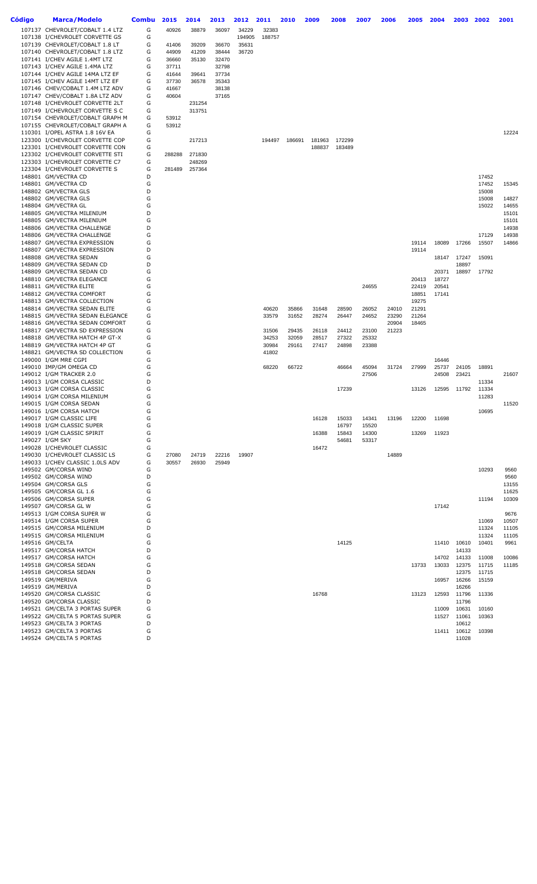| Código | <b>Marca/Modelo</b>                                                | <b>Combu</b> | 2015           | 2014             | 2013           | 2012   | 2011           | 2010   | 2009   | 2008           | 2007           | 2006  | 2005           | 2004  | 2003           | 2002           | 2001           |
|--------|--------------------------------------------------------------------|--------------|----------------|------------------|----------------|--------|----------------|--------|--------|----------------|----------------|-------|----------------|-------|----------------|----------------|----------------|
|        | 107137 CHEVROLET/COBALT 1.4 LTZ                                    | G            | 40926          | 38879            | 36097          | 34229  | 32383          |        |        |                |                |       |                |       |                |                |                |
|        | 107138 I/CHEVROLET CORVETTE GS                                     | G            |                |                  |                | 194905 | 188757         |        |        |                |                |       |                |       |                |                |                |
|        | 107139 CHEVROLET/COBALT 1.8 LT                                     | G            | 41406          | 39209            | 36670          | 35631  |                |        |        |                |                |       |                |       |                |                |                |
|        | 107140 CHEVROLET/COBALT 1.8 LTZ<br>107141 I/CHEV AGILE 1.4MT LTZ   | G<br>G       | 44909<br>36660 | 41209<br>35130   | 38444<br>32470 | 36720  |                |        |        |                |                |       |                |       |                |                |                |
|        | 107143 I/CHEV AGILE 1.4MA LTZ                                      | G            | 37711          |                  | 32798          |        |                |        |        |                |                |       |                |       |                |                |                |
|        | 107144 I/CHEV AGILE 14MA LTZ EF                                    | G            | 41644          | 39641            | 37734          |        |                |        |        |                |                |       |                |       |                |                |                |
|        | 107145 I/CHEV AGILE 14MT LTZ EF                                    | G            | 37730          | 36578            | 35343          |        |                |        |        |                |                |       |                |       |                |                |                |
|        | 107146 CHEV/COBALT 1.4M LTZ ADV                                    | G            | 41667          |                  | 38138          |        |                |        |        |                |                |       |                |       |                |                |                |
|        | 107147 CHEV/COBALT 1.8A LTZ ADV                                    | G            | 40604          |                  | 37165          |        |                |        |        |                |                |       |                |       |                |                |                |
|        | 107148 I/CHEVROLET CORVETTE 2LT<br>107149 I/CHEVROLET CORVETTE S C | G<br>G       |                | 231254<br>313751 |                |        |                |        |        |                |                |       |                |       |                |                |                |
|        | 107154 CHEVROLET/COBALT GRAPH M                                    | G            | 53912          |                  |                |        |                |        |        |                |                |       |                |       |                |                |                |
|        | 107155 CHEVROLET/COBALT GRAPH A                                    | G            | 53912          |                  |                |        |                |        |        |                |                |       |                |       |                |                |                |
|        | 110301 I/OPEL ASTRA 1.8 16V EA                                     | G            |                |                  |                |        |                |        |        |                |                |       |                |       |                |                | 12224          |
|        | 123300 I/CHEVROLET CORVETTE COP                                    | G            |                | 217213           |                |        | 194497         | 186691 | 181963 | 172299         |                |       |                |       |                |                |                |
|        | 123301 I/CHEVROLET CORVETTE CON                                    | G            |                |                  |                |        |                |        | 188837 | 183489         |                |       |                |       |                |                |                |
|        | 123302 I/CHEVROLET CORVETTE STI<br>123303 I/CHEVROLET CORVETTE C7  | G<br>G       | 288288         | 271830<br>248269 |                |        |                |        |        |                |                |       |                |       |                |                |                |
|        | 123304 I/CHEVROLET CORVETTE S                                      | G            | 281489         | 257364           |                |        |                |        |        |                |                |       |                |       |                |                |                |
|        | 148801 GM/VECTRA CD                                                | D            |                |                  |                |        |                |        |        |                |                |       |                |       |                | 17452          |                |
|        | 148801 GM/VECTRA CD                                                | G            |                |                  |                |        |                |        |        |                |                |       |                |       |                | 17452          | 15345          |
|        | 148802 GM/VECTRA GLS                                               | D            |                |                  |                |        |                |        |        |                |                |       |                |       |                | 15008          |                |
|        | 148802 GM/VECTRA GLS<br>148804 GM/VECTRA GL                        | G<br>G       |                |                  |                |        |                |        |        |                |                |       |                |       |                | 15008          | 14827          |
|        | 148805 GM/VECTRA MILENIUM                                          | D            |                |                  |                |        |                |        |        |                |                |       |                |       |                | 15022          | 14655<br>15101 |
|        | 148805 GM/VECTRA MILENIUM                                          | G            |                |                  |                |        |                |        |        |                |                |       |                |       |                |                | 15101          |
|        | 148806 GM/VECTRA CHALLENGE                                         | D            |                |                  |                |        |                |        |        |                |                |       |                |       |                |                | 14938          |
|        | 148806 GM/VECTRA CHALLENGE                                         | G            |                |                  |                |        |                |        |        |                |                |       |                |       |                | 17129          | 14938          |
|        | 148807 GM/VECTRA EXPRESSION                                        | G            |                |                  |                |        |                |        |        |                |                |       | 19114          | 18089 | 17266          | 15507          | 14866          |
|        | 148807 GM/VECTRA EXPRESSION<br>148808 GM/VECTRA SEDAN              | D            |                |                  |                |        |                |        |        |                |                |       | 19114          |       |                |                |                |
|        | 148809 GM/VECTRA SEDAN CD                                          | G<br>D       |                |                  |                |        |                |        |        |                |                |       |                | 18147 | 17247<br>18897 | 15091          |                |
|        | 148809 GM/VECTRA SEDAN CD                                          | G            |                |                  |                |        |                |        |        |                |                |       |                | 20371 | 18897          | 17792          |                |
|        | 148810 GM/VECTRA ELEGANCE                                          | G            |                |                  |                |        |                |        |        |                |                |       | 20413          | 18727 |                |                |                |
|        | 148811 GM/VECTRA ELITE                                             | G            |                |                  |                |        |                |        |        |                | 24655          |       | 22419          | 20541 |                |                |                |
|        | 148812 GM/VECTRA COMFORT                                           | G            |                |                  |                |        |                |        |        |                |                |       | 18851          | 17141 |                |                |                |
|        | 148813 GM/VECTRA COLLECTION<br>148814 GM/VECTRA SEDAN ELITE        | G<br>G       |                |                  |                |        | 40620          | 35866  | 31648  | 28590          | 26052          | 24010 | 19275<br>21291 |       |                |                |                |
|        | 148815 GM/VECTRA SEDAN ELEGANCE                                    | G            |                |                  |                |        | 33579          | 31652  | 28274  | 26447          | 24652          | 23290 | 21264          |       |                |                |                |
|        | 148816 GM/VECTRA SEDAN COMFORT                                     | G            |                |                  |                |        |                |        |        |                |                | 20904 | 18465          |       |                |                |                |
|        | 148817 GM/VECTRA SD EXPRESSION                                     | G            |                |                  |                |        | 31506          | 29435  | 26118  | 24412          | 23100          | 21223 |                |       |                |                |                |
|        | 148818 GM/VECTRA HATCH 4P GT-X                                     | G            |                |                  |                |        | 34253          | 32059  | 28517  | 27322          | 25332          |       |                |       |                |                |                |
|        | 148819 GM/VECTRA HATCH 4P GT<br>148821 GM/VECTRA SD COLLECTION     | G<br>G       |                |                  |                |        | 30984<br>41802 | 29161  | 27417  | 24898          | 23388          |       |                |       |                |                |                |
|        | 149000 I/GM MRE CGPI                                               | G            |                |                  |                |        |                |        |        |                |                |       |                | 16446 |                |                |                |
|        | 149010 IMP/GM OMEGA CD                                             | G            |                |                  |                |        | 68220          | 66722  |        | 46664          | 45094          | 31724 | 27999          | 25737 | 24105          | 18891          |                |
|        | 149012 I/GM TRACKER 2.0                                            | G            |                |                  |                |        |                |        |        |                | 27506          |       |                | 24508 | 23421          |                | 21607          |
|        | 149013 I/GM CORSA CLASSIC<br>149013 I/GM CORSA CLASSIC             | D<br>G       |                |                  |                |        |                |        |        |                |                |       |                |       |                | 11334          |                |
|        | 149014 I/GM CORSA MILENIUM                                         | G            |                |                  |                |        |                |        |        | 17239          |                |       | 13126          | 12595 | 11792          | 11334<br>11283 |                |
|        | 149015 I/GM CORSA SEDAN                                            | G            |                |                  |                |        |                |        |        |                |                |       |                |       |                |                | 11520          |
|        | 149016 I/GM CORSA HATCH                                            | G            |                |                  |                |        |                |        |        |                |                |       |                |       |                | 10695          |                |
|        | 149017 I/GM CLASSIC LIFE                                           | G            |                |                  |                |        |                |        | 16128  | 15033          | 14341          | 13196 | 12200          | 11698 |                |                |                |
|        | 149018 I/GM CLASSIC SUPER                                          | G<br>G       |                |                  |                |        |                |        |        | 16797          | 15520          |       |                |       |                |                |                |
|        | 149019 I/GM CLASSIC SPIRIT<br>149027 I/GM SKY                      | G            |                |                  |                |        |                |        | 16388  | 15843<br>54681 | 14300<br>53317 |       | 13269          | 11923 |                |                |                |
|        | 149028 I/CHEVROLET CLASSIC                                         | G            |                |                  |                |        |                |        | 16472  |                |                |       |                |       |                |                |                |
|        | 149030 I/CHEVROLET CLASSIC LS                                      | G            | 27080          | 24719            | 22216          | 19907  |                |        |        |                |                | 14889 |                |       |                |                |                |
|        | 149033 I/CHEV CLASSIC 1.0LS ADV                                    | G            | 30557          | 26930            | 25949          |        |                |        |        |                |                |       |                |       |                |                |                |
|        | 149502 GM/CORSA WIND                                               | G            |                |                  |                |        |                |        |        |                |                |       |                |       |                | 10293          | 9560           |
|        | 149502 GM/CORSA WIND                                               | D<br>G       |                |                  |                |        |                |        |        |                |                |       |                |       |                |                | 9560           |
|        | 149504 GM/CORSA GLS<br>149505 GM/CORSA GL 1.6                      | G            |                |                  |                |        |                |        |        |                |                |       |                |       |                |                | 13155<br>11625 |
|        | 149506 GM/CORSA SUPER                                              | G            |                |                  |                |        |                |        |        |                |                |       |                |       |                | 11194          | 10309          |
|        | 149507 GM/CORSA GL W                                               | G            |                |                  |                |        |                |        |        |                |                |       |                | 17142 |                |                |                |
|        | 149513 I/GM CORSA SUPER W                                          | G            |                |                  |                |        |                |        |        |                |                |       |                |       |                |                | 9676           |
|        | 149514 I/GM CORSA SUPER                                            | G            |                |                  |                |        |                |        |        |                |                |       |                |       |                | 11069          | 10507          |
|        | 149515 GM/CORSA MILENIUM<br>149515 GM/CORSA MILENIUM               | D<br>G       |                |                  |                |        |                |        |        |                |                |       |                |       |                | 11324<br>11324 | 11105<br>11105 |
|        | 149516 GM/CELTA                                                    | G            |                |                  |                |        |                |        |        | 14125          |                |       |                | 11410 | 10610          | 10401          | 9961           |
|        | 149517 GM/CORSA HATCH                                              | D            |                |                  |                |        |                |        |        |                |                |       |                |       | 14133          |                |                |
|        | 149517 GM/CORSA HATCH                                              | G            |                |                  |                |        |                |        |        |                |                |       |                | 14702 | 14133          | 11008          | 10086          |
|        | 149518 GM/CORSA SEDAN                                              | G            |                |                  |                |        |                |        |        |                |                |       | 13733          | 13033 | 12375          | 11715          | 11185          |
|        | 149518 GM/CORSA SEDAN                                              | D            |                |                  |                |        |                |        |        |                |                |       |                |       | 12375          | 11715          |                |
|        | 149519 GM/MERIVA<br>149519 GM/MERIVA                               | G<br>D       |                |                  |                |        |                |        |        |                |                |       |                | 16957 | 16266<br>16266 | 15159          |                |
|        | 149520 GM/CORSA CLASSIC                                            | G            |                |                  |                |        |                |        | 16768  |                |                |       | 13123          | 12593 | 11796          | 11336          |                |
|        | 149520 GM/CORSA CLASSIC                                            | D            |                |                  |                |        |                |        |        |                |                |       |                |       | 11796          |                |                |
|        | 149521 GM/CELTA 3 PORTAS SUPER                                     | G            |                |                  |                |        |                |        |        |                |                |       |                | 11009 | 10631          | 10160          |                |
|        | 149522 GM/CELTA 5 PORTAS SUPER                                     | G<br>D       |                |                  |                |        |                |        |        |                |                |       |                | 11527 | 11061          | 10363          |                |
|        | 149523 GM/CELTA 3 PORTAS<br>149523 GM/CELTA 3 PORTAS               | G            |                |                  |                |        |                |        |        |                |                |       |                | 11411 | 10612<br>10612 | 10398          |                |
|        | 149524 GM/CELTA 5 PORTAS                                           | D            |                |                  |                |        |                |        |        |                |                |       |                |       | 11028          |                |                |
|        |                                                                    |              |                |                  |                |        |                |        |        |                |                |       |                |       |                |                |                |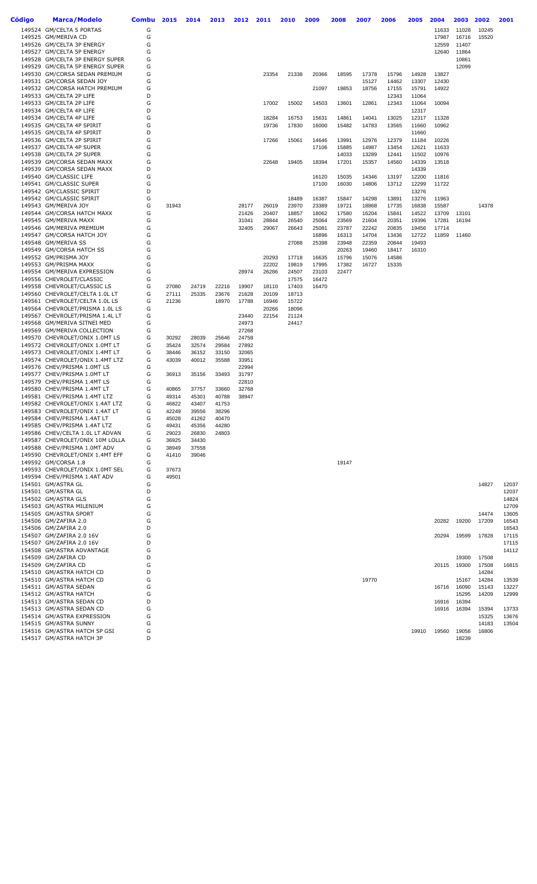| Código | Marca/Modelo                                                      | Combu  | 2015           | 2014           | 2013           | 2012           | 2011           | 2010           | 2009           | 2008           | 2007           | 2006           | 2005           | 2004           | 2003           | 2002           | 2001           |
|--------|-------------------------------------------------------------------|--------|----------------|----------------|----------------|----------------|----------------|----------------|----------------|----------------|----------------|----------------|----------------|----------------|----------------|----------------|----------------|
|        | 149524 GM/CELTA 5 PORTAS                                          | G      |                |                |                |                |                |                |                |                |                |                |                | 11633          | 11028          | 10245          |                |
|        | 149525 GM/MERIVA CD                                               | G      |                |                |                |                |                |                |                |                |                |                |                | 17987          | 16716          | 15520          |                |
|        | 149526 GM/CELTA 3P ENERGY<br>149527 GM/CELTA 5P ENERGY            | G<br>G |                |                |                |                |                |                |                |                |                |                |                | 12559<br>12640 | 11407<br>11864 |                |                |
|        | 149528 GM/CELTA 3P ENERGY SUPER                                   | G      |                |                |                |                |                |                |                |                |                |                |                |                | 10861          |                |                |
|        | 149529 GM/CELTA 5P ENERGY SUPER                                   | G      |                |                |                |                |                |                |                |                |                |                |                |                | 12099          |                |                |
|        | 149530 GM/CORSA SEDAN PREMIUM                                     | G      |                |                |                |                | 23354          | 21338          | 20366          | 18595          | 17378          | 15796          | 14928          | 13827          |                |                |                |
|        | 149531 GM/CORSA SEDAN JOY                                         | G      |                |                |                |                |                |                |                |                | 15127          | 14462          | 13307          | 12430          |                |                |                |
|        | 149532 GM/CORSA HATCH PREMIUM                                     | G<br>D |                |                |                |                |                |                | 21097          | 19853          | 18756          | 17155          | 15791          | 14922          |                |                |                |
|        | 149533 GM/CELTA 2P LIFE<br>149533 GM/CELTA 2P LIFE                | G      |                |                |                |                | 17002          | 15002          | 14503          | 13601          | 12861          | 12343<br>12343 | 11064<br>11064 | 10094          |                |                |                |
|        | 149534 GM/CELTA 4P LIFE                                           | D      |                |                |                |                |                |                |                |                |                |                | 12317          |                |                |                |                |
|        | 149534 GM/CELTA 4P LIFE                                           | G      |                |                |                |                | 18284          | 16753          | 15631          | 14861          | 14041          | 13025          | 12317          | 11328          |                |                |                |
|        | 149535 GM/CELTA 4P SPIRIT                                         | G      |                |                |                |                | 19736          | 17830          | 16000          | 15482          | 14783          | 13565          | 11660          | 10962          |                |                |                |
|        | 149535 GM/CELTA 4P SPIRIT                                         | D      |                |                |                |                |                |                |                |                |                |                | 11660          |                |                |                |                |
|        | 149536 GM/CELTA 2P SPIRIT<br>149537 GM/CELTA 4P SUPER             | G<br>G |                |                |                |                | 17266          | 15061          | 14646<br>17106 | 13991<br>15885 | 12976<br>14987 | 12379<br>13454 | 11184<br>12621 | 10226<br>11633 |                |                |                |
|        | 149538 GM/CELTA 2P SUPER                                          | G      |                |                |                |                |                |                |                | 14033          | 13289          | 12441          | 11502          | 10976          |                |                |                |
|        | 149539 GM/CORSA SEDAN MAXX                                        | G      |                |                |                |                | 22648          | 19405          | 18394          | 17201          | 15357          | 14560          | 14339          | 13518          |                |                |                |
|        | 149539 GM/CORSA SEDAN MAXX                                        | D      |                |                |                |                |                |                |                |                |                |                | 14339          |                |                |                |                |
|        | 149540 GM/CLASSIC LIFE                                            | G      |                |                |                |                |                |                | 16120          | 15035          | 14346          | 13197          | 12200          | 11816          |                |                |                |
|        | 149541 GM/CLASSIC SUPER                                           | G      |                |                |                |                |                |                | 17100          | 16030          | 14806          | 13712          | 12299          | 11722          |                |                |                |
|        | 149542 GM/CLASSIC SPIRIT<br>149542 GM/CLASSIC SPIRIT              | D<br>G |                |                |                |                |                | 18489          | 16387          | 15847          | 14298          | 13891          | 13276<br>13276 | 11963          |                |                |                |
|        | 149543 GM/MERIVA JOY                                              | G      | 31943          |                |                | 28177          | 26019          | 23970          | 23389          | 19721          | 18868          | 17735          | 16838          | 15587          |                | 14378          |                |
|        | 149544 GM/CORSA HATCH MAXX                                        | G      |                |                |                | 21426          | 20407          | 18857          | 18062          | 17580          | 16204          | 15841          | 14522          | 13709          | 13101          |                |                |
|        | 149545 GM/MERIVA MAXX                                             | G      |                |                |                | 31041          | 28844          | 26540          | 25064          | 23569          | 21604          | 20351          | 19396          | 17281          | 16194          |                |                |
|        | 149546 GM/MERIVA PREMIUM                                          | G      |                |                |                | 32405          | 29067          | 26643          | 25081          | 23787          | 22242          | 20835          | 19456          | 17714          |                |                |                |
|        | 149547 GM/CORSA HATCH JOY                                         | G      |                |                |                |                |                |                | 16896          | 16313          | 14704          | 13436          | 12722          | 11859          | 11460          |                |                |
|        | 149548 GM/MERIVA SS                                               | G      |                |                |                |                |                | 27088          | 25398          | 23948          | 22359          | 20844          | 19493          |                |                |                |                |
|        | 149549 GM/CORSA HATCH SS<br>149552 GM/PRISMA JOY                  | G<br>G |                |                |                |                | 20293          | 17718          | 16635          | 20263<br>15796 | 19460<br>15076 | 18417<br>14586 | 16310          |                |                |                |                |
|        | 149553 GM/PRISMA MAXX                                             | G      |                |                |                |                | 22202          | 19819          | 17995          | 17382          | 16727          | 15335          |                |                |                |                |                |
|        | 149554 GM/MERIVA EXPRESSION                                       | G      |                |                |                | 28974          | 26286          | 24507          | 23103          | 22477          |                |                |                |                |                |                |                |
|        | 149556 CHEVROLET/CLASSIC                                          | G      |                |                |                |                |                | 17575          | 16472          |                |                |                |                |                |                |                |                |
|        | 149558 CHEVROLET/CLASSIC LS                                       | G      | 27080          | 24719          | 22216          | 19907          | 18110          | 17403          | 16470          |                |                |                |                |                |                |                |                |
|        | 149560 CHEVROLET/CELTA 1.0L LT                                    | G      | 27111          | 25335          | 23676          | 21628          | 20109          | 18713          |                |                |                |                |                |                |                |                |                |
|        | 149561 CHEVROLET/CELTA 1.0L LS<br>149564 CHEVROLET/PRISMA 1.0L LS | G<br>G | 21236          |                | 18970          | 17788          | 16946<br>20266 | 15722<br>18096 |                |                |                |                |                |                |                |                |                |
|        | 149567 CHEVROLET/PRISMA 1.4L LT                                   | G      |                |                |                | 23440          | 22154          | 21124          |                |                |                |                |                |                |                |                |                |
|        | 149568 GM/MERIVA SITNEI MED                                       | G      |                |                |                | 24973          |                | 24417          |                |                |                |                |                |                |                |                |                |
|        | 149569 GM/MERIVA COLLECTION                                       | G      |                |                |                | 27268          |                |                |                |                |                |                |                |                |                |                |                |
|        | 149570 CHEVROLET/ONIX 1.0MT LS                                    | G      | 30292          | 28039          | 25646          | 24758          |                |                |                |                |                |                |                |                |                |                |                |
|        | 149572 CHEVROLET/ONIX 1.0MT LT                                    | G      | 35424          | 32574          | 29584          | 27892          |                |                |                |                |                |                |                |                |                |                |                |
|        | 149573 CHEVROLET/ONIX 1.4MT LT                                    | G<br>G | 38446          | 36152          | 33150          | 32065          |                |                |                |                |                |                |                |                |                |                |                |
|        | 149574 CHEVROLET/ONIX 1.4MT LTZ<br>149576 CHEV/PRISMA 1.0MT LS    | G      | 43039          | 40012          | 35588          | 33951<br>22994 |                |                |                |                |                |                |                |                |                |                |                |
|        | 149577 CHEV/PRISMA 1.0MT LT                                       | G      | 36913          | 35156          | 33493          | 31797          |                |                |                |                |                |                |                |                |                |                |                |
|        | 149579 CHEV/PRISMA 1.4MT LS                                       | G      |                |                |                | 22810          |                |                |                |                |                |                |                |                |                |                |                |
|        | 149580 CHEV/PRISMA 1.4MT LT                                       | G      | 40865          | 37757          | 33660          | 32768          |                |                |                |                |                |                |                |                |                |                |                |
|        | 149581 CHEV/PRISMA 1.4MT LTZ                                      | G      | 49314          | 45301          | 40788          | 38947          |                |                |                |                |                |                |                |                |                |                |                |
|        | 149582 CHEVROLET/ONIX 1.4AT LTZ<br>149583 CHEVROLET/ONIX 1.4AT LT | G      | 46822<br>42249 | 43407          | 41753          |                |                |                |                |                |                |                |                |                |                |                |                |
|        | 149584 CHEV/PRISMA 1.4AT LT                                       | G<br>G | 45028          | 39556<br>41262 | 38296<br>40470 |                |                |                |                |                |                |                |                |                |                |                |                |
|        | 149585 CHEV/PRISMA 1.4AT LTZ                                      | G      | 49431          | 45356          | 44280          |                |                |                |                |                |                |                |                |                |                |                |                |
|        | 149586 CHEV/CELTA 1.0L LT ADVAN                                   | G      | 29023          | 26830          | 24803          |                |                |                |                |                |                |                |                |                |                |                |                |
|        | 149587 CHEVROLET/ONIX 10M LOLLA                                   | G      | 36925          | 34430          |                |                |                |                |                |                |                |                |                |                |                |                |                |
|        | 149588 CHEV/PRISMA 1.0MT ADV                                      | G      | 38949          | 37558          |                |                |                |                |                |                |                |                |                |                |                |                |                |
|        | 149590 CHEVROLET/ONIX 1.4MT EFF<br>149592 GM/CORSA 1.8            | G<br>G | 41410          | 39046          |                |                |                |                |                | 19147          |                |                |                |                |                |                |                |
|        | 149593 CHEVROLET/ONIX 1.0MT SEL                                   | G      | 37673          |                |                |                |                |                |                |                |                |                |                |                |                |                |                |
|        | 149594 CHEV/PRISMA 1.4AT ADV                                      | G      | 49501          |                |                |                |                |                |                |                |                |                |                |                |                |                |                |
|        | 154501 GM/ASTRA GL                                                | G      |                |                |                |                |                |                |                |                |                |                |                |                |                | 14827          | 12037          |
|        | 154501 GM/ASTRA GL                                                | D      |                |                |                |                |                |                |                |                |                |                |                |                |                |                | 12037          |
|        | 154502 GM/ASTRA GLS                                               | G      |                |                |                |                |                |                |                |                |                |                |                |                |                |                | 14824          |
|        | 154503 GM/ASTRA MILENIUM<br>154505 GM/ASTRA SPORT                 | G<br>G |                |                |                |                |                |                |                |                |                |                |                |                |                | 14474          | 12709<br>13605 |
|        | 154506 GM/ZAFIRA 2.0                                              | G      |                |                |                |                |                |                |                |                |                |                |                | 20282          | 19200          | 17209          | 16543          |
|        | 154506 GM/ZAFIRA 2.0                                              | D      |                |                |                |                |                |                |                |                |                |                |                |                |                |                | 16543          |
|        | 154507 GM/ZAFIRA 2.0 16V                                          | G      |                |                |                |                |                |                |                |                |                |                |                | 20294          | 19599          | 17828          | 17115          |
|        | 154507 GM/ZAFIRA 2.0 16V                                          | D      |                |                |                |                |                |                |                |                |                |                |                |                |                |                | 17115          |
|        | 154508 GM/ASTRA ADVANTAGE                                         | G      |                |                |                |                |                |                |                |                |                |                |                |                |                |                | 14112          |
|        | 154509 GM/ZAFIRA CD                                               | D      |                |                |                |                |                |                |                |                |                |                |                |                | 19300          | 17508          |                |
|        | 154509 GM/ZAFIRA CD<br>154510 GM/ASTRA HATCH CD                   | G<br>D |                |                |                |                |                |                |                |                |                |                |                | 20115          | 19300          | 17508<br>14284 | 16815          |
|        | 154510 GM/ASTRA HATCH CD                                          | G      |                |                |                |                |                |                |                |                | 19770          |                |                |                | 15167          | 14284          | 13539          |
|        | 154511 GM/ASTRA SEDAN                                             | G      |                |                |                |                |                |                |                |                |                |                |                |                | 16716 16090    | 15143          | 13227          |
|        | 154512 GM/ASTRA HATCH                                             | G      |                |                |                |                |                |                |                |                |                |                |                |                | 15295          | 14209          | 12999          |
|        | 154513 GM/ASTRA SEDAN CD                                          | D      |                |                |                |                |                |                |                |                |                |                |                | 16916          | 16394          |                |                |
|        | 154513 GM/ASTRA SEDAN CD                                          | G      |                |                |                |                |                |                |                |                |                |                |                | 16916          | 16394          | 15394          | 13733          |
|        | 154514 GM/ASTRA EXPRESSION<br>154515 GM/ASTRA SUNNY               | G<br>G |                |                |                |                |                |                |                |                |                |                |                |                |                | 15325<br>14183 | 13676<br>13504 |
|        | 154516 GM/ASTRA HATCH 5P GSI                                      | G      |                |                |                |                |                |                |                |                |                |                | 19910          | 19560          | 19056          | 16806          |                |
|        | 154517 GM/ASTRA HATCH 3P                                          | D      |                |                |                |                |                |                |                |                |                |                |                |                | 18239          |                |                |
|        |                                                                   |        |                |                |                |                |                |                |                |                |                |                |                |                |                |                |                |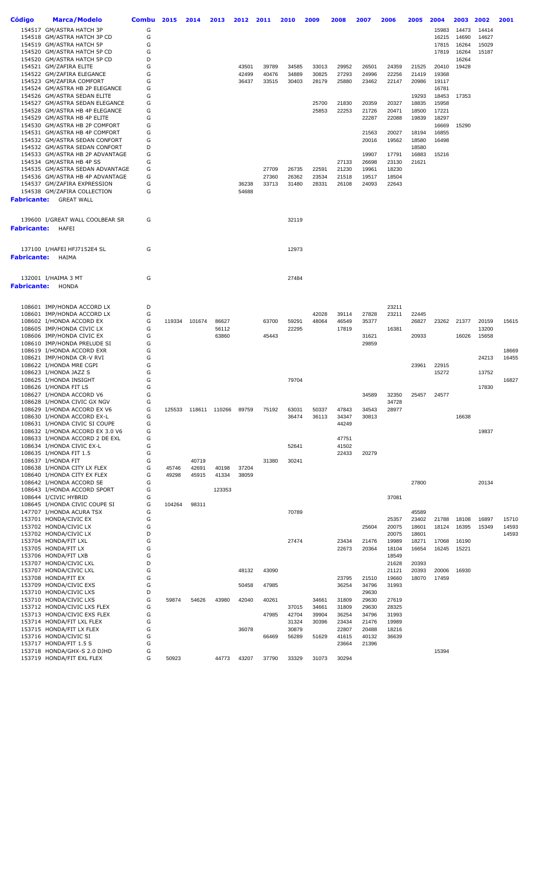| <b>Código</b>      | <b>Marca/Modelo</b>                                         | Combu  | 2015   | 2014   | 2013          | 2012  | 2011  | 2010  | 2009  | 2008           | 2007           | 2006           | 2005           | 2004           | 2003           | 2002           | 2001           |
|--------------------|-------------------------------------------------------------|--------|--------|--------|---------------|-------|-------|-------|-------|----------------|----------------|----------------|----------------|----------------|----------------|----------------|----------------|
|                    |                                                             |        |        |        |               |       |       |       |       |                |                |                |                |                |                |                |                |
|                    | 154517 GM/ASTRA HATCH 3P<br>154518 GM/ASTRA HATCH 3P CD     | G<br>G |        |        |               |       |       |       |       |                |                |                |                | 15983<br>16215 | 14473<br>14690 | 14414<br>14627 |                |
|                    | 154519 GM/ASTRA HATCH 5P                                    | G      |        |        |               |       |       |       |       |                |                |                |                | 17815          | 16264          | 15029          |                |
|                    | 154520 GM/ASTRA HATCH 5P CD                                 | G      |        |        |               |       |       |       |       |                |                |                |                | 17819          | 16264          | 15187          |                |
|                    | 154520 GM/ASTRA HATCH 5P CD                                 | D      |        |        |               |       |       |       |       |                |                |                |                |                | 16264          |                |                |
|                    | 154521 GM/ZAFIRA ELITE                                      | G      |        |        |               | 43501 | 39789 | 34585 | 33013 | 29952          | 26501          | 24359          | 21525          | 20410          | 19428          |                |                |
|                    | 154522 GM/ZAFIRA ELEGANCE                                   | G      |        |        |               | 42499 | 40476 | 34889 | 30825 | 27293          | 24996          | 22256          | 21419          | 19368          |                |                |                |
|                    | 154523 GM/ZAFIRA COMFORT                                    | G      |        |        |               | 36437 | 33515 | 30403 | 28179 | 25880          | 23462          | 22147          | 20986          | 19117          |                |                |                |
|                    | 154524 GM/ASTRA HB 2P ELEGANCE                              | G      |        |        |               |       |       |       |       |                |                |                |                | 16781          |                |                |                |
|                    | 154526 GM/ASTRA SEDAN ELITE                                 | G      |        |        |               |       |       |       |       |                |                |                | 19293          | 18453          | 17353          |                |                |
|                    | 154527 GM/ASTRA SEDAN ELEGANCE                              | G      |        |        |               |       |       |       | 25700 | 21830          | 20359          | 20327          | 18835          | 15958          |                |                |                |
|                    | 154528 GM/ASTRA HB 4P ELEGANCE                              | G      |        |        |               |       |       |       | 25853 | 22253          | 21726          | 20471          | 18500          | 17221          |                |                |                |
|                    | 154529 GM/ASTRA HB 4P ELITE                                 | G      |        |        |               |       |       |       |       |                | 22287          | 22088          | 19839          | 18297          |                |                |                |
|                    | 154530 GM/ASTRA HB 2P COMFORT                               | G      |        |        |               |       |       |       |       |                |                |                |                | 16669          | 15290          |                |                |
|                    | 154531 GM/ASTRA HB 4P COMFORT                               | G      |        |        |               |       |       |       |       |                | 21563          | 20027          | 18194          | 16855          |                |                |                |
|                    | 154532 GM/ASTRA SEDAN CONFORT                               | G      |        |        |               |       |       |       |       |                | 20016          | 19562          | 18580          | 16498          |                |                |                |
|                    | 154532 GM/ASTRA SEDAN CONFORT                               | D      |        |        |               |       |       |       |       |                |                |                | 18580          |                |                |                |                |
|                    | 154533 GM/ASTRA HB 2P ADVANTAGE                             | G<br>G |        |        |               |       |       |       |       |                | 19907          | 17791          | 16883          | 15216          |                |                |                |
|                    | 154534 GM/ASTRA HB 4P SS<br>154535 GM/ASTRA SEDAN ADVANTAGE | G      |        |        |               |       | 27709 | 26735 | 22591 | 27133<br>21230 | 26698<br>19961 | 23130<br>18230 | 21621          |                |                |                |                |
|                    | 154536 GM/ASTRA HB 4P ADVANTAGE                             | G      |        |        |               |       | 27360 | 26362 | 23534 | 21518          | 19517          | 18504          |                |                |                |                |                |
|                    | 154537 GM/ZAFIRA EXPRESSION                                 | G      |        |        |               | 36238 | 33713 | 31480 | 28331 | 26108          | 24093          | 22643          |                |                |                |                |                |
|                    | 154538 GM/ZAFIRA COLLECTION                                 | G      |        |        |               | 54688 |       |       |       |                |                |                |                |                |                |                |                |
|                    | <b>Fabricante:</b> GREAT WALL                               |        |        |        |               |       |       |       |       |                |                |                |                |                |                |                |                |
|                    |                                                             |        |        |        |               |       |       |       |       |                |                |                |                |                |                |                |                |
|                    |                                                             |        |        |        |               |       |       |       |       |                |                |                |                |                |                |                |                |
|                    | 139600 I/GREAT WALL COOLBEAR SR                             | G      |        |        |               |       |       | 32119 |       |                |                |                |                |                |                |                |                |
| <b>Fabricante:</b> | HAFEI                                                       |        |        |        |               |       |       |       |       |                |                |                |                |                |                |                |                |
|                    |                                                             |        |        |        |               |       |       |       |       |                |                |                |                |                |                |                |                |
|                    |                                                             |        |        |        |               |       |       |       |       |                |                |                |                |                |                |                |                |
|                    | 137100 I/HAFEI HFJ7152E4 SL                                 | G      |        |        |               |       |       | 12973 |       |                |                |                |                |                |                |                |                |
| <b>Fabricante:</b> | HAIMA                                                       |        |        |        |               |       |       |       |       |                |                |                |                |                |                |                |                |
|                    |                                                             |        |        |        |               |       |       |       |       |                |                |                |                |                |                |                |                |
|                    | 132001 I/HAIMA 3 MT                                         | G      |        |        |               |       |       | 27484 |       |                |                |                |                |                |                |                |                |
|                    | <b>Fabricante:</b> HONDA                                    |        |        |        |               |       |       |       |       |                |                |                |                |                |                |                |                |
|                    |                                                             |        |        |        |               |       |       |       |       |                |                |                |                |                |                |                |                |
|                    |                                                             |        |        |        |               |       |       |       |       |                |                |                |                |                |                |                |                |
|                    | 108601 IMP/HONDA ACCORD LX                                  | D      |        |        |               |       |       |       |       |                |                | 23211          |                |                |                |                |                |
|                    | 108601 IMP/HONDA ACCORD LX                                  | G      |        |        |               |       |       |       | 42028 | 39114          | 27828          | 23211          | 22445          |                |                |                |                |
|                    | 108602 I/HONDA ACCORD EX                                    | G      | 119334 | 101674 | 86627         |       | 63700 | 59291 | 48064 | 46549          | 35377          |                | 26827          | 23262          | 21377          | 20159          | 15615          |
|                    | 108605 IMP/HONDA CIVIC LX                                   | G      |        |        | 56112         |       |       | 22295 |       | 17819          |                | 16381          |                |                |                | 13200          |                |
|                    | 108606 IMP/HONDA CIVIC EX                                   | G      |        |        | 63860         |       | 45443 |       |       |                | 31621          |                | 20933          |                | 16026          | 15658          |                |
|                    | 108610 IMP/HONDA PRELUDE SI                                 | G      |        |        |               |       |       |       |       |                | 29859          |                |                |                |                |                |                |
|                    | 108619 I/HONDA ACCORD EXR                                   | G      |        |        |               |       |       |       |       |                |                |                |                |                |                |                | 18669          |
|                    | 108621 IMP/HONDA CR-V RVI                                   | G      |        |        |               |       |       |       |       |                |                |                |                |                |                | 24213          | 16455          |
|                    | 108622 I/HONDA MRE CGPI                                     | G      |        |        |               |       |       |       |       |                |                |                | 23961          | 22915          |                |                |                |
|                    | 108623 I/HONDA JAZZ S                                       | G      |        |        |               |       |       |       |       |                |                |                |                | 15272          |                | 13752          |                |
|                    | 108625 I/HONDA INSIGHT                                      | G      |        |        |               |       |       | 79704 |       |                |                |                |                |                |                |                | 16827          |
|                    | 108626 I/HONDA FIT LS<br>108627 I/HONDA ACCORD V6           | G<br>G |        |        |               |       |       |       |       |                | 34589          | 32350          | 25457          | 24577          |                | 17830          |                |
|                    | 108628 I/HONDA CIVIC GX NGV                                 | G      |        |        |               |       |       |       |       |                |                | 34728          |                |                |                |                |                |
|                    | 108629 I/HONDA ACCORD EX V6                                 | G      | 125533 |        | 118611 110266 | 89759 | 75192 | 63031 | 50337 | 47843          | 34543          | 28977          |                |                |                |                |                |
|                    | 108630 I/HONDA ACCORD EX-L                                  | G      |        |        |               |       |       | 36474 | 36113 | 34347          | 30813          |                |                |                | 16638          |                |                |
|                    | 108631 I/HONDA CIVIC SI COUPE                               | G      |        |        |               |       |       |       |       | 44249          |                |                |                |                |                |                |                |
|                    | 108632 I/HONDA ACCORD EX 3.0 V6                             | G      |        |        |               |       |       |       |       |                |                |                |                |                |                | 19837          |                |
|                    | 108633 I/HONDA ACCORD 2 DE EXL                              | G      |        |        |               |       |       |       |       | 47751          |                |                |                |                |                |                |                |
|                    | 108634 I/HONDA CIVIC EX-L                                   | G      |        |        |               |       |       | 52641 |       | 41502          |                |                |                |                |                |                |                |
|                    | 108635 I/HONDA FIT 1.5                                      | G      |        |        |               |       |       |       |       | 22433          | 20279          |                |                |                |                |                |                |
|                    | 108637 I/HONDA FIT                                          | G      |        | 40719  |               |       | 31380 | 30241 |       |                |                |                |                |                |                |                |                |
|                    | 108638 I/HONDA CITY LX FLEX                                 | G      | 45746  | 42691  | 40198         | 37204 |       |       |       |                |                |                |                |                |                |                |                |
|                    | 108640 I/HONDA CITY EX FLEX                                 | G      | 49298  | 45915  | 41334         | 38059 |       |       |       |                |                |                |                |                |                |                |                |
|                    | 108642 I/HONDA ACCORD SE                                    | G      |        |        |               |       |       |       |       |                |                |                | 27800          |                |                | 20134          |                |
|                    | 108643 I/HONDA ACCORD SPORT                                 | G      |        |        | 123353        |       |       |       |       |                |                |                |                |                |                |                |                |
|                    | 108644 I/CIVIC HYBRID                                       | G      |        |        |               |       |       |       |       |                |                | 37081          |                |                |                |                |                |
|                    | 108645 I/HONDA CIVIC COUPE SI                               | G      | 104264 | 98311  |               |       |       |       |       |                |                |                |                |                |                |                |                |
|                    | 147707 I/HONDA ACURA TSX                                    | G      |        |        |               |       |       | 70789 |       |                |                |                | 45589          |                |                |                |                |
|                    | 153701 HONDA/CIVIC EX                                       | G<br>G |        |        |               |       |       |       |       |                |                | 25357          | 23402          | 21788          | 18108          | 16897          | 15710          |
|                    | 153702 HONDA/CIVIC LX<br>153702 HONDA/CIVIC LX              | D      |        |        |               |       |       |       |       |                | 25604          | 20075<br>20075 | 18601<br>18601 | 18124          | 16395          | 15349          | 14593<br>14593 |
|                    | 153704 HONDA/FIT LXL                                        | G      |        |        |               |       |       | 27474 |       | 23434          | 21476          | 19989          | 18271          | 17068          | 16190          |                |                |
|                    | 153705 HONDA/FIT LX                                         | G      |        |        |               |       |       |       |       | 22673          | 20364          | 18104          | 16654          | 16245          | 15221          |                |                |
|                    | 153706 HONDA/FIT LXB                                        | G      |        |        |               |       |       |       |       |                |                | 18549          |                |                |                |                |                |
|                    | 153707 HONDA/CIVIC LXL                                      | D      |        |        |               |       |       |       |       |                |                | 21628          | 20393          |                |                |                |                |
|                    | 153707 HONDA/CIVIC LXL                                      | G      |        |        |               | 48132 | 43090 |       |       |                |                | 21121          | 20393          | 20006          | 16930          |                |                |
|                    | 153708 HONDA/FIT EX                                         | G      |        |        |               |       |       |       |       | 23795          | 21510          | 19660          | 18070          | 17459          |                |                |                |
|                    | 153709 HONDA/CIVIC EXS                                      | G      |        |        |               | 50458 | 47985 |       |       | 36254          | 34796          | 31993          |                |                |                |                |                |
|                    | 153710 HONDA/CIVIC LXS                                      | D      |        |        |               |       |       |       |       |                | 29630          |                |                |                |                |                |                |
|                    | 153710 HONDA/CIVIC LXS                                      | G      | 59874  | 54626  | 43980         | 42040 | 40261 |       | 34661 | 31809          | 29630          | 27619          |                |                |                |                |                |
|                    | 153712 HONDA/CIVIC LXS FLEX                                 | G      |        |        |               |       |       | 37015 | 34661 | 31809          | 29630          | 28325          |                |                |                |                |                |
|                    | 153713 HONDA/CIVIC EXS FLEX                                 | G      |        |        |               |       | 47985 | 42704 | 39904 | 36254          | 34796          | 31993          |                |                |                |                |                |
|                    | 153714 HONDA/FIT LXL FLEX                                   | G      |        |        |               |       |       | 31324 | 30396 | 23434          | 21476          | 19989          |                |                |                |                |                |
|                    | 153715 HONDA/FIT LX FLEX                                    | G      |        |        |               | 36078 |       | 30879 |       | 22807          | 20488          | 18216          |                |                |                |                |                |
|                    | 153716 HONDA/CIVIC SI                                       | G      |        |        |               |       | 66469 | 56289 | 51629 | 41615          | 40132          | 36639          |                |                |                |                |                |
|                    | 153717 HONDA/FIT 1.5 S                                      | G      |        |        |               |       |       |       |       | 23664          | 21396          |                |                |                |                |                |                |
|                    | 153718 HONDA/GHX-S 2.0 DJHD                                 | G      |        |        |               |       |       |       |       |                |                |                |                | 15394          |                |                |                |
|                    | 153719 HONDA/FIT EXL FLEX                                   | G      | 50923  |        | 44773         | 43207 | 37790 | 33329 | 31073 | 30294          |                |                |                |                |                |                |                |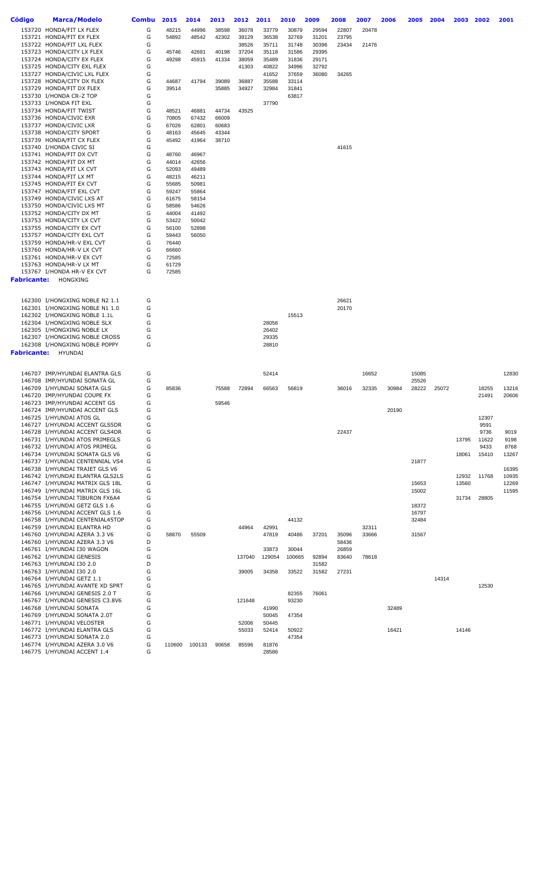| Código      | Marca/Modelo                                                      | <b>Combu</b> | 2015           | 2014           | 2013           | 2012           | 2011           | 2010           | 2009           | 2008           | 2007  | 2006  | 2005  | 2004  | 2003           | 2002  | 2001           |
|-------------|-------------------------------------------------------------------|--------------|----------------|----------------|----------------|----------------|----------------|----------------|----------------|----------------|-------|-------|-------|-------|----------------|-------|----------------|
|             | 153720 HONDA/FIT LX FLEX                                          | G            | 48215          | 44996          | 38598          | 36078          | 33779          | 30879          | 29594          | 22807          | 20478 |       |       |       |                |       |                |
|             | 153721 HONDA/FIT EX FLEX                                          | G            | 54892          | 48542          | 42302          | 39129          | 36538          | 32769          | 31201          | 23795          |       |       |       |       |                |       |                |
|             | 153722 HONDA/FIT LXL FLEX                                         | G            |                |                |                | 38526          | 35711          | 31748          | 30396          | 23434          | 21476 |       |       |       |                |       |                |
|             | 153723 HONDA/CITY LX FLEX                                         | G            | 45746          | 42691          | 40198          | 37204          | 35118          | 31586          | 29395          |                |       |       |       |       |                |       |                |
|             | 153724 HONDA/CITY EX FLEX<br>153725 HONDA/CITY EXL FLEX           | G<br>G       | 49298          | 45915          | 41334          | 38059<br>41303 | 35489<br>40822 | 31836<br>34996 | 29171<br>32792 |                |       |       |       |       |                |       |                |
|             | 153727 HONDA/CIVIC LXL FLEX                                       | G            |                |                |                |                | 41652          | 37659          | 36080          | 34265          |       |       |       |       |                |       |                |
|             | 153728 HONDA/CITY DX FLEX                                         | G            | 44687          | 41794          | 39089          | 36887          | 35588          | 33114          |                |                |       |       |       |       |                |       |                |
|             | 153729 HONDA/FIT DX FLEX                                          | G            | 39514          |                | 35885          | 34927          | 32984          | 31841          |                |                |       |       |       |       |                |       |                |
|             | 153730 I/HONDA CR-Z TOP                                           | G            |                |                |                |                |                | 63817          |                |                |       |       |       |       |                |       |                |
|             | 153733 I/HONDA FIT EXL                                            | G            |                |                |                |                | 37790          |                |                |                |       |       |       |       |                |       |                |
|             | 153734 HONDA/FIT TWIST                                            | G            | 48521          | 46881          | 44734          | 43525          |                |                |                |                |       |       |       |       |                |       |                |
|             | 153736 HONDA/CIVIC EXR                                            | G<br>G       | 70805<br>67026 | 67432          | 66009<br>60683 |                |                |                |                |                |       |       |       |       |                |       |                |
|             | 153737 HONDA/CIVIC LXR<br>153738 HONDA/CITY SPORT                 | G            | 48163          | 62801<br>45645 | 43344          |                |                |                |                |                |       |       |       |       |                |       |                |
|             | 153739 HONDA/FIT CX FLEX                                          | G            | 45492          | 41964          | 38710          |                |                |                |                |                |       |       |       |       |                |       |                |
|             | 153740 I/HONDA CIVIC SI                                           | G            |                |                |                |                |                |                |                | 41615          |       |       |       |       |                |       |                |
|             | 153741 HONDA/FIT DX CVT                                           | G            | 48760          | 46967          |                |                |                |                |                |                |       |       |       |       |                |       |                |
|             | 153742 HONDA/FIT DX MT                                            | G            | 44014          | 42656          |                |                |                |                |                |                |       |       |       |       |                |       |                |
|             | 153743 HONDA/FIT LX CVT                                           | G            | 52093          | 49489          |                |                |                |                |                |                |       |       |       |       |                |       |                |
|             | 153744 HONDA/FIT LX MT                                            | G<br>G       | 48215          | 46211          |                |                |                |                |                |                |       |       |       |       |                |       |                |
|             | 153745 HONDA/FIT EX CVT<br>153747 HONDA/FIT EXL CVT               | G            | 55685<br>59247 | 50981<br>55864 |                |                |                |                |                |                |       |       |       |       |                |       |                |
|             | 153749 HONDA/CIVIC LXS AT                                         | G            | 61675          | 58154          |                |                |                |                |                |                |       |       |       |       |                |       |                |
|             | 153750 HONDA/CIVIC LXS MT                                         | G            | 58586          | 54626          |                |                |                |                |                |                |       |       |       |       |                |       |                |
|             | 153752 HONDA/CITY DX MT                                           | G            | 44004          | 41492          |                |                |                |                |                |                |       |       |       |       |                |       |                |
|             | 153753 HONDA/CITY LX CVT                                          | G            | 53422          | 50042          |                |                |                |                |                |                |       |       |       |       |                |       |                |
|             | 153755 HONDA/CITY EX CVT                                          | G            | 56100          | 52898          |                |                |                |                |                |                |       |       |       |       |                |       |                |
|             | 153757 HONDA/CITY EXL CVT                                         | G            | 59443          | 56050          |                |                |                |                |                |                |       |       |       |       |                |       |                |
|             | 153759 HONDA/HR-V EXL CVT                                         | G            | 76440          |                |                |                |                |                |                |                |       |       |       |       |                |       |                |
|             | 153760 HONDA/HR-V LX CVT<br>153761 HONDA/HR-V EX CVT              | G<br>G       | 66660<br>72585 |                |                |                |                |                |                |                |       |       |       |       |                |       |                |
|             | 153763 HONDA/HR-V LX MT                                           | G            | 61729          |                |                |                |                |                |                |                |       |       |       |       |                |       |                |
|             | 153767 I/HONDA HR-V EX CVT                                        | G            | 72585          |                |                |                |                |                |                |                |       |       |       |       |                |       |                |
| Fabricante: | <b>HONGXING</b>                                                   |              |                |                |                |                |                |                |                |                |       |       |       |       |                |       |                |
|             |                                                                   |              |                |                |                |                |                |                |                |                |       |       |       |       |                |       |                |
|             |                                                                   |              |                |                |                |                |                |                |                |                |       |       |       |       |                |       |                |
|             | 162300 I/HONGXING NOBLE N2 1.1<br>162301 I/HONGXING NOBLE N1 1.0  | G<br>G       |                |                |                |                |                |                |                | 26621<br>20170 |       |       |       |       |                |       |                |
|             | 162302 I/HONGXING NOBLE 1.1L                                      | G            |                |                |                |                |                | 15513          |                |                |       |       |       |       |                |       |                |
|             | 162304 I/HONGXING NOBLE SLX                                       | G            |                |                |                |                | 28056          |                |                |                |       |       |       |       |                |       |                |
|             | 162305 I/HONGXING NOBLE LX                                        | G            |                |                |                |                | 26402          |                |                |                |       |       |       |       |                |       |                |
|             | 162307 I/HONGXING NOBLE CROSS                                     | G            |                |                |                |                | 29335          |                |                |                |       |       |       |       |                |       |                |
|             | 162308 I/HONGXING NOBLE POPPY                                     | G            |                |                |                |                | 28810          |                |                |                |       |       |       |       |                |       |                |
|             | <b>Fabricante:</b> HYUNDAI                                        |              |                |                |                |                |                |                |                |                |       |       |       |       |                |       |                |
|             |                                                                   |              |                |                |                |                |                |                |                |                |       |       |       |       |                |       |                |
|             | 146707 IMP/HYUNDAI ELANTRA GLS                                    | G            |                |                |                |                | 52414          |                |                |                | 16652 |       | 15085 |       |                |       | 12830          |
|             | 146708 IMP/HYUNDAI SONATA GL                                      | G            |                |                |                |                |                |                |                |                |       |       | 25526 |       |                |       |                |
|             | 146709 I/HYUNDAI SONATA GLS                                       | G            | 85836          |                | 75588          | 72894          | 66563          | 56819          |                | 36016          | 32335 | 30984 | 28222 | 25072 |                | 18255 | 13216          |
|             | 146720 IMP/HYUNDAI COUPE FX                                       | G            |                |                |                |                |                |                |                |                |       |       |       |       |                | 21491 | 20606          |
|             | 146723 IMP/HYUNDAI ACCENT GS                                      | G            |                |                | 59546          |                |                |                |                |                |       |       |       |       |                |       |                |
|             | 146724 IMP/HYUNDAI ACCENT GLS<br>146725 I/HYUNDAI ATOS GL         | G<br>G       |                |                |                |                |                |                |                |                |       | 20190 |       |       |                | 12307 |                |
|             | 146727 I/HYUNDAI ACCENT GLS5DR                                    | G            |                |                |                |                |                |                |                |                |       |       |       |       |                | 9591  |                |
|             | 146728 I/HYUNDAI ACCENT GLS4DR                                    | G            |                |                |                |                |                |                |                | 22437          |       |       |       |       |                | 9736  | 9019           |
|             | 146731 I/HYUNDAI ATOS PRIMEGLS                                    | G            |                |                |                |                |                |                |                |                |       |       |       |       | 13795          | 11622 | 9198           |
|             | 146732 I/HYUNDAI ATOS PRIMEGL                                     | G            |                |                |                |                |                |                |                |                |       |       |       |       |                | 9433  | 8768           |
|             | 146734 I/HYUNDAI SONATA GLS V6                                    | G            |                |                |                |                |                |                |                |                |       |       |       |       | 18061          | 15410 | 13267          |
|             | 146737 I/HYUNDAI CENTENNIAL VS4                                   | G            |                |                |                |                |                |                |                |                |       |       | 21877 |       |                |       |                |
|             | 146738 I/HYUNDAI TRAJET GLS V6<br>146742 I/HYUNDAI ELANTRA GLS2LS | G            |                |                |                |                |                |                |                |                |       |       |       |       |                |       | 16395          |
|             | 146747 I/HYUNDAI MATRIX GLS 18L                                   | G<br>G       |                |                |                |                |                |                |                |                |       |       | 15653 |       | 12932<br>13560 | 11768 | 10935<br>12269 |
|             | 146749 I/HYUNDAI MATRIX GLS 16L                                   | G            |                |                |                |                |                |                |                |                |       |       | 15002 |       |                |       | 11595          |
|             | 146754 I/HYUNDAI TIBURON FX6A4                                    | G            |                |                |                |                |                |                |                |                |       |       |       |       | 31734          | 28805 |                |
|             | 146755 I/HYUNDAI GETZ GLS 1.6                                     | G            |                |                |                |                |                |                |                |                |       |       | 18372 |       |                |       |                |
|             | 146756 I/HYUNDAI ACCENT GLS 1.6                                   | G            |                |                |                |                |                |                |                |                |       |       | 16797 |       |                |       |                |
|             | 146758 I/HYUNDAI CENTENIAL45TOP                                   | G            |                |                |                |                |                | 44132          |                |                |       |       | 32484 |       |                |       |                |
|             | 146759 I/HYUNDAI ELANTRA HD                                       | G            |                |                |                | 44964          | 42991          |                |                |                | 32311 |       |       |       |                |       |                |
|             | 146760 I/HYUNDAI AZERA 3.3 V6                                     | G            | 58870          | 55509          |                |                | 47819          | 40486          | 37201          | 35096          | 33666 |       | 31567 |       |                |       |                |
|             | 146760 I/HYUNDAI AZERA 3.3 V6<br>146761 I/HYUNDAI I30 WAGON       | D<br>G       |                |                |                |                | 33873          | 30044          |                | 58436<br>26859 |       |       |       |       |                |       |                |
|             | 146762 I/HYUNDAI GENESIS                                          | G            |                |                |                | 137040         | 129054         | 100665         | 92894          | 83640          | 78618 |       |       |       |                |       |                |
|             | 146763 I/HYUNDAI I30 2.0                                          | D            |                |                |                |                |                |                | 31582          |                |       |       |       |       |                |       |                |
|             | 146763 I/HYUNDAI I30 2.0                                          | G            |                |                |                | 39005          | 34358          | 33522          | 31582          | 27231          |       |       |       |       |                |       |                |
|             | 146764 I/HYUNDAI GETZ 1.1                                         | G            |                |                |                |                |                |                |                |                |       |       |       | 14314 |                |       |                |
|             | 146765 I/HYUNDAI AVANTE XD SPRT                                   | G            |                |                |                |                |                |                |                |                |       |       |       |       |                | 12530 |                |
|             | 146766 I/HYUNDAI GENESIS 2.0 T                                    | G            |                |                |                |                |                | 82355          | 76061          |                |       |       |       |       |                |       |                |
|             | 146767 I/HYUNDAI GENESIS C3.8V6                                   | G            |                |                |                | 121648         |                | 93230          |                |                |       |       |       |       |                |       |                |
|             | 146768 I/HYUNDAI SONATA<br>146769 I/HYUNDAI SONATA 2.0T           | G<br>G       |                |                |                |                | 41990<br>50045 | 47354          |                |                |       | 32489 |       |       |                |       |                |
|             | 146771 I/HYUNDAI VELOSTER                                         | G            |                |                |                | 52006          | 50445          |                |                |                |       |       |       |       |                |       |                |
|             | 146772 I/HYUNDAI ELANTRA GLS                                      | G            |                |                |                | 55033          | 52414          | 50922          |                |                |       | 16421 |       |       | 14146          |       |                |
|             | 146773 I/HYUNDAI SONATA 2.0                                       | G            |                |                |                |                |                | 47354          |                |                |       |       |       |       |                |       |                |
|             | 146774 I/HYUNDAI AZERA 3.0 V6                                     | G            | 110600         | 100133         | 90658          | 85596          | 81876          |                |                |                |       |       |       |       |                |       |                |
|             | 146775 I/HYUNDAI ACCENT 1.4                                       | G            |                |                |                |                | 28586          |                |                |                |       |       |       |       |                |       |                |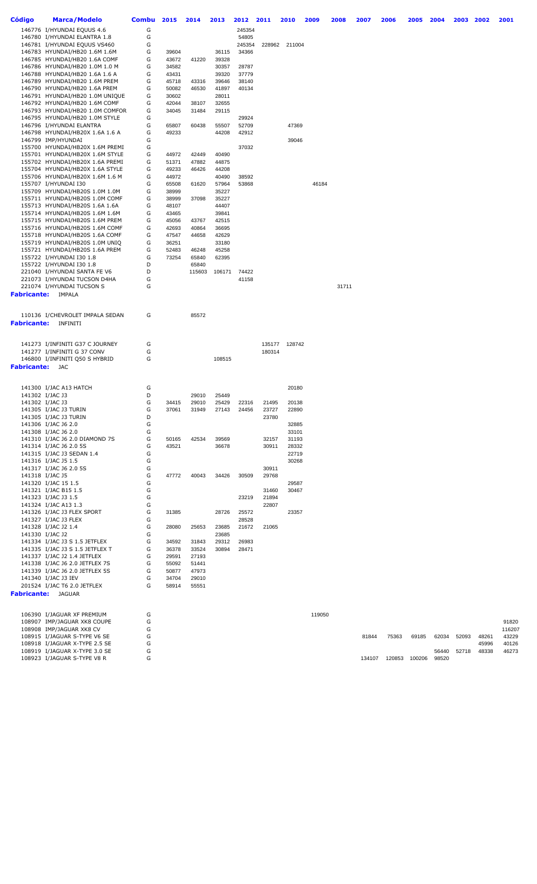| Código                 | <b>Marca/Modelo</b>                                              | <b>Combu</b> | 2015           | 2014           | 2013           | 2012           | 2011           | 2010          | 2009   | 2008  | 2007  | 2006                 | 2005  | 2004  | 2003  | 2002  | 2001   |
|------------------------|------------------------------------------------------------------|--------------|----------------|----------------|----------------|----------------|----------------|---------------|--------|-------|-------|----------------------|-------|-------|-------|-------|--------|
|                        | 146776 I/HYUNDAI EQUUS 4.6                                       | G            |                |                |                | 245354         |                |               |        |       |       |                      |       |       |       |       |        |
|                        | 146780 I/HYUNDAI ELANTRA 1.8                                     | G            |                |                |                | 54805          |                |               |        |       |       |                      |       |       |       |       |        |
|                        | 146781 I/HYUNDAI EQUUS VS460                                     | G            |                |                |                | 245354         |                | 228962 211004 |        |       |       |                      |       |       |       |       |        |
|                        | 146783 HYUNDAI/HB20 1.6M 1.6M                                    | G            | 39604          |                | 36115          | 34366          |                |               |        |       |       |                      |       |       |       |       |        |
|                        | 146785 HYUNDAI/HB20 1.6A COMF                                    | G            | 43672          | 41220          | 39328          |                |                |               |        |       |       |                      |       |       |       |       |        |
|                        | 146786 HYUNDAI/HB20 1.0M 1.0 M                                   | G            | 34582          |                | 30357          | 28787          |                |               |        |       |       |                      |       |       |       |       |        |
|                        | 146788 HYUNDAI/HB20 1.6A 1.6 A                                   | G            | 43431          |                | 39320          | 37779          |                |               |        |       |       |                      |       |       |       |       |        |
|                        | 146789 HYUNDAI/HB20 1.6M PREM                                    | G            | 45718          | 43316          | 39646          | 38140          |                |               |        |       |       |                      |       |       |       |       |        |
|                        | 146790 HYUNDAI/HB20 1.6A PREM                                    | G            | 50082          | 46530          | 41897          | 40134          |                |               |        |       |       |                      |       |       |       |       |        |
|                        | 146791 HYUNDAI/HB20 1.0M UNIQUE<br>146792 HYUNDAI/HB20 1.6M COMF | G<br>G       | 30602<br>42044 | 38107          | 28011<br>32655 |                |                |               |        |       |       |                      |       |       |       |       |        |
|                        | 146793 HYUNDAI/HB20 1.0M COMFOR                                  | G            | 34045          | 31484          | 29115          |                |                |               |        |       |       |                      |       |       |       |       |        |
|                        | 146795 HYUNDAI/HB20 1.0M STYLE                                   | G            |                |                |                | 29924          |                |               |        |       |       |                      |       |       |       |       |        |
|                        | 146796 I/HYUNDAI ELANTRA                                         | G            | 65807          | 60438          | 55507          | 52709          |                | 47369         |        |       |       |                      |       |       |       |       |        |
|                        | 146798 HYUNDAI/HB20X 1.6A 1.6 A                                  | G            | 49233          |                | 44208          | 42912          |                |               |        |       |       |                      |       |       |       |       |        |
|                        | 146799 IMP/HYUNDAI                                               | G            |                |                |                |                |                | 39046         |        |       |       |                      |       |       |       |       |        |
|                        | 155700 HYUNDAI/HB20X 1.6M PREMI                                  | G            |                |                |                | 37032          |                |               |        |       |       |                      |       |       |       |       |        |
|                        | 155701 HYUNDAI/HB20X 1.6M STYLE                                  | G            | 44972          | 42449          | 40490          |                |                |               |        |       |       |                      |       |       |       |       |        |
|                        | 155702 HYUNDAI/HB20X 1.6A PREMI                                  | G            | 51371          | 47882          | 44875          |                |                |               |        |       |       |                      |       |       |       |       |        |
|                        | 155704 HYUNDAI/HB20X 1.6A STYLE                                  | G            | 49233          | 46426          | 44208          |                |                |               |        |       |       |                      |       |       |       |       |        |
|                        | 155706 HYUNDAI/HB20X 1.6M 1.6 M                                  | G            | 44972          |                | 40490          | 38592          |                |               |        |       |       |                      |       |       |       |       |        |
|                        | 155707 I/HYUNDAI I30                                             | G            | 65508          | 61620          | 57964          | 53868          |                |               | 46184  |       |       |                      |       |       |       |       |        |
|                        | 155709 HYUNDAI/HB20S 1.0M 1.0M                                   | G            | 38999          |                | 35227          |                |                |               |        |       |       |                      |       |       |       |       |        |
|                        | 155711 HYUNDAI/HB20S 1.0M COMF                                   | G            | 38999          | 37098          | 35227          |                |                |               |        |       |       |                      |       |       |       |       |        |
|                        | 155713 HYUNDAI/HB20S 1.6A 1.6A                                   | G            | 48107<br>43465 |                | 44407          |                |                |               |        |       |       |                      |       |       |       |       |        |
|                        | 155714 HYUNDAI/HB20S 1.6M 1.6M<br>155715 HYUNDAI/HB20S 1.6M PREM | G<br>G       | 45056          | 43767          | 39841<br>42515 |                |                |               |        |       |       |                      |       |       |       |       |        |
|                        | 155716 HYUNDAI/HB20S 1.6M COMF                                   | G            | 42693          | 40864          | 36695          |                |                |               |        |       |       |                      |       |       |       |       |        |
|                        | 155718 HYUNDAI/HB20S 1.6A COMF                                   | G            | 47547          | 44658          | 42629          |                |                |               |        |       |       |                      |       |       |       |       |        |
|                        | 155719 HYUNDAI/HB20S 1.0M UNIQ                                   | G            | 36251          |                | 33180          |                |                |               |        |       |       |                      |       |       |       |       |        |
|                        | 155721 HYUNDAI/HB20S 1.6A PREM                                   | G            | 52483          | 46248          | 45258          |                |                |               |        |       |       |                      |       |       |       |       |        |
|                        | 155722 I/HYUNDAI I30 1.8                                         | G            | 73254          | 65840          | 62395          |                |                |               |        |       |       |                      |       |       |       |       |        |
|                        | 155722 I/HYUNDAI I30 1.8                                         | D            |                | 65840          |                |                |                |               |        |       |       |                      |       |       |       |       |        |
|                        | 221040 I/HYUNDAI SANTA FE V6                                     | D            |                | 115603         | 106171         | 74422          |                |               |        |       |       |                      |       |       |       |       |        |
|                        | 221073 I/HYUNDAI TUCSON D4HA                                     | G            |                |                |                | 41158          |                |               |        |       |       |                      |       |       |       |       |        |
|                        | 221074 I/HYUNDAI TUCSON S                                        | G            |                |                |                |                |                |               |        | 31711 |       |                      |       |       |       |       |        |
|                        | <b>Fabricante:</b> IMPALA                                        |              |                |                |                |                |                |               |        |       |       |                      |       |       |       |       |        |
|                        |                                                                  |              |                |                |                |                |                |               |        |       |       |                      |       |       |       |       |        |
|                        |                                                                  |              |                |                |                |                |                |               |        |       |       |                      |       |       |       |       |        |
|                        | 110136 I/CHEVROLET IMPALA SEDAN                                  | G            |                | 85572          |                |                |                |               |        |       |       |                      |       |       |       |       |        |
|                        | <b>Fabricante: INFINITI</b>                                      |              |                |                |                |                |                |               |        |       |       |                      |       |       |       |       |        |
|                        |                                                                  |              |                |                |                |                |                |               |        |       |       |                      |       |       |       |       |        |
|                        | 141273 I/INFINITI G37 C JOURNEY                                  | G            |                |                |                |                |                | 135177 128742 |        |       |       |                      |       |       |       |       |        |
|                        | 141277 I/INFINITI G 37 CONV                                      | G            |                |                |                |                | 180314         |               |        |       |       |                      |       |       |       |       |        |
|                        | 146800 I/INFINITI Q50 S HYBRID                                   | G            |                |                | 108515         |                |                |               |        |       |       |                      |       |       |       |       |        |
| <b>Fabricante:</b> JAC |                                                                  |              |                |                |                |                |                |               |        |       |       |                      |       |       |       |       |        |
|                        |                                                                  |              |                |                |                |                |                |               |        |       |       |                      |       |       |       |       |        |
|                        |                                                                  |              |                |                |                |                |                |               |        |       |       |                      |       |       |       |       |        |
|                        | 141300 I/JAC A13 HATCH                                           | G            |                |                |                |                |                | 20180         |        |       |       |                      |       |       |       |       |        |
|                        | 141302 I/JAC J3                                                  | D            |                | 29010          | 25449          |                |                |               |        |       |       |                      |       |       |       |       |        |
|                        | 141302 I/JAC J3                                                  | G<br>G       | 34415<br>37061 | 29010          | 25429          | 22316<br>24456 | 21495          | 20138         |        |       |       |                      |       |       |       |       |        |
|                        | 141305 I/JAC J3 TURIN<br>141305 I/JAC J3 TURIN                   | D            |                | 31949          | 27143          |                | 23727<br>23780 | 22890         |        |       |       |                      |       |       |       |       |        |
|                        | 141306 I/JAC J6 2.0                                              | G            |                |                |                |                |                | 32885         |        |       |       |                      |       |       |       |       |        |
|                        | 141308 I/JAC J6 2.0                                              | G            |                |                |                |                |                | 33101         |        |       |       |                      |       |       |       |       |        |
|                        | 141310 I/JAC J6 2.0 DIAMOND 7S                                   | G            | 50165          | 42534          | 39569          |                | 32157          | 31193         |        |       |       |                      |       |       |       |       |        |
|                        | 141314 I/JAC J6 2.0 5S                                           | G            | 43521          |                | 36678          |                | 30911          | 28332         |        |       |       |                      |       |       |       |       |        |
|                        | 141315 I/JAC J3 SEDAN 1.4                                        | G            |                |                |                |                |                | 22719         |        |       |       |                      |       |       |       |       |        |
|                        | 141316 I/JAC J5 1.5                                              | G            |                |                |                |                |                | 30268         |        |       |       |                      |       |       |       |       |        |
|                        | 141317 I/JAC J6 2.0 5S                                           | G            |                |                |                |                | 30911          |               |        |       |       |                      |       |       |       |       |        |
|                        | 141318 I/JAC J5                                                  | G            | 47772          | 40043          | 34426          | 30509          | 29768          |               |        |       |       |                      |       |       |       |       |        |
|                        | 141320 I/JAC 15 1.5                                              | G            |                |                |                |                |                | 29587         |        |       |       |                      |       |       |       |       |        |
|                        | 141321 I/JAC B15 1.5                                             | G            |                |                |                |                | 31460          | 30467         |        |       |       |                      |       |       |       |       |        |
|                        | 141323 I/JAC J3 1.5                                              | G            |                |                |                | 23219          | 21894          |               |        |       |       |                      |       |       |       |       |        |
|                        | 141324 I/JAC A13 1.3                                             | G            |                |                |                |                | 22807          |               |        |       |       |                      |       |       |       |       |        |
|                        | 141326 I/JAC J3 FLEX SPORT                                       | G            | 31385          |                | 28726          | 25572          |                | 23357         |        |       |       |                      |       |       |       |       |        |
|                        | 141327 I/JAC J3 FLEX                                             | G            |                |                |                | 28528          |                |               |        |       |       |                      |       |       |       |       |        |
|                        | 141328 I/JAC J2 1.4                                              | G            | 28080          | 25653          | 23685          | 21672          | 21065          |               |        |       |       |                      |       |       |       |       |        |
|                        | 141330 I/JAC J2                                                  | G<br>G       |                |                | 23685          |                |                |               |        |       |       |                      |       |       |       |       |        |
|                        | 141334 I/JAC J3 S 1.5 JETFLEX<br>141335 I/JAC J3 S 1.5 JETFLEX T | G            | 34592<br>36378 | 31843          | 29312<br>30894 | 26983<br>28471 |                |               |        |       |       |                      |       |       |       |       |        |
|                        | 141337 I/JAC J2 1.4 JETFLEX                                      | G            | 29591          | 33524<br>27193 |                |                |                |               |        |       |       |                      |       |       |       |       |        |
|                        | 141338 I/JAC J6 2.0 JETFLEX 7S                                   | G            | 55092          | 51441          |                |                |                |               |        |       |       |                      |       |       |       |       |        |
|                        | 141339 I/JAC J6 2.0 JETFLEX 5S                                   | G            | 50877          | 47973          |                |                |                |               |        |       |       |                      |       |       |       |       |        |
|                        | 141340 I/JAC J3 IEV                                              | G            | 34704          | 29010          |                |                |                |               |        |       |       |                      |       |       |       |       |        |
|                        | 201524 I/JAC T6 2.0 JETFLEX                                      | G            | 58914          | 55551          |                |                |                |               |        |       |       |                      |       |       |       |       |        |
|                        | <b>Fabricante:</b> JAGUAR                                        |              |                |                |                |                |                |               |        |       |       |                      |       |       |       |       |        |
|                        |                                                                  |              |                |                |                |                |                |               |        |       |       |                      |       |       |       |       |        |
|                        |                                                                  |              |                |                |                |                |                |               |        |       |       |                      |       |       |       |       |        |
|                        | 106390 I/JAGUAR XF PREMIUM                                       | G            |                |                |                |                |                |               | 119050 |       |       |                      |       |       |       |       |        |
|                        | 108907 IMP/JAGUAR XK8 COUPE                                      | G            |                |                |                |                |                |               |        |       |       |                      |       |       |       |       | 91820  |
|                        | 108908 IMP/JAGUAR XK8 CV                                         | G            |                |                |                |                |                |               |        |       |       |                      |       |       |       |       | 116207 |
|                        | 108915 I/JAGUAR S-TYPE V6 SE                                     | G            |                |                |                |                |                |               |        |       | 81844 | 75363                | 69185 | 62034 | 52093 | 48261 | 43229  |
|                        | 108918 I/JAGUAR X-TYPE 2.5 SE                                    | G            |                |                |                |                |                |               |        |       |       |                      |       |       |       | 45996 | 40126  |
|                        | 108919 I/JAGUAR X-TYPE 3.0 SE                                    | G            |                |                |                |                |                |               |        |       |       |                      |       | 56440 | 52718 | 48338 | 46273  |
|                        | 108923 I/JAGUAR S-TYPE V8 R                                      | G            |                |                |                |                |                |               |        |       |       | 134107 120853 100206 |       | 98520 |       |       |        |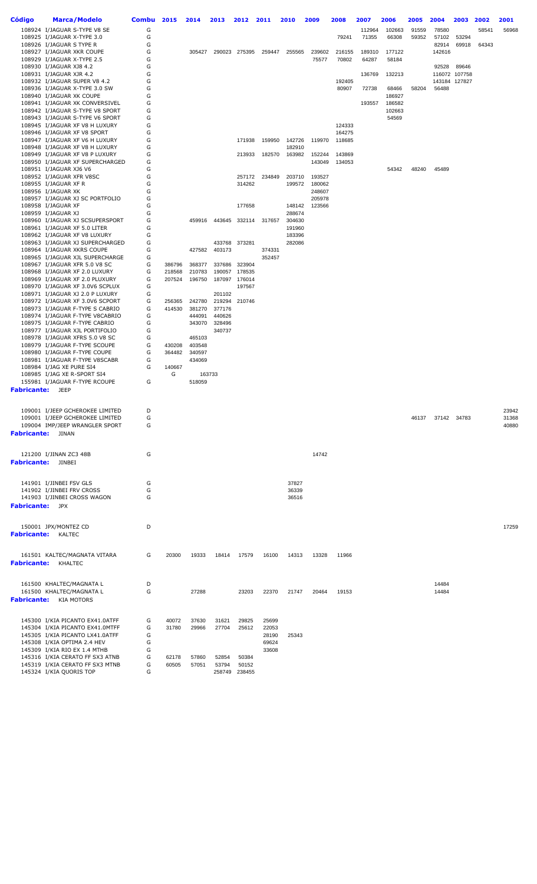| <b>Código</b>          | Marca/Modelo                                                       | Combu  | 2015             | 2014             | 2013   | 2012                    | 2011   | 2010   | 2009             | 2008   | 2007            | 2006            | 2005           | 2004           | 2003          | 2002  | 2001  |
|------------------------|--------------------------------------------------------------------|--------|------------------|------------------|--------|-------------------------|--------|--------|------------------|--------|-----------------|-----------------|----------------|----------------|---------------|-------|-------|
|                        |                                                                    |        |                  |                  |        |                         |        |        |                  |        |                 |                 |                |                |               |       |       |
|                        | 108924 I/JAGUAR S-TYPE V8 SE<br>108925 I/JAGUAR X-TYPE 3.0         | G<br>G |                  |                  |        |                         |        |        |                  | 79241  | 112964<br>71355 | 102663<br>66308 | 91559<br>59352 | 78580<br>57102 | 53294         | 58541 | 56968 |
|                        | 108926 I/JAGUAR S TYPE R                                           | G      |                  |                  |        |                         |        |        |                  |        |                 |                 |                | 82914          | 69918         | 64343 |       |
|                        | 108927 I/JAGUAR XKR COUPE                                          | G      |                  | 305427           |        | 290023 275395           | 259447 | 255565 | 239602           | 216155 | 189310          | 177122          |                | 142616         |               |       |       |
|                        | 108929 I/JAGUAR X-TYPE 2.5                                         | G      |                  |                  |        |                         |        |        | 75577            | 70802  | 64287           | 58184           |                |                |               |       |       |
|                        | 108930 I/JAGUAR XJ8 4.2                                            | G      |                  |                  |        |                         |        |        |                  |        |                 |                 |                | 92528          | 89646         |       |       |
|                        | 108931 I/JAGUAR XJR 4.2                                            | G      |                  |                  |        |                         |        |        |                  |        | 136769          | 132213          |                |                | 116072 107758 |       |       |
|                        | 108932 I/JAGUAR SUPER V8 4.2                                       | G      |                  |                  |        |                         |        |        |                  | 192405 |                 |                 |                |                | 143184 127827 |       |       |
|                        | 108936 I/JAGUAR X-TYPE 3.0 SW                                      | G      |                  |                  |        |                         |        |        |                  | 80907  | 72738           | 68466           | 58204          | 56488          |               |       |       |
|                        | 108940 I/JAGUAR XK COUPE                                           | G      |                  |                  |        |                         |        |        |                  |        |                 | 186927          |                |                |               |       |       |
|                        | 108941 I/JAGUAR XK CONVERSIVEL                                     | G      |                  |                  |        |                         |        |        |                  |        | 193557          | 186582          |                |                |               |       |       |
|                        | 108942 I/JAGUAR S-TYPE V8 SPORT<br>108943 I/JAGUAR S-TYPE V6 SPORT | G<br>G |                  |                  |        |                         |        |        |                  |        |                 | 102663          |                |                |               |       |       |
|                        | 108945 I/JAGUAR XF V8 H LUXURY                                     | G      |                  |                  |        |                         |        |        |                  | 124333 |                 | 54569           |                |                |               |       |       |
|                        | 108946 I/JAGUAR XF V8 SPORT                                        | G      |                  |                  |        |                         |        |        |                  | 164275 |                 |                 |                |                |               |       |       |
|                        | 108947 I/JAGUAR XF V6 H LUXURY                                     | G      |                  |                  |        | 171938                  | 159950 | 142726 | 119970           | 118685 |                 |                 |                |                |               |       |       |
|                        | 108948 I/JAGUAR XF V8 H LUXURY                                     | G      |                  |                  |        |                         |        | 182910 |                  |        |                 |                 |                |                |               |       |       |
|                        | 108949 I/JAGUAR XF V8 P LUXURY                                     | G      |                  |                  |        | 213933                  | 182570 | 163982 | 152244           | 143869 |                 |                 |                |                |               |       |       |
|                        | 108950 I/JAGUAR XF SUPERCHARGED                                    | G      |                  |                  |        |                         |        |        | 143049           | 134053 |                 |                 |                |                |               |       |       |
|                        | 108951 I/JAGUAR XJ6 V6                                             | G      |                  |                  |        |                         |        |        |                  |        |                 | 54342           | 48240          | 45489          |               |       |       |
|                        | 108952 I/JAGUAR XFR V8SC                                           | G      |                  |                  |        | 257172                  | 234849 | 203710 | 193527           |        |                 |                 |                |                |               |       |       |
|                        | 108955 I/JAGUAR XF R                                               | G<br>G |                  |                  |        | 314262                  |        | 199572 | 180062           |        |                 |                 |                |                |               |       |       |
|                        | 108956 I/JAGUAR XK<br>108957 I/JAGUAR XJ SC PORTFOLIO              | G      |                  |                  |        |                         |        |        | 248607<br>205978 |        |                 |                 |                |                |               |       |       |
|                        | 108958 I/JAGUAR XF                                                 | G      |                  |                  |        | 177658                  |        | 148142 | 123566           |        |                 |                 |                |                |               |       |       |
|                        | 108959 I/JAGUAR XJ                                                 | G      |                  |                  |        |                         |        | 288674 |                  |        |                 |                 |                |                |               |       |       |
|                        | 108960 I/JAGUAR XJ SCSUPERSPORT                                    | G      |                  | 459916           | 443645 | 332114                  | 317657 | 304630 |                  |        |                 |                 |                |                |               |       |       |
|                        | 108961 I/JAGUAR XF 5.0 LITER                                       | G      |                  |                  |        |                         |        | 191960 |                  |        |                 |                 |                |                |               |       |       |
|                        | 108962 I/JAGUAR XF V8 LUXURY                                       | G      |                  |                  |        |                         |        | 183396 |                  |        |                 |                 |                |                |               |       |       |
|                        | 108963 I/JAGUAR XJ SUPERCHARGED                                    | G      |                  |                  | 433768 | 373281                  |        | 282086 |                  |        |                 |                 |                |                |               |       |       |
|                        | 108964 I/JAGUAR XKRS COUPE                                         | G      |                  | 427582           | 403173 |                         | 374331 |        |                  |        |                 |                 |                |                |               |       |       |
|                        | 108965 I/JAGUAR XJL SUPERCHARGE                                    | G      |                  |                  |        |                         | 352457 |        |                  |        |                 |                 |                |                |               |       |       |
|                        | 108967 I/JAGUAR XFR 5.0 V8 SC<br>108968 I/JAGUAR XF 2.0 LUXURY     | G<br>G | 386796<br>218568 | 368377<br>210783 | 337686 | 323904<br>190057 178535 |        |        |                  |        |                 |                 |                |                |               |       |       |
|                        | 108969 I/JAGUAR XF 2.0 PLUXURY                                     | G      | 207524           | 196750           | 187097 | 176014                  |        |        |                  |        |                 |                 |                |                |               |       |       |
|                        | 108970 I/JAGUAR XF 3.0V6 SCPLUX                                    | G      |                  |                  |        | 197567                  |        |        |                  |        |                 |                 |                |                |               |       |       |
|                        | 108971 I/JAGUAR XJ 2.0 P LUXURY                                    | G      |                  |                  | 201102 |                         |        |        |                  |        |                 |                 |                |                |               |       |       |
|                        | 108972 I/JAGUAR XF 3.0V6 SCPORT                                    | G      | 256365           | 242780           |        | 219294 210746           |        |        |                  |        |                 |                 |                |                |               |       |       |
|                        | 108973 I/JAGUAR F-TYPE S CABRIO                                    | G      | 414530           | 381270           | 377176 |                         |        |        |                  |        |                 |                 |                |                |               |       |       |
|                        | 108974 I/JAGUAR F-TYPE V8CABRIO                                    | G      |                  | 444091           | 440626 |                         |        |        |                  |        |                 |                 |                |                |               |       |       |
|                        | 108975 I/JAGUAR F-TYPE CABRIO                                      | G      |                  | 343070           | 328496 |                         |        |        |                  |        |                 |                 |                |                |               |       |       |
|                        | 108977 I/JAGUAR XJL PORTIFOLIO                                     | G      |                  |                  | 340737 |                         |        |        |                  |        |                 |                 |                |                |               |       |       |
|                        | 108978 I/JAGUAR XFRS 5.0 V8 SC                                     | G      |                  | 465103           |        |                         |        |        |                  |        |                 |                 |                |                |               |       |       |
|                        | 108979 I/JAGUAR F-TYPE SCOUPE<br>108980 I/JAGUAR F-TYPE COUPE      | G<br>G | 430208<br>364482 | 403548<br>340597 |        |                         |        |        |                  |        |                 |                 |                |                |               |       |       |
|                        | 108981 I/JAGUAR F-TYPE V8SCABR                                     | G      |                  | 434069           |        |                         |        |        |                  |        |                 |                 |                |                |               |       |       |
|                        | 108984 I/JAG XE PURE SI4                                           | G      | 140667           |                  |        |                         |        |        |                  |        |                 |                 |                |                |               |       |       |
|                        | 108985 I/JAG XE R-SPORT SI4                                        |        | G                |                  | 163733 |                         |        |        |                  |        |                 |                 |                |                |               |       |       |
|                        | 155981 I/JAGUAR F-TYPE RCOUPE                                      | G      |                  | 518059           |        |                         |        |        |                  |        |                 |                 |                |                |               |       |       |
| <b>Fabricante:</b>     | JEEP                                                               |        |                  |                  |        |                         |        |        |                  |        |                 |                 |                |                |               |       |       |
|                        |                                                                    |        |                  |                  |        |                         |        |        |                  |        |                 |                 |                |                |               |       |       |
|                        | 109001 I/JEEP GCHEROKEE LIMITED                                    | D      |                  |                  |        |                         |        |        |                  |        |                 |                 |                |                |               |       | 23942 |
|                        | 109001 I/JEEP GCHEROKEE LIMITED                                    | G      |                  |                  |        |                         |        |        |                  |        |                 |                 | 46137          |                | 37142 34783   |       | 31368 |
|                        | 109004 IMP/JEEP WRANGLER SPORT                                     | G      |                  |                  |        |                         |        |        |                  |        |                 |                 |                |                |               |       | 40880 |
|                        | <b>Fabricante:</b> JINAN                                           |        |                  |                  |        |                         |        |        |                  |        |                 |                 |                |                |               |       |       |
|                        |                                                                    |        |                  |                  |        |                         |        |        |                  |        |                 |                 |                |                |               |       |       |
|                        |                                                                    | G      |                  |                  |        |                         |        |        |                  |        |                 |                 |                |                |               |       |       |
|                        | 121200 I/JINAN ZC3 48B<br><b>Fabricante:</b> JINBEI                |        |                  |                  |        |                         |        |        | 14742            |        |                 |                 |                |                |               |       |       |
|                        |                                                                    |        |                  |                  |        |                         |        |        |                  |        |                 |                 |                |                |               |       |       |
|                        |                                                                    |        |                  |                  |        |                         |        |        |                  |        |                 |                 |                |                |               |       |       |
|                        | 141901 I/JINBEI FSV GLS                                            | G      |                  |                  |        |                         |        | 37827  |                  |        |                 |                 |                |                |               |       |       |
|                        | 141902 I/JINBEI FRV CROSS                                          | G      |                  |                  |        |                         |        | 36339  |                  |        |                 |                 |                |                |               |       |       |
|                        | 141903 I/JINBEI CROSS WAGON                                        | G      |                  |                  |        |                         |        | 36516  |                  |        |                 |                 |                |                |               |       |       |
| <b>Fabricante:</b> JPX |                                                                    |        |                  |                  |        |                         |        |        |                  |        |                 |                 |                |                |               |       |       |
|                        |                                                                    |        |                  |                  |        |                         |        |        |                  |        |                 |                 |                |                |               |       |       |
|                        | 150001 JPX/MONTEZ CD                                               | D      |                  |                  |        |                         |        |        |                  |        |                 |                 |                |                |               |       | 17259 |
|                        | <b>Fabricante: KALTEC</b>                                          |        |                  |                  |        |                         |        |        |                  |        |                 |                 |                |                |               |       |       |
|                        |                                                                    |        |                  |                  |        |                         |        |        |                  |        |                 |                 |                |                |               |       |       |
|                        | 161501 KALTEC/MAGNATA VITARA                                       | G      | 20300            | 19333            |        | 18414 17579             | 16100  | 14313  | 13328            | 11966  |                 |                 |                |                |               |       |       |
|                        | <b>Fabricante:</b> KHALTEC                                         |        |                  |                  |        |                         |        |        |                  |        |                 |                 |                |                |               |       |       |
|                        |                                                                    |        |                  |                  |        |                         |        |        |                  |        |                 |                 |                |                |               |       |       |
|                        |                                                                    |        |                  |                  |        |                         |        |        |                  |        |                 |                 |                |                |               |       |       |
|                        | 161500 KHALTEC/MAGNATA L                                           | D      |                  |                  |        |                         |        |        |                  |        |                 |                 |                | 14484          |               |       |       |
|                        | 161500 KHALTEC/MAGNATA L                                           | G      |                  | 27288            |        | 23203                   | 22370  | 21747  | 20464            | 19153  |                 |                 |                | 14484          |               |       |       |
|                        | <b>Fabricante:</b> KIA MOTORS                                      |        |                  |                  |        |                         |        |        |                  |        |                 |                 |                |                |               |       |       |
|                        |                                                                    |        |                  |                  |        |                         |        |        |                  |        |                 |                 |                |                |               |       |       |
|                        | 145300 I/KIA PICANTO EX41.0ATFF                                    | G      | 40072            | 37630            | 31621  | 29825                   | 25699  |        |                  |        |                 |                 |                |                |               |       |       |
|                        | 145304 I/KIA PICANTO EX41.0MTFF                                    | G      | 31780            | 29966            | 27704  | 25612                   | 22053  |        |                  |        |                 |                 |                |                |               |       |       |
|                        | 145305 I/KIA PICANTO LX41.0ATFF                                    | G      |                  |                  |        |                         | 28190  | 25343  |                  |        |                 |                 |                |                |               |       |       |
|                        | 145308 I/KIA OPTIMA 2.4 HEV                                        | G      |                  |                  |        |                         | 69624  |        |                  |        |                 |                 |                |                |               |       |       |
|                        | 145309 I/KIA RIO EX 1.4 MTHB                                       | G      |                  |                  |        |                         | 33608  |        |                  |        |                 |                 |                |                |               |       |       |
|                        | 145316 I/KIA CERATO FF SX3 ATNB                                    | G      | 62178            | 57860            | 52854  | 50384                   |        |        |                  |        |                 |                 |                |                |               |       |       |
|                        | 145319 I/KIA CERATO FF SX3 MTNB<br>145324 I/KIA QUORIS TOP         | G<br>G | 60505            | 57051            | 53794  | 50152<br>258749 238455  |        |        |                  |        |                 |                 |                |                |               |       |       |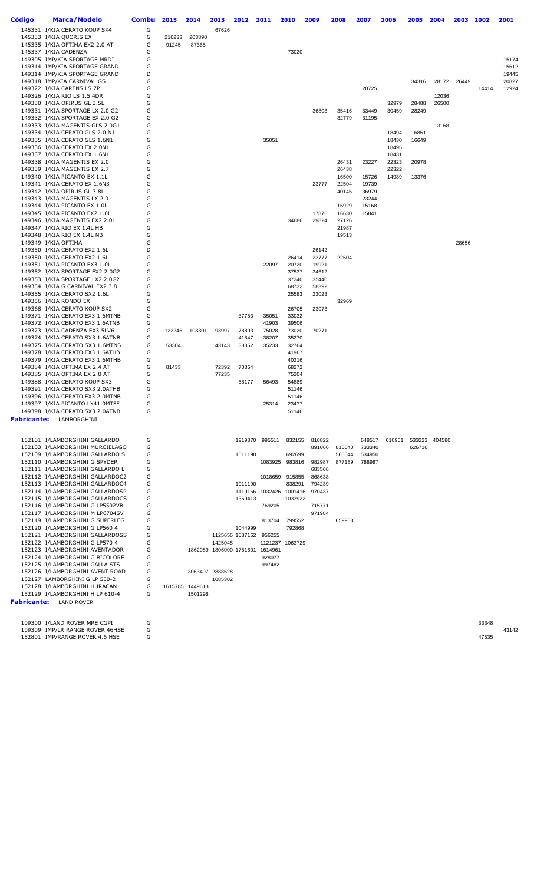| Código | <b>Marca/Modelo</b>                                                | <b>Combu</b> | 2015   | 2014            | 2013            | 2012                            | 2011           | 2010            | 2009             | 2008   | 2007   | 2006           | 2005   | 2004          | 2003  | 2002  | 2001  |
|--------|--------------------------------------------------------------------|--------------|--------|-----------------|-----------------|---------------------------------|----------------|-----------------|------------------|--------|--------|----------------|--------|---------------|-------|-------|-------|
|        | 145331 I/KIA CERATO KOUP SX4                                       | G            |        |                 | 67626           |                                 |                |                 |                  |        |        |                |        |               |       |       |       |
|        | 145333 I/KIA QUORIS EX                                             | G            | 216233 | 203890          |                 |                                 |                |                 |                  |        |        |                |        |               |       |       |       |
|        | 145335 I/KIA OPTIMA EX2 2.0 AT                                     | G            | 91245  | 87365           |                 |                                 |                |                 |                  |        |        |                |        |               |       |       |       |
|        | 145337 I/KIA CADENZA<br>149305 IMP/KIA SPORTAGE MRDI               | G<br>G       |        |                 |                 |                                 |                | 73020           |                  |        |        |                |        |               |       |       | 15174 |
|        | 149314 IMP/KIA SPORTAGE GRAND                                      | G            |        |                 |                 |                                 |                |                 |                  |        |        |                |        |               |       |       | 15612 |
|        | 149314 IMP/KIA SPORTAGE GRAND                                      | D            |        |                 |                 |                                 |                |                 |                  |        |        |                |        |               |       |       | 19445 |
|        | 149318 IMP/KIA CARNIVAL GS                                         | G            |        |                 |                 |                                 |                |                 |                  |        |        |                | 34316  | 28172         | 26449 |       | 20827 |
|        | 149322 I/KIA CARENS LS 7P                                          | G            |        |                 |                 |                                 |                |                 |                  |        | 20725  |                |        |               |       | 14414 | 12924 |
|        | 149326 I/KIA RIO LS 1.5 4DR                                        | G            |        |                 |                 |                                 |                |                 |                  |        |        |                |        | 12036         |       |       |       |
|        | 149330 I/KIA OPIRUS GL 3.5L                                        | G            |        |                 |                 |                                 |                |                 |                  |        |        | 32979          | 28488  | 26500         |       |       |       |
|        | 149331 I/KIA SPORTAGE LX 2.0 G2                                    | G            |        |                 |                 |                                 |                |                 | 36803            | 35416  | 33449  | 30459          | 28249  |               |       |       |       |
|        | 149332 I/KIA SPORTAGE EX 2.0 G2                                    | G            |        |                 |                 |                                 |                |                 |                  | 32779  | 31195  |                |        |               |       |       |       |
|        | 149333 I/KIA MAGENTIS GLS 2.0G1                                    | G            |        |                 |                 |                                 |                |                 |                  |        |        |                |        | 13168         |       |       |       |
|        | 149334 I/KIA CERATO GLS 2.0 N1                                     | G            |        |                 |                 |                                 |                |                 |                  |        |        | 18494          | 16851  |               |       |       |       |
|        | 149335 I/KIA CERATO GLS 1.6N1                                      | G<br>G       |        |                 |                 |                                 | 35051          |                 |                  |        |        | 18430<br>18495 | 16649  |               |       |       |       |
|        | 149336 I/KIA CERATO EX 2.0N1<br>149337 I/KIA CERATO EX 1.6N1       | G            |        |                 |                 |                                 |                |                 |                  |        |        | 18431          |        |               |       |       |       |
|        | 149338 I/KIA MAGENTIS EX 2.0                                       | G            |        |                 |                 |                                 |                |                 |                  | 26431  | 23227  | 22323          | 20978  |               |       |       |       |
|        | 149339 I/KIA MAGENTIS EX 2.7                                       | G            |        |                 |                 |                                 |                |                 |                  | 26438  |        | 22322          |        |               |       |       |       |
|        | 149340 I/KIA PICANTO EX 1.1L                                       | G            |        |                 |                 |                                 |                |                 |                  | 16500  | 15726  | 14989          | 13376  |               |       |       |       |
|        | 149341 I/KIA CERATO EX 1.6N3                                       | G            |        |                 |                 |                                 |                |                 | 23777            | 22504  | 19739  |                |        |               |       |       |       |
|        | 149342 I/KIA OPIRUS GL 3.8L                                        | G            |        |                 |                 |                                 |                |                 |                  | 40145  | 36979  |                |        |               |       |       |       |
|        | 149343 I/KIA MAGENTIS LX 2.0                                       | G            |        |                 |                 |                                 |                |                 |                  |        | 23244  |                |        |               |       |       |       |
|        | 149344 I/KIA PICANTO EX 1.0L                                       | G            |        |                 |                 |                                 |                |                 |                  | 15929  | 15168  |                |        |               |       |       |       |
|        | 149345 I/KIA PICANTO EX2 1.0L                                      | G            |        |                 |                 |                                 |                |                 | 17876            | 16630  | 15841  |                |        |               |       |       |       |
|        | 149346 I/KIA MAGENTIS EX2 2.0L                                     | G            |        |                 |                 |                                 |                | 34686           | 29824            | 27126  |        |                |        |               |       |       |       |
|        | 149347 I/KIA RIO EX 1.4L HB                                        | G            |        |                 |                 |                                 |                |                 |                  | 21987  |        |                |        |               |       |       |       |
|        | 149348 I/KIA RIO EX 1.4L NB                                        | G<br>G       |        |                 |                 |                                 |                |                 |                  | 19513  |        |                |        |               | 28656 |       |       |
|        | 149349 I/KIA OPTIMA<br>149350 I/KIA CERATO EX2 1.6L                | D            |        |                 |                 |                                 |                |                 | 26142            |        |        |                |        |               |       |       |       |
|        | 149350 I/KIA CERATO EX2 1.6L                                       | G            |        |                 |                 |                                 |                | 26414           | 23777            | 22504  |        |                |        |               |       |       |       |
|        | 149351 I/KIA PICANTO EX3 1.0L                                      | G            |        |                 |                 |                                 | 22097          | 20720           | 19921            |        |        |                |        |               |       |       |       |
|        | 149352 I/KIA SPORTAGE EX2 2.0G2                                    | G            |        |                 |                 |                                 |                | 37537           | 34512            |        |        |                |        |               |       |       |       |
|        | 149353 I/KIA SPORTAGE LX2 2.0G2                                    | G            |        |                 |                 |                                 |                | 37240           | 35440            |        |        |                |        |               |       |       |       |
|        | 149354 I/KIA G CARNIVAL EX2 3.8                                    | G            |        |                 |                 |                                 |                | 68732           | 58392            |        |        |                |        |               |       |       |       |
|        | 149355 I/KIA CERATO SX2 1.6L                                       | G            |        |                 |                 |                                 |                | 25583           | 23023            |        |        |                |        |               |       |       |       |
|        | 149356 I/KIA RONDO EX                                              | G            |        |                 |                 |                                 |                |                 |                  | 32969  |        |                |        |               |       |       |       |
|        | 149368 I/KIA CERATO KOUP SX2                                       | G            |        |                 |                 |                                 |                | 26705           | 23073            |        |        |                |        |               |       |       |       |
|        | 149371 I/KIA CERATO EX3 1.6MTNB                                    | G<br>G       |        |                 |                 | 37753                           | 35051          | 33032           |                  |        |        |                |        |               |       |       |       |
|        | 149372 I/KIA CERATO EX3 1.6ATNB<br>149373 I/KIA CADENZA EX3.5LV6   | G            | 122246 | 108301          | 93997           | 78803                           | 41903<br>75028 | 39506<br>73020  | 70271            |        |        |                |        |               |       |       |       |
|        | 149374 I/KIA CERATO SX3 1.6ATNB                                    | G            |        |                 |                 | 41847                           | 38207          | 35270           |                  |        |        |                |        |               |       |       |       |
|        | 149375 I/KIA CERATO SX3 1.6MTNB                                    | G            | 53304  |                 | 43143           | 38352                           | 35233          | 32764           |                  |        |        |                |        |               |       |       |       |
|        | 149378 I/KIA CERATO EX3 1.6ATHB                                    | G            |        |                 |                 |                                 |                | 41967           |                  |        |        |                |        |               |       |       |       |
|        | 149379 I/KIA CERATO EX3 1.6MTHB                                    | G            |        |                 |                 |                                 |                | 40216           |                  |        |        |                |        |               |       |       |       |
|        | 149384 I/KIA OPTIMA EX 2.4 AT                                      | G            | 81433  |                 | 72392           | 70364                           |                | 68272           |                  |        |        |                |        |               |       |       |       |
|        | 149385 I/KIA OPTIMA EX 2.0 AT                                      | G            |        |                 | 77235           |                                 |                | 75204           |                  |        |        |                |        |               |       |       |       |
|        | 149388 I/KIA CERATO KOUP SX3                                       | G            |        |                 |                 | 58177                           | 56493          | 54889           |                  |        |        |                |        |               |       |       |       |
|        | 149391 I/KIA CERATO SX3 2.0ATHB                                    | G            |        |                 |                 |                                 |                | 51146           |                  |        |        |                |        |               |       |       |       |
|        | 149396 I/KIA CERATO EX3 2.0MTNB                                    | G            |        |                 |                 |                                 |                | 51146           |                  |        |        |                |        |               |       |       |       |
|        | 149397 I/KIA PICANTO LX41.0MTFF                                    | G<br>G       |        |                 |                 |                                 | 25314          | 23477           |                  |        |        |                |        |               |       |       |       |
|        | 149398 I/KIA CERATO SX3 2.0ATNB                                    |              |        |                 |                 |                                 |                | 51146           |                  |        |        |                |        |               |       |       |       |
|        | <b>Fabricante:</b> LAMBORGHINI                                     |              |        |                 |                 |                                 |                |                 |                  |        |        |                |        |               |       |       |       |
|        |                                                                    |              |        |                 |                 |                                 |                |                 |                  |        |        |                |        |               |       |       |       |
|        | 152101 I/LAMBORGHINI GALLARDO                                      | G            |        |                 |                 | 1219870                         | 995511         | 832155          | 818822           |        | 648517 | 610961         |        | 533223 404580 |       |       |       |
|        | 152103 I/LAMBORGHINI MURCIELAGO                                    | G            |        |                 |                 |                                 |                |                 | 891066           | 815040 | 733340 |                | 626716 |               |       |       |       |
|        | 152109 I/LAMBORGHINI GALLARDO S                                    | G            |        |                 |                 | 1011190                         |                | 692699          |                  | 560544 | 534950 |                |        |               |       |       |       |
|        | 152110 I/LAMBORGHINI G SPYDER                                      | G            |        |                 |                 |                                 | 1083925        | 983816          | 982987           | 877189 | 788987 |                |        |               |       |       |       |
|        | 152111 I/LAMBORGHINI GALLARDO L                                    | G            |        |                 |                 |                                 |                |                 | 683566           |        |        |                |        |               |       |       |       |
|        | 152112 I/LAMBORGHINI GALLARDOC2                                    | G            |        |                 |                 |                                 | 1018659        | 915855          | 868638           |        |        |                |        |               |       |       |       |
|        | 152113 I/LAMBORGHINI GALLARDOC4                                    | G            |        |                 |                 | 1011190                         |                | 838291          | 794239           |        |        |                |        |               |       |       |       |
|        | 152114 I/LAMBORGHINI GALLARDOSP                                    | G            |        |                 |                 | 1119166                         |                | 1032426 1001416 | 970437           |        |        |                |        |               |       |       |       |
|        | 152115 I/LAMBORGHINI GALLARDOCS                                    | G            |        |                 |                 | 1369413                         |                | 1033922         |                  |        |        |                |        |               |       |       |       |
|        | 152116 I/LAMBORGHINI G LP5502VB<br>152117 I/LAMBORGHINI M LP6704SV | G<br>G       |        |                 |                 |                                 | 769205         |                 | 715771<br>971984 |        |        |                |        |               |       |       |       |
|        | 152119 I/LAMBORGHINI G SUPERLEG                                    | G            |        |                 |                 |                                 | 813704         | 799552          |                  | 659903 |        |                |        |               |       |       |       |
|        | 152120 I/LAMBORGHINI G LP560 4                                     | G            |        |                 |                 | 1044999                         |                | 792868          |                  |        |        |                |        |               |       |       |       |
|        | 152121 I/LAMBORGHINI GALLARDOSS                                    | G            |        |                 |                 | 1125656 1037162 956255          |                |                 |                  |        |        |                |        |               |       |       |       |
|        | 152122 I/LAMBORGHINI G LP570 4                                     | G            |        |                 | 1425045         |                                 |                | 1121237 1063729 |                  |        |        |                |        |               |       |       |       |
|        | 152123 I/LAMBORGHINI AVENTADOR                                     | G            |        |                 |                 | 1862089 1806000 1751601 1614961 |                |                 |                  |        |        |                |        |               |       |       |       |
|        | 152124 I/LAMBORGHINI G BICOLORE                                    | G            |        |                 |                 |                                 | 928077         |                 |                  |        |        |                |        |               |       |       |       |
|        | 152125 I/LAMBORGHINI GALLA STS                                     | G            |        |                 |                 |                                 | 997482         |                 |                  |        |        |                |        |               |       |       |       |
|        | 152126 I/LAMBORGHINI AVENT ROAD                                    | G            |        |                 | 3063407 2888528 |                                 |                |                 |                  |        |        |                |        |               |       |       |       |
|        | 152127 LAMBORGHINI G LP 550-2                                      | G            |        |                 | 1085302         |                                 |                |                 |                  |        |        |                |        |               |       |       |       |
|        | 152128 I/LAMBORGHINI HURACAN                                       | G<br>G       |        | 1615785 1449613 |                 |                                 |                |                 |                  |        |        |                |        |               |       |       |       |
|        | 152129 I/LAMBORGHINI H LP 610-4                                    |              |        | 1501298         |                 |                                 |                |                 |                  |        |        |                |        |               |       |       |       |
|        | <b>Fabricante:</b> LAND ROVER                                      |              |        |                 |                 |                                 |                |                 |                  |        |        |                |        |               |       |       |       |
|        |                                                                    |              |        |                 |                 |                                 |                |                 |                  |        |        |                |        |               |       |       |       |
|        | 109300 I/LAND ROVER MRE CGPI                                       | G            |        |                 |                 |                                 |                |                 |                  |        |        |                |        |               |       | 33348 |       |
|        | 109309 IMP/LR RANGE ROVER 46HSE                                    | G            |        |                 |                 |                                 |                |                 |                  |        |        |                |        |               |       |       | 43142 |
|        | 152801 IMP/RANGE ROVER 4.6 HSE                                     | G            |        |                 |                 |                                 |                |                 |                  |        |        |                |        |               |       | 47535 |       |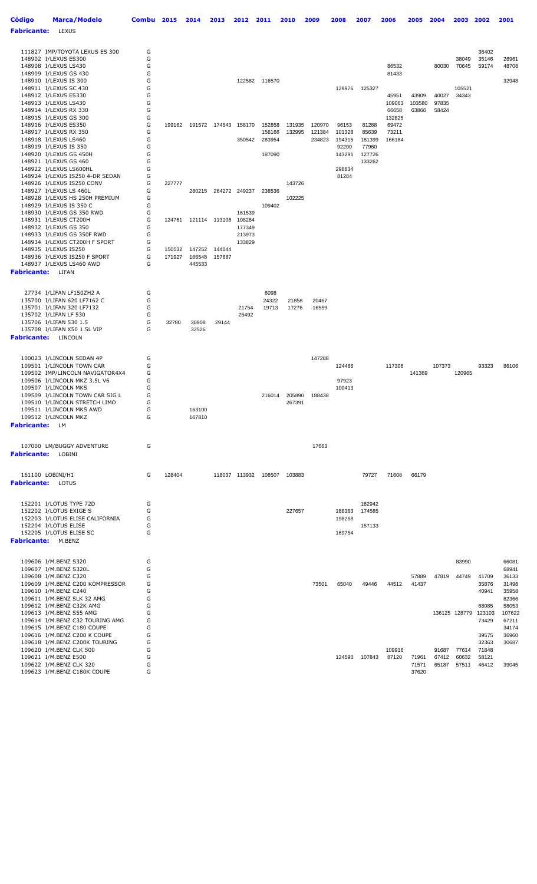| <b>Código</b>            | <b>Marca/Modelo</b>                                             | Combu  | 2015   | 2014             | 2013                        | 2012             | 2011                 | 2010           | 2009           | 2008            | 2007             | 2006            | 2005   | 2004           | 2003           | 2002            | 2001            |
|--------------------------|-----------------------------------------------------------------|--------|--------|------------------|-----------------------------|------------------|----------------------|----------------|----------------|-----------------|------------------|-----------------|--------|----------------|----------------|-----------------|-----------------|
| <b>Fabricante:</b>       | <b>LEXUS</b>                                                    |        |        |                  |                             |                  |                      |                |                |                 |                  |                 |        |                |                |                 |                 |
|                          |                                                                 |        |        |                  |                             |                  |                      |                |                |                 |                  |                 |        |                |                |                 |                 |
|                          | 111827 IMP/TOYOTA LEXUS ES 300                                  | G      |        |                  |                             |                  |                      |                |                |                 |                  |                 |        |                |                | 36402           |                 |
|                          | 148902 I/LEXUS ES300                                            | G      |        |                  |                             |                  |                      |                |                |                 |                  |                 |        |                | 38049          | 35146           | 26961           |
|                          | 148908 I/LEXUS LS430                                            | G      |        |                  |                             |                  |                      |                |                |                 |                  | 86532           |        | 80030          | 70645          | 59174           | 48708           |
|                          | 148909 I/LEXUS GS 430<br>148910 I/LEXUS IS 300                  | G<br>G |        |                  |                             | 122582           | 116570               |                |                |                 |                  | 81433           |        |                |                |                 | 32948           |
|                          | 148911 I/LEXUS SC 430                                           | G      |        |                  |                             |                  |                      |                |                | 129976          | 125327           |                 |        |                | 105521         |                 |                 |
|                          | 148912 I/LEXUS ES330                                            | G      |        |                  |                             |                  |                      |                |                |                 |                  | 45951           | 43909  | 40027          | 34343          |                 |                 |
|                          | 148913 I/LEXUS LS430                                            | G      |        |                  |                             |                  |                      |                |                |                 |                  | 109063          | 103580 | 97835          |                |                 |                 |
|                          | 148914 I/LEXUS RX 330<br>148915 I/LEXUS GS 300                  | G<br>G |        |                  |                             |                  |                      |                |                |                 |                  | 66658<br>132825 | 63866  | 58424          |                |                 |                 |
|                          | 148916 I/LEXUS ES350                                            | G      |        |                  | 199162 191572 174543 158170 |                  | 152858               | 131935         | 120970         | 96153           | 81288            | 69472           |        |                |                |                 |                 |
|                          | 148917 I/LEXUS RX 350                                           | G      |        |                  |                             |                  | 156166               | 132995         | 121384         | 101328          | 85639            | 73211           |        |                |                |                 |                 |
|                          | 148918 I/LEXUS LS460                                            | G      |        |                  |                             | 350542           | 283954               |                | 234823         | 194315          | 181399           | 166184          |        |                |                |                 |                 |
|                          | 148919 I/LEXUS IS 350<br>148920 I/LEXUS GS 450H                 | G<br>G |        |                  |                             |                  | 187090               |                |                | 92200<br>143291 | 77960<br>127726  |                 |        |                |                |                 |                 |
|                          | 148921 I/LEXUS GS 460                                           | G      |        |                  |                             |                  |                      |                |                |                 | 133262           |                 |        |                |                |                 |                 |
|                          | 148922 I/LEXUS LS600HL                                          | G      |        |                  |                             |                  |                      |                |                | 298834          |                  |                 |        |                |                |                 |                 |
|                          | 148924 I/LEXUS IS250 4-DR SEDAN                                 | G      |        |                  |                             |                  |                      |                |                | 81284           |                  |                 |        |                |                |                 |                 |
|                          | 148926 I/LEXUS IS250 CONV                                       | G      | 227777 |                  | 280215 264272 249237        |                  |                      | 143726         |                |                 |                  |                 |        |                |                |                 |                 |
|                          | 148927 I/LEXUS LS 460L<br>148928 I/LEXUS HS 250H PREMIUM        | G<br>G |        |                  |                             |                  | 238536               | 102225         |                |                 |                  |                 |        |                |                |                 |                 |
|                          | 148929 I/LEXUS IS 350 C                                         | G      |        |                  |                             |                  | 109402               |                |                |                 |                  |                 |        |                |                |                 |                 |
|                          | 148930 I/LEXUS GS 350 RWD                                       | G      |        |                  |                             | 161539           |                      |                |                |                 |                  |                 |        |                |                |                 |                 |
|                          | 148931 I/LEXUS CT200H                                           | G      |        |                  | 124761 121114 113106 108284 |                  |                      |                |                |                 |                  |                 |        |                |                |                 |                 |
|                          | 148932 I/LEXUS GS 350<br>148933 I/LEXUS GS 350F RWD             | G<br>G |        |                  |                             | 177349<br>213973 |                      |                |                |                 |                  |                 |        |                |                |                 |                 |
|                          | 148934 I/LEXUS CT200H F SPORT                                   | G      |        |                  |                             | 133829           |                      |                |                |                 |                  |                 |        |                |                |                 |                 |
|                          | 148935 I/LEXUS IS250                                            | G      | 150532 | 147252           | 144044                      |                  |                      |                |                |                 |                  |                 |        |                |                |                 |                 |
|                          | 148936 I/LEXUS IS250 F SPORT                                    | G      | 171927 | 166548           | 157687                      |                  |                      |                |                |                 |                  |                 |        |                |                |                 |                 |
| <b>Fabricante:</b> LIFAN | 148937 I/LEXUS LS460 AWD                                        | G      |        | 445533           |                             |                  |                      |                |                |                 |                  |                 |        |                |                |                 |                 |
|                          |                                                                 |        |        |                  |                             |                  |                      |                |                |                 |                  |                 |        |                |                |                 |                 |
|                          |                                                                 |        |        |                  |                             |                  |                      |                |                |                 |                  |                 |        |                |                |                 |                 |
|                          | 27734 I/LIFAN LF150ZH2 A                                        | G      |        |                  |                             |                  | 6098                 |                |                |                 |                  |                 |        |                |                |                 |                 |
|                          | 135700 I/LIFAN 620 LF7162 C<br>135701 I/LIFAN 320 LF7132        | G<br>G |        |                  |                             | 21754            | 24322<br>19713       | 21858<br>17276 | 20467<br>16559 |                 |                  |                 |        |                |                |                 |                 |
|                          | 135702 I/LIFAN LF 530                                           | G      |        |                  |                             | 25492            |                      |                |                |                 |                  |                 |        |                |                |                 |                 |
|                          | 135706 I/LIFAN 530 1.5                                          | G      | 32780  | 30908            | 29144                       |                  |                      |                |                |                 |                  |                 |        |                |                |                 |                 |
|                          | 135708 I/LIFAN X50 1.5L VIP                                     | G      |        | 32526            |                             |                  |                      |                |                |                 |                  |                 |        |                |                |                 |                 |
|                          | <b>Fabricante:</b> LINCOLN                                      |        |        |                  |                             |                  |                      |                |                |                 |                  |                 |        |                |                |                 |                 |
|                          |                                                                 |        |        |                  |                             |                  |                      |                |                |                 |                  |                 |        |                |                |                 |                 |
|                          | 100023 I/LINCOLN SEDAN 4P                                       | G      |        |                  |                             |                  |                      |                | 147288         |                 |                  |                 |        |                |                |                 |                 |
|                          | 109501 I/LINCOLN TOWN CAR                                       | G      |        |                  |                             |                  |                      |                |                | 124486          |                  | 117308          |        | 107373         |                | 93323           | 86106           |
|                          | 109502 IMP/LINCOLN NAVIGATOR4X4<br>109506 I/LINCOLN MKZ 3.5L V6 | G<br>G |        |                  |                             |                  |                      |                |                | 97923           |                  |                 | 141369 |                | 120965         |                 |                 |
|                          | 109507 I/LINCOLN MKS                                            | G      |        |                  |                             |                  |                      |                |                | 100413          |                  |                 |        |                |                |                 |                 |
|                          | 109509 I/LINCOLN TOWN CAR SIG L                                 | G      |        |                  |                             |                  | 216014               | 205890         | 188438         |                 |                  |                 |        |                |                |                 |                 |
|                          | 109510 I/LINCOLN STRETCH LIMO                                   | G      |        |                  |                             |                  |                      | 267391         |                |                 |                  |                 |        |                |                |                 |                 |
|                          | 109511 I/LINCOLN MKS AWD<br>109512 I/LINCOLN MKZ                | G<br>G |        | 163100<br>167810 |                             |                  |                      |                |                |                 |                  |                 |        |                |                |                 |                 |
| <b>Fabricante:</b> LM    |                                                                 |        |        |                  |                             |                  |                      |                |                |                 |                  |                 |        |                |                |                 |                 |
|                          |                                                                 |        |        |                  |                             |                  |                      |                |                |                 |                  |                 |        |                |                |                 |                 |
|                          | 107000 LM/BUGGY ADVENTURE                                       | G      |        |                  |                             |                  |                      |                | 17663          |                 |                  |                 |        |                |                |                 |                 |
|                          | <b>Fabricante:</b> LOBINI                                       |        |        |                  |                             |                  |                      |                |                |                 |                  |                 |        |                |                |                 |                 |
|                          |                                                                 |        |        |                  |                             |                  |                      |                |                |                 |                  |                 |        |                |                |                 |                 |
|                          |                                                                 | G      | 128404 |                  |                             |                  | 118037 113932 108507 | 103883         |                |                 | 79727            | 71608           | 66179  |                |                |                 |                 |
| <b>Fabricante:</b> LOTUS | 161100 LOBINI/H1                                                |        |        |                  |                             |                  |                      |                |                |                 |                  |                 |        |                |                |                 |                 |
|                          |                                                                 |        |        |                  |                             |                  |                      |                |                |                 |                  |                 |        |                |                |                 |                 |
|                          |                                                                 |        |        |                  |                             |                  |                      |                |                |                 |                  |                 |        |                |                |                 |                 |
|                          | 152201 I/LOTUS TYPE 72D<br>152202 I/LOTUS EXIGE S               | G<br>G |        |                  |                             |                  |                      | 227657         |                | 188363          | 162942<br>174585 |                 |        |                |                |                 |                 |
|                          | 152203 I/LOTUS ELISE CALIFORNIA                                 | G      |        |                  |                             |                  |                      |                |                | 198268          |                  |                 |        |                |                |                 |                 |
|                          | 152204 I/LOTUS ELISE                                            | G      |        |                  |                             |                  |                      |                |                |                 | 157133           |                 |        |                |                |                 |                 |
|                          | 152205 I/LOTUS ELISE SC                                         | G      |        |                  |                             |                  |                      |                |                | 169754          |                  |                 |        |                |                |                 |                 |
|                          | <b>Fabricante:</b> M.BENZ                                       |        |        |                  |                             |                  |                      |                |                |                 |                  |                 |        |                |                |                 |                 |
|                          |                                                                 |        |        |                  |                             |                  |                      |                |                |                 |                  |                 |        |                |                |                 |                 |
|                          | 109606 I/M.BENZ S320                                            | G      |        |                  |                             |                  |                      |                |                |                 |                  |                 |        |                | 83990          |                 | 66081           |
|                          | 109607 I/M.BENZ S320L<br>109608 I/M.BENZ C320                   | G<br>G |        |                  |                             |                  |                      |                |                |                 |                  |                 | 57889  | 47819          | 44749          | 41709           | 68941<br>36133  |
|                          | 109609 I/M.BENZ C200 KOMPRESSOR                                 | G      |        |                  |                             |                  |                      |                | 73501          | 65040           | 49446            | 44512           | 41437  |                |                | 35876           | 31498           |
|                          | 109610 I/M.BENZ C240                                            | G      |        |                  |                             |                  |                      |                |                |                 |                  |                 |        |                |                | 40941           | 35958           |
|                          | 109611 I/M.BENZ SLK 32 AMG                                      | G      |        |                  |                             |                  |                      |                |                |                 |                  |                 |        |                |                |                 | 82366           |
|                          | 109612 I/M.BENZ C32K AMG                                        | G      |        |                  |                             |                  |                      |                |                |                 |                  |                 |        |                |                | 68085           | 58053           |
|                          | 109613 I/M.BENZ S55 AMG<br>109614 I/M.BENZ C32 TOURING AMG      | G<br>G |        |                  |                             |                  |                      |                |                |                 |                  |                 |        |                | 136125 128779  | 123103<br>73429 | 107622<br>67211 |
|                          | 109615 I/M.BENZ C180 COUPE                                      | G      |        |                  |                             |                  |                      |                |                |                 |                  |                 |        |                |                |                 | 34174           |
|                          | 109616 I/M.BENZ C200 K COUPE                                    | G      |        |                  |                             |                  |                      |                |                |                 |                  |                 |        |                |                | 39575           | 36960           |
|                          | 109618 I/M.BENZ C200K TOURING                                   | G      |        |                  |                             |                  |                      |                |                |                 |                  |                 |        |                |                | 32363           | 30687           |
|                          | 109620 I/M.BENZ CLK 500<br>109621 I/M.BENZ E500                 | G<br>G |        |                  |                             |                  |                      |                |                | 124590          | 107843           | 109916<br>87120 | 71961  | 91687<br>67412 | 77614<br>60632 | 71848<br>58121  |                 |
|                          | 109622 I/M.BENZ CLK 320                                         | G      |        |                  |                             |                  |                      |                |                |                 |                  |                 | 71571  | 65187          | 57511          | 46412           | 39045           |
|                          | 109623 I/M.BENZ C180K COUPE                                     | G      |        |                  |                             |                  |                      |                |                |                 |                  |                 | 37620  |                |                |                 |                 |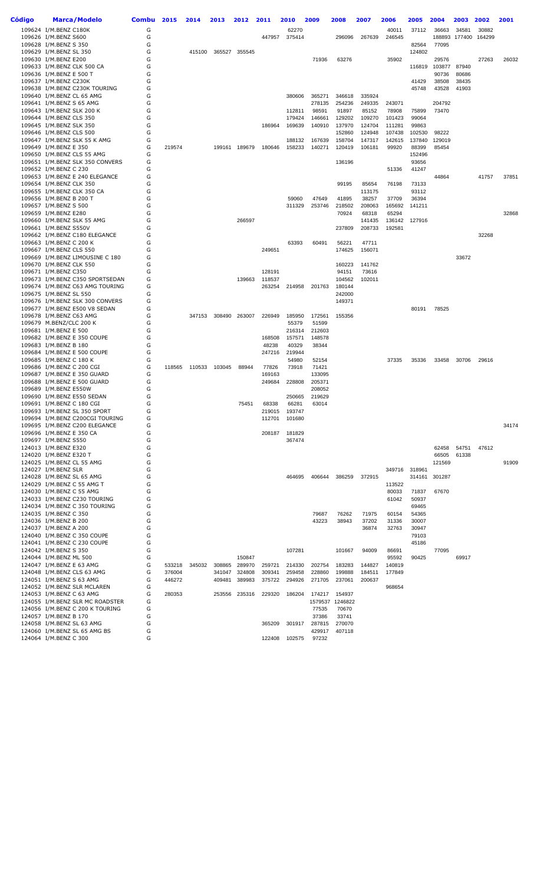| Código | <b>Marca/Modelo</b>                                             | <b>Combu</b> | 2015   | 2014          | 2013   | 2012          | 2011             | 2010             | 2009              | 2008              | 2007            | 2006            | 2005            | 2004            | 2003                 | 2002  | 2001  |
|--------|-----------------------------------------------------------------|--------------|--------|---------------|--------|---------------|------------------|------------------|-------------------|-------------------|-----------------|-----------------|-----------------|-----------------|----------------------|-------|-------|
|        | 109624 I/M.BENZ C180K                                           | G            |        |               |        |               |                  | 62270            |                   |                   |                 | 40011           | 37112           | 36663           | 34581                | 30882 |       |
|        | 109626 I/M.BENZ S600                                            | G            |        |               |        |               | 447957           | 375414           |                   | 296096            | 267639          | 246545          |                 |                 | 188893 177400 164299 |       |       |
|        | 109628 I/M.BENZ S 350<br>109629 I/M.BENZ SL 350                 | G<br>G       |        | 415100        |        | 365527 355545 |                  |                  |                   |                   |                 |                 | 82564<br>124802 | 77095           |                      |       |       |
|        | 109630 I/M.BENZ E200                                            | G            |        |               |        |               |                  |                  | 71936             | 63276             |                 | 35902           |                 | 29576           |                      | 27263 | 26032 |
|        | 109633 I/M.BENZ CLK 500 CA                                      | G            |        |               |        |               |                  |                  |                   |                   |                 |                 |                 | 116819 103877   | 87940                |       |       |
|        | 109636 I/M.BENZ E 500 T                                         | G            |        |               |        |               |                  |                  |                   |                   |                 |                 |                 | 90736           | 80686                |       |       |
|        | 109637 I/M.BENZ C230K                                           | G            |        |               |        |               |                  |                  |                   |                   |                 |                 | 41429           | 38508           | 38435                |       |       |
|        | 109638 I/M.BENZ C230K TOURING                                   | G            |        |               |        |               |                  |                  |                   |                   |                 |                 | 45748           | 43528           | 41903                |       |       |
|        | 109640 I/M.BENZ CL 65 AMG                                       | G            |        |               |        |               |                  | 380606           | 365271            | 346618            | 335924          |                 |                 |                 |                      |       |       |
|        | 109641 I/M.BENZ S 65 AMG<br>109643 I/M.BENZ SLK 200 K           | G<br>G       |        |               |        |               |                  | 112811           | 278135<br>98591   | 254236<br>91897   | 249335<br>85152 | 243071<br>78908 | 75899           | 204792<br>73470 |                      |       |       |
|        | 109644 I/M.BENZ CLS 350                                         | G            |        |               |        |               |                  | 179424           | 146661            | 129202            | 109270          | 101423          | 99064           |                 |                      |       |       |
|        | 109645 I/M.BENZ SLK 350                                         | G            |        |               |        |               | 186964           | 169639           | 140910            | 137970            | 124704          | 111281          | 99863           |                 |                      |       |       |
|        | 109646 I/M.BENZ CLS 500                                         | G            |        |               |        |               |                  |                  |                   | 152860            | 124948          | 107438          | 102530          | 98222           |                      |       |       |
|        | 109647 I/M.BENZ SLK 55 K AMG                                    | G            |        |               |        |               |                  | 188132           | 167639            | 158704            | 147317          | 142615          | 137840          | 129019          |                      |       |       |
|        | 109649 I/M.BENZ E 350<br>109650 I/M.BENZ CLS 55 AMG             | G<br>G       | 219574 |               | 199161 | 189679        | 180646           | 158233           | 140271            | 120419            | 106181          | 99920           | 88399<br>152496 | 85454           |                      |       |       |
|        | 109651 I/M.BENZ SLK 350 CONVERS                                 | G            |        |               |        |               |                  |                  |                   | 136196            |                 |                 | 93656           |                 |                      |       |       |
|        | 109652 I/M.BENZ C 230                                           | G            |        |               |        |               |                  |                  |                   |                   |                 | 51336           | 41247           |                 |                      |       |       |
|        | 109653 I/M.BENZ E 240 ELEGANCE                                  | G            |        |               |        |               |                  |                  |                   |                   |                 |                 |                 | 44864           |                      | 41757 | 37851 |
|        | 109654 I/M.BENZ CLK 350                                         | G            |        |               |        |               |                  |                  |                   | 99195             | 85654           | 76198           | 73133           |                 |                      |       |       |
|        | 109655 I/M.BENZ CLK 350 CA<br>109656 I/M.BENZ B 200 T           | G<br>G       |        |               |        |               |                  | 59060            | 47649             |                   | 113175<br>38257 | 37709           | 93112<br>36394  |                 |                      |       |       |
|        | 109657 I/M.BENZ S 500                                           | G            |        |               |        |               |                  | 311329           | 253746            | 41895<br>218502   | 208063          | 165692          | 141211          |                 |                      |       |       |
|        | 109659 I/M.BENZ E280                                            | G            |        |               |        |               |                  |                  |                   | 70924             | 68318           | 65294           |                 |                 |                      |       | 32868 |
|        | 109660 I/M.BENZ SLK 55 AMG                                      | G            |        |               |        | 266597        |                  |                  |                   |                   | 141435          | 136142          | 127916          |                 |                      |       |       |
|        | 109661 I/M.BENZ S550V                                           | G            |        |               |        |               |                  |                  |                   | 237809            | 208733          | 192581          |                 |                 |                      |       |       |
|        | 109662 I/M.BENZ C180 ELEGANCE                                   | G            |        |               |        |               |                  |                  |                   |                   |                 |                 |                 |                 |                      | 32268 |       |
|        | 109663 I/M.BENZ C 200 K<br>109667 I/M.BENZ CLS 550              | G<br>G       |        |               |        |               | 249651           | 63393            | 60491             | 56221<br>174625   | 47711<br>156071 |                 |                 |                 |                      |       |       |
|        | 109669 I/M.BENZ LIMOUSINE C 180                                 | G            |        |               |        |               |                  |                  |                   |                   |                 |                 |                 |                 | 33672                |       |       |
|        | 109670 I/M.BENZ CLK 550                                         | G            |        |               |        |               |                  |                  |                   | 160223            | 141762          |                 |                 |                 |                      |       |       |
|        | 109671 I/M.BENZ C350                                            | G            |        |               |        |               | 128191           |                  |                   | 94151             | 73616           |                 |                 |                 |                      |       |       |
|        | 109673 I/M.BENZ C350 SPORTSEDAN                                 | G            |        |               |        | 139663        | 118537           |                  |                   | 104562            | 102011          |                 |                 |                 |                      |       |       |
|        | 109674 I/M.BENZ C63 AMG TOURING<br>109675 I/M.BENZ SL 550       | G<br>G       |        |               |        |               | 263254           | 214958           | 201763            | 180144<br>242000  |                 |                 |                 |                 |                      |       |       |
|        | 109676 I/M.BENZ SLK 300 CONVERS                                 | G            |        |               |        |               |                  |                  |                   | 149371            |                 |                 |                 |                 |                      |       |       |
|        | 109677 I/M.BENZ E500 V8 SEDAN                                   | G            |        |               |        |               |                  |                  |                   |                   |                 |                 | 80191           | 78525           |                      |       |       |
|        | 109678 I/M.BENZ C63 AMG                                         | G            |        | 347153        | 308490 | 263007        | 226949           | 185950           | 172561            | 155356            |                 |                 |                 |                 |                      |       |       |
|        | 109679 M.BENZ/CLC 200 K                                         | G            |        |               |        |               |                  | 55379            | 51599             |                   |                 |                 |                 |                 |                      |       |       |
|        | 109681 I/M.BENZ E 500<br>109682 I/M.BENZ E 350 COUPE            | G<br>G       |        |               |        |               | 168508           | 216314<br>157571 | 212603<br>148578  |                   |                 |                 |                 |                 |                      |       |       |
|        | 109683 I/M.BENZ B 180                                           | G            |        |               |        |               | 48238            | 40329            | 38344             |                   |                 |                 |                 |                 |                      |       |       |
|        | 109684 I/M.BENZ E 500 COUPE                                     | G            |        |               |        |               | 247216           | 219944           |                   |                   |                 |                 |                 |                 |                      |       |       |
|        | 109685 I/M.BENZ C 180 K                                         | G            |        |               |        |               |                  | 54980            | 52154             |                   |                 | 37335           | 35336           | 33458           | 30706                | 29616 |       |
|        | 109686 I/M.BENZ C 200 CGI                                       | G<br>G       |        | 118565 110533 | 103045 | 88944         | 77826<br>169163  | 73918            | 71421             |                   |                 |                 |                 |                 |                      |       |       |
|        | 109687 I/M.BENZ E 350 GUARD<br>109688 I/M.BENZ E 500 GUARD      | G            |        |               |        |               | 249684           | 228808           | 133095<br>205371  |                   |                 |                 |                 |                 |                      |       |       |
|        | 109689 I/M.BENZ E550W                                           | G            |        |               |        |               |                  |                  | 208052            |                   |                 |                 |                 |                 |                      |       |       |
|        | 109690 I/M.BENZ E550 SEDAN                                      | G            |        |               |        |               |                  | 250665           | 219629            |                   |                 |                 |                 |                 |                      |       |       |
|        | 109691 I/M.BENZ C 180 CGI                                       | G            |        |               |        | 75451         | 68338            | 66281            | 63014             |                   |                 |                 |                 |                 |                      |       |       |
|        | 109693 I/M.BENZ SL 350 SPORT<br>109694 I/M.BENZ C200CGI TOURING | G<br>G       |        |               |        |               | 219015<br>112701 | 193747<br>101680 |                   |                   |                 |                 |                 |                 |                      |       |       |
|        | 109695 I/M.BENZ C200 ELEGANCE                                   | G            |        |               |        |               |                  |                  |                   |                   |                 |                 |                 |                 |                      |       | 34174 |
|        | 109696 I/M.BENZ E 350 CA                                        | G            |        |               |        |               | 208187           | 181829           |                   |                   |                 |                 |                 |                 |                      |       |       |
|        | 109697 I/M.BENZ S550                                            | G            |        |               |        |               |                  | 367474           |                   |                   |                 |                 |                 |                 |                      |       |       |
|        | 124013 I/M.BENZ E320                                            | G            |        |               |        |               |                  |                  |                   |                   |                 |                 |                 | 62458           | 54751                | 47612 |       |
|        | 124020 I/M.BENZ E320 T<br>124025 I/M.BENZ CL 55 AMG             | G<br>G       |        |               |        |               |                  |                  |                   |                   |                 |                 |                 | 66505<br>121569 | 61338                |       | 91909 |
|        | 124027 I/M.BENZ SLR                                             | G            |        |               |        |               |                  |                  |                   |                   |                 | 349716          | 318961          |                 |                      |       |       |
|        | 124028 I/M.BENZ SL 65 AMG                                       | G            |        |               |        |               |                  | 464695           | 406644            | 386259            | 372915          |                 | 314161          | 301287          |                      |       |       |
|        | 124029 I/M.BENZ C 55 AMG T                                      | G            |        |               |        |               |                  |                  |                   |                   |                 | 113522          |                 |                 |                      |       |       |
|        | 124030 I/M.BENZ C 55 AMG                                        | G            |        |               |        |               |                  |                  |                   |                   |                 | 80033           | 71837           | 67670           |                      |       |       |
|        | 124033 I/M.BENZ C230 TOURING                                    | G<br>G       |        |               |        |               |                  |                  |                   |                   |                 | 61042           | 50937<br>69465  |                 |                      |       |       |
|        | 124034 I/M.BENZ C 350 TOURING<br>124035 I/M.BENZ C 350          | G            |        |               |        |               |                  |                  | 79687             | 76262             | 71975           | 60154           | 54365           |                 |                      |       |       |
|        | 124036 I/M.BENZ B 200                                           | G            |        |               |        |               |                  |                  | 43223             | 38943             | 37202           | 31336           | 30007           |                 |                      |       |       |
|        | 124037 I/M.BENZ A 200                                           | G            |        |               |        |               |                  |                  |                   |                   | 36874           | 32763           | 30947           |                 |                      |       |       |
|        | 124040 I/M.BENZ C 350 COUPE                                     | G            |        |               |        |               |                  |                  |                   |                   |                 |                 | 79103           |                 |                      |       |       |
|        | 124041 I/M.BENZ C 230 COUPE                                     | G            |        |               |        |               |                  |                  |                   |                   |                 |                 | 45186           |                 |                      |       |       |
|        | 124042 I/M.BENZ S 350<br>124044 I/M.BENZ ML 500                 | G<br>G       |        |               |        | 150847        |                  | 107281           |                   | 101667            | 94009           | 86691<br>95592  | 90425           | 77095           | 69917                |       |       |
|        | 124047 I/M.BENZ E 63 AMG                                        | G            | 533218 | 345032        | 308865 | 289970        | 259721           | 214330           | 202754            | 183283            | 144827          | 140819          |                 |                 |                      |       |       |
|        | 124048 I/M.BENZ CLS 63 AMG                                      | G            | 376004 |               | 341047 | 324808        | 309341           | 259458           | 228860            | 199888            | 184511          | 177849          |                 |                 |                      |       |       |
|        | 124051 I/M.BENZ S 63 AMG                                        | G            | 446272 |               | 409481 | 389983        | 375722           | 294926           | 271705            | 237061            | 200637          |                 |                 |                 |                      |       |       |
|        | 124052 I/M.BENZ SLR MCLAREN                                     | G            |        |               |        |               |                  |                  |                   |                   |                 | 968654          |                 |                 |                      |       |       |
|        | 124053 I/M.BENZ C 63 AMG<br>124055 I/M.BENZ SLR MC ROADSTER     | G<br>G       | 280353 |               | 253556 | 235316        | 229320           | 186204           | 174217<br>1579537 | 154937<br>1246822 |                 |                 |                 |                 |                      |       |       |
|        | 124056 I/M.BENZ C 200 K TOURING                                 | G            |        |               |        |               |                  |                  | 77535             | 70670             |                 |                 |                 |                 |                      |       |       |
|        | 124057 I/M.BENZ B 170                                           | G            |        |               |        |               |                  |                  | 37386             | 33741             |                 |                 |                 |                 |                      |       |       |
|        | 124058 I/M.BENZ SL 63 AMG                                       | G            |        |               |        |               | 365209           | 301917           | 287815            | 270070            |                 |                 |                 |                 |                      |       |       |
|        | 124060 I/M.BENZ SL 65 AMG BS                                    | G<br>G       |        |               |        |               | 122408           |                  | 429917            | 407118            |                 |                 |                 |                 |                      |       |       |
|        | 124064 I/M.BENZ C 300                                           |              |        |               |        |               |                  | 102575           | 97232             |                   |                 |                 |                 |                 |                      |       |       |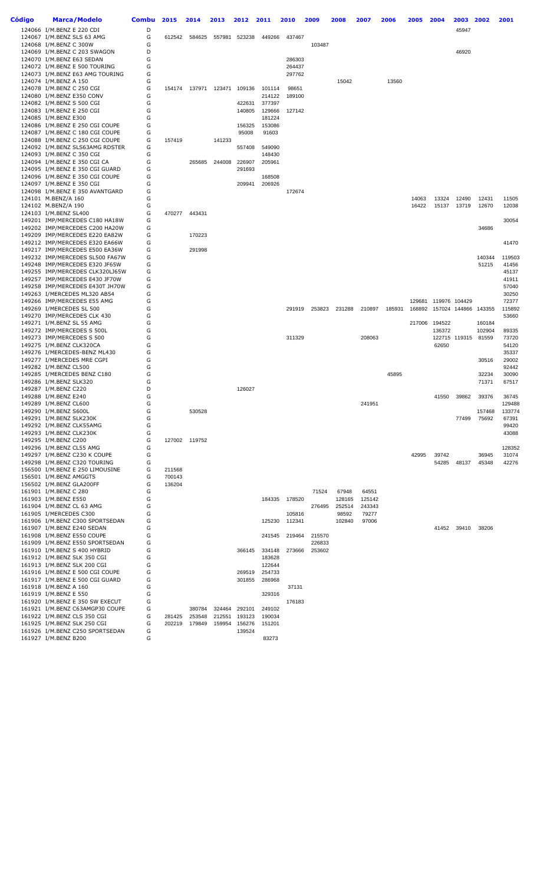| Código | <b>Marca/Modelo</b>                                              | <b>Combu</b> | 2015   | 2014             | 2013             | 2012             | 2011             | 2010             | 2009   | 2008            | 2007           | 2006   | 2005   | 2004                        | 2003          | 2002            | 2001           |
|--------|------------------------------------------------------------------|--------------|--------|------------------|------------------|------------------|------------------|------------------|--------|-----------------|----------------|--------|--------|-----------------------------|---------------|-----------------|----------------|
|        | 124066 I/M.BENZ E 220 CDI                                        | D            |        |                  |                  |                  |                  |                  |        |                 |                |        |        |                             | 45947         |                 |                |
|        | 124067 I/M.BENZ SLS 63 AMG                                       | G            | 612542 | 584625           | 557981           | 523238           | 449266           | 437467           |        |                 |                |        |        |                             |               |                 |                |
|        | 124068 I/M.BENZ C 300W                                           | G            |        |                  |                  |                  |                  |                  | 103487 |                 |                |        |        |                             |               |                 |                |
|        | 124069 I/M.BENZ C 203 SWAGON<br>124070 I/M.BENZ E63 SEDAN        | D<br>G       |        |                  |                  |                  |                  | 286303           |        |                 |                |        |        |                             | 46920         |                 |                |
|        | 124072 I/M.BENZ E 500 TOURING                                    | G            |        |                  |                  |                  |                  | 264437           |        |                 |                |        |        |                             |               |                 |                |
|        | 124073 I/M.BENZ E63 AMG TOURING                                  | G            |        |                  |                  |                  |                  | 297762           |        |                 |                |        |        |                             |               |                 |                |
|        | 124074 I/M.BENZ A 150                                            | G            |        |                  |                  |                  |                  |                  |        | 15042           |                | 13560  |        |                             |               |                 |                |
|        | 124078 I/M.BENZ C 250 CGI                                        | G            |        | 154174 137971    | 123471           | 109136           | 101114           | 98651            |        |                 |                |        |        |                             |               |                 |                |
|        | 124080 I/M.BENZ E350 CONV                                        | G            |        |                  |                  |                  | 214122           | 189100           |        |                 |                |        |        |                             |               |                 |                |
|        | 124082 I/M.BENZ S 500 CGI<br>124083 I/M.BENZ E 250 CGI           | G<br>G       |        |                  |                  | 422631<br>140805 | 377397<br>129666 | 127142           |        |                 |                |        |        |                             |               |                 |                |
|        | 124085 I/M.BENZ E300                                             | G            |        |                  |                  |                  | 181224           |                  |        |                 |                |        |        |                             |               |                 |                |
|        | 124086 I/M.BENZ E 250 CGI COUPE                                  | G            |        |                  |                  | 156325           | 153086           |                  |        |                 |                |        |        |                             |               |                 |                |
|        | 124087 I/M.BENZ C 180 CGI COUPE                                  | G            |        |                  |                  | 95008            | 91603            |                  |        |                 |                |        |        |                             |               |                 |                |
|        | 124088 I/M.BENZ C 250 CGI COUPE                                  | G            | 157419 |                  | 141233           |                  |                  |                  |        |                 |                |        |        |                             |               |                 |                |
|        | 124092 I/M.BENZ SLS63AMG RDSTER<br>124093 I/M.BENZ C 350 CGI     | G<br>G       |        |                  |                  | 557408           | 549090<br>148430 |                  |        |                 |                |        |        |                             |               |                 |                |
|        | 124094 I/M.BENZ E 350 CGI CA                                     | G            |        | 265685           | 244008           | 226907           | 205961           |                  |        |                 |                |        |        |                             |               |                 |                |
|        | 124095 I/M.BENZ E 350 CGI GUARD                                  | G            |        |                  |                  | 291693           |                  |                  |        |                 |                |        |        |                             |               |                 |                |
|        | 124096 I/M.BENZ E 350 CGI COUPE                                  | G            |        |                  |                  |                  | 168508           |                  |        |                 |                |        |        |                             |               |                 |                |
|        | 124097 I/M.BENZ E 350 CGI                                        | G            |        |                  |                  | 209941           | 206926           |                  |        |                 |                |        |        |                             |               |                 |                |
|        | 124098 I/M.BENZ E 350 AVANTGARD<br>124101 M.BENZ/A 160           | G<br>G       |        |                  |                  |                  |                  | 172674           |        |                 |                |        | 14063  | 13324                       | 12490         | 12431           | 11505          |
|        | 124102 M.BENZ/A 190                                              | G            |        |                  |                  |                  |                  |                  |        |                 |                |        | 16422  | 15137                       | 13719         | 12670           | 12038          |
|        | 124103 I/M.BENZ SL400                                            | G            | 470277 | 443431           |                  |                  |                  |                  |        |                 |                |        |        |                             |               |                 |                |
|        | 149201 IMP/MERCEDES C180 HA18W                                   | G            |        |                  |                  |                  |                  |                  |        |                 |                |        |        |                             |               |                 | 30054          |
|        | 149202 IMP/MERCEDES C200 HA20W                                   | G            |        |                  |                  |                  |                  |                  |        |                 |                |        |        |                             |               | 34686           |                |
|        | 149209 IMP/MERCEDES E220 EA82W<br>149212 IMP/MERCEDES E320 EA66W | G<br>G       |        | 170223           |                  |                  |                  |                  |        |                 |                |        |        |                             |               |                 | 41470          |
|        | 149217 IMP/MERCEDES E500 EA36W                                   | G            |        | 291998           |                  |                  |                  |                  |        |                 |                |        |        |                             |               |                 |                |
|        | 149232 IMP/MERCEDES SL500 FA67W                                  | G            |        |                  |                  |                  |                  |                  |        |                 |                |        |        |                             |               | 140344          | 119503         |
|        | 149248 IMP/MERCEDES E320 JF65W                                   | G            |        |                  |                  |                  |                  |                  |        |                 |                |        |        |                             |               | 51215           | 41456          |
|        | 149255 IMP/MERCEDES CLK320LJ65W                                  | G            |        |                  |                  |                  |                  |                  |        |                 |                |        |        |                             |               |                 | 45137          |
|        | 149257 IMP/MERCEDES E430 JF70W                                   | G            |        |                  |                  |                  |                  |                  |        |                 |                |        |        |                             |               |                 | 41911          |
|        | 149258 IMP/MERCEDES E430T JH70W<br>149263 I/MERCEDES ML320 AB54  | G<br>G       |        |                  |                  |                  |                  |                  |        |                 |                |        |        |                             |               |                 | 57040<br>30250 |
|        | 149266 IMP/MERCEDES E55 AMG                                      | G            |        |                  |                  |                  |                  |                  |        |                 |                |        | 129681 | 119976 104429               |               |                 | 72377          |
|        | 149269 I/MERCEDES SL 500                                         | G            |        |                  |                  |                  |                  | 291919           | 253823 | 231288          | 210897         | 185931 |        | 168892 157024 144866 143355 |               |                 | 115892         |
|        | 149270 IMP/MERCEDES CLK 430                                      | G            |        |                  |                  |                  |                  |                  |        |                 |                |        |        |                             |               |                 | 53660          |
|        | 149271 I/M.BENZ SL 55 AMG                                        | G            |        |                  |                  |                  |                  |                  |        |                 |                |        | 217006 | 194522                      |               | 160184          |                |
|        | 149272 IMP/MERCEDES S 500L<br>149273 IMP/MERCEDES S 500          | G<br>G       |        |                  |                  |                  |                  | 311329           |        |                 | 208063         |        |        | 136372                      | 122715 119315 | 102904<br>81559 | 89335<br>73720 |
|        | 149275 I/M.BENZ CLK320CA                                         | G            |        |                  |                  |                  |                  |                  |        |                 |                |        |        | 62650                       |               |                 | 54120          |
|        | 149276 I/MERCEDES-BENZ ML430                                     | G            |        |                  |                  |                  |                  |                  |        |                 |                |        |        |                             |               |                 | 35337          |
|        | 149277 I/MERCEDES MRE CGPI                                       | G            |        |                  |                  |                  |                  |                  |        |                 |                |        |        |                             |               | 30516           | 29002          |
|        | 149282 I/M.BENZ CL500                                            | G            |        |                  |                  |                  |                  |                  |        |                 |                |        |        |                             |               |                 | 92442          |
|        | 149285 I/MERCEDES BENZ C180                                      | G<br>G       |        |                  |                  |                  |                  |                  |        |                 |                | 45895  |        |                             |               | 32234<br>71371  | 30090<br>67517 |
|        | 149286 I/M.BENZ SLK320<br>149287 I/M.BENZ C220                   | D            |        |                  |                  | 126027           |                  |                  |        |                 |                |        |        |                             |               |                 |                |
|        | 149288 I/M.BENZ E240                                             | G            |        |                  |                  |                  |                  |                  |        |                 |                |        |        | 41550                       | 39862         | 39376           | 36745          |
|        | 149289 I/M.BENZ CL600                                            | G            |        |                  |                  |                  |                  |                  |        |                 | 241951         |        |        |                             |               |                 | 129488         |
|        | 149290 I/M.BENZ S600L                                            | G            |        | 530528           |                  |                  |                  |                  |        |                 |                |        |        |                             |               | 157468          | 133774         |
|        | 149291 I/M.BENZ SLK230K                                          | G<br>G       |        |                  |                  |                  |                  |                  |        |                 |                |        |        |                             | 77499         | 75692           | 67391<br>99420 |
|        | 149292 I/M.BENZ CLK55AMG<br>149293 I/M.BENZ CLK230K              | G            |        |                  |                  |                  |                  |                  |        |                 |                |        |        |                             |               |                 | 43088          |
|        | 149295 I/M.BENZ C200                                             | G            |        | 127002 119752    |                  |                  |                  |                  |        |                 |                |        |        |                             |               |                 |                |
|        | 149296 I/M.BENZ CL55 AMG                                         | G            |        |                  |                  |                  |                  |                  |        |                 |                |        |        |                             |               |                 | 128352         |
|        | 149297 I/M.BENZ C230 K COUPE                                     | G            |        |                  |                  |                  |                  |                  |        |                 |                |        | 42995  | 39742                       |               | 36945           | 31074          |
|        | 149298 I/M.BENZ C320 TOURING<br>156500 I/M.BENZ E 250 LIMOUSINE  | G<br>G       | 211568 |                  |                  |                  |                  |                  |        |                 |                |        |        | 54285                       | 48137         | 45348           | 42276          |
|        | 156501 I/M.BENZ AMGGTS                                           | G            | 700143 |                  |                  |                  |                  |                  |        |                 |                |        |        |                             |               |                 |                |
|        | 156502 I/M.BENZ GLA200FF                                         | G            | 136204 |                  |                  |                  |                  |                  |        |                 |                |        |        |                             |               |                 |                |
|        | 161901 I/M.BENZ C 280                                            | G            |        |                  |                  |                  |                  |                  | 71524  | 67948           | 64551          |        |        |                             |               |                 |                |
|        | 161903 I/M.BENZ E550                                             | G            |        |                  |                  |                  | 184335           | 178520           |        | 128165          | 125142         |        |        |                             |               |                 |                |
|        | 161904 I/M.BENZ CL 63 AMG                                        | G            |        |                  |                  |                  |                  |                  | 276495 | 252514          | 243343         |        |        |                             |               |                 |                |
|        | 161905 I/MERCEDES C300<br>161906 I/M.BENZ C300 SPORTSEDAN        | G<br>G       |        |                  |                  |                  | 125230           | 105816<br>112341 |        | 98592<br>102840 | 79277<br>97006 |        |        |                             |               |                 |                |
|        | 161907 I/M.BENZ E240 SEDAN                                       | G            |        |                  |                  |                  |                  |                  |        |                 |                |        |        | 41452                       | 39410         | 38206           |                |
|        | 161908 I/M.BENZ E550 COUPE                                       | G            |        |                  |                  |                  | 241545           | 219464           | 215570 |                 |                |        |        |                             |               |                 |                |
|        | 161909 I/M.BENZ E550 SPORTSEDAN                                  | G            |        |                  |                  |                  |                  |                  | 226833 |                 |                |        |        |                             |               |                 |                |
|        | 161910 I/M.BENZ S 400 HYBRID                                     | G            |        |                  |                  | 366145           | 334148           | 273666           | 253602 |                 |                |        |        |                             |               |                 |                |
|        | 161912 I/M.BENZ SLK 350 CGI                                      | G<br>G       |        |                  |                  |                  | 183628           |                  |        |                 |                |        |        |                             |               |                 |                |
|        | 161913 I/M.BENZ SLK 200 CGI<br>161916 I/M.BENZ E 500 CGI COUPE   | G            |        |                  |                  | 269519           | 122644<br>254733 |                  |        |                 |                |        |        |                             |               |                 |                |
|        | 161917 I/M.BENZ E 500 CGI GUARD                                  | G            |        |                  |                  | 301855           | 286968           |                  |        |                 |                |        |        |                             |               |                 |                |
|        | 161918 I/M.BENZ A 160                                            | G            |        |                  |                  |                  |                  | 37131            |        |                 |                |        |        |                             |               |                 |                |
|        | 161919 I/M.BENZ E 550                                            | G            |        |                  |                  |                  | 329316           |                  |        |                 |                |        |        |                             |               |                 |                |
|        | 161920 I/M.BENZ E 350 SW EXECUT                                  | G            |        |                  |                  |                  |                  | 176183           |        |                 |                |        |        |                             |               |                 |                |
|        | 161921 I/M.BENZ C63AMGP30 COUPE<br>161922 I/M.BENZ CLS 350 CGI   | G<br>G       | 281425 | 380784<br>253548 | 324464<br>212551 | 292101<br>193123 | 249102<br>190034 |                  |        |                 |                |        |        |                             |               |                 |                |
|        | 161925 I/M.BENZ SLK 250 CGI                                      | G            | 202219 | 179849           | 159954           | 156276           | 151201           |                  |        |                 |                |        |        |                             |               |                 |                |
|        | 161926 I/M.BENZ C250 SPORTSEDAN                                  | G            |        |                  |                  | 139524           |                  |                  |        |                 |                |        |        |                             |               |                 |                |
|        | 161927 I/M.BENZ B200                                             | G            |        |                  |                  |                  | 83273            |                  |        |                 |                |        |        |                             |               |                 |                |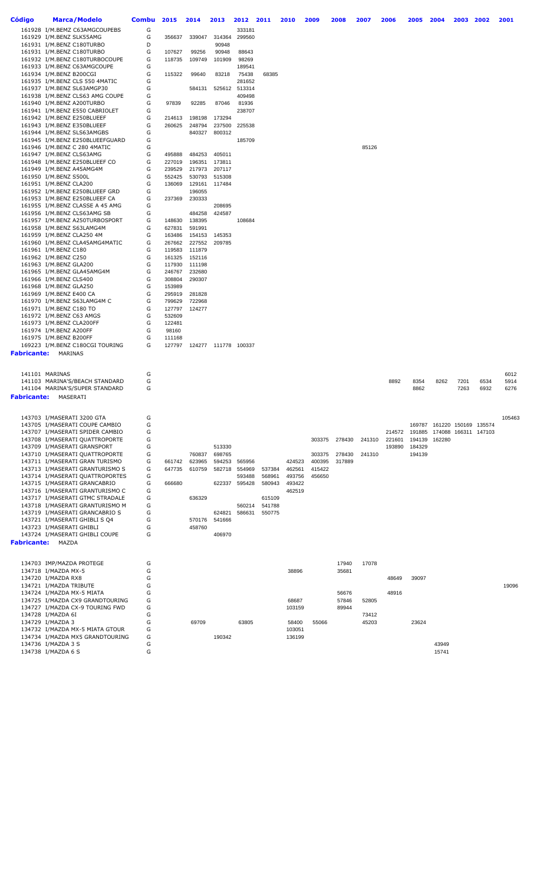| Código             | Marca/Modelo                                                      | <b>Combu</b> | 2015             | 2014             | 2013                           | 2012            | 2011   | 2010   | 2009   | 2008   | 2007   | 2006   | 2005   | 2004                        | 2003 2002 |      | 2001   |
|--------------------|-------------------------------------------------------------------|--------------|------------------|------------------|--------------------------------|-----------------|--------|--------|--------|--------|--------|--------|--------|-----------------------------|-----------|------|--------|
|                    | 161928 I/M.BEMZ C63AMGCOUPEBS                                     | G            |                  |                  |                                | 333181          |        |        |        |        |        |        |        |                             |           |      |        |
|                    | 161929 I/M.BENZ SLK55AMG                                          | G            | 356637           | 339047           | 314364                         | 299560          |        |        |        |        |        |        |        |                             |           |      |        |
|                    | 161931 I/M.BENZ C180TURBO                                         | D            |                  |                  | 90948                          |                 |        |        |        |        |        |        |        |                             |           |      |        |
|                    | 161931 I/M.BENZ C180TURBO                                         | G            | 107627           | 99256            | 90948                          | 88643           |        |        |        |        |        |        |        |                             |           |      |        |
|                    | 161932 I/M.BENZ C180TURBOCOUPE<br>161933 I/M.BENZ C63AMGCOUPE     | G<br>G       | 118735           | 109749           | 101909                         | 98269<br>189541 |        |        |        |        |        |        |        |                             |           |      |        |
|                    | 161934 I/M.BENZ B200CGI                                           | G            | 115322           | 99640            | 83218                          | 75438           | 68385  |        |        |        |        |        |        |                             |           |      |        |
|                    | 161935 I/M.BENZ CLS 550 4MATIC                                    | G            |                  |                  |                                | 281652          |        |        |        |        |        |        |        |                             |           |      |        |
|                    | 161937 I/M.BENZ SL63AMGP30                                        | G            |                  | 584131           | 525612                         | 513314          |        |        |        |        |        |        |        |                             |           |      |        |
|                    | 161938 I/M.BENZ CLS63 AMG COUPE                                   | G            |                  |                  |                                | 409498          |        |        |        |        |        |        |        |                             |           |      |        |
|                    | 161940 I/M.BENZ A200TURBO                                         | G            | 97839            | 92285            | 87046                          | 81936           |        |        |        |        |        |        |        |                             |           |      |        |
|                    | 161941 I/M.BENZ E550 CABRIOLET                                    | G            |                  |                  |                                | 238707          |        |        |        |        |        |        |        |                             |           |      |        |
|                    | 161942 I/M.BENZ E250BLUEEF                                        | G            | 214613           | 198198           | 173294                         |                 |        |        |        |        |        |        |        |                             |           |      |        |
|                    | 161943 I/M.BENZ E350BLUEEF                                        | G            | 260625           | 248794           | 237500                         | 225538          |        |        |        |        |        |        |        |                             |           |      |        |
|                    | 161944 I/M.BENZ SLS63AMGBS<br>161945 I/M.BENZ E250BLUEEFGUARD     | G<br>G       |                  | 840327           | 800312                         |                 |        |        |        |        |        |        |        |                             |           |      |        |
|                    | 161946 I/M.BENZ C 280 4MATIC                                      | G            |                  |                  |                                | 185709          |        |        |        |        | 85126  |        |        |                             |           |      |        |
|                    | 161947 I/M.BENZ CLS63AMG                                          | G            | 495888           | 484253           | 405011                         |                 |        |        |        |        |        |        |        |                             |           |      |        |
|                    | 161948 I/M.BENZ E250BLUEEF CO                                     | G            | 227019           | 196351           | 173811                         |                 |        |        |        |        |        |        |        |                             |           |      |        |
|                    | 161949 I/M.BENZ A45AMG4M                                          | G            | 239529           | 217973           | 207117                         |                 |        |        |        |        |        |        |        |                             |           |      |        |
|                    | 161950 I/M.BENZ S500L                                             | G            | 552425           | 530793           | 515308                         |                 |        |        |        |        |        |        |        |                             |           |      |        |
|                    | 161951 I/M.BENZ CLA200                                            | G            | 136069           | 129161           | 117484                         |                 |        |        |        |        |        |        |        |                             |           |      |        |
|                    | 161952 I/M.BENZ E250BLUEEF GRD                                    | G            |                  | 196055           |                                |                 |        |        |        |        |        |        |        |                             |           |      |        |
|                    | 161953 I/M.BENZ E250BLUEEF CA                                     | G            | 237369           | 230333           |                                |                 |        |        |        |        |        |        |        |                             |           |      |        |
|                    | 161955 I/M.BENZ CLASSE A 45 AMG                                   | G            |                  |                  | 208695                         |                 |        |        |        |        |        |        |        |                             |           |      |        |
|                    | 161956 I/M.BENZ CLS63AMG SB                                       | G            |                  | 484258           | 424587                         |                 |        |        |        |        |        |        |        |                             |           |      |        |
|                    | 161957 I/M.BENZ A250TURBOSPORT                                    | G            | 148630           | 138395           |                                | 108684          |        |        |        |        |        |        |        |                             |           |      |        |
|                    | 161958 I/M.BENZ S63LAMG4M                                         | G            | 627831           | 591991           |                                |                 |        |        |        |        |        |        |        |                             |           |      |        |
|                    | 161959 I/M.BENZ CLA250 4M<br>161960 I/M.BENZ CLA45AMG4MATIC       | G<br>G       | 163486<br>267662 | 154153<br>227552 | 145353<br>209785               |                 |        |        |        |        |        |        |        |                             |           |      |        |
|                    | 161961 I/M.BENZ C180                                              | G            | 119583           | 111879           |                                |                 |        |        |        |        |        |        |        |                             |           |      |        |
|                    | 161962 I/M.BENZ C250                                              | G            | 161325           | 152116           |                                |                 |        |        |        |        |        |        |        |                             |           |      |        |
|                    | 161963 I/M.BENZ GLA200                                            | G            | 117930           | 111198           |                                |                 |        |        |        |        |        |        |        |                             |           |      |        |
|                    | 161965 I/M.BENZ GLA45AMG4M                                        | G            | 246767           | 232680           |                                |                 |        |        |        |        |        |        |        |                             |           |      |        |
|                    | 161966 I/M.BENZ CLS400                                            | G            | 308804           | 290307           |                                |                 |        |        |        |        |        |        |        |                             |           |      |        |
|                    | 161968 I/M.BENZ GLA250                                            | G            | 153989           |                  |                                |                 |        |        |        |        |        |        |        |                             |           |      |        |
|                    | 161969 I/M.BENZ E400 CA                                           | G            | 295919           | 281828           |                                |                 |        |        |        |        |        |        |        |                             |           |      |        |
|                    | 161970 I/M.BENZ S63LAMG4M C                                       | G            | 799629           | 722968           |                                |                 |        |        |        |        |        |        |        |                             |           |      |        |
|                    | 161971 I/M.BENZ C180 TO                                           | G            | 127797           | 124277           |                                |                 |        |        |        |        |        |        |        |                             |           |      |        |
|                    | 161972 I/M.BENZ C63 AMGS                                          | G            | 532609           |                  |                                |                 |        |        |        |        |        |        |        |                             |           |      |        |
|                    | 161973 I/M.BENZ CLA200FF                                          | G            | 122481           |                  |                                |                 |        |        |        |        |        |        |        |                             |           |      |        |
|                    | 161974 I/M.BENZ A200FF                                            | G<br>G       | 98160            |                  |                                |                 |        |        |        |        |        |        |        |                             |           |      |        |
|                    | 161975 I/M.BENZ B200FF<br>169223 I/M.BENZ C180CGI TOURING         | G            | 111168           |                  | 127797  124277  111778  100337 |                 |        |        |        |        |        |        |        |                             |           |      |        |
|                    | <b>Fabricante:</b> MARINAS                                        |              |                  |                  |                                |                 |        |        |        |        |        |        |        |                             |           |      |        |
|                    |                                                                   |              |                  |                  |                                |                 |        |        |        |        |        |        |        |                             |           |      |        |
|                    |                                                                   |              |                  |                  |                                |                 |        |        |        |        |        |        |        |                             |           |      |        |
|                    | 141101 MARINAS                                                    | G            |                  |                  |                                |                 |        |        |        |        |        |        |        |                             |           |      | 6012   |
|                    | 141103 MARINA'S/BEACH STANDARD                                    | G            |                  |                  |                                |                 |        |        |        |        |        | 8892   | 8354   | 8262                        | 7201      | 6534 | 5914   |
|                    | 141104 MARINA'S/SUPER STANDARD                                    | G            |                  |                  |                                |                 |        |        |        |        |        |        | 8862   |                             | 7263      | 6932 | 6276   |
| <b>Fabricante:</b> | MASERATI                                                          |              |                  |                  |                                |                 |        |        |        |        |        |        |        |                             |           |      |        |
|                    |                                                                   |              |                  |                  |                                |                 |        |        |        |        |        |        |        |                             |           |      |        |
|                    | 143703 I/MASERATI 3200 GTA                                        |              |                  |                  |                                |                 |        |        |        |        |        |        |        |                             |           |      | 105463 |
|                    |                                                                   | G            |                  |                  |                                |                 |        |        |        |        |        |        |        |                             |           |      |        |
|                    | 143705 I/MASERATI COUPE CAMBIO                                    | G            |                  |                  |                                |                 |        |        |        |        |        |        |        | 169787 161220 150169 135574 |           |      |        |
|                    | 143707 I/MASERATI SPIDER CAMBIO                                   | G            |                  |                  |                                |                 |        |        |        |        |        | 214572 | 191885 | 174088 166311 147103        |           |      |        |
|                    | 143708 I/MASERATI QUATTROPORTE                                    | G            |                  |                  |                                |                 |        |        | 303375 | 278430 | 241310 | 221601 |        | 194139 162280               |           |      |        |
|                    | 143709 I/MASERATI GRANSPORT                                       | G            |                  |                  | 513330                         |                 |        |        |        |        |        | 193890 | 184329 |                             |           |      |        |
|                    | 143710 I/MASERATI QUATTROPORTE                                    | G            |                  | 760837           | 698765                         |                 |        |        | 303375 | 278430 | 241310 |        | 194139 |                             |           |      |        |
|                    | 143711 I/MASERATI GRAN TURISMO                                    | G            | 661742           | 623965           | 594253                         | 565956          |        | 424523 | 400395 | 317889 |        |        |        |                             |           |      |        |
|                    | 143713 I/MASERATI GRANTURISMO S                                   | G            | 647735           | 610759           | 582718                         | 554969          | 537384 | 462561 | 415422 |        |        |        |        |                             |           |      |        |
|                    | 143714 I/MASERATI QUATTROPORTES                                   | G            |                  |                  |                                | 593488          | 568961 | 493756 | 456650 |        |        |        |        |                             |           |      |        |
|                    | 143715 I/MASERATI GRANCABRIO                                      | G            | 666680           |                  | 622337                         | 595428          | 580943 | 493422 |        |        |        |        |        |                             |           |      |        |
|                    | 143716 I/MASERATI GRANTURISMO C                                   | G            |                  |                  |                                |                 |        | 462519 |        |        |        |        |        |                             |           |      |        |
|                    | 143717 I/MASERATI GTMC STRADALE                                   | G            |                  | 636329           |                                |                 | 615109 |        |        |        |        |        |        |                             |           |      |        |
|                    | 143718 I/MASERATI GRANTURISMO M<br>143719 I/MASERATI GRANCABRIO S | G            |                  |                  |                                | 560214          | 541788 |        |        |        |        |        |        |                             |           |      |        |
|                    | 143721 I/MASERATI GHIBLI S Q4                                     | G<br>G       |                  | 570176           | 624821<br>541666               | 586631          | 550775 |        |        |        |        |        |        |                             |           |      |        |
|                    | 143723 I/MASERATI GHIBLI                                          | G            |                  | 458760           |                                |                 |        |        |        |        |        |        |        |                             |           |      |        |
|                    | 143724 I/MASERATI GHIBLI COUPE                                    | G            |                  |                  | 406970                         |                 |        |        |        |        |        |        |        |                             |           |      |        |
|                    | <b>Fabricante:</b> MAZDA                                          |              |                  |                  |                                |                 |        |        |        |        |        |        |        |                             |           |      |        |
|                    |                                                                   |              |                  |                  |                                |                 |        |        |        |        |        |        |        |                             |           |      |        |
|                    |                                                                   |              |                  |                  |                                |                 |        |        |        |        |        |        |        |                             |           |      |        |
|                    | 134703 IMP/MAZDA PROTEGE                                          | G            |                  |                  |                                |                 |        |        |        | 17940  | 17078  |        |        |                             |           |      |        |
|                    | 134718 I/MAZDA MX-5<br>134720 I/MAZDA RX8                         | G<br>G       |                  |                  |                                |                 |        | 38896  |        | 35681  |        | 48649  | 39097  |                             |           |      |        |
|                    | 134721 I/MAZDA TRIBUTE                                            | G            |                  |                  |                                |                 |        |        |        |        |        |        |        |                             |           |      | 19096  |
|                    | 134724 I/MAZDA MX-5 MIATA                                         | G            |                  |                  |                                |                 |        |        |        | 56676  |        | 48916  |        |                             |           |      |        |
|                    | 134725 I/MAZDA CX9 GRANDTOURING                                   | G            |                  |                  |                                |                 |        | 68687  |        | 57846  | 52805  |        |        |                             |           |      |        |
|                    | 134727 I/MAZDA CX-9 TOURING FWD                                   | G            |                  |                  |                                |                 |        | 103159 |        | 89944  |        |        |        |                             |           |      |        |
|                    | 134728 I/MAZDA 6I                                                 | G            |                  |                  |                                |                 |        |        |        |        | 73412  |        |        |                             |           |      |        |
|                    | 134729 I/MAZDA 3                                                  | G            |                  | 69709            |                                | 63805           |        | 58400  | 55066  |        | 45203  |        | 23624  |                             |           |      |        |
|                    | 134732 I/MAZDA MX-5 MIATA GTOUR                                   | G            |                  |                  |                                |                 |        | 103051 |        |        |        |        |        |                             |           |      |        |
|                    | 134734 I/MAZDA MX5 GRANDTOURING                                   | G            |                  |                  | 190342                         |                 |        | 136199 |        |        |        |        |        |                             |           |      |        |
|                    | 134736 I/MAZDA 3 S<br>134738 I/MAZDA 6 S                          | G<br>G       |                  |                  |                                |                 |        |        |        |        |        |        |        | 43949<br>15741              |           |      |        |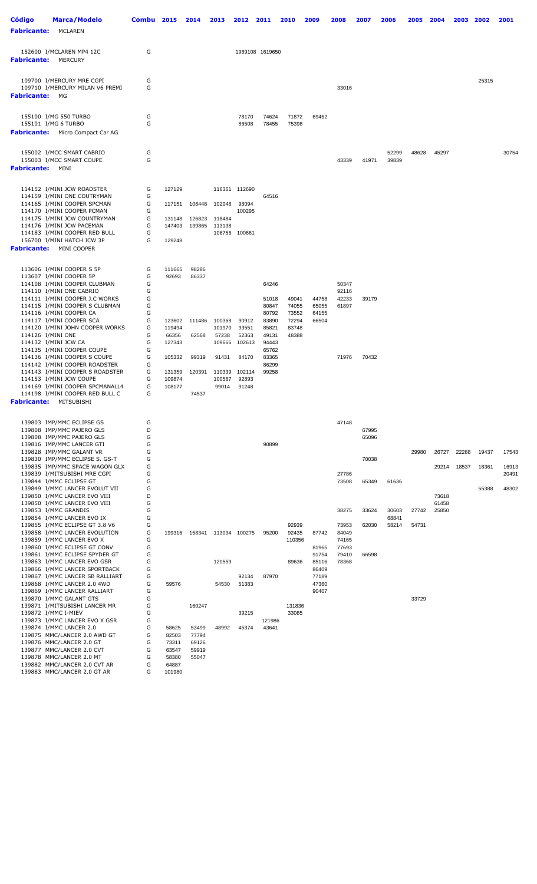| Código                  | Marca/Modelo                                                       | <b>Combu</b> 2015 |                | 2014   | 2013             | 2012           | 2011            | 2010           | 2009           | 2008           | 2007  | 2006           | 2005  | 2004  | 2003  | 2002  | 2001  |
|-------------------------|--------------------------------------------------------------------|-------------------|----------------|--------|------------------|----------------|-----------------|----------------|----------------|----------------|-------|----------------|-------|-------|-------|-------|-------|
| <b>Fabricante:</b>      | MCLAREN                                                            |                   |                |        |                  |                |                 |                |                |                |       |                |       |       |       |       |       |
|                         |                                                                    |                   |                |        |                  |                |                 |                |                |                |       |                |       |       |       |       |       |
|                         | 152600 I/MCLAREN MP4 12C                                           | G                 |                |        |                  |                | 1969108 1619650 |                |                |                |       |                |       |       |       |       |       |
| <b>Fabricante:</b>      | MERCURY                                                            |                   |                |        |                  |                |                 |                |                |                |       |                |       |       |       |       |       |
|                         |                                                                    |                   |                |        |                  |                |                 |                |                |                |       |                |       |       |       |       |       |
|                         | 109700 I/MERCURY MRE CGPI                                          | G                 |                |        |                  |                |                 |                |                |                |       |                |       |       |       | 25315 |       |
|                         | 109710 I/MERCURY MILAN V6 PREMI                                    | G                 |                |        |                  |                |                 |                |                | 33016          |       |                |       |       |       |       |       |
| <b>Fabricante: MG</b>   |                                                                    |                   |                |        |                  |                |                 |                |                |                |       |                |       |       |       |       |       |
|                         |                                                                    |                   |                |        |                  |                |                 |                |                |                |       |                |       |       |       |       |       |
|                         | 155100 I/MG 550 TURBO                                              | G                 |                |        |                  | 78170          | 74624           | 71872          | 69452          |                |       |                |       |       |       |       |       |
|                         | 155101 I/MG 6 TURBO<br><b>Fabricante:</b> Micro Compact Car AG     | G                 |                |        |                  | 86508          | 78455           | 75398          |                |                |       |                |       |       |       |       |       |
|                         |                                                                    |                   |                |        |                  |                |                 |                |                |                |       |                |       |       |       |       |       |
|                         |                                                                    | G                 |                |        |                  |                |                 |                |                |                |       | 52299          |       |       |       |       | 30754 |
|                         | 155002 I/MCC SMART CABRIO<br>155003 I/MCC SMART COUPE              | G                 |                |        |                  |                |                 |                |                | 43339          | 41971 | 39839          | 48628 | 45297 |       |       |       |
| <b>Fabricante: MINI</b> |                                                                    |                   |                |        |                  |                |                 |                |                |                |       |                |       |       |       |       |       |
|                         |                                                                    |                   |                |        |                  |                |                 |                |                |                |       |                |       |       |       |       |       |
|                         | 114152 I/MINI JCW ROADSTER                                         | G                 | 127129         |        | 116361           | 112690         |                 |                |                |                |       |                |       |       |       |       |       |
|                         | 114159 I/MINI ONE COUTRYMAN                                        | G                 |                |        |                  |                | 64516           |                |                |                |       |                |       |       |       |       |       |
|                         | 114165 I/MINI COOPER SPCMAN                                        | G                 | 117151         | 106448 | 102048           | 98094          |                 |                |                |                |       |                |       |       |       |       |       |
|                         | 114170 I/MINI COOPER PCMAN<br>114175 I/MINI JCW COUNTRYMAN         | G<br>G            | 131148         | 126823 | 118484           | 100295         |                 |                |                |                |       |                |       |       |       |       |       |
|                         | 114176 I/MINI JCW PACEMAN                                          | G                 | 147403         | 139865 | 113138           |                |                 |                |                |                |       |                |       |       |       |       |       |
|                         | 114183 I/MINI COOPER RED BULL                                      | G                 |                |        | 106756           | 100661         |                 |                |                |                |       |                |       |       |       |       |       |
|                         | 156700 I/MINI HATCH JCW 3P                                         | G                 | 129248         |        |                  |                |                 |                |                |                |       |                |       |       |       |       |       |
|                         | Fabricante: MINI COOPER                                            |                   |                |        |                  |                |                 |                |                |                |       |                |       |       |       |       |       |
|                         |                                                                    |                   |                |        |                  |                |                 |                |                |                |       |                |       |       |       |       |       |
|                         | 113606 I/MINI COOPER S 5P                                          | G                 | 111665         | 98286  |                  |                |                 |                |                |                |       |                |       |       |       |       |       |
|                         | 113607 I/MINI COOPER 5P                                            | G                 | 92693          | 86337  |                  |                |                 |                |                |                |       |                |       |       |       |       |       |
|                         | 114108 I/MINI COOPER CLUBMAN<br>114110 I/MINI ONE CABRIO           | G<br>G            |                |        |                  |                | 64246           |                |                | 50347<br>92116 |       |                |       |       |       |       |       |
|                         | 114111 I/MINI COOPER J.C WORKS                                     | G                 |                |        |                  |                | 51018           | 49041          | 44758          | 42233          | 39179 |                |       |       |       |       |       |
|                         | 114115 I/MINI COOPER S CLUBMAN                                     | G                 |                |        |                  |                | 80847           | 74055          | 65055          | 61897          |       |                |       |       |       |       |       |
|                         | 114116 I/MINI COOPER CA                                            | G<br>G            | 123602         | 111486 |                  |                | 80792           | 73552<br>72294 | 64155          |                |       |                |       |       |       |       |       |
|                         | 114117 I/MINI COOPER SCA<br>114120 I/MINI JOHN COOPER WORKS        | G                 | 119494         |        | 100368<br>101970 | 90912<br>93551 | 83890<br>85821  | 83748          | 66504          |                |       |                |       |       |       |       |       |
|                         | 114126 I/MINI ONE                                                  | G                 | 66356          | 62568  | 57238            | 52363          | 49131           | 48388          |                |                |       |                |       |       |       |       |       |
|                         | 114132 I/MINI JCW CA                                               | G                 | 127343         |        | 109666           | 102613         | 94443           |                |                |                |       |                |       |       |       |       |       |
|                         | 114135 I/MINI COOPER COUPE<br>114136 I/MINI COOPER S COUPE         | G<br>G            |                | 99319  | 91431            | 84170          | 65762           |                |                | 71976          | 70432 |                |       |       |       |       |       |
|                         | 114142 I/MINI COOPER ROADSTER                                      | G                 | 105332         |        |                  |                | 83365<br>86299  |                |                |                |       |                |       |       |       |       |       |
|                         | 114143 I/MINI COOPER S ROADSTER                                    | G                 | 131359         | 120391 | 110339           | 102114         | 99258           |                |                |                |       |                |       |       |       |       |       |
|                         | 114153 I/MINI JCW COUPE                                            | G                 | 109874         |        | 100567           | 92893          |                 |                |                |                |       |                |       |       |       |       |       |
|                         | 114169 I/MINI COOPER SPCMANALL4<br>114198 I/MINI COOPER RED BULL C | G<br>G            | 108177         | 74537  | 99014            | 91248          |                 |                |                |                |       |                |       |       |       |       |       |
|                         | <b>Fabricante: MITSUBISHI</b>                                      |                   |                |        |                  |                |                 |                |                |                |       |                |       |       |       |       |       |
|                         |                                                                    |                   |                |        |                  |                |                 |                |                |                |       |                |       |       |       |       |       |
|                         | 139803 IMP/MMC ECLIPSE GS                                          | G                 |                |        |                  |                |                 |                |                | 47148          |       |                |       |       |       |       |       |
|                         | 139808 IMP/MMC PAJERO GLS                                          | D                 |                |        |                  |                |                 |                |                |                | 67995 |                |       |       |       |       |       |
|                         | 139808 IMP/MMC PAJERO GLS                                          | G                 |                |        |                  |                |                 |                |                |                | 65096 |                |       |       |       |       |       |
|                         | 139816 IMP/MMC LANCER GTI<br>139828 IMP/MMC GALANT VR              | G<br>G            |                |        |                  |                | 90899           |                |                |                |       |                | 29980 | 26727 | 22288 | 19437 | 17543 |
|                         | 139830 IMP/MMC ECLIPSE S. GS-T                                     | G                 |                |        |                  |                |                 |                |                |                | 70038 |                |       |       |       |       |       |
|                         | 139835 IMP/MMC SPACE WAGON GLX                                     | G                 |                |        |                  |                |                 |                |                |                |       |                |       | 29214 | 18537 | 18361 | 16913 |
|                         | 139839 I/MITSUBISHI MRE CGPI                                       | G                 |                |        |                  |                |                 |                |                | 27786          |       |                |       |       |       |       | 20491 |
|                         | 139844 I/MMC ECLIPSE GT<br>139849 I/MMC LANCER EVOLUT VII          | G<br>G            |                |        |                  |                |                 |                |                | 73508          | 65349 | 61636          |       |       |       | 55388 | 48302 |
|                         | 139850 I/MMC LANCER EVO VIII                                       | D                 |                |        |                  |                |                 |                |                |                |       |                |       | 73618 |       |       |       |
|                         | 139850 I/MMC LANCER EVO VIII                                       | G                 |                |        |                  |                |                 |                |                |                |       |                |       | 61458 |       |       |       |
|                         | 139853 I/MMC GRANDIS                                               | G<br>G            |                |        |                  |                |                 |                |                | 38275          | 33624 | 30603          | 27742 | 25850 |       |       |       |
|                         | 139854 I/MMC LANCER EVO IX<br>139855 I/MMC ECLIPSE GT 3.8 V6       | G                 |                |        |                  |                |                 | 92939          |                | 73953          | 62030 | 68841<br>58214 | 54731 |       |       |       |       |
|                         | 139858 I/MMC LANCER EVOLUTION                                      | G                 | 199316         | 158341 |                  | 113094 100275  | 95200           | 92435          | 87742          | 84049          |       |                |       |       |       |       |       |
|                         | 139859 I/MMC LANCER EVO X                                          | G                 |                |        |                  |                |                 | 110356         |                | 74165          |       |                |       |       |       |       |       |
|                         | 139860 I/MMC ECLIPSE GT CONV<br>139861 I/MMC ECLIPSE SPYDER GT     | G<br>G            |                |        |                  |                |                 |                | 81965<br>91754 | 77693<br>79410 | 66598 |                |       |       |       |       |       |
|                         | 139863 I/MMC LANCER EVO GSR                                        | G                 |                |        | 120559           |                |                 | 89636          | 85116          | 78368          |       |                |       |       |       |       |       |
|                         | 139866 I/MMC LANCER SPORTBACK                                      | G                 |                |        |                  |                |                 |                | 86409          |                |       |                |       |       |       |       |       |
|                         | 139867 I/MMC LANCER SB RALLIART                                    | G                 |                |        |                  | 92134          | 87970           |                | 77189          |                |       |                |       |       |       |       |       |
|                         | 139868 I/MMC LANCER 2.0 4WD                                        | G<br>G            | 59576          |        | 54530            | 51383          |                 |                | 47360<br>90407 |                |       |                |       |       |       |       |       |
|                         | 139869 I/MMC LANCER RALLIART<br>139870 I/MMC GALANT GTS            | G                 |                |        |                  |                |                 |                |                |                |       |                | 33729 |       |       |       |       |
|                         | 139871 I/MITSUBISHI LANCER MR                                      | G                 |                | 160247 |                  |                |                 | 131836         |                |                |       |                |       |       |       |       |       |
|                         | 139872 I/MMC I-MIEV                                                | G                 |                |        |                  | 39215          |                 | 33085          |                |                |       |                |       |       |       |       |       |
|                         | 139873 I/MMC LANCER EVO X GSR<br>139874 I/MMC LANCER 2.0           | G<br>G            | 58625          | 53499  | 48992            | 45374          | 121986<br>43641 |                |                |                |       |                |       |       |       |       |       |
|                         | 139875 MMC/LANCER 2.0 AWD GT                                       | G                 | 82503          | 77794  |                  |                |                 |                |                |                |       |                |       |       |       |       |       |
|                         | 139876 MMC/LANCER 2.0 GT                                           | G                 | 73311          | 69126  |                  |                |                 |                |                |                |       |                |       |       |       |       |       |
|                         | 139877 MMC/LANCER 2.0 CVT                                          | G                 | 63547          | 59919  |                  |                |                 |                |                |                |       |                |       |       |       |       |       |
|                         | 139878 MMC/LANCER 2.0 MT<br>139882 MMC/LANCER 2.0 CVT AR           | G<br>G            | 58380<br>64887 | 55047  |                  |                |                 |                |                |                |       |                |       |       |       |       |       |
|                         | 139883 MMC/LANCER 2.0 GT AR                                        | G                 | 101980         |        |                  |                |                 |                |                |                |       |                |       |       |       |       |       |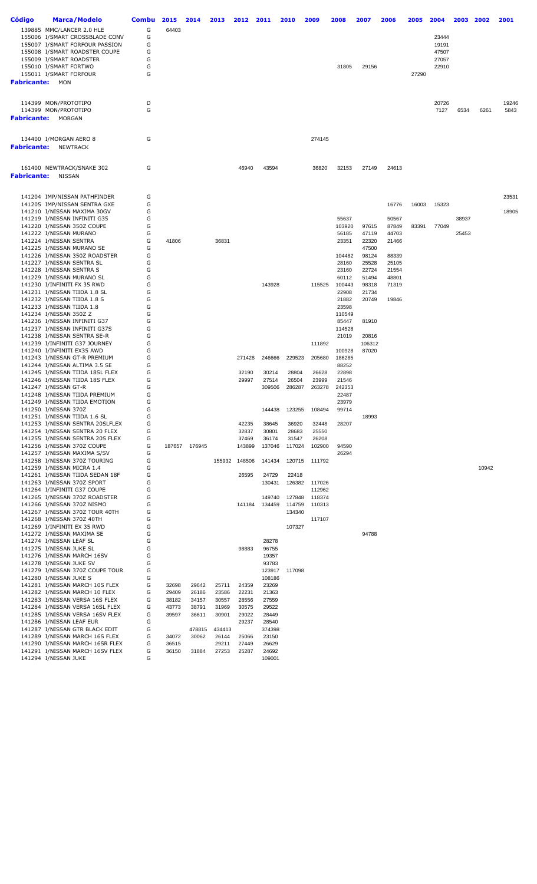| <b>Código</b>   | <b>Marca/Modelo</b>                                                | <b>Combu</b> | 2015           | 2014           | 2013           | 2012           | 2011           | 2010           | 2009           | 2008            | 2007            | 2006           | 2005  | 2004           | 2003  | 2002  | 2001          |
|-----------------|--------------------------------------------------------------------|--------------|----------------|----------------|----------------|----------------|----------------|----------------|----------------|-----------------|-----------------|----------------|-------|----------------|-------|-------|---------------|
|                 | 139885 MMC/LANCER 2.0 HLE                                          | G            | 64403          |                |                |                |                |                |                |                 |                 |                |       |                |       |       |               |
|                 | 155006 I/SMART CROSSBLADE CONV                                     | G            |                |                |                |                |                |                |                |                 |                 |                |       | 23444          |       |       |               |
|                 | 155007 I/SMART FORFOUR PASSION                                     | G            |                |                |                |                |                |                |                |                 |                 |                |       | 19191          |       |       |               |
|                 | 155008 I/SMART ROADSTER COUPE                                      | G            |                |                |                |                |                |                |                |                 |                 |                |       | 47507          |       |       |               |
|                 | 155009 I/SMART ROADSTER<br>155010 I/SMART FORTWO                   | G<br>G       |                |                |                |                |                |                |                | 31805           | 29156           |                |       | 27057<br>22910 |       |       |               |
|                 | 155011 I/SMART FORFOUR                                             | G            |                |                |                |                |                |                |                |                 |                 |                | 27290 |                |       |       |               |
| Fabricante: MON |                                                                    |              |                |                |                |                |                |                |                |                 |                 |                |       |                |       |       |               |
|                 |                                                                    |              |                |                |                |                |                |                |                |                 |                 |                |       |                |       |       |               |
|                 |                                                                    | D            |                |                |                |                |                |                |                |                 |                 |                |       |                |       |       |               |
|                 | 114399 MON/PROTOTIPO<br>114399 MON/PROTOTIPO                       | G            |                |                |                |                |                |                |                |                 |                 |                |       | 20726<br>7127  | 6534  | 6261  | 19246<br>5843 |
|                 | <b>Fabricante: MORGAN</b>                                          |              |                |                |                |                |                |                |                |                 |                 |                |       |                |       |       |               |
|                 |                                                                    |              |                |                |                |                |                |                |                |                 |                 |                |       |                |       |       |               |
|                 |                                                                    |              |                |                |                |                |                |                |                |                 |                 |                |       |                |       |       |               |
|                 | 134400 I/MORGAN AERO 8<br><b>Fabricante: NEWTRACK</b>              | G            |                |                |                |                |                |                | 274145         |                 |                 |                |       |                |       |       |               |
|                 |                                                                    |              |                |                |                |                |                |                |                |                 |                 |                |       |                |       |       |               |
|                 |                                                                    |              |                |                |                |                |                |                |                |                 |                 |                |       |                |       |       |               |
|                 | 161400 NEWTRACK/SNAKE 302<br><b>Fabricante: NISSAN</b>             | G            |                |                |                | 46940          | 43594          |                | 36820          | 32153           | 27149           | 24613          |       |                |       |       |               |
|                 |                                                                    |              |                |                |                |                |                |                |                |                 |                 |                |       |                |       |       |               |
|                 |                                                                    |              |                |                |                |                |                |                |                |                 |                 |                |       |                |       |       |               |
|                 | 141204 IMP/NISSAN PATHFINDER                                       | G            |                |                |                |                |                |                |                |                 |                 |                |       |                |       |       | 23531         |
|                 | 141205 IMP/NISSAN SENTRA GXE<br>141210 I/NISSAN MAXIMA 30GV        | G<br>G       |                |                |                |                |                |                |                |                 |                 | 16776          | 16003 | 15323          |       |       | 18905         |
|                 | 141219 I/NISSAN INFINITI G35                                       | G            |                |                |                |                |                |                |                | 55637           |                 | 50567          |       |                | 38937 |       |               |
|                 | 141220 I/NISSAN 350Z COUPE                                         | G            |                |                |                |                |                |                |                | 103920          | 97615           | 87849          | 83391 | 77049          |       |       |               |
|                 | 141222 I/NISSAN MURANO                                             | G            |                |                |                |                |                |                |                | 56185           | 47119           | 44703          |       |                | 25453 |       |               |
|                 | 141224 I/NISSAN SENTRA                                             | G            | 41806          |                | 36831          |                |                |                |                | 23351           | 22320           | 21466          |       |                |       |       |               |
|                 | 141225 I/NISSAN MURANO SE                                          | G            |                |                |                |                |                |                |                |                 | 47500           |                |       |                |       |       |               |
|                 | 141226 I/NISSAN 350Z ROADSTER<br>141227 I/NISSAN SENTRA SL         | G<br>G       |                |                |                |                |                |                |                | 104482<br>28160 | 98124<br>25528  | 88339<br>25105 |       |                |       |       |               |
|                 | 141228 I/NISSAN SENTRA S                                           | G            |                |                |                |                |                |                |                | 23160           | 22724           | 21554          |       |                |       |       |               |
|                 | 141229 I/NISSAN MURANO SL                                          | G            |                |                |                |                |                |                |                | 60112           | 51494           | 48801          |       |                |       |       |               |
|                 | 141230 I/INFINITI FX 35 RWD                                        | G            |                |                |                |                | 143928         |                | 115525         | 100443          | 98318           | 71319          |       |                |       |       |               |
|                 | 141231 I/NISSAN TIIDA 1.8 SL                                       | G            |                |                |                |                |                |                |                | 22908           | 21734           |                |       |                |       |       |               |
|                 | 141232 I/NISSAN TIIDA 1.8 S<br>141233 I/NISSAN TIIDA 1.8           | G<br>G       |                |                |                |                |                |                |                | 21882<br>23598  | 20749           | 19846          |       |                |       |       |               |
|                 | 141234 I/NISSAN 350Z Z                                             | G            |                |                |                |                |                |                |                | 110549          |                 |                |       |                |       |       |               |
|                 | 141236 I/NISSAN INFINITI G37                                       | G            |                |                |                |                |                |                |                | 85447           | 81910           |                |       |                |       |       |               |
|                 | 141237 I/NISSAN INFINITI G37S                                      | G            |                |                |                |                |                |                |                | 114528          |                 |                |       |                |       |       |               |
|                 | 141238 I/NISSAN SENTRA SE-R                                        | G            |                |                |                |                |                |                |                | 21019           | 20816           |                |       |                |       |       |               |
|                 | 141239 I/INFINITI G37 JOURNEY<br>141240 I/INFINITI EX35 AWD        | G<br>G       |                |                |                |                |                |                | 111892         | 100928          | 106312<br>87020 |                |       |                |       |       |               |
|                 | 141243 I/NISSAN GT-R PREMIUM                                       | G            |                |                |                | 271428         | 246666         | 229523         | 205680         | 186285          |                 |                |       |                |       |       |               |
|                 | 141244 I/NISSAN ALTIMA 3.5 SE                                      | G            |                |                |                |                |                |                |                | 88252           |                 |                |       |                |       |       |               |
|                 | 141245 I/NISSAN TIIDA 18SL FLEX                                    | G            |                |                |                | 32190          | 30214          | 28804          | 26628          | 22898           |                 |                |       |                |       |       |               |
|                 | 141246 I/NISSAN TIIDA 18S FLEX                                     | G<br>G       |                |                |                | 29997          | 27514          | 26504          | 23999          | 21546           |                 |                |       |                |       |       |               |
|                 | 141247 I/NISSAN GT-R<br>141248 I/NISSAN TIIDA PREMIUM              | G            |                |                |                |                | 309506         | 286287         | 263278         | 242353<br>22487 |                 |                |       |                |       |       |               |
|                 | 141249 I/NISSAN TIIDA EMOTION                                      | G            |                |                |                |                |                |                |                | 23979           |                 |                |       |                |       |       |               |
|                 | 141250 I/NISSAN 370Z                                               | G            |                |                |                |                | 144438         | 123255         | 108494         | 99714           |                 |                |       |                |       |       |               |
|                 | 141251 I/NISSAN TIIDA 1.6 SL                                       | G            |                |                |                |                |                |                |                |                 | 18993           |                |       |                |       |       |               |
|                 | 141253 I/NISSAN SENTRA 20SLFLEX<br>141254 I/NISSAN SENTRA 20 FLEX  | G<br>G       |                |                |                | 42235<br>32837 | 38645<br>30801 | 36920<br>28683 | 32448<br>25550 | 28207           |                 |                |       |                |       |       |               |
|                 | 141255 I/NISSAN SENTRA 20S FLEX                                    | G            |                |                |                | 37469          | 36174          | 31547          | 26208          |                 |                 |                |       |                |       |       |               |
|                 | 141256 I/NISSAN 370Z COUPE                                         | G            |                | 187657 176945  |                | 143899         | 137046         | 117024         | 102900         | 94590           |                 |                |       |                |       |       |               |
|                 | 141257 I/NISSAN MAXIMA S/SV                                        | G            |                |                |                |                |                |                |                | 26294           |                 |                |       |                |       |       |               |
|                 | 141258 I/NISSAN 370Z TOURING                                       | G            |                |                | 155932         | 148506         | 141434         | 120715         | 111792         |                 |                 |                |       |                |       |       |               |
|                 | 141259 I/NISSAN MICRA 1.4<br>141261 I/NISSAN TIIDA SEDAN 18F       | G<br>G       |                |                |                | 26595          | 24729          | 22418          |                |                 |                 |                |       |                |       | 10942 |               |
|                 | 141263 I/NISSAN 370Z SPORT                                         | G            |                |                |                |                | 130431         | 126382         | 117026         |                 |                 |                |       |                |       |       |               |
|                 | 141264 I/INFINITI G37 COUPE                                        | G            |                |                |                |                |                |                | 112962         |                 |                 |                |       |                |       |       |               |
|                 | 141265 I/NISSAN 370Z ROADSTER                                      | G            |                |                |                |                |                | 149740 127848  | 118374         |                 |                 |                |       |                |       |       |               |
|                 | 141266 I/NISSAN 370Z NISMO                                         | G<br>G       |                |                |                | 141184         |                | 134459 114759  | 110313         |                 |                 |                |       |                |       |       |               |
|                 | 141267 I/NISSAN 370Z TOUR 40TH<br>141268 I/NISSAN 370Z 40TH        | G            |                |                |                |                |                | 134340         | 117107         |                 |                 |                |       |                |       |       |               |
|                 | 141269 I/INFINITI EX 35 RWD                                        | G            |                |                |                |                |                | 107327         |                |                 |                 |                |       |                |       |       |               |
|                 | 141272 I/NISSAN MAXIMA SE                                          | G            |                |                |                |                |                |                |                |                 | 94788           |                |       |                |       |       |               |
|                 | 141274 I/NISSAN LEAF SL                                            | G            |                |                |                |                | 28278          |                |                |                 |                 |                |       |                |       |       |               |
|                 | 141275 I/NISSAN JUKE SL                                            | G            |                |                |                | 98883          | 96755          |                |                |                 |                 |                |       |                |       |       |               |
|                 | 141276 I/NISSAN MARCH 16SV<br>141278 I/NISSAN JUKE SV              | G<br>G       |                |                |                |                | 19357<br>93783 |                |                |                 |                 |                |       |                |       |       |               |
|                 | 141279 I/NISSAN 370Z COUPE TOUR                                    | G            |                |                |                |                | 123917         | 117098         |                |                 |                 |                |       |                |       |       |               |
|                 | 141280 I/NISSAN JUKE S                                             | G            |                |                |                |                | 108186         |                |                |                 |                 |                |       |                |       |       |               |
|                 | 141281 I/NISSAN MARCH 10S FLEX                                     | G            | 32698          | 29642          | 25711          | 24359          | 23269          |                |                |                 |                 |                |       |                |       |       |               |
|                 | 141282 I/NISSAN MARCH 10 FLEX                                      | G            | 29409          | 26186          | 23586          | 22231          | 21363          |                |                |                 |                 |                |       |                |       |       |               |
|                 | 141283 I/NISSAN VERSA 16S FLEX<br>141284 I/NISSAN VERSA 16SL FLEX  | G<br>G       | 38182<br>43773 | 34157<br>38791 | 30557<br>31969 | 28556<br>30575 | 27559<br>29522 |                |                |                 |                 |                |       |                |       |       |               |
|                 | 141285 I/NISSAN VERSA 16SV FLEX                                    | G            | 39597          | 36611          | 30901          | 29022          | 28449          |                |                |                 |                 |                |       |                |       |       |               |
|                 | 141286 I/NISSAN LEAF EUR                                           | G            |                |                |                | 29237          | 28540          |                |                |                 |                 |                |       |                |       |       |               |
|                 | 141287 I/NISSAN GTR BLACK EDIT                                     | G            |                | 478815         | 434413         |                | 374398         |                |                |                 |                 |                |       |                |       |       |               |
|                 | 141289 I/NISSAN MARCH 16S FLEX                                     | G            | 34072          | 30062          | 26144          | 25066          | 23150          |                |                |                 |                 |                |       |                |       |       |               |
|                 | 141290 I/NISSAN MARCH 16SR FLEX<br>141291 I/NISSAN MARCH 16SV FLEX | G<br>G       | 36515<br>36150 | 31884          | 29211<br>27253 | 27449<br>25287 | 26629<br>24692 |                |                |                 |                 |                |       |                |       |       |               |
|                 | 141294 I/NISSAN JUKE                                               | G            |                |                |                |                | 109001         |                |                |                 |                 |                |       |                |       |       |               |
|                 |                                                                    |              |                |                |                |                |                |                |                |                 |                 |                |       |                |       |       |               |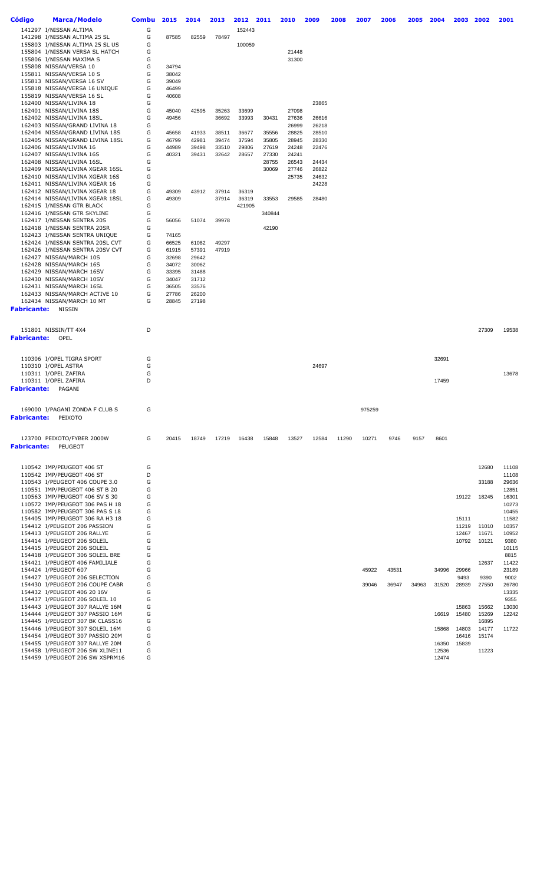| Código             | Marca/Modelo                                                      | <b>Combu</b> | 2015           | 2014           | 2013           | 2012           | 2011           | 2010           | 2009  | 2008  | 2007   | 2006  | 2005  | 2004  | 2003          | 2002          | 2001           |
|--------------------|-------------------------------------------------------------------|--------------|----------------|----------------|----------------|----------------|----------------|----------------|-------|-------|--------|-------|-------|-------|---------------|---------------|----------------|
|                    | 141297 I/NISSAN ALTIMA                                            | G            |                |                |                | 152443         |                |                |       |       |        |       |       |       |               |               |                |
|                    | 141298 I/NISSAN ALTIMA 25 SL                                      | G            | 87585          | 82559          | 78497          |                |                |                |       |       |        |       |       |       |               |               |                |
|                    | 155803 I/NISSAN ALTIMA 25 SL US                                   | G            |                |                |                | 100059         |                |                |       |       |        |       |       |       |               |               |                |
|                    | 155804 I/NISSAN VERSA SL HATCH<br>155806 I/NISSAN MAXIMA S        | G<br>G       |                |                |                |                |                | 21448<br>31300 |       |       |        |       |       |       |               |               |                |
|                    | 155808 NISSAN/VERSA 10                                            | G            | 34794          |                |                |                |                |                |       |       |        |       |       |       |               |               |                |
|                    | 155811 NISSAN/VERSA 10 S                                          | G            | 38042          |                |                |                |                |                |       |       |        |       |       |       |               |               |                |
|                    | 155813 NISSAN/VERSA 16 SV                                         | G            | 39049          |                |                |                |                |                |       |       |        |       |       |       |               |               |                |
|                    | 155818 NISSAN/VERSA 16 UNIQUE                                     | G            | 46499          |                |                |                |                |                |       |       |        |       |       |       |               |               |                |
|                    | 155819 NISSAN/VERSA 16 SL                                         | G            | 40608          |                |                |                |                |                |       |       |        |       |       |       |               |               |                |
|                    | 162400 NISSAN/LIVINA 18                                           | G            |                |                |                |                |                |                | 23865 |       |        |       |       |       |               |               |                |
|                    | 162401 NISSAN/LIVINA 18S                                          | G            | 45040          | 42595          | 35263          | 33699          |                | 27098          |       |       |        |       |       |       |               |               |                |
|                    | 162402 NISSAN/LIVINA 18SL                                         | G            | 49456          |                | 36692          | 33993          | 30431          | 27636          | 26616 |       |        |       |       |       |               |               |                |
|                    | 162403 NISSAN/GRAND LIVINA 18                                     | G            |                |                |                |                |                | 26999          | 26218 |       |        |       |       |       |               |               |                |
|                    | 162404 NISSAN/GRAND LIVINA 18S                                    | G            | 45658          | 41933          | 38511          | 36677          | 35556          | 28825          | 28510 |       |        |       |       |       |               |               |                |
|                    | 162405 NISSAN/GRAND LIVINA 18SL                                   | G            | 46799          | 42981          | 39474          | 37594          | 35805          | 28945          | 28330 |       |        |       |       |       |               |               |                |
|                    | 162406 NISSAN/LIVINA 16<br>162407 NISSAN/LIVINA 16S               | G<br>G       | 44989<br>40321 | 39498<br>39431 | 33510<br>32642 | 29806<br>28657 | 27619<br>27330 | 24248<br>24241 | 22476 |       |        |       |       |       |               |               |                |
|                    | 162408 NISSAN/LIVINA 16SL                                         | G            |                |                |                |                | 28755          | 26543          | 24434 |       |        |       |       |       |               |               |                |
|                    | 162409 NISSAN/LIVINA XGEAR 16SL                                   | G            |                |                |                |                | 30069          | 27746          | 26822 |       |        |       |       |       |               |               |                |
|                    | 162410 NISSAN/LIVINA XGEAR 16S                                    | G            |                |                |                |                |                | 25735          | 24632 |       |        |       |       |       |               |               |                |
|                    | 162411 NISSAN/LIVINA XGEAR 16                                     | G            |                |                |                |                |                |                | 24228 |       |        |       |       |       |               |               |                |
|                    | 162412 NISSAN/LIVINA XGEAR 18                                     | G            | 49309          | 43912          | 37914          | 36319          |                |                |       |       |        |       |       |       |               |               |                |
|                    | 162414 NISSAN/LIVINA XGEAR 18SL                                   | G            | 49309          |                | 37914          | 36319          | 33553          | 29585          | 28480 |       |        |       |       |       |               |               |                |
|                    | 162415 I/NISSAN GTR BLACK                                         | G            |                |                |                | 421905         |                |                |       |       |        |       |       |       |               |               |                |
|                    | 162416 I/NISSAN GTR SKYLINE                                       | G            |                |                |                |                | 340844         |                |       |       |        |       |       |       |               |               |                |
|                    | 162417 I/NISSAN SENTRA 20S                                        | G            | 56056          | 51074          | 39978          |                |                |                |       |       |        |       |       |       |               |               |                |
|                    | 162418 I/NISSAN SENTRA 20SR                                       | G            |                |                |                |                | 42190          |                |       |       |        |       |       |       |               |               |                |
|                    | 162423 I/NISSAN SENTRA UNIQUE                                     | G            | 74165          |                |                |                |                |                |       |       |        |       |       |       |               |               |                |
|                    | 162424 I/NISSAN SENTRA 20SL CVT                                   | G            | 66525          | 61082          | 49297          |                |                |                |       |       |        |       |       |       |               |               |                |
|                    | 162426 I/NISSAN SENTRA 20SV CVT<br>162427 NISSAN/MARCH 10S        | G<br>G       | 61915<br>32698 | 57391<br>29642 | 47919          |                |                |                |       |       |        |       |       |       |               |               |                |
|                    | 162428 NISSAN/MARCH 16S                                           | G            | 34072          | 30062          |                |                |                |                |       |       |        |       |       |       |               |               |                |
|                    | 162429 NISSAN/MARCH 16SV                                          | G            | 33395          | 31488          |                |                |                |                |       |       |        |       |       |       |               |               |                |
|                    | 162430 NISSAN/MARCH 10SV                                          | G            | 34047          | 31712          |                |                |                |                |       |       |        |       |       |       |               |               |                |
|                    | 162431 NISSAN/MARCH 16SL                                          | G            | 36505          | 33576          |                |                |                |                |       |       |        |       |       |       |               |               |                |
|                    | 162433 NISSAN/MARCH ACTIVE 10                                     | G            | 27786          | 26200          |                |                |                |                |       |       |        |       |       |       |               |               |                |
|                    | 162434 NISSAN/MARCH 10 MT                                         | G            | 28845          | 27198          |                |                |                |                |       |       |        |       |       |       |               |               |                |
| <b>Fabricante:</b> | NISSIN                                                            |              |                |                |                |                |                |                |       |       |        |       |       |       |               |               |                |
|                    |                                                                   |              |                |                |                |                |                |                |       |       |        |       |       |       |               |               |                |
| Fabricante:        | 151801 NISSIN/TT 4X4<br>OPEL                                      | D            |                |                |                |                |                |                |       |       |        |       |       |       |               | 27309         | 19538          |
|                    |                                                                   |              |                |                |                |                |                |                |       |       |        |       |       |       |               |               |                |
|                    | 110306 I/OPEL TIGRA SPORT                                         | G            |                |                |                |                |                |                |       |       |        |       |       | 32691 |               |               |                |
|                    | 110310 I/OPEL ASTRA                                               | G            |                |                |                |                |                |                | 24697 |       |        |       |       |       |               |               |                |
|                    | 110311 I/OPEL ZAFIRA                                              | G<br>D       |                |                |                |                |                |                |       |       |        |       |       |       |               |               | 13678          |
|                    | 110311 I/OPEL ZAFIRA                                              |              |                |                |                |                |                |                |       |       |        |       |       | 17459 |               |               |                |
| Fabricante:        | PAGANI                                                            |              |                |                |                |                |                |                |       |       |        |       |       |       |               |               |                |
|                    |                                                                   |              |                |                |                |                |                |                |       |       |        |       |       |       |               |               |                |
|                    | 169000 I/PAGANI ZONDA F CLUB S                                    | G            |                |                |                |                |                |                |       |       | 975259 |       |       |       |               |               |                |
| Fabricante:        | PEIXOTO                                                           |              |                |                |                |                |                |                |       |       |        |       |       |       |               |               |                |
|                    |                                                                   |              |                |                |                |                |                |                |       |       |        |       |       |       |               |               |                |
|                    | 123700 PEIXOTO/FYBER 2000W                                        | G            | 20415          | 18749          | 17219          | 16438          | 15848          | 13527          | 12584 | 11290 | 10271  | 9746  | 9157  | 8601  |               |               |                |
| Fabricante:        | PEUGEOT                                                           |              |                |                |                |                |                |                |       |       |        |       |       |       |               |               |                |
|                    |                                                                   |              |                |                |                |                |                |                |       |       |        |       |       |       |               |               |                |
|                    |                                                                   |              |                |                |                |                |                |                |       |       |        |       |       |       |               |               |                |
|                    | 110542 IMP/PEUGEOT 406 ST                                         | G            |                |                |                |                |                |                |       |       |        |       |       |       |               | 12680         | 11108          |
|                    | 110542 IMP/PEUGEOT 406 ST                                         | D            |                |                |                |                |                |                |       |       |        |       |       |       |               |               | 11108          |
|                    | 110543 I/PEUGEOT 406 COUPE 3.0<br>110551 IMP/PEUGEOT 406 ST B 20  | G<br>G       |                |                |                |                |                |                |       |       |        |       |       |       |               | 33188         | 29636<br>12851 |
|                    | 110563 IMP/PEUGEOT 406 SV S 30                                    | G            |                |                |                |                |                |                |       |       |        |       |       |       | 19122         | 18245         | 16301          |
|                    | 110572 IMP/PEUGEOT 306 PAS H 18                                   | G            |                |                |                |                |                |                |       |       |        |       |       |       |               |               | 10273          |
|                    | 110582 IMP/PEUGEOT 306 PAS S 18                                   | G            |                |                |                |                |                |                |       |       |        |       |       |       |               |               | 10455          |
|                    | 154405 IMP/PEUGEOT 306 RA H3 18                                   | G            |                |                |                |                |                |                |       |       |        |       |       |       | 15111         |               | 11582          |
|                    | 154412 I/PEUGEOT 206 PASSION                                      | G            |                |                |                |                |                |                |       |       |        |       |       |       | 11219         | 11010         | 10357          |
|                    | 154413 I/PEUGEOT 206 RALLYE                                       | G            |                |                |                |                |                |                |       |       |        |       |       |       | 12467         | 11671         | 10952          |
|                    | 154414 I/PEUGEOT 206 SOLEIL                                       | G            |                |                |                |                |                |                |       |       |        |       |       |       | 10792         | 10121         | 9380           |
|                    | 154415 I/PEUGEOT 206 SOLEIL                                       | G            |                |                |                |                |                |                |       |       |        |       |       |       |               |               | 10115          |
|                    | 154418 I/PEUGEOT 306 SOLEIL BRE                                   | G            |                |                |                |                |                |                |       |       |        |       |       |       |               |               | 8815           |
|                    | 154421 I/PEUGEOT 406 FAMILIALE                                    | G            |                |                |                |                |                |                |       |       |        |       |       |       |               | 12637         | 11422          |
|                    | 154424 I/PEUGEOT 607                                              | G            |                |                |                |                |                |                |       |       | 45922  | 43531 |       | 34996 | 29966         |               | 23189          |
|                    | 154427 I/PEUGEOT 206 SELECTION<br>154430 I/PEUGEOT 206 COUPE CABR | G<br>G       |                |                |                |                |                |                |       |       |        |       |       |       | 9493<br>28939 | 9390<br>27550 | 9002<br>26780  |
|                    | 154432 I/PEUGEOT 406 20 16V                                       | G            |                |                |                |                |                |                |       |       | 39046  | 36947 | 34963 | 31520 |               |               | 13335          |
|                    | 154437 I/PEUGEOT 206 SOLEIL 10                                    | G            |                |                |                |                |                |                |       |       |        |       |       |       |               |               | 9355           |
|                    | 154443 I/PEUGEOT 307 RALLYE 16M                                   | G            |                |                |                |                |                |                |       |       |        |       |       |       | 15863         | 15662         | 13030          |
|                    | 154444 I/PEUGEOT 307 PASSIO 16M                                   | G            |                |                |                |                |                |                |       |       |        |       |       | 16619 | 15480         | 15269         | 12242          |
|                    | 154445 I/PEUGEOT 307 BK CLASS16                                   | G            |                |                |                |                |                |                |       |       |        |       |       |       |               | 16895         |                |
|                    | 154446 I/PEUGEOT 307 SOLEIL 16M                                   | G            |                |                |                |                |                |                |       |       |        |       |       | 15868 | 14803         | 14177         | 11722          |
|                    | 154454 I/PEUGEOT 307 PASSIO 20M                                   | G            |                |                |                |                |                |                |       |       |        |       |       |       | 16416         | 15174         |                |
|                    | 154455 I/PEUGEOT 307 RALLYE 20M                                   | G            |                |                |                |                |                |                |       |       |        |       |       | 16350 | 15839         |               |                |
|                    | 154458 I/PEUGEOT 206 SW XLINE11                                   | G<br>G       |                |                |                |                |                |                |       |       |        |       |       | 12536 |               | 11223         |                |
|                    | 154459 I/PEUGEOT 206 SW XSPRM16                                   |              |                |                |                |                |                |                |       |       |        |       |       | 12474 |               |               |                |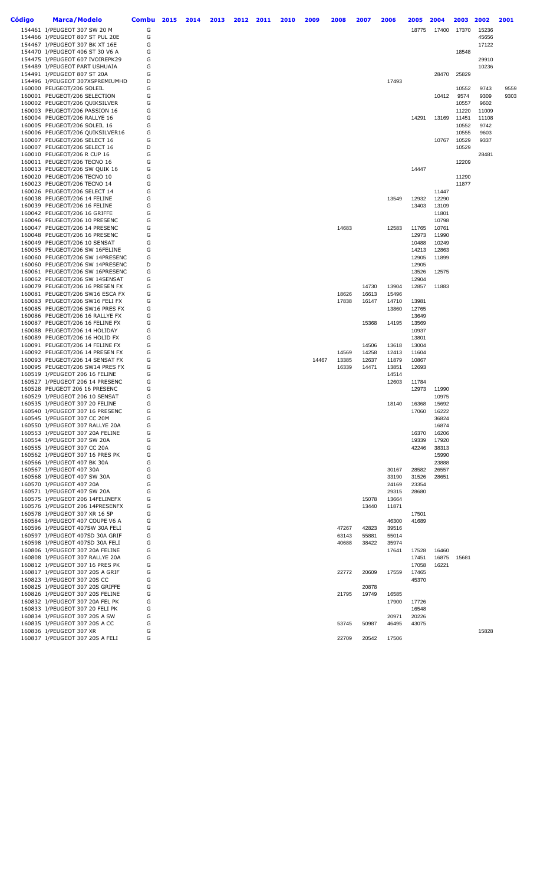| Código | Marca/Modelo                                                       | Combu  | 2015 | 2014 | 2013 | 2012 | 2011 | 2010 | 2009  | 2008           | 2007           | 2006           | 2005           | 2004           | 2003           | 2002         | 2001         |
|--------|--------------------------------------------------------------------|--------|------|------|------|------|------|------|-------|----------------|----------------|----------------|----------------|----------------|----------------|--------------|--------------|
|        | 154461 I/PEUGEOT 307 SW 20 M                                       | G      |      |      |      |      |      |      |       |                |                |                | 18775          | 17400          | 17370          | 15236        |              |
|        | 154466 I/PEUGEOT 807 ST PUL 20E                                    | G      |      |      |      |      |      |      |       |                |                |                |                |                |                | 45656        |              |
|        | 154467 I/PEUGEOT 307 BK XT 16E<br>154470 I/PEUGEOT 406 ST 30 V6 A  | G<br>G |      |      |      |      |      |      |       |                |                |                |                |                | 18548          | 17122        |              |
|        | 154475 I/PEUGEOT 607 IVOIREPK29                                    | G      |      |      |      |      |      |      |       |                |                |                |                |                |                | 29910        |              |
|        | 154489 I/PEUGEOT PART USHUAIA                                      | G      |      |      |      |      |      |      |       |                |                |                |                |                |                | 10236        |              |
|        | 154491 I/PEUGEOT 807 ST 20A                                        | G      |      |      |      |      |      |      |       |                |                |                |                | 28470          | 25829          |              |              |
|        | 154496 I/PEUGEOT 307XSPREMIUMHD                                    | D      |      |      |      |      |      |      |       |                |                | 17493          |                |                |                |              |              |
|        | 160000 PEUGEOT/206 SOLEIL<br>160001 PEUGEOT/206 SELECTION          | G<br>G |      |      |      |      |      |      |       |                |                |                |                | 10412          | 10552<br>9574  | 9743<br>9309 | 9559<br>9303 |
|        | 160002 PEUGEOT/206 QUIKSILVER                                      | G      |      |      |      |      |      |      |       |                |                |                |                |                | 10557          | 9602         |              |
|        | 160003 PEUGEOT/206 PASSION 16                                      | G      |      |      |      |      |      |      |       |                |                |                |                |                | 11220          | 11009        |              |
|        | 160004 PEUGEOT/206 RALLYE 16                                       | G      |      |      |      |      |      |      |       |                |                |                | 14291          | 13169          | 11451          | 11108        |              |
|        | 160005 PEUGEOT/206 SOLEIL 16<br>160006 PEUGEOT/206 QUIKSILVER16    | G<br>G |      |      |      |      |      |      |       |                |                |                |                |                | 10552<br>10555 | 9742<br>9603 |              |
|        | 160007 PEUGEOT/206 SELECT 16                                       | G      |      |      |      |      |      |      |       |                |                |                |                | 10767          | 10529          | 9337         |              |
|        | 160007 PEUGEOT/206 SELECT 16                                       | D      |      |      |      |      |      |      |       |                |                |                |                |                | 10529          |              |              |
|        | 160010 PEUGEOT/206 R CUP 16                                        | G      |      |      |      |      |      |      |       |                |                |                |                |                |                | 28481        |              |
|        | 160011 PEUGEOT/206 TECNO 16                                        | G      |      |      |      |      |      |      |       |                |                |                |                |                | 12209          |              |              |
|        | 160013 PEUGEOT/206 SW QUIK 16<br>160020 PEUGEOT/206 TECNO 10       | G<br>G |      |      |      |      |      |      |       |                |                |                | 14447          |                | 11290          |              |              |
|        | 160023 PEUGEOT/206 TECNO 14                                        | G      |      |      |      |      |      |      |       |                |                |                |                |                | 11877          |              |              |
|        | 160026 PEUGEOT/206 SELECT 14                                       | G      |      |      |      |      |      |      |       |                |                |                |                | 11447          |                |              |              |
|        | 160038 PEUGEOT/206 14 FELINE                                       | G      |      |      |      |      |      |      |       |                |                | 13549          | 12932          | 12290          |                |              |              |
|        | 160039 PEUGEOT/206 16 FELINE                                       | G<br>G |      |      |      |      |      |      |       |                |                |                | 13403          | 13109          |                |              |              |
|        | 160042 PEUGEOT/206 16 GRIFFE<br>160046 PEUGEOT/206 10 PRESENC      | G      |      |      |      |      |      |      |       |                |                |                |                | 11801<br>10798 |                |              |              |
|        | 160047 PEUGEOT/206 14 PRESENC                                      | G      |      |      |      |      |      |      |       | 14683          |                | 12583          | 11765          | 10761          |                |              |              |
|        | 160048 PEUGEOT/206 16 PRESENC                                      | G      |      |      |      |      |      |      |       |                |                |                | 12973          | 11990          |                |              |              |
|        | 160049 PEUGEOT/206 10 SENSAT                                       | G      |      |      |      |      |      |      |       |                |                |                | 10488          | 10249          |                |              |              |
|        | 160055 PEUGEOT/206 SW 16FELINE<br>160060 PEUGEOT/206 SW 14PRESENC  | G<br>G |      |      |      |      |      |      |       |                |                |                | 14213<br>12905 | 12863<br>11899 |                |              |              |
|        | 160060 PEUGEOT/206 SW 14PRESENC                                    | D      |      |      |      |      |      |      |       |                |                |                | 12905          |                |                |              |              |
|        | 160061 PEUGEOT/206 SW 16PRESENC                                    | G      |      |      |      |      |      |      |       |                |                |                | 13526          | 12575          |                |              |              |
|        | 160062 PEUGEOT/206 SW 14SENSAT                                     | G      |      |      |      |      |      |      |       |                |                |                | 12904          |                |                |              |              |
|        | 160079 PEUGEOT/206 16 PRESEN FX                                    | G      |      |      |      |      |      |      |       |                | 14730          | 13904          | 12857          | 11883          |                |              |              |
|        | 160081 PEUGEOT/206 SW16 ESCA FX<br>160083 PEUGEOT/206 SW16 FELI FX | G<br>G |      |      |      |      |      |      |       | 18626<br>17838 | 16613<br>16147 | 15496<br>14710 | 13981          |                |                |              |              |
|        | 160085 PEUGEOT/206 SW16 PRES FX                                    | G      |      |      |      |      |      |      |       |                |                | 13860          | 12765          |                |                |              |              |
|        | 160086 PEUGEOT/206 16 RALLYE FX                                    | G      |      |      |      |      |      |      |       |                |                |                | 13649          |                |                |              |              |
|        | 160087 PEUGEOT/206 16 FELINE FX                                    | G      |      |      |      |      |      |      |       |                | 15368          | 14195          | 13569          |                |                |              |              |
|        | 160088 PEUGEOT/206 14 HOLIDAY<br>160089 PEUGEOT/206 16 HOLID FX    | G<br>G |      |      |      |      |      |      |       |                |                |                | 10937<br>13801 |                |                |              |              |
|        | 160091 PEUGEOT/206 14 FELINE FX                                    | G      |      |      |      |      |      |      |       |                | 14506          | 13618          | 13004          |                |                |              |              |
|        | 160092 PEUGEOT/206 14 PRESEN FX                                    | G      |      |      |      |      |      |      |       | 14569          | 14258          | 12413          | 11604          |                |                |              |              |
|        | 160093 PEUGEOT/206 14 SENSAT FX                                    | G      |      |      |      |      |      |      | 14467 | 13385          | 12637          | 11879          | 10867          |                |                |              |              |
|        | 160095 PEUGEOT/206 SW14 PRES FX                                    | G<br>G |      |      |      |      |      |      |       | 16339          | 14471          | 13851          | 12693          |                |                |              |              |
|        | 160519 I/PEUGEOT 206 16 FELINE<br>160527 I/PEUGEOT 206 14 PRESENC  | G      |      |      |      |      |      |      |       |                |                | 14514<br>12603 | 11784          |                |                |              |              |
|        | 160528 PEUGEOT 206 16 PRESENC                                      | G      |      |      |      |      |      |      |       |                |                |                | 12973          | 11990          |                |              |              |
|        | 160529 I/PEUGEOT 206 10 SENSAT                                     | G      |      |      |      |      |      |      |       |                |                |                |                | 10975          |                |              |              |
|        | 160535 I/PEUGEOT 307 20 FELINE                                     | G      |      |      |      |      |      |      |       |                |                | 18140          | 16368          | 15692          |                |              |              |
|        | 160540 I/PEUGEOT 307 16 PRESENC<br>160545 I/PEUGEOT 307 CC 20M     | G<br>G |      |      |      |      |      |      |       |                |                |                | 17060          | 16222<br>36824 |                |              |              |
|        | 160550 I/PEUGEOT 307 RALLYE 20A                                    | G      |      |      |      |      |      |      |       |                |                |                |                | 16874          |                |              |              |
|        | 160553 I/PEUGEOT 307 20A FELINE                                    | G      |      |      |      |      |      |      |       |                |                |                | 16370          | 16206          |                |              |              |
|        | 160554 I/PEUGEOT 307 SW 20A                                        | G      |      |      |      |      |      |      |       |                |                |                | 19339          | 17920          |                |              |              |
|        | 160555 I/PEUGEOT 307 CC 20A<br>160562 I/PEUGEOT 307 16 PRES PK     | G<br>G |      |      |      |      |      |      |       |                |                |                | 42246          | 38313<br>15990 |                |              |              |
|        | 160566 I/PEUGEOT 407 BK 30A                                        | G      |      |      |      |      |      |      |       |                |                |                |                | 23888          |                |              |              |
|        | 160567 I/PEUGEOT 407 30A                                           | G      |      |      |      |      |      |      |       |                |                | 30167          | 28582          | 26557          |                |              |              |
|        | 160568 I/PEUGEOT 407 SW 30A                                        | G      |      |      |      |      |      |      |       |                |                | 33190          | 31526          | 28651          |                |              |              |
|        | 160570 I/PEUGEOT 407 20A                                           | G      |      |      |      |      |      |      |       |                |                | 24169          | 23354          |                |                |              |              |
|        | 160571 I/PEUGEOT 407 SW 20A<br>160575 I/PEUGEOT 206 14FELINEFX     | G<br>G |      |      |      |      |      |      |       |                | 15078          | 29315<br>13664 | 28680          |                |                |              |              |
|        | 160576 I/PEUGEOT 206 14PRESENFX                                    | G      |      |      |      |      |      |      |       |                | 13440          | 11871          |                |                |                |              |              |
|        | 160578 I/PEUGEOT 307 XR 16 5P                                      | G      |      |      |      |      |      |      |       |                |                |                | 17501          |                |                |              |              |
|        | 160584 I/PEUGEOT 407 COUPE V6 A                                    | G      |      |      |      |      |      |      |       |                |                | 46300          | 41689          |                |                |              |              |
|        | 160596 I/PEUGEOT 407SW 30A FELI                                    | G<br>G |      |      |      |      |      |      |       | 47267          | 42823<br>55881 | 39516<br>55014 |                |                |                |              |              |
|        | 160597 I/PEUGEOT 407SD 30A GRIF<br>160598 I/PEUGEOT 407SD 30A FELI | G      |      |      |      |      |      |      |       | 63143<br>40688 | 38422          | 35974          |                |                |                |              |              |
|        | 160806 I/PEUGEOT 307 20A FELINE                                    | G      |      |      |      |      |      |      |       |                |                | 17641          | 17528          | 16460          |                |              |              |
|        | 160808 I/PEUGEOT 307 RALLYE 20A                                    | G      |      |      |      |      |      |      |       |                |                |                | 17451          | 16875          | 15681          |              |              |
|        | 160812 I/PEUGEOT 307 16 PRES PK                                    | G      |      |      |      |      |      |      |       |                |                |                | 17058          | 16221          |                |              |              |
|        | 160817 I/PEUGEOT 307 20S A GRIF<br>160823 I/PEUGEOT 307 20S CC     | G<br>G |      |      |      |      |      |      |       | 22772          | 20609          | 17559          | 17465<br>45370 |                |                |              |              |
|        | 160825 I/PEUGEOT 307 20S GRIFFE                                    | G      |      |      |      |      |      |      |       |                | 20878          |                |                |                |                |              |              |
|        | 160826 I/PEUGEOT 307 20S FELINE                                    | G      |      |      |      |      |      |      |       | 21795          | 19749          | 16585          |                |                |                |              |              |
|        | 160832 I/PEUGEOT 307 20A FEL PK                                    | G      |      |      |      |      |      |      |       |                |                | 17900          | 17726          |                |                |              |              |
|        | 160833 I/PEUGEOT 307 20 FELI PK                                    | G<br>G |      |      |      |      |      |      |       |                |                |                | 16548          |                |                |              |              |
|        | 160834 I/PEUGEOT 307 20S A SW<br>160835 I/PEUGEOT 307 20S A CC     | G      |      |      |      |      |      |      |       | 53745          | 50987          | 20971<br>46495 | 20226<br>43075 |                |                |              |              |
|        | 160836 I/PEUGEOT 307 XR                                            | G      |      |      |      |      |      |      |       |                |                |                |                |                |                | 15828        |              |
|        | 160837 I/PEUGEOT 307 20S A FELI                                    | G      |      |      |      |      |      |      |       | 22709          | 20542          | 17506          |                |                |                |              |              |
|        |                                                                    |        |      |      |      |      |      |      |       |                |                |                |                |                |                |              |              |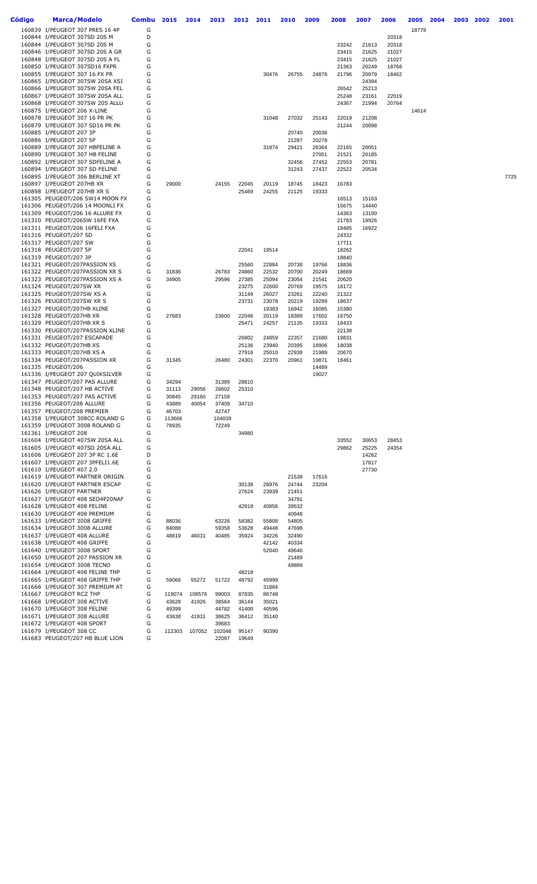| Código | Marca/Modelo                                                       | Combu  | 2015           | 2014   | 2013           | 2012           | 2011           | 2010           | 2009           | 2008           | 2007           | 2006           | 2005  | 2004 | 2003 | 2002 | 2001 |
|--------|--------------------------------------------------------------------|--------|----------------|--------|----------------|----------------|----------------|----------------|----------------|----------------|----------------|----------------|-------|------|------|------|------|
|        | 160839 I/PEUGEOT 307 PRES 16 4P                                    | G      |                |        |                |                |                |                |                |                |                |                | 18779 |      |      |      |      |
|        | 160844 I/PEUGEOT 307SD 20S M                                       | D      |                |        |                |                |                |                |                |                |                | 20318          |       |      |      |      |      |
|        | 160844 I/PEUGEOT 307SD 20S M                                       | G      |                |        |                |                |                |                |                | 23242          | 21613          | 20318          |       |      |      |      |      |
|        | 160846 I/PEUGEOT 307SD 20S A GR                                    | G      |                |        |                |                |                |                |                | 23415          | 21625          | 21027          |       |      |      |      |      |
|        | 160848 I/PEUGEOT 307SD 20S A FL<br>160850 I/PEUGEOT 307SD16 FXPR   | G<br>G |                |        |                |                |                |                |                | 23415<br>21363 | 21625<br>20249 | 21027<br>18768 |       |      |      |      |      |
|        | 160855 I/PEUGEOT 307 16 FX PR                                      | G      |                |        |                |                | 30476          | 26755          | 24878          | 21796          | 20979          | 18462          |       |      |      |      |      |
|        | 160865 I/PEUGEOT 307SW 20SA XSI                                    | G      |                |        |                |                |                |                |                |                | 24394          |                |       |      |      |      |      |
|        | 160866 I/PEUGEOT 307SW 20SA FEL                                    | G      |                |        |                |                |                |                |                | 26542          | 25213          |                |       |      |      |      |      |
|        | 160867 I/PEUGEOT 307SW 20SA ALL                                    | G      |                |        |                |                |                |                |                | 25248          | 23161          | 22019          |       |      |      |      |      |
|        | 160868 I/PEUGEOT 307SW 20S ALLU                                    | G      |                |        |                |                |                |                |                | 24367          | 21994          | 20764          |       |      |      |      |      |
|        | 160875 I/PEUGEOT 206 X-LINE                                        | G      |                |        |                |                |                |                |                |                |                |                | 14614 |      |      |      |      |
|        | 160878 I/PEUGEOT 307 16 PR PK                                      | G      |                |        |                |                | 31048          | 27032          | 25143          | 22019          | 21208          |                |       |      |      |      |      |
|        | 160879 I/PEUGEOT 307 SD16 PR PK                                    | G      |                |        |                |                |                |                |                | 21244          | 20098          |                |       |      |      |      |      |
|        | 160885 I/PEUGEOT 207 3P                                            | G      |                |        |                |                |                | 20740          | 20036          |                |                |                |       |      |      |      |      |
|        | 160886 I/PEUGEOT 207 5P<br>160889 I/PEUGEOT 307 HBFELINE A         | G<br>G |                |        |                |                | 31874          | 21287<br>29421 | 20278<br>26364 | 22165          | 20051          |                |       |      |      |      |      |
|        | 160890 I/PEUGEOT 307 HB FELINE                                     | G      |                |        |                |                |                |                | 27051          | 21521          | 20185          |                |       |      |      |      |      |
|        | 160892 I/PEUGEOT 307 SDFELINE A                                    | G      |                |        |                |                |                | 32456          | 27452          | 22553          | 20781          |                |       |      |      |      |      |
|        | 160894 I/PEUGEOT 307 SD FELINE                                     | G      |                |        |                |                |                | 31243          | 27437          | 22522          | 20534          |                |       |      |      |      |      |
|        | 160895 I/PEUGEOT 306 BERLINE XT                                    | G      |                |        |                |                |                |                |                |                |                |                |       |      |      |      | 7725 |
|        | 160897 I/PEUGEOT 207HB XR                                          | G      | 29000          |        | 24155          | 22045          | 20119          | 18745          | 18423          | 16783          |                |                |       |      |      |      |      |
|        | 160898 I/PEUGEOT 207HB XR S                                        | G      |                |        |                | 25469          | 24255          | 21125          | 19333          |                |                |                |       |      |      |      |      |
|        | 161305 PEUGEOT/206 SW14 MOON FX                                    | G      |                |        |                |                |                |                |                | 16513          | 15163          |                |       |      |      |      |      |
|        | 161306 PEUGEOT/206 14 MOONLI FX                                    | G      |                |        |                |                |                |                |                | 15675          | 14440          |                |       |      |      |      |      |
|        | 161309 PEUGEOT/206 16 ALLURE FX<br>161310 PEUGEOT/206SW 16FE FXA   | G<br>G |                |        |                |                |                |                |                | 14363<br>21783 | 13100<br>19926 |                |       |      |      |      |      |
|        | 161311 PEUGEOT/206 16FELI FXA                                      | G      |                |        |                |                |                |                |                | 18485          | 16922          |                |       |      |      |      |      |
|        | 161316 PEUGEOT/207 SD                                              | G      |                |        |                |                |                |                |                | 24332          |                |                |       |      |      |      |      |
|        | 161317 PEUGEOT/207 SW                                              | G      |                |        |                |                |                |                |                | 17711          |                |                |       |      |      |      |      |
|        | 161318 PEUGEOT/207 5P                                              | G      |                |        |                | 22041          | 19514          |                |                | 18262          |                |                |       |      |      |      |      |
|        | 161319 PEUGEOT/207 3P                                              | G      |                |        |                |                |                |                |                | 18840          |                |                |       |      |      |      |      |
|        | 161321 PEUGEOT/207PASSION XS                                       | G      |                |        |                | 25560          | 22884          | 20738          | 19766          | 18836          |                |                |       |      |      |      |      |
|        | 161322 PEUGEOT/207PASSION XR S                                     | G      | 31836          |        | 26783          | 24860          | 22532          | 20700          | 20249          | 18669          |                |                |       |      |      |      |      |
|        | 161323 PEUGEOT/207PASSION XS A                                     | G      | 34905          |        | 29596          | 27385          | 25094          | 23054          | 21541          | 20620          |                |                |       |      |      |      |      |
|        | 161324 PEUGEOT/207SW XR                                            | G      |                |        |                | 23275          | 22600          | 20769          | 19575          | 18172          |                |                |       |      |      |      |      |
|        | 161325 PEUGEOT/207SW XS A<br>161326 PEUGEOT/207SW XR S             | G<br>G |                |        |                | 31149<br>23731 | 26027<br>23078 | 23261<br>20219 | 22240<br>19289 | 21322<br>18637 |                |                |       |      |      |      |      |
|        | 161327 PEUGEOT/207HB XLINE                                         | G      |                |        |                |                | 19383          | 16942          | 16085          | 15380          |                |                |       |      |      |      |      |
|        | 161328 PEUGEOT/207HB XR                                            | G      | 27683          |        | 23600          | 22046          | 20119          | 18389          | 17602          | 16750          |                |                |       |      |      |      |      |
|        | 161329 PEUGEOT/207HB XR S                                          | G      |                |        |                | 25471          | 24257          | 21135          | 19333          | 18433          |                |                |       |      |      |      |      |
|        | 161330 PEUGEOT/207PASSION XLINE                                    | G      |                |        |                |                |                |                |                | 22138          |                |                |       |      |      |      |      |
|        | 161331 PEUGEOT/207 ESCAPADE                                        | G      |                |        |                | 26802          | 24859          | 22357          | 21680          | 19831          |                |                |       |      |      |      |      |
|        | 161332 PEUGEOT/207HB XS                                            | G      |                |        |                | 25136          | 23940          | 20395          | 18906          | 18038          |                |                |       |      |      |      |      |
|        | 161333 PEUGEOT/207HB XS A                                          | G      |                |        |                | 27916          | 25010          | 22938          | 21989          | 20670          |                |                |       |      |      |      |      |
|        | 161334 PEUGEOT/207PASSION XR                                       | G      | 31345          |        | 26480          | 24301          | 22370          | 20961          | 19871          | 18461          |                |                |       |      |      |      |      |
|        | 161335 PEUGEOT/206                                                 | G      |                |        |                |                |                |                | 14489          |                |                |                |       |      |      |      |      |
|        | 161336 I/PEUGEOT 207 QUIKSILVER                                    | G      |                |        |                |                |                |                | 19027          |                |                |                |       |      |      |      |      |
|        | 161347 PEUGEOT/207 PAS ALLURE<br>161348 PEUGEOT/207 HB ACTIVE      | G<br>G | 34294<br>31113 | 29056  | 31389<br>26602 | 28810<br>25310 |                |                |                |                |                |                |       |      |      |      |      |
|        | 161353 PEUGEOT/207 PAS ACTIVE                                      | G      | 30845          | 29160  | 27158          |                |                |                |                |                |                |                |       |      |      |      |      |
|        | 161356 PEUGEOT/208 ALLURE                                          | G      | 43889          | 40054  | 37409          | 34710          |                |                |                |                |                |                |       |      |      |      |      |
|        | 161357 PEUGEOT/208 PREMIER                                         | G      | 46703          |        | 42747          |                |                |                |                |                |                |                |       |      |      |      |      |
|        | 161358 I/PEUGEOT 308CC ROLAND G                                    | G      | 113666         |        | 104039         |                |                |                |                |                |                |                |       |      |      |      |      |
|        | 161359 I/PEUGEOT 3008 ROLAND G                                     | G      | 78935          |        | 72249          |                |                |                |                |                |                |                |       |      |      |      |      |
|        | 161361 I/PEUGEOT 208                                               | G      |                |        |                | 34980          |                |                |                |                |                |                |       |      |      |      |      |
|        | 161604 I/PEUGEOT 407SW 20SA ALL                                    | G      |                |        |                |                |                |                |                | 33552          | 30653          | 28453          |       |      |      |      |      |
|        | 161605 I/PEUGEOT 407SD 20SA ALL<br>161606 I/PEUGEOT 207 3P RC 1.6E | G<br>D |                |        |                |                |                |                |                | 29862          | 25225<br>14262 | 24354          |       |      |      |      |      |
|        | 161607 I/PEUGEOT 207 3PFELI1.6E                                    | G      |                |        |                |                |                |                |                |                | 17817          |                |       |      |      |      |      |
|        | 161610 I/PEUGEOT 407 2.0                                           | G      |                |        |                |                |                |                |                |                | 27730          |                |       |      |      |      |      |
|        | 161619 I/PEUGEOT PARTNER ORIGIN                                    | G      |                |        |                |                |                | 21538          | 17616          |                |                |                |       |      |      |      |      |
|        | 161620 I/PEUGEOT PARTNER ESCAP                                     | G      |                |        |                | 30138          | 28976          | 24744          | 23204          |                |                |                |       |      |      |      |      |
|        | 161626 I/PEUGEOT PARTNER                                           | G      |                |        |                | 27624          | 23939          | 21451          |                |                |                |                |       |      |      |      |      |
|        | 161627 I/PEUGEOT 408 SED4P20NAF                                    | G      |                |        |                |                |                | 34791          |                |                |                |                |       |      |      |      |      |
|        | 161628 I/PEUGEOT 408 FELINE                                        | G      |                |        |                | 42918          | 40856          | 39532          |                |                |                |                |       |      |      |      |      |
|        | 161630 I/PEUGEOT 408 PREMIUM                                       | G      |                |        |                |                |                | 40948          |                |                |                |                |       |      |      |      |      |
|        | 161633 I/PEUGEOT 3008 GRIFFE                                       | G      | 88036          |        | 63226          | 58382          | 55808          | 54805          |                |                |                |                |       |      |      |      |      |
|        | 161634 I/PEUGEOT 3008 ALLURE                                       | G      | 84088          |        | 59358          | 53628          | 49448          | 47698          |                |                |                |                |       |      |      |      |      |
|        | 161637 I/PEUGEOT 408 ALLURE<br>161638 I/PEUGEOT 408 GRIFFE         | G<br>G | 48819          | 46031  | 40485          | 35924          | 34226<br>42142 | 32490<br>40334 |                |                |                |                |       |      |      |      |      |
|        | 161640 I/PEUGEOT 3008 SPORT                                        | G      |                |        |                |                | 52040          | 49646          |                |                |                |                |       |      |      |      |      |
|        | 161650 I/PEUGEOT 207 PASSION XR                                    | G      |                |        |                |                |                | 21489          |                |                |                |                |       |      |      |      |      |
|        | 161654 I/PEUGEOT 3008 TECNO                                        | G      |                |        |                |                |                | 49889          |                |                |                |                |       |      |      |      |      |
|        | 161664 I/PEUGEOT 408 FELINE THP                                    | G      |                |        |                | 48218          |                |                |                |                |                |                |       |      |      |      |      |
|        | 161665 I/PEUGEOT 408 GRIFFE THP                                    | G      | 59066          | 55272  | 51722          | 48792          | 45999          |                |                |                |                |                |       |      |      |      |      |
|        | 161666 I/PEUGEOT 307 PREMIUM AT                                    | G      |                |        |                |                | 31884          |                |                |                |                |                |       |      |      |      |      |
|        | 161667 I/PEUGEOT RCZ THP                                           | G      | 119074         | 108576 | 99003          | 87835          | 86748          |                |                |                |                |                |       |      |      |      |      |
|        | 161668 I/PEUGEOT 308 ACTIVE                                        | G      | 43628          | 41926  | 38564          | 36144          | 35021          |                |                |                |                |                |       |      |      |      |      |
|        | 161670 I/PEUGEOT 308 FELINE                                        | G      | 49399          |        | 44782          | 41400          | 40596          |                |                |                |                |                |       |      |      |      |      |
|        | 161671 I/PEUGEOT 308 ALLURE<br>161672 I/PEUGEOT 408 SPORT          | G<br>G | 43638          | 41931  | 38625<br>39683 | 36412          | 35140          |                |                |                |                |                |       |      |      |      |      |
|        | 161679 I/PEUGEOT 308 CC                                            | G      | 112303         | 107052 | 102046         | 95147          | 90390          |                |                |                |                |                |       |      |      |      |      |
|        | 161683 PEUGEOT/207 HB BLUE LION                                    | G      |                |        | 22097          | 19649          |                |                |                |                |                |                |       |      |      |      |      |
|        |                                                                    |        |                |        |                |                |                |                |                |                |                |                |       |      |      |      |      |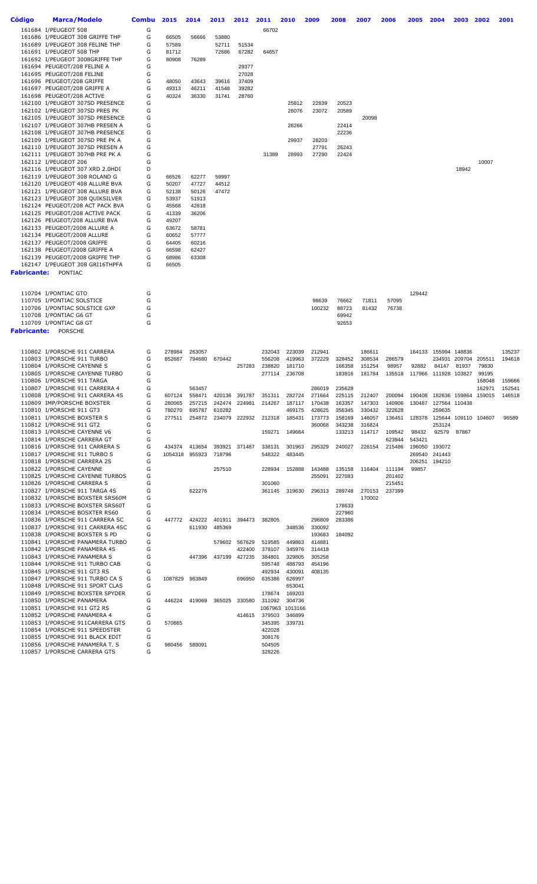| Código      | Marca/Modelo                                                       | <b>Combu</b> | 2015   | 2014           | 2013                 | 2012          | 2011   | 2010            | 2009             | 2008           | 2007   | 2006   | 2005            | 2004                        | 2003          | 2002   | 2001   |
|-------------|--------------------------------------------------------------------|--------------|--------|----------------|----------------------|---------------|--------|-----------------|------------------|----------------|--------|--------|-----------------|-----------------------------|---------------|--------|--------|
|             | 161684 I/PEUGEOT 508                                               | G            |        |                |                      |               | 66702  |                 |                  |                |        |        |                 |                             |               |        |        |
|             | 161686 I/PEUGEOT 308 GRIFFE THP                                    | G            | 66505  | 56666          | 53880                |               |        |                 |                  |                |        |        |                 |                             |               |        |        |
|             | 161689 I/PEUGEOT 308 FELINE THP                                    | G            | 57589  |                | 52711                | 51534         |        |                 |                  |                |        |        |                 |                             |               |        |        |
|             | 161691 I/PEUGEOT 508 THP                                           | G            | 81712  |                | 72686                | 67282         | 64657  |                 |                  |                |        |        |                 |                             |               |        |        |
|             | 161692 I/PEUGEOT 3008GRIFFE THP                                    | G            | 80908  | 76289          |                      |               |        |                 |                  |                |        |        |                 |                             |               |        |        |
|             | 161694 PEUGEOT/208 FELINE A                                        | G            |        |                |                      | 29377         |        |                 |                  |                |        |        |                 |                             |               |        |        |
|             | 161695 PEUGEOT/208 FELINE                                          | G            |        |                |                      | 27028         |        |                 |                  |                |        |        |                 |                             |               |        |        |
|             | 161696 PEUGEOT/208 GRIFFE                                          | G            | 48050  | 43643          | 39616                | 37409         |        |                 |                  |                |        |        |                 |                             |               |        |        |
|             | 161697 PEUGEOT/208 GRIFFE A                                        | G            | 49313  | 46211          | 41548                | 39282         |        |                 |                  |                |        |        |                 |                             |               |        |        |
|             | 161698 PEUGEOT/208 ACTIVE                                          | G            | 40324  | 36330          | 31741                | 28760         |        |                 |                  |                |        |        |                 |                             |               |        |        |
|             | 162100 I/PEUGEOT 307SD PRESENCE                                    | G            |        |                |                      |               |        | 25812           | 22839            | 20523          |        |        |                 |                             |               |        |        |
|             | 162102 I/PEUGEOT 307SD PRES PK                                     | G            |        |                |                      |               |        | 26076           | 23072            | 20589          |        |        |                 |                             |               |        |        |
|             | 162105 I/PEUGEOT 307SD PRESENCE                                    | G            |        |                |                      |               |        |                 |                  |                | 20098  |        |                 |                             |               |        |        |
|             | 162107 I/PEUGEOT 307HB PRESEN A                                    | G<br>G       |        |                |                      |               |        | 28266           |                  | 22414          |        |        |                 |                             |               |        |        |
|             | 162108 I/PEUGEOT 307HB PRESENCE<br>162109 I/PEUGEOT 307SD PRE PK A | G            |        |                |                      |               |        | 29937           | 28203            | 22236          |        |        |                 |                             |               |        |        |
|             | 162110 I/PEUGEOT 307SD PRESEN A                                    | G            |        |                |                      |               |        |                 | 27791            | 26243          |        |        |                 |                             |               |        |        |
|             | 162111 I/PEUGEOT 307HB PRE PK A                                    | G            |        |                |                      |               | 31389  | 28993           | 27290            | 22424          |        |        |                 |                             |               |        |        |
|             | 162112 I/PEUGEOT 206                                               | G            |        |                |                      |               |        |                 |                  |                |        |        |                 |                             |               | 10007  |        |
|             | 162116 I/PEUGEOT 307 XRD 2.0HDI                                    | D            |        |                |                      |               |        |                 |                  |                |        |        |                 |                             | 18942         |        |        |
|             | 162119 I/PEUGEOT 308 ROLAND G                                      | G            | 66526  | 62277          | 59997                |               |        |                 |                  |                |        |        |                 |                             |               |        |        |
|             | 162120 I/PEUGEOT 408 ALLURE BVA                                    | G            | 50207  | 47727          | 44512                |               |        |                 |                  |                |        |        |                 |                             |               |        |        |
|             | 162121 I/PEUGEOT 308 ALLURE BVA                                    | G            | 52138  | 50126          | 47472                |               |        |                 |                  |                |        |        |                 |                             |               |        |        |
|             | 162123 I/PEUGEOT 308 QUIKSILVER                                    | G            | 53937  | 51913          |                      |               |        |                 |                  |                |        |        |                 |                             |               |        |        |
|             | 162124 PEUGEOT/208 ACT PACK BVA                                    | G            | 45568  | 42818          |                      |               |        |                 |                  |                |        |        |                 |                             |               |        |        |
|             | 162125 PEUGEOT/208 ACTIVE PACK                                     | G            | 41339  | 36206          |                      |               |        |                 |                  |                |        |        |                 |                             |               |        |        |
|             | 162126 PEUGEOT/208 ALLURE BVA                                      | G            | 49207  |                |                      |               |        |                 |                  |                |        |        |                 |                             |               |        |        |
|             | 162133 PEUGEOT/2008 ALLURE A                                       | G            | 63672  | 58781          |                      |               |        |                 |                  |                |        |        |                 |                             |               |        |        |
|             | 162134 PEUGEOT/2008 ALLURE                                         | G            | 60652  | 57777          |                      |               |        |                 |                  |                |        |        |                 |                             |               |        |        |
|             | 162137 PEUGEOT/2008 GRIFFE                                         | G            | 64405  | 60216          |                      |               |        |                 |                  |                |        |        |                 |                             |               |        |        |
|             | 162138 PEUGEOT/2008 GRIFFE A                                       | G            | 66598  | 62427          |                      |               |        |                 |                  |                |        |        |                 |                             |               |        |        |
|             | 162139 PEUGEOT/2008 GRIFFE THP                                     | G            | 68986  | 63308          |                      |               |        |                 |                  |                |        |        |                 |                             |               |        |        |
|             | 162147 I/PEUGEOT 308 GRI16THPFA                                    | G            | 66505  |                |                      |               |        |                 |                  |                |        |        |                 |                             |               |        |        |
| Fabricante: | PONTIAC                                                            |              |        |                |                      |               |        |                 |                  |                |        |        |                 |                             |               |        |        |
|             |                                                                    |              |        |                |                      |               |        |                 |                  |                |        |        |                 |                             |               |        |        |
|             |                                                                    |              |        |                |                      |               |        |                 |                  |                |        |        |                 |                             |               |        |        |
|             | 110704 I/PONTIAC GTO                                               | G            |        |                |                      |               |        |                 |                  |                |        |        | 129442          |                             |               |        |        |
|             | 110705 I/PONTIAC SOLSTICE                                          | G            |        |                |                      |               |        |                 | 98639            | 76662          | 71811  | 57095  |                 |                             |               |        |        |
|             | 110706 I/PONTIAC SOLSTICE GXP                                      | G<br>G       |        |                |                      |               |        |                 | 100232           | 88723          | 81432  | 76738  |                 |                             |               |        |        |
|             | 110708 I/PONTIAC G6 GT<br>110709 I/PONTIAC G8 GT                   | G            |        |                |                      |               |        |                 |                  | 69942<br>92653 |        |        |                 |                             |               |        |        |
|             |                                                                    |              |        |                |                      |               |        |                 |                  |                |        |        |                 |                             |               |        |        |
| Fabricante: | <b>PORSCHE</b>                                                     |              |        |                |                      |               |        |                 |                  |                |        |        |                 |                             |               |        |        |
|             |                                                                    |              |        |                |                      |               |        |                 |                  |                |        |        |                 |                             |               |        |        |
|             | 110802 I/PORSCHE 911 CARRERA                                       | G            | 278984 | 263057         |                      |               | 232043 | 223039          | 212941           |                | 186611 |        |                 | 164133 155994 148836        |               |        | 135237 |
|             | 110803 I/PORSCHE 911 TURBO                                         | G            | 852687 | 794680         | 670442               |               | 556208 | 419963          | 372229           | 328452         | 308534 | 286579 |                 | 234931                      | 209704        | 205511 | 194618 |
|             | 110804 I/PORSCHE CAYENNE S                                         | G            |        |                |                      | 257283        | 238820 | 181710          |                  | 166358         | 151254 | 98957  | 92882           | 84147                       | 81937         | 79830  |        |
|             | 110805 I/PORSCHE CAYENNE TURBO                                     | G            |        |                |                      |               | 277114 | 236708          |                  | 183916         | 181784 | 135518 | 117966          | 111928 103827               |               | 99195  |        |
|             | 110806 I/PORSCHE 911 TARGA                                         | G            |        |                |                      |               |        |                 |                  |                |        |        |                 |                             |               | 168048 | 159666 |
|             | 110807 I/PORSCHE 911 CARRERA 4                                     | G            |        | 563457         |                      |               |        |                 | 286019           | 235628         |        |        |                 |                             |               | 162971 | 152541 |
|             | 110808 I/PORSCHE 911 CARRERA 4S                                    | G            | 607124 | 558471         | 420136               | 391787        | 351311 | 282724          | 271664           | 225115         | 212407 | 200094 | 190408          | 182636                      | 159864        | 159015 | 146518 |
|             | 110809 IMP/PORSCHE BOXSTER                                         | G            | 280065 | 257215         | 242474               | 224981        | 214267 | 187117          | 170438           | 163357         | 147303 | 140906 | 130487          |                             | 127564 110438 |        |        |
|             | 110810 I/PORSCHE 911 GT3                                           | G            | 780270 | 695787         | 610282               |               |        | 469175          | 428625           | 356345         | 330432 | 322628 |                 | 259635                      |               |        |        |
|             | 110811 I/PORSCHE BOXSTER S                                         | G            | 277511 |                | 254872 234079 222932 |               | 212318 | 185431          | 173773           | 158169         | 146057 | 136451 |                 | 128378 125644 109110 104607 |               |        | 96589  |
|             | 110812 I/PORSCHE 911 GT2                                           | G            |        |                |                      |               |        |                 | 360068           | 343238         | 316824 |        |                 | 253124                      |               |        |        |
|             | 110813 I/PORSCHE CAYENNE V6                                        | G            |        |                |                      |               | 159271 | 149664          |                  | 133213         | 114717 | 109542 | 98432           | 92579                       | 87867         |        |        |
|             | 110814 I/PORSCHE CARRERA GT                                        | G            |        |                |                      |               |        |                 |                  |                |        | 623944 | 543421          |                             |               |        |        |
|             | 110816 I/PORSCHE 911 CARRERA S                                     | G            | 434374 | 413654         | 393921               | 371487        | 338131 | 301963          | 295329           | 240027         | 226154 | 215486 | 196050          | 193072                      |               |        |        |
|             | 110817 I/PORSCHE 911 TURBO S                                       | G<br>G       |        | 1054318 955923 | 718796               |               | 548322 | 483445          |                  |                |        |        | 269540          | 241443                      |               |        |        |
|             | 110818 I/PORSCHE CARRERA 2S<br>110822 I/PORSCHE CAYENNE            | G            |        |                | 257510               |               |        |                 |                  | 135158         | 116404 | 111194 | 206251<br>99857 | 194210                      |               |        |        |
|             | 110825 I/PORSCHE CAYENNE TURBOS                                    | G            |        |                |                      |               | 228934 | 152888          | 143488<br>255091 | 227083         |        | 201402 |                 |                             |               |        |        |
|             | 110826 I/PORSCHE CARRERA S                                         | G            |        |                |                      |               | 301060 |                 |                  |                |        | 215451 |                 |                             |               |        |        |
|             | 110827 I/PORSCHE 911 TARGA 4S                                      | G            |        | 622276         |                      |               | 361145 | 319630          | 296313           | 289748         | 270153 | 237399 |                 |                             |               |        |        |
|             | 110832 I/PORSCHE BOXSTER SRS60M                                    | G            |        |                |                      |               |        |                 |                  |                | 170002 |        |                 |                             |               |        |        |
|             | 110833 I/PORSCHE BOXSTER SRS60T                                    | G            |        |                |                      |               |        |                 |                  | 178633         |        |        |                 |                             |               |        |        |
|             | 110834 I/PORSCHE BOSXTER RS60                                      | G            |        |                |                      |               |        |                 |                  | 227960         |        |        |                 |                             |               |        |        |
|             | 110836 I/PORSCHE 911 CARRERA SC                                    | G            | 447772 | 424222         | 401911               | 394473        | 382805 |                 | 296809           | 283386         |        |        |                 |                             |               |        |        |
|             | 110837 I/PORSCHE 911 CARRERA 4SC                                   | G            |        | 611930         | 485369               |               |        | 348536          | 330092           |                |        |        |                 |                             |               |        |        |
|             | 110838 I/PORSCHE BOXSTER S PD                                      | G            |        |                |                      |               |        |                 | 193683           | 184092         |        |        |                 |                             |               |        |        |
|             | 110841 I/PORSCHE PANAMERA TURBO                                    | G            |        |                |                      | 579602 567629 | 519585 | 449863          | 414881           |                |        |        |                 |                             |               |        |        |
|             | 110842 I/PORSCHE PANAMERA 4S                                       | G            |        |                |                      | 422400        | 378107 | 345976          | 314418           |                |        |        |                 |                             |               |        |        |
|             | 110843 I/PORSCHE PANAMERA S                                        | G            |        | 447396         | 437199               | 427235        | 384801 | 329805          | 305258           |                |        |        |                 |                             |               |        |        |
|             | 110844 I/PORSCHE 911 TURBO CAB                                     | G            |        |                |                      |               | 595748 | 488793          | 454196           |                |        |        |                 |                             |               |        |        |
|             | 110845 I/PORSCHE 911 GT3 RS                                        | G            |        |                |                      |               | 492934 | 430091          | 408135           |                |        |        |                 |                             |               |        |        |
|             | 110847 I/PORSCHE 911 TURBO CA S                                    | G            |        | 1087829 983849 |                      | 696950        | 635386 | 626997          |                  |                |        |        |                 |                             |               |        |        |
|             | 110848 I/PORSCHE 911 SPORT CLAS                                    | G            |        |                |                      |               |        | 653041          |                  |                |        |        |                 |                             |               |        |        |
|             | 110849 I/PORSCHE BOXSTER SPYDER                                    | G            |        |                |                      |               | 178674 | 169203          |                  |                |        |        |                 |                             |               |        |        |
|             | 110850 I/PORSCHE PANAMERA                                          | G            | 446224 | 419069         | 365025               | 330580        | 311092 | 304736          |                  |                |        |        |                 |                             |               |        |        |
|             | 110851 I/PORSCHE 911 GT2 RS                                        | G            |        |                |                      |               |        | 1067963 1013166 |                  |                |        |        |                 |                             |               |        |        |
|             | 110852 I/PORSCHE PANAMERA 4                                        | G            |        |                |                      | 414615        | 379503 | 346899          |                  |                |        |        |                 |                             |               |        |        |
|             | 110853 I/PORSCHE 911CARRERA GTS                                    | G            | 570865 |                |                      |               | 345395 | 339731          |                  |                |        |        |                 |                             |               |        |        |
|             | 110854 I/PORSCHE 911 SPEEDSTER                                     | G            |        |                |                      |               | 422028 |                 |                  |                |        |        |                 |                             |               |        |        |
|             | 110855 I/PORSCHE 911 BLACK EDIT                                    | G            |        |                |                      |               | 308176 |                 |                  |                |        |        |                 |                             |               |        |        |
|             | 110856 I/PORSCHE PANAMERA T. S                                     | G            | 980456 | 589091         |                      |               | 504505 |                 |                  |                |        |        |                 |                             |               |        |        |
|             | 110857 I/PORSCHE CARRERA GTS                                       | G            |        |                |                      |               | 328226 |                 |                  |                |        |        |                 |                             |               |        |        |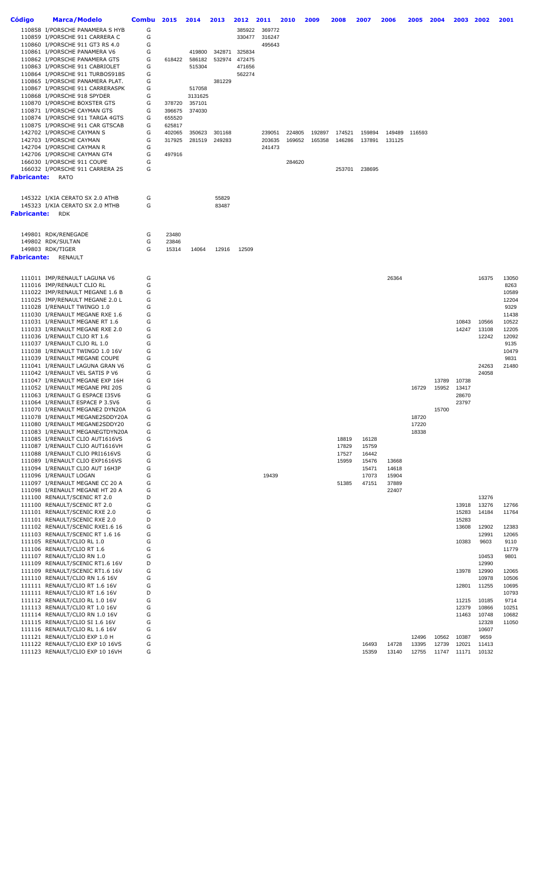| Código      | <b>Marca/Modelo</b>                                                | <b>Combu</b> | 2015             | 2014             | 2013             | 2012             | 2011             | 2010             | 2009             | 2008             | 2007             | 2006             | 2005   | 2004  | 2003           | 2002  | 2001           |
|-------------|--------------------------------------------------------------------|--------------|------------------|------------------|------------------|------------------|------------------|------------------|------------------|------------------|------------------|------------------|--------|-------|----------------|-------|----------------|
|             | 110858 I/PORSCHE PANAMERA S HYB                                    | G            |                  |                  |                  | 385922           | 369772           |                  |                  |                  |                  |                  |        |       |                |       |                |
|             | 110859 I/PORSCHE 911 CARRERA C                                     | G            |                  |                  |                  | 330477           | 316247           |                  |                  |                  |                  |                  |        |       |                |       |                |
|             | 110860 I/PORSCHE 911 GT3 RS 4.0                                    | G            |                  |                  |                  |                  | 495643           |                  |                  |                  |                  |                  |        |       |                |       |                |
|             | 110861 I/PORSCHE PANAMERA V6                                       | G            |                  | 419800           | 342871           | 325834           |                  |                  |                  |                  |                  |                  |        |       |                |       |                |
|             | 110862 I/PORSCHE PANAMERA GTS<br>110863 I/PORSCHE 911 CABRIOLET    | G<br>G       | 618422           | 586182<br>515304 | 532974           | 472475<br>471656 |                  |                  |                  |                  |                  |                  |        |       |                |       |                |
|             | 110864 I/PORSCHE 911 TURBOS918S                                    | G            |                  |                  |                  | 562274           |                  |                  |                  |                  |                  |                  |        |       |                |       |                |
|             | 110865 I/PORSCHE PANAMERA PLAT.                                    | G            |                  |                  | 381229           |                  |                  |                  |                  |                  |                  |                  |        |       |                |       |                |
|             | 110867 I/PORSCHE 911 CARRERASPK                                    | G            |                  | 517058           |                  |                  |                  |                  |                  |                  |                  |                  |        |       |                |       |                |
|             | 110868 I/PORSCHE 918 SPYDER                                        | G            |                  | 3131625          |                  |                  |                  |                  |                  |                  |                  |                  |        |       |                |       |                |
|             | 110870 I/PORSCHE BOXSTER GTS                                       | G            | 378720           | 357101           |                  |                  |                  |                  |                  |                  |                  |                  |        |       |                |       |                |
|             | 110871 I/PORSCHE CAYMAN GTS                                        | G            | 396675           | 374030           |                  |                  |                  |                  |                  |                  |                  |                  |        |       |                |       |                |
|             | 110874 I/PORSCHE 911 TARGA 4GTS                                    | G            | 655520           |                  |                  |                  |                  |                  |                  |                  |                  |                  |        |       |                |       |                |
|             | 110875 I/PORSCHE 911 CAR GTSCAB<br>142702 I/PORSCHE CAYMAN S       | G            | 625817           |                  |                  |                  |                  |                  |                  |                  |                  |                  |        |       |                |       |                |
|             | 142703 I/PORSCHE CAYMAN                                            | G<br>G       | 402065<br>317925 | 350623<br>281519 | 301168<br>249283 |                  | 239051<br>203635 | 224805<br>169652 | 192897<br>165358 | 174521<br>146286 | 159894<br>137891 | 149489<br>131125 | 116593 |       |                |       |                |
|             | 142704 I/PORSCHE CAYMAN R                                          | G            |                  |                  |                  |                  | 241473           |                  |                  |                  |                  |                  |        |       |                |       |                |
|             | 142706 I/PORSCHE CAYMAN GT4                                        | G            | 497916           |                  |                  |                  |                  |                  |                  |                  |                  |                  |        |       |                |       |                |
|             | 166030 I/PORSCHE 911 COUPE                                         | G            |                  |                  |                  |                  |                  | 284620           |                  |                  |                  |                  |        |       |                |       |                |
|             | 166032 I/PORSCHE 911 CARRERA 2S                                    | G            |                  |                  |                  |                  |                  |                  |                  | 253701           | 238695           |                  |        |       |                |       |                |
| Fabricante: | <b>RATO</b>                                                        |              |                  |                  |                  |                  |                  |                  |                  |                  |                  |                  |        |       |                |       |                |
|             | 145322 I/KIA CERATO SX 2.0 ATHB                                    | G            |                  |                  | 55829            |                  |                  |                  |                  |                  |                  |                  |        |       |                |       |                |
|             | 145323 I/KIA CERATO SX 2.0 MTHB                                    | G            |                  |                  | 83487            |                  |                  |                  |                  |                  |                  |                  |        |       |                |       |                |
| Fabricante: | <b>RDK</b>                                                         |              |                  |                  |                  |                  |                  |                  |                  |                  |                  |                  |        |       |                |       |                |
|             |                                                                    |              |                  |                  |                  |                  |                  |                  |                  |                  |                  |                  |        |       |                |       |                |
|             | 149801 RDK/RENEGADE<br>149802 RDK/SULTAN                           | G<br>G       | 23480<br>23846   |                  |                  |                  |                  |                  |                  |                  |                  |                  |        |       |                |       |                |
|             | 149803 RDK/TIGER                                                   | G            | 15314            | 14064            | 12916            | 12509            |                  |                  |                  |                  |                  |                  |        |       |                |       |                |
| Fabricante: | RENAULT                                                            |              |                  |                  |                  |                  |                  |                  |                  |                  |                  |                  |        |       |                |       |                |
|             |                                                                    |              |                  |                  |                  |                  |                  |                  |                  |                  |                  |                  |        |       |                |       |                |
|             | 111011 IMP/RENAULT LAGUNA V6                                       | G            |                  |                  |                  |                  |                  |                  |                  |                  |                  | 26364            |        |       |                | 16375 | 13050          |
|             | 111016 IMP/RENAULT CLIO RL                                         | G            |                  |                  |                  |                  |                  |                  |                  |                  |                  |                  |        |       |                |       | 8263           |
|             | 111022 IMP/RENAULT MEGANE 1.6 B                                    | G            |                  |                  |                  |                  |                  |                  |                  |                  |                  |                  |        |       |                |       | 10589          |
|             | 111025 IMP/RENAULT MEGANE 2.0 L<br>111028 I/RENAULT TWINGO 1.0     | G<br>G       |                  |                  |                  |                  |                  |                  |                  |                  |                  |                  |        |       |                |       | 12204<br>9329  |
|             | 111030 I/RENAULT MEGANE RXE 1.6                                    | G            |                  |                  |                  |                  |                  |                  |                  |                  |                  |                  |        |       |                |       | 11438          |
|             | 111031 I/RENAULT MEGANE RT 1.6                                     | G            |                  |                  |                  |                  |                  |                  |                  |                  |                  |                  |        |       | 10843          | 10566 | 10522          |
|             | 111033 I/RENAULT MEGANE RXE 2.0                                    | G            |                  |                  |                  |                  |                  |                  |                  |                  |                  |                  |        |       | 14247          | 13108 | 12205          |
|             | 111036 I/RENAULT CLIO RT 1.6                                       | G            |                  |                  |                  |                  |                  |                  |                  |                  |                  |                  |        |       |                | 12242 | 12092          |
|             | 111037 I/RENAULT CLIO RL 1.0                                       | G            |                  |                  |                  |                  |                  |                  |                  |                  |                  |                  |        |       |                |       | 9135           |
|             | 111038 I/RENAULT TWINGO 1.0 16V                                    | G            |                  |                  |                  |                  |                  |                  |                  |                  |                  |                  |        |       |                |       | 10479          |
|             | 111039 I/RENAULT MEGANE COUPE                                      | G            |                  |                  |                  |                  |                  |                  |                  |                  |                  |                  |        |       |                |       | 9831           |
|             | 111041 I/RENAULT LAGUNA GRAN V6                                    | G            |                  |                  |                  |                  |                  |                  |                  |                  |                  |                  |        |       |                | 24263 | 21480          |
|             | 111042 I/RENAULT VEL SATIS P V6<br>111047 I/RENAULT MEGANE EXP 16H | G<br>G       |                  |                  |                  |                  |                  |                  |                  |                  |                  |                  |        | 13789 | 10738          | 24058 |                |
|             | 111052 I/RENAULT MEGANE PRI 20S                                    | G            |                  |                  |                  |                  |                  |                  |                  |                  |                  |                  | 16729  | 15952 | 13417          |       |                |
|             | 111063 I/RENAULT G ESPACE I35V6                                    | G            |                  |                  |                  |                  |                  |                  |                  |                  |                  |                  |        |       | 28670          |       |                |
|             | 111064 I/RENAULT ESPACE P 3.5V6                                    | G            |                  |                  |                  |                  |                  |                  |                  |                  |                  |                  |        |       | 23797          |       |                |
|             | 111070 I/RENAULI MEGANEZ DYNZ0A                                    | G            |                  |                  |                  |                  |                  |                  |                  |                  |                  |                  |        | 15700 |                |       |                |
|             | 111078 I/RENAULT MEGANE2SDDY20A                                    | G            |                  |                  |                  |                  |                  |                  |                  |                  |                  |                  | 18720  |       |                |       |                |
|             | 111080 I/RENAULT MEGANE2SDDY20                                     | G            |                  |                  |                  |                  |                  |                  |                  |                  |                  |                  | 17220  |       |                |       |                |
|             | 111083 I/RENAULT MEGANEGTDYN20A                                    | G            |                  |                  |                  |                  |                  |                  |                  |                  |                  |                  | 18338  |       |                |       |                |
|             | 111085 I/RENAULT CLIO AUT1616VS<br>111087 I/RENAULT CLIO AUT1616VH | G<br>G       |                  |                  |                  |                  |                  |                  |                  | 18819<br>17829   | 16128<br>15759   |                  |        |       |                |       |                |
|             | 111088 I/RENAULT CLIO PRI1616VS                                    | G            |                  |                  |                  |                  |                  |                  |                  | 17527            | 16442            |                  |        |       |                |       |                |
|             | 111089 I/RENAULT CLIO EXP1616VS                                    | G            |                  |                  |                  |                  |                  |                  |                  | 15959            | 15476            | 13668            |        |       |                |       |                |
|             | 111094 I/RENAULT CLIO AUT 16H3P                                    | G            |                  |                  |                  |                  |                  |                  |                  |                  | 15471            | 14618            |        |       |                |       |                |
|             | 111096 I/RENAULT LOGAN                                             | G            |                  |                  |                  |                  | 19439            |                  |                  |                  | 17073            | 15904            |        |       |                |       |                |
|             | 111097 I/RENAULT MEGANE CC 20 A                                    | G            |                  |                  |                  |                  |                  |                  |                  | 51385            | 47151            | 37889            |        |       |                |       |                |
|             | 111098 I/RENAULT MEGANE HT 20 A                                    | G            |                  |                  |                  |                  |                  |                  |                  |                  |                  | 22407            |        |       |                |       |                |
|             | 111100 RENAULT/SCENIC RT 2.0                                       | D            |                  |                  |                  |                  |                  |                  |                  |                  |                  |                  |        |       |                | 13276 |                |
|             | 111100 RENAULT/SCENIC RT 2.0                                       | G            |                  |                  |                  |                  |                  |                  |                  |                  |                  |                  |        |       | 13918          | 13276 | 12766          |
|             | 111101 RENAULT/SCENIC RXE 2.0                                      | G<br>D       |                  |                  |                  |                  |                  |                  |                  |                  |                  |                  |        |       | 15283          | 14184 | 11764          |
|             | 111101 RENAULT/SCENIC RXE 2.0<br>111102 RENAULT/SCENIC RXE1.6 16   | G            |                  |                  |                  |                  |                  |                  |                  |                  |                  |                  |        |       | 15283<br>13608 | 12902 | 12383          |
|             | 111103 RENAULT/SCENIC RT 1.6 16                                    | G            |                  |                  |                  |                  |                  |                  |                  |                  |                  |                  |        |       |                | 12991 | 12065          |
|             | 111105 RENAULT/CLIO RL 1.0                                         | G            |                  |                  |                  |                  |                  |                  |                  |                  |                  |                  |        |       | 10383          | 9603  | 9110           |
|             | 111106 RENAULT/CLIO RT 1.6                                         | G            |                  |                  |                  |                  |                  |                  |                  |                  |                  |                  |        |       |                |       | 11779          |
|             | 111107 RENAULT/CLIO RN 1.0                                         | G            |                  |                  |                  |                  |                  |                  |                  |                  |                  |                  |        |       |                | 10453 | 9801           |
|             | 111109 RENAULT/SCENIC RT1.6 16V                                    | D            |                  |                  |                  |                  |                  |                  |                  |                  |                  |                  |        |       |                | 12990 |                |
|             | 111109 RENAULT/SCENIC RT1.6 16V                                    | G            |                  |                  |                  |                  |                  |                  |                  |                  |                  |                  |        |       | 13978          | 12990 | 12065          |
|             | 111110 RENAULT/CLIO RN 1.6 16V                                     | G            |                  |                  |                  |                  |                  |                  |                  |                  |                  |                  |        |       |                | 10978 | 10506          |
|             | 111111 RENAULT/CLIO RT 1.6 16V                                     | G<br>D       |                  |                  |                  |                  |                  |                  |                  |                  |                  |                  |        |       | 12801          | 11255 | 10695<br>10793 |
|             | 111111 RENAULT/CLIO RT 1.6 16V<br>111112 RENAULT/CLIO RL 1.0 16V   | G            |                  |                  |                  |                  |                  |                  |                  |                  |                  |                  |        |       | 11215          | 10185 | 9714           |
|             | 111113 RENAULT/CLIO RT 1.0 16V                                     | G            |                  |                  |                  |                  |                  |                  |                  |                  |                  |                  |        |       | 12379          | 10866 | 10251          |
|             | 111114 RENAULT/CLIO RN 1.0 16V                                     | G            |                  |                  |                  |                  |                  |                  |                  |                  |                  |                  |        |       | 11463          | 10748 | 10682          |
|             | 111115 RENAULT/CLIO SI 1.6 16V                                     | G            |                  |                  |                  |                  |                  |                  |                  |                  |                  |                  |        |       |                | 12328 | 11050          |
|             | 111116 RENAULT/CLIO RL 1.6 16V                                     | G            |                  |                  |                  |                  |                  |                  |                  |                  |                  |                  |        |       |                | 10607 |                |
|             | 111121 RENAULT/CLIO EXP 1.0 H                                      | G            |                  |                  |                  |                  |                  |                  |                  |                  |                  |                  | 12496  | 10562 | 10387          | 9659  |                |
|             | 111122 RENAULT/CLIO EXP 10 16VS                                    | G            |                  |                  |                  |                  |                  |                  |                  |                  | 16493            | 14728            | 13395  | 12739 | 12021          | 11413 |                |
|             | 111123 RENAULT/CLIO EXP 10 16VH                                    | G            |                  |                  |                  |                  |                  |                  |                  |                  | 15359            | 13140            | 12755  | 11747 | 11171          | 10132 |                |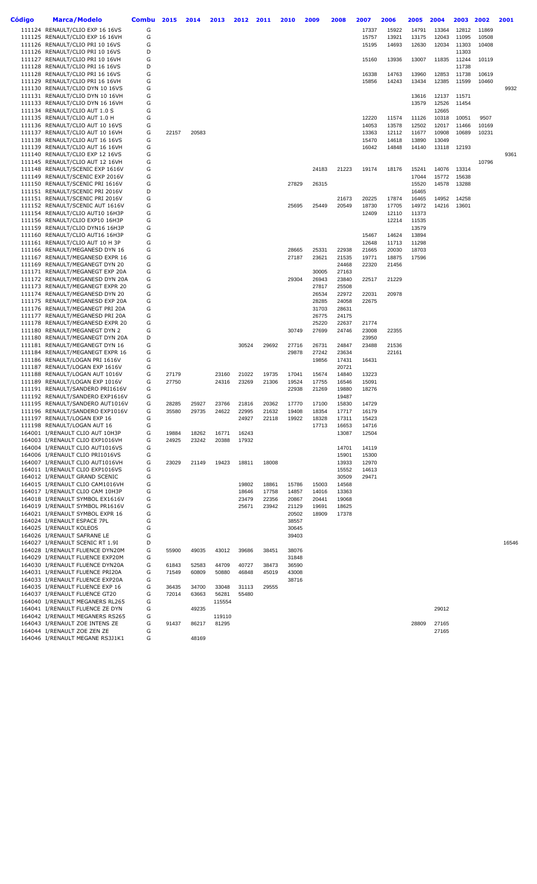| Código | <b>Marca/Modelo</b>                                                | <b>Combu</b> | 2015           | 2014           | 2013            | 2012           | 2011           | 2010           | 2009           | 2008           | 2007           | 2006           | 2005           | 2004           | 2003           | 2002  | 2001  |
|--------|--------------------------------------------------------------------|--------------|----------------|----------------|-----------------|----------------|----------------|----------------|----------------|----------------|----------------|----------------|----------------|----------------|----------------|-------|-------|
|        | 111124 RENAULT/CLIO EXP 16 16VS                                    | G            |                |                |                 |                |                |                |                |                | 17337          | 15922          | 14791          | 13364          | 12812          | 11869 |       |
|        | 111125 RENAULT/CLIO EXP 16 16VH                                    | G            |                |                |                 |                |                |                |                |                | 15757          | 13921          | 13175          | 12043          | 11095          | 10508 |       |
|        | 111126 RENAULT/CLIO PRI 10 16VS<br>111126 RENAULT/CLIO PRI 10 16VS | G<br>D       |                |                |                 |                |                |                |                |                | 15195          | 14693          | 12630          | 12034          | 11303<br>11303 | 10408 |       |
|        | 111127 RENAULT/CLIO PRI 10 16VH                                    | G            |                |                |                 |                |                |                |                |                | 15160          | 13936          | 13007          | 11835          | 11244          | 10119 |       |
|        | 111128 RENAULT/CLIO PRI 16 16VS                                    | D            |                |                |                 |                |                |                |                |                |                |                |                |                | 11738          |       |       |
|        | 111128 RENAULT/CLIO PRI 16 16VS                                    | G            |                |                |                 |                |                |                |                |                | 16338          | 14763          | 13960          | 12853          | 11738          | 10619 |       |
|        | 111129 RENAULT/CLIO PRI 16 16VH                                    | G            |                |                |                 |                |                |                |                |                | 15856          | 14243          | 13434          | 12385          | 11599          | 10460 |       |
|        | 111130 RENAULT/CLIO DYN 10 16VS                                    | G<br>G       |                |                |                 |                |                |                |                |                |                |                |                |                | 11571          |       | 9932  |
|        | 111131 RENAULT/CLIO DYN 10 16VH<br>111133 RENAULT/CLIO DYN 16 16VH | G            |                |                |                 |                |                |                |                |                |                |                | 13616<br>13579 | 12137<br>12526 | 11454          |       |       |
|        | 111134 RENAULT/CLIO AUT 1.0 S                                      | G            |                |                |                 |                |                |                |                |                |                |                |                | 12665          |                |       |       |
|        | 111135 RENAULT/CLIO AUT 1.0 H                                      | G            |                |                |                 |                |                |                |                |                | 12220          | 11574          | 11126          | 10318          | 10051          | 9507  |       |
|        | 111136 RENAULT/CLIO AUT 10 16VS                                    | G            |                |                |                 |                |                |                |                |                | 14053          | 13578          | 12502          | 12017          | 11466          | 10169 |       |
|        | 111137 RENAULT/CLIO AUT 10 16VH<br>111138 RENAULT/CLIO AUT 16 16VS | G<br>G       | 22157          | 20583          |                 |                |                |                |                |                | 13363          | 12112          | 11677          | 10908          | 10689          | 10231 |       |
|        | 111139 RENAULT/CLIO AUT 16 16VH                                    | G            |                |                |                 |                |                |                |                |                | 15470<br>16042 | 14618<br>14848 | 13890<br>14140 | 13049<br>13118 | 12193          |       |       |
|        | 111140 RENAULT/CLIO EXP 12 16VS                                    | G            |                |                |                 |                |                |                |                |                |                |                |                |                |                |       | 9361  |
|        | 111145 RENAULT/CLIO AUT 12 16VH                                    | G            |                |                |                 |                |                |                |                |                |                |                |                |                |                | 10796 |       |
|        | 111148 RENAULT/SCENIC EXP 1616V                                    | G            |                |                |                 |                |                |                | 24183          | 21223          | 19174          | 18176          | 15241          | 14076          | 13314          |       |       |
|        | 111149 RENAULT/SCENIC EXP 2016V                                    | G<br>G       |                |                |                 |                |                | 27829          | 26315          |                |                |                | 17044          | 15772          | 15638          |       |       |
|        | 111150 RENAULT/SCENIC PRI 1616V<br>111151 RENAULT/SCENIC PRI 2016V | D            |                |                |                 |                |                |                |                |                |                |                | 15520<br>16465 | 14578          | 13288          |       |       |
|        | 111151 RENAULT/SCENIC PRI 2016V                                    | G            |                |                |                 |                |                |                |                | 21673          | 20225          | 17874          | 16465          | 14952          | 14258          |       |       |
|        | 111152 RENAULT/SCENIC AUT 1616V                                    | G            |                |                |                 |                |                | 25695          | 25449          | 20549          | 18730          | 17705          | 14972          | 14216          | 13601          |       |       |
|        | 111154 RENAULT/CLIO AUT10 16H3P                                    | G            |                |                |                 |                |                |                |                |                | 12409          | 12110          | 11373          |                |                |       |       |
|        | 111156 RENAULT/CLIO EXP10 16H3P                                    | G            |                |                |                 |                |                |                |                |                |                | 12214          | 11535          |                |                |       |       |
|        | 111159 RENAULT/CLIO DYN16 16H3P<br>111160 RENAULT/CLIO AUT16 16H3P | G<br>G       |                |                |                 |                |                |                |                |                | 15467          | 14624          | 13579<br>13894 |                |                |       |       |
|        | 111161 RENAULT/CLIO AUT 10 H 3P                                    | G            |                |                |                 |                |                |                |                |                | 12648          | 11713          | 11298          |                |                |       |       |
|        | 111166 RENAULT/MEGANESD DYN 16                                     | G            |                |                |                 |                |                | 28665          | 25331          | 22938          | 21665          | 20030          | 18703          |                |                |       |       |
|        | 111167 RENAULT/MEGANESD EXPR 16                                    | G            |                |                |                 |                |                | 27187          | 23621          | 21535          | 19771          | 18875          | 17596          |                |                |       |       |
|        | 111169 RENAULT/MEGANEGT DYN 20                                     | G            |                |                |                 |                |                |                |                | 24468          | 22320          | 21456          |                |                |                |       |       |
|        | 111171 RENAULT/MEGANEGT EXP 20A<br>111172 RENAULT/MEGANESD DYN 20A | G<br>G       |                |                |                 |                |                | 29304          | 30005<br>26943 | 27163<br>23840 | 22517          | 21229          |                |                |                |       |       |
|        | 111173 RENAULT/MEGANEGT EXPR 20                                    | G            |                |                |                 |                |                |                | 27817          | 25508          |                |                |                |                |                |       |       |
|        | 111174 RENAULT/MEGANESD DYN 20                                     | G            |                |                |                 |                |                |                | 26534          | 22972          | 22031          | 20978          |                |                |                |       |       |
|        | 111175 RENAULT/MEGANESD EXP 20A                                    | G            |                |                |                 |                |                |                | 28285          | 24058          | 22675          |                |                |                |                |       |       |
|        | 111176 RENAULT/MEGANEGT PRI 20A                                    | G            |                |                |                 |                |                |                | 31703          | 28631          |                |                |                |                |                |       |       |
|        | 111177 RENAULT/MEGANESD PRI 20A<br>111178 RENAULT/MEGANESD EXPR 20 | G<br>G       |                |                |                 |                |                |                | 26775<br>25220 | 24175<br>22637 | 21774          |                |                |                |                |       |       |
|        | 111180 RENAULT/MEGANEGT DYN 2                                      | G            |                |                |                 |                |                | 30749          | 27699          | 24746          | 23008          | 22355          |                |                |                |       |       |
|        | 111180 RENAULT/MEGANEGT DYN 20A                                    | D            |                |                |                 |                |                |                |                |                | 23950          |                |                |                |                |       |       |
| 111181 | RENAULT/MEGANEGT DYN 16                                            | G            |                |                |                 | 30524          | 29692          | 27716          | 26731          | 24847          | 23488          | 21536          |                |                |                |       |       |
|        | 111184 RENAULT/MEGANEGT EXPR 16                                    | G            |                |                |                 |                |                | 29878          | 27242          | 23634          |                | 22161          |                |                |                |       |       |
|        | 111186 RENAULT/LOGAN PRI 1616V<br>111187 RENAULT/LOGAN EXP 1616V   | G            |                |                |                 |                |                |                | 19856          | 17431          | 16431          |                |                |                |                |       |       |
|        | 111188 RENAULT/LOGAN AUT 1016V                                     | G<br>G       | 27179          |                | 23160           | 21022          | 19735          | 17041          | 15674          | 20721<br>14840 | 13223          |                |                |                |                |       |       |
|        | 111189 RENAULT/LOGAN EXP 1016V                                     | G            | 27750          |                | 24316           | 23269          | 21306          | 19524          | 17755          | 16546          | 15091          |                |                |                |                |       |       |
|        | 111191 RENAULT/SANDERO PRI1616V                                    | G            |                |                |                 |                |                | 22938          | 21269          | 19880          | 18276          |                |                |                |                |       |       |
|        | 111192 RENAULT/SANDERO EXP1616V                                    | G            |                |                |                 |                |                |                |                | 19487          |                |                |                |                |                |       |       |
|        | 111195 RENAULT/SANDERO AUT1016V<br>111196 RENAULT/SANDERO EXP1016V | G<br>G       | 28285<br>35580 | 25927<br>29735 | 23766<br>24622  | 21816<br>22995 | 20362<br>21632 | 17770<br>19408 | 17100<br>18354 | 15830<br>17717 | 14729<br>16179 |                |                |                |                |       |       |
|        | 111197 RENAULT/LOGAN EXP 16                                        | G            |                |                |                 | 24927          | 22118          | 19922          | 18328          | 17311          | 15423          |                |                |                |                |       |       |
|        | 111198 RENAULT/LOGAN AUT 16                                        | G            |                |                |                 |                |                |                | 17713          | 16653          | 14716          |                |                |                |                |       |       |
|        | 164001 I/RENAULT CLIO AUT 10H3P                                    | G            | 19884          | 18262          | 16771           | 16243          |                |                |                | 13087          | 12504          |                |                |                |                |       |       |
|        | 164003 I/RENAULT CLIO EXP1016VH                                    | G            | 24925          | 23242          | 20388           | 17932          |                |                |                |                |                |                |                |                |                |       |       |
|        | 164004 I/RENAULT CLIO AUT1016VS<br>164006 I/RENAULT CLIO PRI1016VS | G<br>G       |                |                |                 |                |                |                |                | 14701<br>15901 | 14119<br>15300 |                |                |                |                |       |       |
|        | 164007 I/RENAULT CLIO AUT1016VH                                    | G            | 23029          | 21149          | 19423           | 18811          | 18008          |                |                | 13933          | 12970          |                |                |                |                |       |       |
|        | 164011 I/RENAULT CLIO EXP1016VS                                    | G            |                |                |                 |                |                |                |                | 15552          | 14613          |                |                |                |                |       |       |
|        | 164012 I/RENAULT GRAND SCENIC                                      | G            |                |                |                 |                |                |                |                | 30509          | 29471          |                |                |                |                |       |       |
|        | 164015 I/RENAULT CLIO CAM1016VH                                    | G            |                |                |                 | 19802          | 18861          | 15786          | 15003          | 14568          |                |                |                |                |                |       |       |
|        | 164017 I/RENAULT CLIO CAM 10H3P                                    | G<br>G       |                |                |                 | 18646          | 17758          | 14857          | 14016          | 13363          |                |                |                |                |                |       |       |
|        | 164018 I/RENAULT SYMBOL EX1616V<br>164019 I/RENAULT SYMBOL PR1616V | G            |                |                |                 | 23479<br>25671 | 22356<br>23942 | 20867<br>21129 | 20441<br>19691 | 19068<br>18625 |                |                |                |                |                |       |       |
|        | 164021 I/RENAULT SYMBOL EXPR 16                                    | G            |                |                |                 |                |                | 20502          | 18909          | 17378          |                |                |                |                |                |       |       |
|        | 164024 I/RENAULT ESPACE 7PL                                        | G            |                |                |                 |                |                | 38557          |                |                |                |                |                |                |                |       |       |
|        | 164025 I/RENAULT KOLEOS                                            | G            |                |                |                 |                |                | 30645          |                |                |                |                |                |                |                |       |       |
|        | 164026 I/RENAULT SAFRANE LE                                        | G            |                |                |                 |                |                | 39403          |                |                |                |                |                |                |                |       |       |
|        | 164027 I/RENAULT SCENIC RT 1.9I                                    | D<br>G       |                |                |                 |                |                |                |                |                |                |                |                |                |                |       | 16546 |
|        | 164028 I/RENAULT FLUENCE DYN20M<br>164029 I/RENAULT FLUENCE EXP20M | G            | 55900          | 49035          | 43012           | 39686          | 38451          | 38076<br>31848 |                |                |                |                |                |                |                |       |       |
|        | 164030 I/RENAULT FLUENCE DYN20A                                    | G            | 61843          | 52583          | 44709           | 40727          | 38473          | 36590          |                |                |                |                |                |                |                |       |       |
|        | 164031 I/RENAULT FLUENCE PRI20A                                    | G            | 71549          | 60809          | 50880           | 46848          | 45019          | 43008          |                |                |                |                |                |                |                |       |       |
|        | 164033 I/RENAULT FLUENCE EXP20A                                    | G            |                |                |                 |                |                | 38716          |                |                |                |                |                |                |                |       |       |
|        | 164035 I/RENAULT FLUENCE EXP 16                                    | G<br>G       | 36435          | 34700<br>63663 | 33048           | 31113<br>55480 | 29555          |                |                |                |                |                |                |                |                |       |       |
|        | 164037 I/RENAULT FLUENCE GT20<br>164040 I/RENAULT MEGANERS RL265   | G            | 72014          |                | 56281<br>115554 |                |                |                |                |                |                |                |                |                |                |       |       |
|        | 164041 I/RENAULT FLUENCE ZE DYN                                    | G            |                | 49235          |                 |                |                |                |                |                |                |                |                | 29012          |                |       |       |
|        | 164042 I/RENAULT MEGANERS RS265                                    | G            |                |                | 119110          |                |                |                |                |                |                |                |                |                |                |       |       |
|        | 164043 I/RENAULT ZOE INTENS ZE                                     | G            | 91437          | 86217          | 81295           |                |                |                |                |                |                |                | 28809          | 27165          |                |       |       |
|        | 164044 I/RENAULT ZOE ZEN ZE                                        | G            |                |                |                 |                |                |                |                |                |                |                |                | 27165          |                |       |       |
|        | 164046 I/RENAULT MEGANE RS3J1K1                                    | G            |                | 48169          |                 |                |                |                |                |                |                |                |                |                |                |       |       |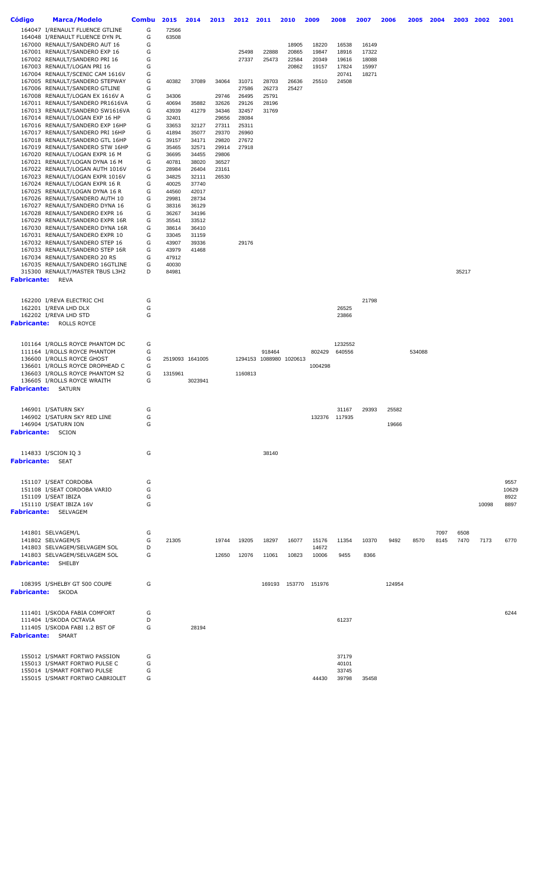| <b>Código</b>           | <b>Marca/Modelo</b>                                                | Combu  | 2015           | 2014            | 2013           | 2012           | 2011                              | 2010           | 2009                 | 2008           | 2007           | 2006   | 2005   | 2004 | 2003  | 2002  | 2001  |
|-------------------------|--------------------------------------------------------------------|--------|----------------|-----------------|----------------|----------------|-----------------------------------|----------------|----------------------|----------------|----------------|--------|--------|------|-------|-------|-------|
|                         | 164047 I/RENAULT FLUENCE GTLINE                                    | G      | 72566          |                 |                |                |                                   |                |                      |                |                |        |        |      |       |       |       |
|                         | 164048 I/RENAULT FLUENCE DYN PL                                    | G      | 63508          |                 |                |                |                                   |                |                      |                |                |        |        |      |       |       |       |
|                         | 167000 RENAULT/SANDERO AUT 16                                      | G      |                |                 |                |                |                                   | 18905          | 18220                | 16538          | 16149          |        |        |      |       |       |       |
|                         | 167001 RENAULT/SANDERO EXP 16<br>167002 RENAULT/SANDERO PRI 16     | G<br>G |                |                 |                | 25498<br>27337 | 22888<br>25473                    | 20865<br>22584 | 19847<br>20349       | 18916<br>19616 | 17322<br>18088 |        |        |      |       |       |       |
|                         | 167003 RENAULT/LOGAN PRI 16                                        | G      |                |                 |                |                |                                   | 20862          | 19157                | 17824          | 15997          |        |        |      |       |       |       |
|                         | 167004 RENAULT/SCENIC CAM 1616V                                    | G      |                |                 |                |                |                                   |                |                      | 20741          | 18271          |        |        |      |       |       |       |
|                         | 167005 RENAULT/SANDERO STEPWAY                                     | G      | 40382          | 37089           | 34064          | 31071          | 28703                             | 26636          | 25510                | 24508          |                |        |        |      |       |       |       |
|                         | 167006 RENAULT/SANDERO GTLINE                                      | G      |                |                 |                | 27586          | 26273                             | 25427          |                      |                |                |        |        |      |       |       |       |
|                         | 167008 RENAULT/LOGAN EX 1616V A<br>167011 RENAULT/SANDERO PR1616VA | G<br>G | 34306<br>40694 | 35882           | 29746<br>32626 | 26495<br>29126 | 25791<br>28196                    |                |                      |                |                |        |        |      |       |       |       |
|                         | 167013 RENAULT/SANDERO SW1616VA                                    | G      | 43939          | 41279           | 34346          | 32457          | 31769                             |                |                      |                |                |        |        |      |       |       |       |
|                         | 167014 RENAULT/LOGAN EXP 16 HP                                     | G      | 32401          |                 | 29656          | 28084          |                                   |                |                      |                |                |        |        |      |       |       |       |
|                         | 167016 RENAULT/SANDERO EXP 16HP                                    | G      | 33653          | 32127           | 27311          | 25311          |                                   |                |                      |                |                |        |        |      |       |       |       |
|                         | 167017 RENAULT/SANDERO PRI 16HP                                    | G      | 41894          | 35077           | 29370          | 26960          |                                   |                |                      |                |                |        |        |      |       |       |       |
|                         | 167018 RENAULT/SANDERO GTL 16HP<br>167019 RENAULT/SANDERO STW 16HP | G<br>G | 39157<br>35465 | 34171<br>32571  | 29820<br>29914 | 27672<br>27918 |                                   |                |                      |                |                |        |        |      |       |       |       |
|                         | 167020 RENAULT/LOGAN EXPR 16 M                                     | G      | 36695          | 34455           | 29806          |                |                                   |                |                      |                |                |        |        |      |       |       |       |
|                         | 167021 RENAULT/LOGAN DYNA 16 M                                     | G      | 40781          | 38020           | 36527          |                |                                   |                |                      |                |                |        |        |      |       |       |       |
|                         | 167022 RENAULT/LOGAN AUTH 1016V                                    | G      | 28984          | 26404           | 23161          |                |                                   |                |                      |                |                |        |        |      |       |       |       |
|                         | 167023 RENAULT/LOGAN EXPR 1016V                                    | G      | 34825          | 32111           | 26530          |                |                                   |                |                      |                |                |        |        |      |       |       |       |
|                         | 167024 RENAULT/LOGAN EXPR 16 R<br>167025 RENAULT/LOGAN DYNA 16 R   | G<br>G | 40025<br>44560 | 37740<br>42017  |                |                |                                   |                |                      |                |                |        |        |      |       |       |       |
|                         | 167026 RENAULT/SANDERO AUTH 10                                     | G      | 29981          | 28734           |                |                |                                   |                |                      |                |                |        |        |      |       |       |       |
|                         | 167027 RENAULT/SANDERO DYNA 16                                     | G      | 38316          | 36129           |                |                |                                   |                |                      |                |                |        |        |      |       |       |       |
|                         | 167028 RENAULT/SANDERO EXPR 16                                     | G      | 36267          | 34196           |                |                |                                   |                |                      |                |                |        |        |      |       |       |       |
|                         | 167029 RENAULT/SANDERO EXPR 16R                                    | G      | 35541          | 33512           |                |                |                                   |                |                      |                |                |        |        |      |       |       |       |
|                         | 167030 RENAULT/SANDERO DYNA 16R<br>167031 RENAULT/SANDERO EXPR 10  | G<br>G | 38614<br>33045 | 36410<br>31159  |                |                |                                   |                |                      |                |                |        |        |      |       |       |       |
|                         | 167032 RENAULT/SANDERO STEP 16                                     | G      | 43907          | 39336           |                | 29176          |                                   |                |                      |                |                |        |        |      |       |       |       |
|                         | 167033 RENAULT/SANDERO STEP 16R                                    | G      | 43979          | 41468           |                |                |                                   |                |                      |                |                |        |        |      |       |       |       |
|                         | 167034 RENAULT/SANDERO 20 RS                                       | G      | 47912          |                 |                |                |                                   |                |                      |                |                |        |        |      |       |       |       |
|                         | 167035 RENAULT/SANDERO 16GTLINE                                    | G      | 40030          |                 |                |                |                                   |                |                      |                |                |        |        |      |       |       |       |
|                         | 315300 RENAULT/MASTER TBUS L3H2                                    | D      | 84981          |                 |                |                |                                   |                |                      |                |                |        |        |      | 35217 |       |       |
| <b>Fabricante:</b> REVA |                                                                    |        |                |                 |                |                |                                   |                |                      |                |                |        |        |      |       |       |       |
|                         |                                                                    |        |                |                 |                |                |                                   |                |                      |                |                |        |        |      |       |       |       |
|                         | 162200 I/REVA ELECTRIC CHI                                         | G      |                |                 |                |                |                                   |                |                      |                | 21798          |        |        |      |       |       |       |
|                         | 162201 I/REVA LHD DLX                                              | G      |                |                 |                |                |                                   |                |                      | 26525          |                |        |        |      |       |       |       |
|                         | 162202 I/REVA LHD STD<br><b>Fabricante: ROLLS ROYCE</b>            | G      |                |                 |                |                |                                   |                |                      | 23866          |                |        |        |      |       |       |       |
|                         |                                                                    |        |                |                 |                |                |                                   |                |                      |                |                |        |        |      |       |       |       |
|                         |                                                                    |        |                |                 |                |                |                                   |                |                      |                |                |        |        |      |       |       |       |
|                         | 101164 I/ROLLS ROYCE PHANTOM DC                                    | G      |                |                 |                |                |                                   |                |                      | 1232552        |                |        |        |      |       |       |       |
|                         | 111164 I/ROLLS ROYCE PHANTOM<br>136600 I/ROLLS ROYCE GHOST         | G<br>G |                | 2519093 1641005 |                |                | 918464<br>1294153 1088980 1020613 |                | 802429               | 640556         |                |        | 534088 |      |       |       |       |
|                         | 136601 I/ROLLS ROYCE DROPHEAD C                                    | G      |                |                 |                |                |                                   |                | 1004298              |                |                |        |        |      |       |       |       |
|                         | 136603 I/ROLLS ROYCE PHANTOM S2                                    | G      | 1315961        |                 |                | 1160813        |                                   |                |                      |                |                |        |        |      |       |       |       |
|                         | 136605 I/ROLLS ROYCE WRAITH                                        | G      |                | 3023941         |                |                |                                   |                |                      |                |                |        |        |      |       |       |       |
|                         | <b>Fabricante:</b> SATURN                                          |        |                |                 |                |                |                                   |                |                      |                |                |        |        |      |       |       |       |
|                         |                                                                    |        |                |                 |                |                |                                   |                |                      |                |                |        |        |      |       |       |       |
|                         | 146901 I/SATURN SKY                                                | G      |                |                 |                |                |                                   |                |                      | 31167          | 29393          | 25582  |        |      |       |       |       |
|                         | 146902 I/SATURN SKY RED LINE                                       | G      |                |                 |                |                |                                   |                |                      | 132376 117935  |                |        |        |      |       |       |       |
|                         | 146904 I/SATURN ION                                                | G      |                |                 |                |                |                                   |                |                      |                |                | 19666  |        |      |       |       |       |
|                         | <b>Fabricante: SCION</b>                                           |        |                |                 |                |                |                                   |                |                      |                |                |        |        |      |       |       |       |
|                         |                                                                    |        |                |                 |                |                |                                   |                |                      |                |                |        |        |      |       |       |       |
|                         | 114833 I/SCION IQ 3                                                | G      |                |                 |                |                | 38140                             |                |                      |                |                |        |        |      |       |       |       |
| <b>Fabricante:</b> SEAT |                                                                    |        |                |                 |                |                |                                   |                |                      |                |                |        |        |      |       |       |       |
|                         |                                                                    |        |                |                 |                |                |                                   |                |                      |                |                |        |        |      |       |       |       |
|                         | 151107 I/SEAT CORDOBA                                              | G      |                |                 |                |                |                                   |                |                      |                |                |        |        |      |       |       | 9557  |
|                         | 151108 I/SEAT CORDOBA VARIO                                        | G      |                |                 |                |                |                                   |                |                      |                |                |        |        |      |       |       | 10629 |
|                         | 151109 I/SEAT IBIZA                                                | G      |                |                 |                |                |                                   |                |                      |                |                |        |        |      |       |       | 8922  |
|                         | 151110 I/SEAT IBIZA 16V                                            | G      |                |                 |                |                |                                   |                |                      |                |                |        |        |      |       | 10098 | 8897  |
|                         | <b>Fabricante:</b> SELVAGEM                                        |        |                |                 |                |                |                                   |                |                      |                |                |        |        |      |       |       |       |
|                         |                                                                    |        |                |                 |                |                |                                   |                |                      |                |                |        |        |      |       |       |       |
|                         | 141801 SELVAGEM/L                                                  | G      |                |                 |                |                |                                   |                |                      |                |                |        |        | 7097 | 6508  |       |       |
|                         | 141802 SELVAGEM/S                                                  | G      | 21305          |                 | 19744          | 19205          | 18297                             | 16077          | 15176                | 11354          | 10370          | 9492   | 8570   | 8145 | 7470  | 7173  | 6770  |
|                         | 141803 SELVAGEM/SELVAGEM SOL                                       | D      |                |                 |                |                |                                   |                | 14672                |                |                |        |        |      |       |       |       |
|                         | 141803 SELVAGEM/SELVAGEM SOL<br><b>Fabricante:</b> SHELBY          | G      |                |                 | 12650          | 12076          | 11061                             | 10823          | 10006                | 9455           | 8366           |        |        |      |       |       |       |
|                         |                                                                    |        |                |                 |                |                |                                   |                |                      |                |                |        |        |      |       |       |       |
|                         |                                                                    |        |                |                 |                |                |                                   |                |                      |                |                |        |        |      |       |       |       |
|                         | 108395 I/SHELBY GT 500 COUPE                                       | G      |                |                 |                |                |                                   |                | 169193 153770 151976 |                |                | 124954 |        |      |       |       |       |
|                         | <b>Fabricante:</b> SKODA                                           |        |                |                 |                |                |                                   |                |                      |                |                |        |        |      |       |       |       |
|                         |                                                                    |        |                |                 |                |                |                                   |                |                      |                |                |        |        |      |       |       |       |
|                         | 111401 I/SKODA FABIA COMFORT                                       | G      |                |                 |                |                |                                   |                |                      |                |                |        |        |      |       |       | 6244  |
|                         | 111404 I/SKODA OCTAVIA                                             | D      |                |                 |                |                |                                   |                |                      | 61237          |                |        |        |      |       |       |       |
|                         | 111405 I/SKODA FABI 1.2 BST OF                                     | G      |                | 28194           |                |                |                                   |                |                      |                |                |        |        |      |       |       |       |
|                         | <b>Fabricante:</b> SMART                                           |        |                |                 |                |                |                                   |                |                      |                |                |        |        |      |       |       |       |
|                         |                                                                    |        |                |                 |                |                |                                   |                |                      |                |                |        |        |      |       |       |       |
|                         | 155012 I/SMART FORTWO PASSION                                      | G      |                |                 |                |                |                                   |                |                      | 37179          |                |        |        |      |       |       |       |
|                         | 155013 I/SMART FORTWO PULSE C                                      | G<br>G |                |                 |                |                |                                   |                |                      | 40101          |                |        |        |      |       |       |       |
|                         | 155014 I/SMART FORTWO PULSE<br>155015 I/SMART FORTWO CABRIOLET     | G      |                |                 |                |                |                                   |                | 44430                | 33745<br>39798 | 35458          |        |        |      |       |       |       |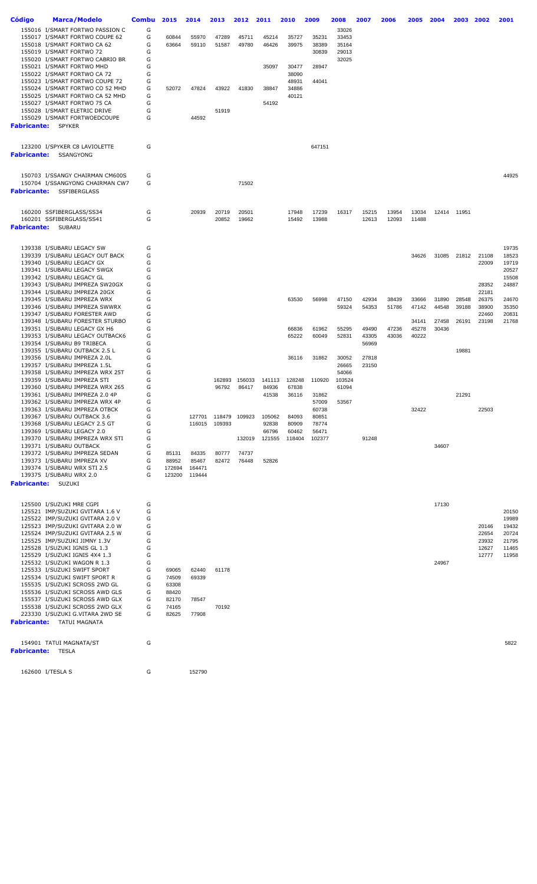| Código                   | <b>Marca/Modelo</b><br>155016 I/SMART FORTWO PASSION C<br>155017 I/SMART FORTWO COUPE 62<br>155018 I/SMART FORTWO CA 62<br>155019 I/SMART FORTWO 72<br>155020 I/SMART FORTWO CABRIO BR<br>155021 I/SMART FORTWO MHD<br>155022 I/SMART FORTWO CA 72<br>155023 I/SMART FORTWO COUPE 72<br>155024 I/SMART FORTWO CO 52 MHD<br>155025 I/SMART FORTWO CA 52 MHD<br>155027 I/SMART FORTWO 75 CA<br>155028 I/SMART ELETRIC DRIVE<br>155029 I/SMART FORTWOEDCOUPE<br><b>Fabricante:</b> SPYKER<br>123200 I/SPYKER C8 LAVIOLETTE | Combu<br>G<br>G<br>G<br>G<br>G<br>G<br>G<br>G<br>G<br>G<br>G<br>G<br>G<br>G | 2015<br>60844<br>63664<br>52072 | 2014<br>55970<br>59110<br>47824<br>44592 | 2013<br>47289<br>51587<br>43922<br>51919 | 2012<br>45711<br>49780<br>41830 | 2011<br>45214<br>46426<br>35097<br>38847<br>54192 | 2010<br>35727<br>39975<br>30477<br>38090<br>48931<br>34886<br>40121 | 2009<br>35231<br>38389<br>30839<br>28947<br>44041<br>647151 | 2008<br>33026<br>33453<br>35164<br>29013<br>32025 | 2007                    | 2006           | 2005           | 2004           | 2003           | 2002                    | 2001                             |
|--------------------------|-------------------------------------------------------------------------------------------------------------------------------------------------------------------------------------------------------------------------------------------------------------------------------------------------------------------------------------------------------------------------------------------------------------------------------------------------------------------------------------------------------------------------|-----------------------------------------------------------------------------|---------------------------------|------------------------------------------|------------------------------------------|---------------------------------|---------------------------------------------------|---------------------------------------------------------------------|-------------------------------------------------------------|---------------------------------------------------|-------------------------|----------------|----------------|----------------|----------------|-------------------------|----------------------------------|
| <b>Fabricante:</b>       | SSANGYONG<br>150703 I/SSANGY CHAIRMAN CM600S<br>150704 I/SSANGYONG CHAIRMAN CW7                                                                                                                                                                                                                                                                                                                                                                                                                                         | G<br>G                                                                      |                                 |                                          |                                          | 71502                           |                                                   |                                                                     |                                                             |                                                   |                         |                |                |                |                |                         | 44925                            |
| <b>Fabricante:</b>       | SSFIBERGLASS                                                                                                                                                                                                                                                                                                                                                                                                                                                                                                            |                                                                             |                                 |                                          |                                          |                                 |                                                   |                                                                     |                                                             |                                                   |                         |                |                |                |                |                         |                                  |
|                          | 160200 SSFIBERGLASS/SS34<br>160201 SSFIBERGLASS/SS41<br><b>Fabricante:</b> SUBARU                                                                                                                                                                                                                                                                                                                                                                                                                                       | G<br>G                                                                      |                                 | 20939                                    | 20719<br>20852                           | 20501<br>19662                  |                                                   | 17948<br>15492                                                      | 17239<br>13988                                              | 16317                                             | 15215<br>12613          | 13954<br>12093 | 13034<br>11488 |                | 12414 11951    |                         |                                  |
|                          | 139338 I/SUBARU LEGACY SW<br>139339 I/SUBARU LEGACY OUT BACK<br>139340 I/SUBARU LEGACY GX<br>139341 I/SUBARU LEGACY SWGX                                                                                                                                                                                                                                                                                                                                                                                                | G<br>G<br>G<br>G                                                            |                                 |                                          |                                          |                                 |                                                   |                                                                     |                                                             |                                                   |                         |                | 34626          | 31085          | 21812          | 21108<br>22009          | 19735<br>18523<br>19719<br>20527 |
|                          | 139342 I/SUBARU LEGACY GL<br>139343 I/SUBARU IMPREZA SW20GX<br>139344 I/SUBARU IMPREZA 20GX<br>139345 I/SUBARU IMPREZA WRX                                                                                                                                                                                                                                                                                                                                                                                              | G<br>G<br>G<br>G                                                            |                                 |                                          |                                          |                                 |                                                   | 63530                                                               | 56998                                                       | 47150                                             | 42934                   | 38439          | 33666          | 31890          | 28548          | 28352<br>22181<br>26375 | 15508<br>24887<br>24670          |
|                          | 139346 I/SUBARU IMPREZA SWWRX<br>139347 I/SUBARU FORESTER AWD<br>139348 I/SUBARU FORESTER STURBO                                                                                                                                                                                                                                                                                                                                                                                                                        | G<br>G<br>G                                                                 |                                 |                                          |                                          |                                 |                                                   |                                                                     |                                                             | 59324                                             | 54353                   | 51786          | 47142<br>34141 | 44548<br>27458 | 39188<br>26191 | 38900<br>22460<br>23198 | 35350<br>20831<br>21768          |
|                          | 139351 I/SUBARU LEGACY GX H6<br>139353 I/SUBARU LEGACY OUTBACK6<br>139354 I/SUBARU B9 TRIBECA                                                                                                                                                                                                                                                                                                                                                                                                                           | G<br>G<br>G                                                                 |                                 |                                          |                                          |                                 |                                                   | 66836<br>65222                                                      | 61962<br>60049                                              | 55295<br>52831                                    | 49490<br>43305<br>56969 | 47236<br>43036 | 45278<br>40222 | 30436          |                |                         |                                  |
|                          | 139355 I/SUBARU OUTBACK 2.5 L<br>139356 I/SUBARU IMPREZA 2.0L<br>139357 I/SUBARU IMPREZA 1.5L                                                                                                                                                                                                                                                                                                                                                                                                                           | G<br>G<br>G                                                                 |                                 |                                          |                                          |                                 |                                                   | 36116                                                               | 31862                                                       | 30052<br>26665                                    | 27818<br>23150          |                |                |                | 19881          |                         |                                  |
|                          | 139358 I/SUBARU IMPREZA WRX 25T<br>139359 I/SUBARU IMPREZA STI<br>139360 I/SUBARU IMPREZA WRX 265<br>139361 I/SUBARU IMPREZA 2.0 4P                                                                                                                                                                                                                                                                                                                                                                                     | G<br>G<br>G<br>G                                                            |                                 |                                          | 162893<br>96792                          | 156033<br>86417                 | 141113<br>84936<br>41538                          | 128248<br>67838<br>36116                                            | 110920<br>31862                                             | 54066<br>103524<br>61094                          |                         |                |                |                | 21291          |                         |                                  |
|                          | 139362 I/SUBARU IMPREZA WRX 4P<br>139363 I/SUBARU IMPREZA OTBCK<br>139367 I/SUBARU OUTBACK 3.6                                                                                                                                                                                                                                                                                                                                                                                                                          | G<br>G<br>G                                                                 |                                 |                                          | 127701 118479 109923                     |                                 | 105062                                            | 84093                                                               | 57009<br>60738<br>80851                                     | 53567                                             |                         |                | 32422          |                |                | 22503                   |                                  |
|                          | 139368 I/SUBARU LEGACY 2.5 GT<br>139369 I/SUBARU LEGACY 2.0<br>139370 I/SUBARU IMPREZA WRX STI                                                                                                                                                                                                                                                                                                                                                                                                                          | G<br>G<br>G                                                                 |                                 |                                          | 116015 109393                            | 132019                          | 92838<br>66796<br>121555                          | 80909<br>60462<br>118404                                            | 78774<br>56471<br>102377                                    |                                                   | 91248                   |                |                |                |                |                         |                                  |
|                          | 139371 I/SUBARU OUTBACK<br>139372 I/SUBARU IMPREZA SEDAN<br>139373 I/SUBARU IMPREZA XV                                                                                                                                                                                                                                                                                                                                                                                                                                  | G<br>G<br>G                                                                 | 85131<br>88952                  | 84335<br>85467                           | 80777<br>82472                           | 74737<br>76448                  | 52826                                             |                                                                     |                                                             |                                                   |                         |                |                | 34607          |                |                         |                                  |
|                          | 139374 I/SUBARU WRX STI 2.5<br>139375 I/SUBARU WRX 2.0<br><b>Fabricante:</b> SUZUKI                                                                                                                                                                                                                                                                                                                                                                                                                                     | G<br>G                                                                      | 172694<br>123200                | 164471<br>119444                         |                                          |                                 |                                                   |                                                                     |                                                             |                                                   |                         |                |                |                |                |                         |                                  |
|                          | 125500 I/SUZUKI MRE CGPI<br>125521 IMP/SUZUKI GVITARA 1.6 V                                                                                                                                                                                                                                                                                                                                                                                                                                                             | G<br>G                                                                      |                                 |                                          |                                          |                                 |                                                   |                                                                     |                                                             |                                                   |                         |                |                | 17130          |                |                         | 20150                            |
|                          | 125522 IMP/SUZUKI GVITARA 2.0 V<br>125523 IMP/SUZUKI GVITARA 2.0 W<br>125524 IMP/SUZUKI GVITARA 2.5 W                                                                                                                                                                                                                                                                                                                                                                                                                   | G<br>G<br>G                                                                 |                                 |                                          |                                          |                                 |                                                   |                                                                     |                                                             |                                                   |                         |                |                |                |                | 20146<br>22654          | 19989<br>19432<br>20724          |
|                          | 125525 IMP/SUZUKI JIMNY 1.3V<br>125528 I/SUZUKI IGNIS GL 1.3<br>125529 I/SUZUKI IGNIS 4X4 1.3                                                                                                                                                                                                                                                                                                                                                                                                                           | G<br>G<br>G<br>G                                                            |                                 |                                          |                                          |                                 |                                                   |                                                                     |                                                             |                                                   |                         |                |                | 24967          |                | 23932<br>12627<br>12777 | 21795<br>11465<br>11958          |
|                          | 125532 I/SUZUKI WAGON R 1.3<br>125533 I/SUZUKI SWIFT SPORT<br>125534 I/SUZUKI SWIFT SPORT R<br>155535 I/SUZUKI SCROSS 2WD GL                                                                                                                                                                                                                                                                                                                                                                                            | G<br>G<br>G                                                                 | 69065<br>74509<br>63308         | 62440<br>69339                           | 61178                                    |                                 |                                                   |                                                                     |                                                             |                                                   |                         |                |                |                |                |                         |                                  |
|                          | 155536 I/SUZUKI SCROSS AWD GLS<br>155537 I/SUZUKI SCROSS AWD GLX<br>155538 I/SUZUKI SCROSS 2WD GLX                                                                                                                                                                                                                                                                                                                                                                                                                      | G<br>G<br>G                                                                 | 88420<br>82170<br>74165         | 78547                                    | 70192                                    |                                 |                                                   |                                                                     |                                                             |                                                   |                         |                |                |                |                |                         |                                  |
|                          | 223330 I/SUZUKI G.VITARA 2WD SE<br><b>Fabricante:</b> TATUI MAGNATA                                                                                                                                                                                                                                                                                                                                                                                                                                                     | G                                                                           | 82625                           | 77908                                    |                                          |                                 |                                                   |                                                                     |                                                             |                                                   |                         |                |                |                |                |                         |                                  |
| <b>Fabricante:</b> TESLA | 154901 TATUI MAGNATA/ST                                                                                                                                                                                                                                                                                                                                                                                                                                                                                                 | G                                                                           |                                 |                                          |                                          |                                 |                                                   |                                                                     |                                                             |                                                   |                         |                |                |                |                |                         | 5822                             |
|                          | 162600 I/TESLA S                                                                                                                                                                                                                                                                                                                                                                                                                                                                                                        | G                                                                           |                                 | 152790                                   |                                          |                                 |                                                   |                                                                     |                                                             |                                                   |                         |                |                |                |                |                         |                                  |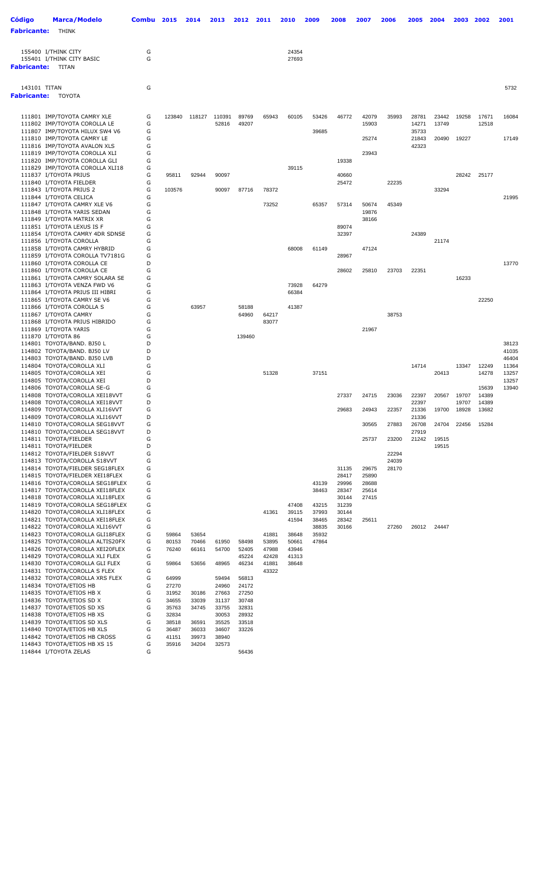| Código             | <b>Marca/Modelo</b>                                                | Combu  | 2015           | 2014           | 2013           | 2012           | 2011           | 2010           | 2009           | 2008           | 2007           | 2006  | 2005           | 2004  | 2003  | 2002  | 2001           |
|--------------------|--------------------------------------------------------------------|--------|----------------|----------------|----------------|----------------|----------------|----------------|----------------|----------------|----------------|-------|----------------|-------|-------|-------|----------------|
| <b>Fabricante:</b> | <b>THINK</b>                                                       |        |                |                |                |                |                |                |                |                |                |       |                |       |       |       |                |
| <b>Fabricante:</b> | 155400 I/THINK CITY<br>155401 I/THINK CITY BASIC<br>TITAN          | G<br>G |                |                |                |                |                | 24354<br>27693 |                |                |                |       |                |       |       |       |                |
| 143101 TITAN       |                                                                    | G      |                |                |                |                |                |                |                |                |                |       |                |       |       |       | 5732           |
| <b>Fabricante:</b> | TOYOTA                                                             |        |                |                |                |                |                |                |                |                |                |       |                |       |       |       |                |
|                    | 111801 IMP/TOYOTA CAMRY XLE                                        | G      | 123840         | 118127         | 110391         | 89769          | 65943          | 60105          | 53426          | 46772          | 42079          | 35993 | 28781          | 23442 | 19258 | 17671 | 16084          |
|                    | 111802 IMP/TOYOTA COROLLA LE                                       | G<br>G |                |                | 52816          | 49207          |                |                | 39685          |                | 15903          |       | 14271<br>35733 | 13749 |       | 12518 |                |
|                    | 111807 IMP/TOYOTA HILUX SW4 V6<br>111810 IMP/TOYOTA CAMRY LE       | G      |                |                |                |                |                |                |                |                | 25274          |       | 21843          | 20490 | 19227 |       | 17149          |
|                    | 111816 IMP/TOYOTA AVALON XLS                                       | G      |                |                |                |                |                |                |                |                |                |       | 42323          |       |       |       |                |
|                    | 111819 IMP/TOYOTA COROLLA XLI                                      | G      |                |                |                |                |                |                |                |                | 23943          |       |                |       |       |       |                |
|                    | 111820 IMP/TOYOTA COROLLA GLI<br>111829 IMP/TOYOTA COROLLA XLI18   | G<br>G |                |                |                |                |                | 39115          |                | 19338          |                |       |                |       |       |       |                |
|                    | 111837 I/TOYOTA PRIUS                                              | G      | 95811          | 92944          | 90097          |                |                |                |                | 40660          |                |       |                |       | 28242 | 25177 |                |
|                    | 111840 I/TOYOTA FIELDER                                            | G      |                |                |                |                |                |                |                | 25472          |                | 22235 |                |       |       |       |                |
|                    | 111843 I/TOYOTA PRIUS 2<br>111844 I/TOYOTA CELICA                  | G<br>G | 103576         |                | 90097          | 87716          | 78372          |                |                |                |                |       |                | 33294 |       |       | 21995          |
|                    | 111847 I/TOYOTA CAMRY XLE V6                                       | G      |                |                |                |                | 73252          |                | 65357          | 57314          | 50674          | 45349 |                |       |       |       |                |
|                    | 111848 I/TOYOTA YARIS SEDAN                                        | G      |                |                |                |                |                |                |                |                | 19876          |       |                |       |       |       |                |
|                    | 111849 I/TOYOTA MATRIX XR<br>111851 I/TOYOTA LEXUS IS F            | G<br>G |                |                |                |                |                |                |                | 89074          | 38166          |       |                |       |       |       |                |
|                    | 111854 I/TOYOTA CAMRY 4DR SDNSE                                    | G      |                |                |                |                |                |                |                | 32397          |                |       | 24389          |       |       |       |                |
|                    | 111856 I/TOYOTA COROLLA                                            | G      |                |                |                |                |                |                |                |                |                |       |                | 21174 |       |       |                |
|                    | 111858 I/TOYOTA CAMRY HYBRID                                       | G      |                |                |                |                |                | 68008          | 61149          |                | 47124          |       |                |       |       |       |                |
|                    | 111859 I/TOYOTA COROLLA TV7181G<br>111860 I/TOYOTA COROLLA CE      | G<br>D |                |                |                |                |                |                |                | 28967          |                |       |                |       |       |       | 13770          |
|                    | 111860 I/TOYOTA COROLLA CE                                         | G      |                |                |                |                |                |                |                | 28602          | 25810          | 23703 | 22351          |       |       |       |                |
|                    | 111861 I/TOYOTA CAMRY SOLARA SE                                    | G      |                |                |                |                |                |                |                |                |                |       |                |       | 16233 |       |                |
|                    | 111863 I/TOYOTA VENZA FWD V6<br>111864 I/TOYOTA PRIUS III HIBRI    | G<br>G |                |                |                |                |                | 73928<br>66384 | 64279          |                |                |       |                |       |       |       |                |
|                    | 111865 I/TOYOTA CAMRY SE V6                                        | G      |                |                |                |                |                |                |                |                |                |       |                |       |       | 22250 |                |
|                    | 111866 I/TOYOTA COROLLA S                                          | G      |                | 63957          |                | 58188          |                | 41387          |                |                |                |       |                |       |       |       |                |
|                    | 111867 I/TOYOTA CAMRY                                              | G      |                |                |                | 64960          | 64217          |                |                |                |                | 38753 |                |       |       |       |                |
|                    | 111868 I/TOYOTA PRIUS HIBRIDO<br>111869 I/TOYOTA YARIS             | G<br>G |                |                |                |                | 83077          |                |                |                | 21967          |       |                |       |       |       |                |
|                    | 111870 I/TOYOTA 86                                                 | G      |                |                |                | 139460         |                |                |                |                |                |       |                |       |       |       |                |
|                    | 114801 TOYOTA/BAND. BJ50 L                                         | D      |                |                |                |                |                |                |                |                |                |       |                |       |       |       | 38123          |
|                    | 114802 TOYOTA/BAND. BJ50 LV<br>114803 TOYOTA/BAND. BJ50 LVB        | D<br>D |                |                |                |                |                |                |                |                |                |       |                |       |       |       | 41035<br>46404 |
|                    | 114804 TOYOTA/COROLLA XLI                                          | G      |                |                |                |                |                |                |                |                |                |       | 14714          |       | 13347 | 12249 | 11364          |
|                    | 114805 TOYOTA/COROLLA XEI                                          | G      |                |                |                |                | 51328          |                | 37151          |                |                |       |                | 20413 |       | 14278 | 13257          |
|                    | 114805 TOYOTA/COROLLA XEI<br>114806 TOYOTA/COROLLA SE-G            | D<br>G |                |                |                |                |                |                |                |                |                |       |                |       |       | 15639 | 13257<br>13940 |
|                    | 114808 TOYOTA/COROLLA XEI18VVT                                     | G      |                |                |                |                |                |                |                | 27337          | 24715          | 23036 | 22397          | 20567 | 19707 | 14389 |                |
|                    | 114808 TOYOTA/COROLLA XEI18VVT                                     | D      |                |                |                |                |                |                |                |                |                |       | 22397          |       | 19707 | 14389 |                |
|                    | 114809 TOYOTA/COROLLA XLI16VVT                                     | G      |                |                |                |                |                |                |                | 29683          | 24943          | 22357 | 21336          | 19700 | 18928 | 13682 |                |
|                    | 114809 TOYOTA/COROLLA XLI16VVT<br>114810 TOYOTA/COROLLA SEG18VVT   | D<br>G |                |                |                |                |                |                |                |                | 30565          | 27883 | 21336<br>26708 | 24704 | 22456 | 15284 |                |
|                    | 114810 TOYOTA/COROLLA SEG18VVT                                     | D      |                |                |                |                |                |                |                |                |                |       | 27919          |       |       |       |                |
|                    | 114811 TOYOTA/FIELDER                                              | G      |                |                |                |                |                |                |                |                | 25737          | 23200 | 21242          | 19515 |       |       |                |
|                    | 114811 TOYOTA/FIELDER<br>114812 TOYOTA/FIELDER S18VVT              | D<br>G |                |                |                |                |                |                |                |                |                | 22294 |                | 19515 |       |       |                |
|                    | 114813 TOYOTA/COROLLA S18VVT                                       | G      |                |                |                |                |                |                |                |                |                | 24039 |                |       |       |       |                |
|                    | 114814 TOYOTA/FIELDER SEG18FLEX                                    | G      |                |                |                |                |                |                |                | 31135          | 29675          | 28170 |                |       |       |       |                |
|                    | 114815 TOYOTA/FIELDER XEI18FLEX                                    | G      |                |                |                |                |                |                |                | 28417          | 25890          |       |                |       |       |       |                |
|                    | 114816 TOYOTA/COROLLA SEG18FLEX<br>114817 TOYOTA/COROLLA XEI18FLEX | G<br>G |                |                |                |                |                |                | 43139<br>38463 | 29996<br>28347 | 28688<br>25614 |       |                |       |       |       |                |
|                    | 114818 TOYOTA/COROLLA XLI18FLEX                                    | G      |                |                |                |                |                |                |                | 30144          | 27415          |       |                |       |       |       |                |
|                    | 114819 TOYOTA/COROLLA SEG18FLEX                                    | G      |                |                |                |                |                | 47408          | 43215          | 31239          |                |       |                |       |       |       |                |
|                    | 114820 TOYOTA/COROLLA XLI18FLEX                                    | G      |                |                |                |                | 41361          | 39115          | 37993          | 30144          |                |       |                |       |       |       |                |
|                    | 114821 TOYOTA/COROLLA XEI18FLEX<br>114822 TOYOTA/COROLLA XLI16VVT  | G<br>G |                |                |                |                |                | 41594          | 38465<br>38835 | 28342<br>30166 | 25611          | 27260 | 26012          | 24447 |       |       |                |
|                    | 114823 TOYOTA/COROLLA GLI18FLEX                                    | G      | 59864          | 53654          |                |                | 41881          | 38648          | 35932          |                |                |       |                |       |       |       |                |
|                    | 114825 TOYOTA/COROLLA ALTIS20FX                                    | G      | 80153          | 70466          | 61950          | 58498          | 53895          | 50661          | 47864          |                |                |       |                |       |       |       |                |
|                    | 114826 TOYOTA/COROLLA XEI20FLEX                                    | G      | 76240          | 66161          | 54700          | 52405          | 47988          | 43946          |                |                |                |       |                |       |       |       |                |
|                    | 114829 TOYOTA/COROLLA XLI FLEX<br>114830 TOYOTA/COROLLA GLI FLEX   | G<br>G | 59864          | 53656          | 48965          | 45224<br>46234 | 42428<br>41881 | 41313<br>38648 |                |                |                |       |                |       |       |       |                |
|                    | 114831 TOYOTA/COROLLA S FLEX                                       | G      |                |                |                |                | 43322          |                |                |                |                |       |                |       |       |       |                |
|                    | 114832 TOYOTA/COROLLA XRS FLEX                                     | G      | 64999          |                | 59494          | 56813          |                |                |                |                |                |       |                |       |       |       |                |
|                    | 114834 TOYOTA/ETIOS HB                                             | G      | 27270          |                | 24960          | 24172          |                |                |                |                |                |       |                |       |       |       |                |
|                    | 114835 TOYOTA/ETIOS HB X<br>114836 TOYOTA/ETIOS SD X               | G<br>G | 31952<br>34655 | 30186<br>33039 | 27663<br>31137 | 27250<br>30748 |                |                |                |                |                |       |                |       |       |       |                |
|                    | 114837 TOYOTA/ETIOS SD XS                                          | G      | 35763          | 34745          | 33755          | 32831          |                |                |                |                |                |       |                |       |       |       |                |
|                    | 114838 TOYOTA/ETIOS HB XS                                          | G      | 32834          |                | 30053          | 28932          |                |                |                |                |                |       |                |       |       |       |                |
|                    | 114839 TOYOTA/ETIOS SD XLS                                         | G      | 38518          | 36591          | 35525          | 33518          |                |                |                |                |                |       |                |       |       |       |                |
|                    | 114840 TOYOTA/ETIOS HB XLS<br>114842 TOYOTA/ETIOS HB CROSS         | G<br>G | 36487<br>41151 | 36033<br>39973 | 34607<br>38940 | 33226          |                |                |                |                |                |       |                |       |       |       |                |
|                    | 114843 TOYOTA/ETIOS HB XS 15                                       | G      | 35916          | 34204          | 32573          |                |                |                |                |                |                |       |                |       |       |       |                |
|                    | 114844 I/TOYOTA ZELAS                                              | G      |                |                |                | 56436          |                |                |                |                |                |       |                |       |       |       |                |
|                    |                                                                    |        |                |                |                |                |                |                |                |                |                |       |                |       |       |       |                |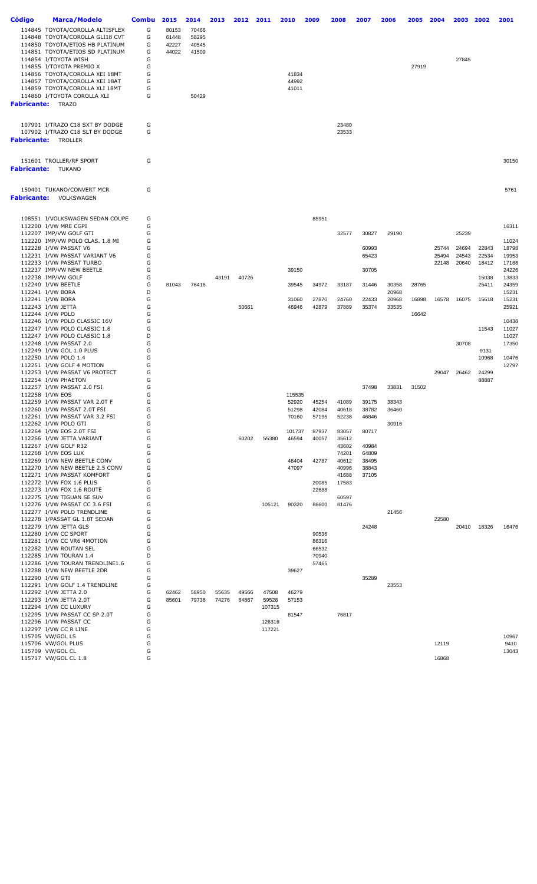| Código      | <b>Marca/Modelo</b>                             | <b>Combu</b> | 2015  | 2014  | 2013  | 2012  | 2011            | 2010   | 2009  | 2008           | 2007           | 2006           | 2005  | 2004  | 2003 2002 |       | 2001           |
|-------------|-------------------------------------------------|--------------|-------|-------|-------|-------|-----------------|--------|-------|----------------|----------------|----------------|-------|-------|-----------|-------|----------------|
|             | 114845 TOYOTA/COROLLA ALTISFLEX                 | G            | 80153 | 70466 |       |       |                 |        |       |                |                |                |       |       |           |       |                |
|             | 114848 TOYOTA/COROLLA GLI18 CVT                 | G            | 61448 | 58295 |       |       |                 |        |       |                |                |                |       |       |           |       |                |
|             | 114850 TOYOTA/ETIOS HB PLATINUM                 | G            | 42227 | 40545 |       |       |                 |        |       |                |                |                |       |       |           |       |                |
|             | 114851 TOYOTA/ETIOS SD PLATINUM                 | G            | 44022 | 41509 |       |       |                 |        |       |                |                |                |       |       |           |       |                |
|             | 114854 I/TOYOTA WISH                            | G            |       |       |       |       |                 |        |       |                |                |                |       |       | 27845     |       |                |
|             | 114855 I/TOYOTA PREMIO X                        | G            |       |       |       |       |                 |        |       |                |                |                | 27919 |       |           |       |                |
|             | 114856 TOYOTA/COROLLA XEI 18MT                  | G            |       |       |       |       |                 | 41834  |       |                |                |                |       |       |           |       |                |
|             | 114857 TOYOTA/COROLLA XEI 18AT                  | G            |       |       |       |       |                 | 44992  |       |                |                |                |       |       |           |       |                |
|             | 114859 TOYOTA/COROLLA XLI 18MT                  | G            |       |       |       |       |                 | 41011  |       |                |                |                |       |       |           |       |                |
|             | 114860 I/TOYOTA COROLLA XLI                     | G            |       | 50429 |       |       |                 |        |       |                |                |                |       |       |           |       |                |
|             | <b>Fabricante: TRAZO</b>                        |              |       |       |       |       |                 |        |       |                |                |                |       |       |           |       |                |
|             |                                                 |              |       |       |       |       |                 |        |       |                |                |                |       |       |           |       |                |
|             |                                                 |              |       |       |       |       |                 |        |       |                |                |                |       |       |           |       |                |
|             | 107901 I/TRAZO C18 SXT BY DODGE                 | G            |       |       |       |       |                 |        |       | 23480          |                |                |       |       |           |       |                |
|             | 107902 I/TRAZO C18 SLT BY DODGE                 | G            |       |       |       |       |                 |        |       | 23533          |                |                |       |       |           |       |                |
|             | <b>Fabricante: TROLLER</b>                      |              |       |       |       |       |                 |        |       |                |                |                |       |       |           |       |                |
|             |                                                 |              |       |       |       |       |                 |        |       |                |                |                |       |       |           |       |                |
|             |                                                 |              |       |       |       |       |                 |        |       |                |                |                |       |       |           |       |                |
|             | 151601 TROLLER/RF SPORT                         | G            |       |       |       |       |                 |        |       |                |                |                |       |       |           |       | 30150          |
| Fabricante: | TUKANO                                          |              |       |       |       |       |                 |        |       |                |                |                |       |       |           |       |                |
|             |                                                 |              |       |       |       |       |                 |        |       |                |                |                |       |       |           |       |                |
|             | 150401 TUKANO/CONVERT MCR                       | G            |       |       |       |       |                 |        |       |                |                |                |       |       |           |       | 5761           |
|             | <b>Fabricante:</b> VOLKSWAGEN                   |              |       |       |       |       |                 |        |       |                |                |                |       |       |           |       |                |
|             |                                                 |              |       |       |       |       |                 |        |       |                |                |                |       |       |           |       |                |
|             |                                                 |              |       |       |       |       |                 |        |       |                |                |                |       |       |           |       |                |
|             | 108551 I/VOLKSWAGEN SEDAN COUPE                 | G            |       |       |       |       |                 |        | 85951 |                |                |                |       |       |           |       |                |
|             | 112200 I/VW MRE CGPI                            | G            |       |       |       |       |                 |        |       |                |                |                |       |       |           |       | 16311          |
|             | 112207 IMP/VW GOLF GTI                          | G            |       |       |       |       |                 |        |       | 32577          | 30827          | 29190          |       |       | 25239     |       |                |
|             | 112220 IMP/VW POLO CLAS. 1.8 MI                 | G            |       |       |       |       |                 |        |       |                |                |                |       |       |           |       | 11024          |
|             | 112228 I/VW PASSAT V6                           | G            |       |       |       |       |                 |        |       |                | 60993          |                |       | 25744 | 24694     | 22843 | 18798          |
|             | 112231 I/VW PASSAT VARIANT V6                   | G            |       |       |       |       |                 |        |       |                | 65423          |                |       | 25494 | 24543     | 22534 | 19953          |
|             | 112233 I/VW PASSAT TURBO                        | G            |       |       |       |       |                 |        |       |                |                |                |       | 22148 | 20640     | 18412 | 17188          |
|             | 112237 IMP/VW NEW BEETLE                        | G            |       |       |       |       |                 | 39150  |       |                | 30705          |                |       |       |           |       | 24226          |
|             | 112238 IMP/VW GOLF                              | G            |       |       | 43191 | 40726 |                 |        |       |                |                |                |       |       |           | 15038 | 13833          |
|             | 112240 I/VW BEETLE<br>112241 I/VW BORA          | G<br>D       | 81043 | 76416 |       |       |                 | 39545  | 34972 | 33187          | 31446          | 30358          | 28765 |       |           | 25411 | 24359          |
|             | 112241 I/VW BORA                                | G            |       |       |       |       |                 | 31060  | 27870 | 24760          | 22433          | 20968<br>20968 | 16898 | 16578 | 16075     | 15618 | 15231<br>15231 |
|             | 112243 I/VW JETTA                               | G            |       |       |       | 50661 |                 | 46946  | 42879 | 37889          | 35374          | 33535          |       |       |           |       | 25921          |
|             | 112244 I/VW POLO                                | G            |       |       |       |       |                 |        |       |                |                |                | 16642 |       |           |       |                |
|             | 112246 I/VW POLO CLASSIC 16V                    | G            |       |       |       |       |                 |        |       |                |                |                |       |       |           |       | 10438          |
|             | 112247 I/VW POLO CLASSIC 1.8                    | G            |       |       |       |       |                 |        |       |                |                |                |       |       |           | 11543 | 11027          |
|             | 112247 I/VW POLO CLASSIC 1.8                    | D            |       |       |       |       |                 |        |       |                |                |                |       |       |           |       | 11027          |
|             | 112248 I/VW PASSAT 2.0                          | G            |       |       |       |       |                 |        |       |                |                |                |       |       | 30708     |       | 17350          |
|             | 112249 I/VW GOL 1.0 PLUS                        | G            |       |       |       |       |                 |        |       |                |                |                |       |       |           | 9131  |                |
|             | 112250 I/VW POLO 1.4                            | G            |       |       |       |       |                 |        |       |                |                |                |       |       |           | 10968 | 10476          |
|             | 112251 I/VW GOLF 4 MOTION                       | G            |       |       |       |       |                 |        |       |                |                |                |       |       |           |       | 12797          |
|             | 112253 I/VW PASSAT V6 PROTECT                   | G            |       |       |       |       |                 |        |       |                |                |                |       | 29047 | 26462     | 24299 |                |
|             | 112254 I/VW PHAETON                             | G            |       |       |       |       |                 |        |       |                |                |                |       |       |           | 88887 |                |
|             | 112257 I/VW PASSAT 2.0 FSI                      | G            |       |       |       |       |                 |        |       |                | 37498          | 33831          | 31502 |       |           |       |                |
|             | 112258 I/VW EOS                                 | G            |       |       |       |       |                 | 115535 |       |                |                |                |       |       |           |       |                |
|             | 112259 I/VW PASSAT VAR 2.0T F                   | G            |       |       |       |       |                 | 52920  | 45254 | 41089          | 39175          | 38343          |       |       |           |       |                |
|             | 112260 I/VW PASSAT 2.0T FSI                     | G            |       |       |       |       |                 | 51298  | 42084 | 40618          | 38782          | 36460          |       |       |           |       |                |
|             | 112261 I/VW PASSAT VAR 3.2 FSI                  | G            |       |       |       |       |                 | 70160  | 57195 | 52238          | 46846          |                |       |       |           |       |                |
|             | 112262 I/VW POLO GTI                            | G            |       |       |       |       |                 |        |       |                |                | 30916          |       |       |           |       |                |
|             | 112264 I/VW EOS 2.0T FSI                        | G            |       |       |       |       |                 | 101737 | 87937 | 83057          | 80717          |                |       |       |           |       |                |
|             | 112266 I/VW JETTA VARIANT                       | G<br>G       |       |       |       | 60202 | 55380           | 46594  | 40057 | 35612          |                |                |       |       |           |       |                |
|             | 112267 I/VW GOLF R32<br>112268 I/VW EOS LUX     | G            |       |       |       |       |                 |        |       | 43602          | 40984          |                |       |       |           |       |                |
|             | 112269 I/VW NEW BEETLE CONV                     | G            |       |       |       |       |                 | 48404  | 42787 | 74201<br>40612 | 64809<br>38495 |                |       |       |           |       |                |
|             | 112270 I/VW NEW BEETLE 2.5 CONV                 | G            |       |       |       |       |                 | 47097  |       | 40996          | 38843          |                |       |       |           |       |                |
|             | 112271 I/VW PASSAT KOMFORT                      | G            |       |       |       |       |                 |        |       | 41688          | 37105          |                |       |       |           |       |                |
|             | 112272 I/VW FOX 1.6 PLUS                        | G            |       |       |       |       |                 |        | 20085 | 17583          |                |                |       |       |           |       |                |
|             | 112273 I/VW FOX 1.6 ROUTE                       | G            |       |       |       |       |                 |        | 22688 |                |                |                |       |       |           |       |                |
|             | 112275 I/VW TIGUAN SE SUV                       | G            |       |       |       |       |                 |        |       | 60597          |                |                |       |       |           |       |                |
|             | 112276 I/VW PASSAT CC 3.6 FSI                   | G            |       |       |       |       | 105121          | 90320  | 86600 | 81476          |                |                |       |       |           |       |                |
|             | 112277 I/VW POLO TRENDLINE                      | G            |       |       |       |       |                 |        |       |                |                | 21456          |       |       |           |       |                |
|             | 112278 I/PASSAT GL 1.8T SEDAN                   | G            |       |       |       |       |                 |        |       |                |                |                |       | 22580 |           |       |                |
|             | 112279 I/VW JETTA GLS                           | G            |       |       |       |       |                 |        |       |                | 24248          |                |       |       | 20410     | 18326 | 16476          |
|             | 112280 I/VW CC SPORT                            | G            |       |       |       |       |                 |        | 90536 |                |                |                |       |       |           |       |                |
|             | 112281 I/VW CC VR6 4MOTION                      | G            |       |       |       |       |                 |        | 86316 |                |                |                |       |       |           |       |                |
|             | 112282 I/VW ROUTAN SEL                          | G            |       |       |       |       |                 |        | 66532 |                |                |                |       |       |           |       |                |
|             | 112285 I/VW TOURAN 1.4                          | D            |       |       |       |       |                 |        | 70940 |                |                |                |       |       |           |       |                |
|             | 112286 I/VW TOURAN TRENDLINE1.6                 | G            |       |       |       |       |                 |        | 57465 |                |                |                |       |       |           |       |                |
|             | 112288 I/VW NEW BEETLE 2DR                      | G            |       |       |       |       |                 | 39627  |       |                |                |                |       |       |           |       |                |
|             | 112290 I/VW GTI                                 | G            |       |       |       |       |                 |        |       |                | 35289          |                |       |       |           |       |                |
|             | 112291 I/VW GOLF 1.4 TRENDLINE                  | G            |       |       |       |       |                 |        |       |                |                | 23553          |       |       |           |       |                |
|             | 112292 I/VW JETTA 2.0                           | G            | 62462 | 58950 | 55635 | 49566 | 47508           | 46279  |       |                |                |                |       |       |           |       |                |
|             | 112293 I/VW JETTA 2.0T<br>112294 I/VW CC LUXURY | G<br>G       | 85601 | 79738 | 74276 | 64867 | 59528<br>107315 | 57153  |       |                |                |                |       |       |           |       |                |
|             | 112295 I/VW PASSAT CC SP 2.0T                   | G            |       |       |       |       |                 | 81547  |       | 76817          |                |                |       |       |           |       |                |
|             | 112296 I/VW PASSAT CC                           | G            |       |       |       |       | 126316          |        |       |                |                |                |       |       |           |       |                |
|             | 112297 I/VW CC R LINE                           | G            |       |       |       |       | 117221          |        |       |                |                |                |       |       |           |       |                |
|             | 115705 VW/GOL LS                                | G            |       |       |       |       |                 |        |       |                |                |                |       |       |           |       | 10967          |
|             | 115706 VW/GOL PLUS                              | G            |       |       |       |       |                 |        |       |                |                |                |       | 12119 |           |       | 9410           |
|             | 115709 VW/GOL CL                                | G            |       |       |       |       |                 |        |       |                |                |                |       |       |           |       | 13043          |
|             | 115717 VW/GOL CL 1.8                            | G            |       |       |       |       |                 |        |       |                |                |                |       | 16868 |           |       |                |
|             |                                                 |              |       |       |       |       |                 |        |       |                |                |                |       |       |           |       |                |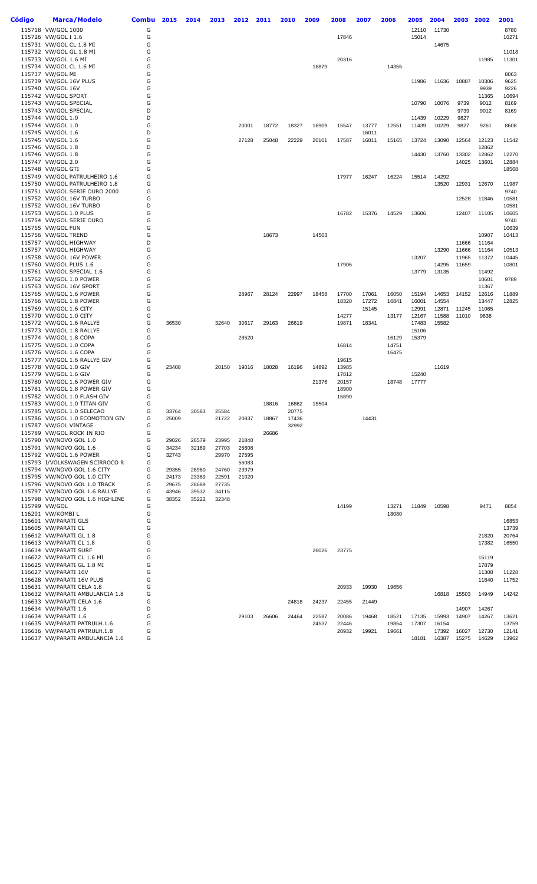| Código | <b>Marca/Modelo</b>                                           | <b>Combu</b> | 2015  | 2014  | 2013  | 2012           | 2011  | 2010  | 2009           | 2008           | 2007  | 2006           | 2005           | 2004           | 2003           | 2002           | 2001           |
|--------|---------------------------------------------------------------|--------------|-------|-------|-------|----------------|-------|-------|----------------|----------------|-------|----------------|----------------|----------------|----------------|----------------|----------------|
|        | 115718 VW/GOL 1000                                            | G            |       |       |       |                |       |       |                |                |       |                | 12110          | 11730          |                |                | 8780           |
|        | 115726 VW/GOL I 1.6                                           | G            |       |       |       |                |       |       |                | 17846          |       |                | 15014          |                |                |                | 10271          |
|        | 115731 VW/GOL CL 1.8 MI                                       | G            |       |       |       |                |       |       |                |                |       |                |                | 14675          |                |                |                |
|        | 115732 VW/GOL GL 1.8 MI                                       | G            |       |       |       |                |       |       |                |                |       |                |                |                |                |                | 11018          |
|        | 115733 VW/GOL 1.6 MI                                          | G            |       |       |       |                |       |       |                | 20316          |       |                |                |                |                | 11985          | 11301          |
|        | 115734 VW/GOL CL 1.6 MI                                       | G            |       |       |       |                |       |       | 16879          |                |       | 14355          |                |                |                |                |                |
|        | 115737 VW/GOL MI                                              | G            |       |       |       |                |       |       |                |                |       |                |                |                |                |                | 8063           |
|        | 115739 VW/GOL 16V PLUS                                        | G            |       |       |       |                |       |       |                |                |       |                | 11986          | 11636          | 10887          | 10306          | 9625           |
|        | 115740 VW/GOL 16V                                             | G            |       |       |       |                |       |       |                |                |       |                |                |                |                | 9939           | 9226           |
|        | 115742 VW/GOL SPORT<br>115743 VW/GOL SPECIAL                  | G<br>G       |       |       |       |                |       |       |                |                |       |                | 10790          | 10076          | 9739           | 11365<br>9012  | 10694<br>8169  |
|        | 115743 VW/GOL SPECIAL                                         | D            |       |       |       |                |       |       |                |                |       |                |                |                | 9739           | 9012           | 8169           |
|        | 115744 VW/GOL 1.0                                             | D            |       |       |       |                |       |       |                |                |       |                | 11439          | 10229          | 9827           |                |                |
|        | 115744 VW/GOL 1.0                                             | G            |       |       |       | 20001          | 18772 | 18327 | 16909          | 15547          | 13777 | 12551          | 11439          | 10229          | 9827           | 9261           | 8608           |
|        | 115745 VW/GOL 1.6                                             | D            |       |       |       |                |       |       |                |                | 16011 |                |                |                |                |                |                |
|        | 115745 VW/GOL 1.6                                             | G            |       |       |       | 27128          | 25048 | 22229 | 20101          | 17587          | 16011 | 15165          | 13724          | 13090          | 12564          | 12123          | 11542          |
|        | 115746 VW/GOL 1.8                                             | D            |       |       |       |                |       |       |                |                |       |                |                |                |                | 12862          |                |
|        | 115746 VW/GOL 1.8                                             | G            |       |       |       |                |       |       |                |                |       |                | 14430          | 13760          | 13302          | 12862          | 12270          |
|        | 115747 VW/GOL 2.0                                             | G            |       |       |       |                |       |       |                |                |       |                |                |                | 14025          | 13601          | 12884          |
|        | 115748 VW/GOL GTI<br>115749 VW/GOL PATRULHEIRO 1.6            | G<br>G       |       |       |       |                |       |       |                | 17977          | 16247 | 16224          | 15514          | 14292          |                |                | 18568          |
|        | 115750 VW/GOL PATRULHEIRO 1.8                                 | G            |       |       |       |                |       |       |                |                |       |                |                | 13520          | 12931          | 12670          | 11987          |
|        | 115751 VW/GOL SERIE OURO 2000                                 | G            |       |       |       |                |       |       |                |                |       |                |                |                |                |                | 9740           |
|        | 115752 VW/GOL 16V TURBO                                       | G            |       |       |       |                |       |       |                |                |       |                |                |                | 12528          | 11846          | 10581          |
|        | 115752 VW/GOL 16V TURBO                                       | D            |       |       |       |                |       |       |                |                |       |                |                |                |                |                | 10581          |
|        | 115753 VW/GOL 1.0 PLUS                                        | G            |       |       |       |                |       |       |                | 16782          | 15376 | 14529          | 13606          |                | 12407          | 11105          | 10605          |
|        | 115754 VW/GOL SERIE OURO                                      | G            |       |       |       |                |       |       |                |                |       |                |                |                |                |                | 9740           |
|        | 115755 VW/GOL FUN                                             | G            |       |       |       |                |       |       |                |                |       |                |                |                |                |                | 10639          |
|        | 115756 VW/GOL TREND                                           | G            |       |       |       |                | 18673 |       | 14503          |                |       |                |                |                |                | 10907          | 10413          |
|        | 115757 VW/GOL HIGHWAY<br>115757 VW/GOL HIGHWAY                | D<br>G       |       |       |       |                |       |       |                |                |       |                |                | 13290          | 11666          | 11164<br>11164 | 10513          |
|        | 115758 VW/GOL 16V POWER                                       | G            |       |       |       |                |       |       |                |                |       |                | 13207          |                | 11666<br>11965 | 11372          | 10445          |
|        | 115760 VW/GOL PLUS 1.6                                        | G            |       |       |       |                |       |       |                | 17906          |       |                |                | 14295          | 11659          |                | 10801          |
|        | 115761 VW/GOL SPECIAL 1.6                                     | G            |       |       |       |                |       |       |                |                |       |                | 13779          | 13135          |                | 11492          |                |
|        | 115762 VW/GOL 1.0 POWER                                       | G            |       |       |       |                |       |       |                |                |       |                |                |                |                | 10601          | 9789           |
|        | 115763 VW/GOL 16V SPORT                                       | G            |       |       |       |                |       |       |                |                |       |                |                |                |                | 11367          |                |
|        | 115765 VW/GOL 1.6 POWER                                       | G            |       |       |       | 28967          | 28124 | 22997 | 18458          | 17700          | 17061 | 16050          | 15194          | 14653          | 14152          | 12616          | 11889          |
|        | 115766 VW/GOL 1.8 POWER                                       | G            |       |       |       |                |       |       |                | 18320          | 17272 | 16841          | 16001          | 14554          |                | 13447          | 12825          |
|        | 115769 VW/GOL 1.6 CITY                                        | G            |       |       |       |                |       |       |                |                | 15145 |                | 12991          | 12871          | 11245          | 11065          |                |
|        | 115770 VW/GOL 1.0 CITY                                        | G            |       |       |       |                |       |       |                | 14277          |       | 13177          | 12167          | 11588          | 11010          | 9636           |                |
|        | 115772 VW/GOL 1.6 RALLYE<br>115773 VW/GOL 1.8 RALLYE          | G<br>G       | 36530 |       | 32640 | 30617          | 29163 | 26619 |                | 19871          | 18341 |                | 17483<br>15106 | 15582          |                |                |                |
|        | 115774 VW/GOL 1.8 COPA                                        | G            |       |       |       | 28520          |       |       |                |                |       | 16129          | 15379          |                |                |                |                |
|        | 115775 VW/GOL 1.0 COPA                                        | G            |       |       |       |                |       |       |                | 16814          |       | 14751          |                |                |                |                |                |
|        | 115776 VW/GOL 1.6 COPA                                        | G            |       |       |       |                |       |       |                |                |       | 16475          |                |                |                |                |                |
|        | 115777 VW/GOL 1.6 RALLYE GIV                                  | G            |       |       |       |                |       |       |                | 19615          |       |                |                |                |                |                |                |
|        | 115778 VW/GOL 1.0 GIV                                         | G            | 23408 |       | 20150 | 19016          | 18028 | 16196 | 14892          | 13985          |       |                |                | 11619          |                |                |                |
|        | 115779 VW/GOL 1.6 GIV                                         | G            |       |       |       |                |       |       |                | 17812          |       |                | 15240          |                |                |                |                |
|        | 115780 VW/GOL 1.6 POWER GIV                                   | G            |       |       |       |                |       |       | 21376          | 20157          |       | 18748          | 17777          |                |                |                |                |
|        | 115781 VW/GOL 1.8 POWER GIV                                   | G            |       |       |       |                |       |       |                | 18900          |       |                |                |                |                |                |                |
|        | 115782 VW/GOL 1.0 FLASH GIV<br>115783 VW/GOL 1.0 TITAN GIV    | G<br>G       |       |       |       |                | 18816 | 16862 | 15504          | 15890          |       |                |                |                |                |                |                |
|        | 115785 VW/GOL 1.0 SELECAO                                     | G            | 33764 | 30583 | 25584 |                |       | 20775 |                |                |       |                |                |                |                |                |                |
|        | 115786 VW/GOL 1.0 ECOMOTION GIV                               | G            | 25009 |       | 21722 | 20837          | 18867 | 17436 |                |                | 14431 |                |                |                |                |                |                |
|        | 115787 VW/GOL VINTAGE                                         | G            |       |       |       |                |       | 32992 |                |                |       |                |                |                |                |                |                |
|        | 115789 VW/GOL ROCK IN RIO                                     | G            |       |       |       |                | 26686 |       |                |                |       |                |                |                |                |                |                |
|        | 115790 VW/NOVO GOL 1.0                                        | G            | 29026 | 26579 | 23995 | 21840          |       |       |                |                |       |                |                |                |                |                |                |
|        | 115791 VW/NOVO GOL 1.6                                        | G            | 34234 | 32169 | 27703 | 25608          |       |       |                |                |       |                |                |                |                |                |                |
|        | 115792 VW/GOL 1.6 POWER                                       | G            | 32743 |       | 29970 | 27595          |       |       |                |                |       |                |                |                |                |                |                |
|        | 115793 I/VOLKSWAGEN SCIRROCO R<br>115794 VW/NOVO GOL 1.6 CITY | G<br>G       | 29355 | 26960 | 24760 | 56083<br>23979 |       |       |                |                |       |                |                |                |                |                |                |
|        | 115795 VW/NOVO GOL 1.0 CITY                                   | G            | 24173 | 23369 | 22591 | 21020          |       |       |                |                |       |                |                |                |                |                |                |
|        | 115796 VW/NOVO GOL 1.0 TRACK                                  | G            | 29675 | 28689 | 27735 |                |       |       |                |                |       |                |                |                |                |                |                |
|        | 115797 VW/NOVO GOL 1.6 RALLYE                                 | G            | 43946 | 39532 | 34115 |                |       |       |                |                |       |                |                |                |                |                |                |
|        | 115798 VW/NOVO GOL 1.6 HIGHLINE                               | G            | 38352 | 35222 | 32348 |                |       |       |                |                |       |                |                |                |                |                |                |
|        | 115799 VW/GOL                                                 | G            |       |       |       |                |       |       |                | 14199          |       | 13271          | 11849          | 10598          |                | 9471           | 8854           |
|        | 116201 VW/KOMBIL                                              | G            |       |       |       |                |       |       |                |                |       | 18080          |                |                |                |                |                |
|        | 116601 VW/PARATI GLS                                          | G            |       |       |       |                |       |       |                |                |       |                |                |                |                |                | 16853          |
|        | 116605 VW/PARATI CL                                           | G            |       |       |       |                |       |       |                |                |       |                |                |                |                |                | 13739          |
|        | 116612 VW/PARATI GL 1.8                                       | G            |       |       |       |                |       |       |                |                |       |                |                |                |                | 21820          | 20764          |
|        | 116613 VW/PARATI CL 1.8<br>116614 VW/PARATI SURF              | G<br>G       |       |       |       |                |       |       | 26026          | 23775          |       |                |                |                |                | 17382          | 16550          |
|        | 116622 VW/PARATI CL 1.6 MI                                    | G            |       |       |       |                |       |       |                |                |       |                |                |                |                | 15119          |                |
|        | 116625 VW/PARATI GL 1.8 MI                                    | G            |       |       |       |                |       |       |                |                |       |                |                |                |                | 17879          |                |
|        | 116627 VW/PARATI 16V                                          | G            |       |       |       |                |       |       |                |                |       |                |                |                |                | 11308          | 11228          |
|        | 116628 VW/PARATI 16V PLUS                                     | G            |       |       |       |                |       |       |                |                |       |                |                |                |                | 11840          | 11752          |
|        | 116631 VW/PARATI CELA 1.8                                     | G            |       |       |       |                |       |       |                | 20933          | 19930 | 19656          |                |                |                |                |                |
|        | 116632 VW/PARATI AMBULANCIA 1.8                               | G            |       |       |       |                |       |       |                |                |       |                |                | 16818          | 15503          | 14949          | 14242          |
|        | 116633 VW/PARATI CELA 1.6                                     | G            |       |       |       |                |       | 24818 | 24237          | 22455          | 21449 |                |                |                |                |                |                |
|        | 116634 VW/PARATI 1.6                                          | D            |       |       |       |                |       |       |                |                |       |                |                |                | 14907          | 14267          |                |
|        | 116634 VW/PARATI 1.6<br>116635 VW/PARATI PATRULH.1.6          | G<br>G       |       |       |       | 29103          | 26606 | 24464 | 22587<br>24537 | 20086<br>22446 | 19468 | 18521<br>19854 | 17135<br>17307 | 15993<br>16154 | 14907          | 14267          | 13621<br>13759 |
|        | 116636 VW/PARATI PATRULH.1.8                                  | G            |       |       |       |                |       |       |                | 20932          | 19921 | 19661          |                | 17392          | 16027          | 12730          | 12141          |
|        | 116637 VW/PARATI AMBULANCIA 1.6                               | G            |       |       |       |                |       |       |                |                |       |                | 18181          | 16387          | 15275          | 14629          | 13962          |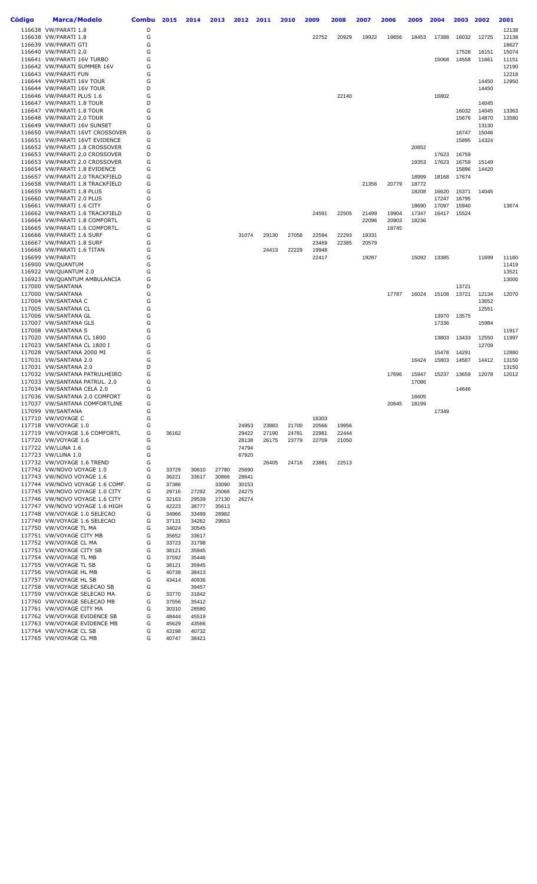| Código | <b>Marca/Modelo</b>                                              | <b>Combu</b> | 2015           | 2014           | 2013           | 2012           | 2011           | 2010           | 2009           | 2008           | 2007  | 2006  | 2005  | 2004           | 2003           | 2002           | 2001           |
|--------|------------------------------------------------------------------|--------------|----------------|----------------|----------------|----------------|----------------|----------------|----------------|----------------|-------|-------|-------|----------------|----------------|----------------|----------------|
|        | 116638 VW/PARATI 1.8                                             | D            |                |                |                |                |                |                |                |                |       |       |       |                |                |                | 12138          |
|        | 116638 VW/PARATI 1.8                                             | G            |                |                |                |                |                |                | 22752          | 20929          | 19922 | 19656 | 18453 | 17388          | 16032          | 12725          | 12138          |
|        | 116639 VW/PARATI GTI<br>116640 VW/PARATI 2.0                     | G<br>G       |                |                |                |                |                |                |                |                |       |       |       |                | 17528          | 16151          | 18627<br>15074 |
|        | 116641 VW/PARATI 16V TURBO                                       | G            |                |                |                |                |                |                |                |                |       |       |       | 15068          | 14558          | 11661          | 11151          |
|        | 116642 VW/PARATI SUMMER 16V                                      | G            |                |                |                |                |                |                |                |                |       |       |       |                |                |                | 12190          |
|        | 116643 VW/PARATI FUN                                             | G            |                |                |                |                |                |                |                |                |       |       |       |                |                |                | 12218          |
|        | 116644 VW/PARATI 16V TOUR                                        | G            |                |                |                |                |                |                |                |                |       |       |       |                |                | 14450          | 12950          |
|        | 116644 VW/PARATI 16V TOUR                                        | D            |                |                |                |                |                |                |                |                |       |       |       |                |                | 14450          |                |
|        | 116646 VW/PARATI PLUS 1.6<br>116647 VW/PARATI 1.8 TOUR           | G<br>D       |                |                |                |                |                |                |                | 22140          |       |       |       | 16802          |                | 14045          |                |
|        | 116647 VW/PARATI 1.8 TOUR                                        | G            |                |                |                |                |                |                |                |                |       |       |       |                | 16032          | 14045          | 13363          |
|        | 116648 VW/PARATI 2.0 TOUR                                        | G            |                |                |                |                |                |                |                |                |       |       |       |                | 15676          | 14870          | 13580          |
|        | 116649 VW/PARATI 16V SUNSET                                      | G            |                |                |                |                |                |                |                |                |       |       |       |                |                | 13130          |                |
|        | 116650 VW/PARATI 16VT CROSSOVER                                  | G            |                |                |                |                |                |                |                |                |       |       |       |                | 16747          | 15046          |                |
|        | 116651 VW/PARATI 16VT EVIDENCE                                   | G            |                |                |                |                |                |                |                |                |       |       |       |                | 15895          | 14324          |                |
|        | 116652 VW/PARATI 1.8 CROSSOVER<br>116653 VW/PARATI 2.0 CROSSOVER | G<br>D       |                |                |                |                |                |                |                |                |       |       | 20852 | 17623          | 16759          |                |                |
|        | 116653 VW/PARATI 2.0 CROSSOVER                                   | G            |                |                |                |                |                |                |                |                |       |       | 19353 | 17623          | 16759          | 15149          |                |
|        | 116654 VW/PARATI 1.8 EVIDENCE                                    | G            |                |                |                |                |                |                |                |                |       |       |       |                | 15896          | 14420          |                |
|        | 116657 VW/PARATI 2.0 TRACKFIELD                                  | G            |                |                |                |                |                |                |                |                |       |       | 18999 | 18168          | 17674          |                |                |
|        | 116658 VW/PARATI 1.8 TRACKFIELD                                  | G            |                |                |                |                |                |                |                |                | 21356 | 20779 | 18772 |                |                |                |                |
|        | 116659 VW/PARATI 1.8 PLUS                                        | G<br>G       |                |                |                |                |                |                |                |                |       |       | 18208 | 16620<br>17247 | 15371<br>16795 | 14045          |                |
|        | 116660 VW/PARATI 2.0 PLUS<br>116661 VW/PARATI 1.6 CITY           | G            |                |                |                |                |                |                |                |                |       |       | 18690 | 17097          | 15940          |                | 13674          |
|        | 116662 VW/PARATI 1.6 TRACKFIELD                                  | G            |                |                |                |                |                |                | 24591          | 22505          | 21499 | 19904 | 17347 | 16417          | 15524          |                |                |
|        | 116664 VW/PARATI 1.8 COMFORTL                                    | G            |                |                |                |                |                |                |                |                | 22096 | 20903 | 18236 |                |                |                |                |
|        | 116665 VW/PARATI 1.6 COMFORTL.                                   | G            |                |                |                |                |                |                |                |                |       | 18745 |       |                |                |                |                |
|        | 116666 VW/PARATI 1.6 SURF                                        | G            |                |                |                | 31074          | 29130          | 27058          | 22594          | 22293          | 19331 |       |       |                |                |                |                |
|        | 116667 VW/PARATI 1.8 SURF<br>116668 VW/PARATI 1.6 TITAN          | G<br>G       |                |                |                |                | 24413          | 22229          | 23469<br>19948 | 22385          | 20579 |       |       |                |                |                |                |
|        | 116699 VW/PARATI                                                 | G            |                |                |                |                |                |                | 22417          |                | 19287 |       | 15092 | 13385          |                | 11699          | 11160          |
|        | 116900 VW/QUANTUM                                                | G            |                |                |                |                |                |                |                |                |       |       |       |                |                |                | 11419          |
|        | 116922 VW/QUANTUM 2.0                                            | G            |                |                |                |                |                |                |                |                |       |       |       |                |                |                | 13521          |
|        | 116923 VW/QUANTUM AMBULANCIA                                     | G            |                |                |                |                |                |                |                |                |       |       |       |                |                |                | 13000          |
|        | 117000 VW/SANTANA                                                | D<br>G       |                |                |                |                |                |                |                |                |       |       |       |                | 13721          |                |                |
|        | 117000 VW/SANTANA<br>117004 VW/SANTANA C                         | G            |                |                |                |                |                |                |                |                |       | 17787 | 16024 | 15108          | 13721          | 12134<br>13652 | 12070          |
|        | 117005 VW/SANTANA CL                                             | G            |                |                |                |                |                |                |                |                |       |       |       |                |                | 12551          |                |
|        | 117006 VW/SANTANA GL                                             | G            |                |                |                |                |                |                |                |                |       |       |       | 13970          | 13575          |                |                |
|        | 117007 VW/SANTANA GLS                                            | G            |                |                |                |                |                |                |                |                |       |       |       | 17336          |                | 15984          |                |
|        | 117008 VW/SANTANA S                                              | G            |                |                |                |                |                |                |                |                |       |       |       |                |                |                | 11917          |
|        | 117020 VW/SANTANA CL 1800<br>117023 VW/SANTANA CL 1800 I         | G<br>G       |                |                |                |                |                |                |                |                |       |       |       | 13803          | 13433          | 12550<br>12709 | 11997          |
|        | 117028 VW/SANTANA 2000 MI                                        | G            |                |                |                |                |                |                |                |                |       |       |       | 15478          | 14291          |                | 12880          |
|        | 117031 VW/SANTANA 2.0                                            | G            |                |                |                |                |                |                |                |                |       |       | 16424 | 15803          | 14587          | 14412          | 13150          |
|        | 117031 VW/SANTANA 2.0                                            | D            |                |                |                |                |                |                |                |                |       |       |       |                |                |                | 13150          |
|        | 117032 VW/SANTANA PATRULHEIRO                                    | G            |                |                |                |                |                |                |                |                |       | 17696 | 15947 | 15237          | 13659          | 12078          | 12012          |
|        | 117033 VW/SANTANA PATRUL. 2.0                                    | G            |                |                |                |                |                |                |                |                |       |       | 17086 |                |                |                |                |
|        | 117034 VW/SANTANA CELA 2.0<br>117036 VW/SANTANA 2.0 COMFORT      | G<br>G       |                |                |                |                |                |                |                |                |       |       | 16605 |                | 14646          |                |                |
|        | 117037 VW/SANTANA COMFORTLINE                                    | G            |                |                |                |                |                |                |                |                |       | 20645 | 18199 |                |                |                |                |
|        | 117099 VW/SANTANA                                                | G            |                |                |                |                |                |                |                |                |       |       |       | 17349          |                |                |                |
|        | 117710 VW/VOYAGE C                                               | G            |                |                |                |                |                |                | 16303          |                |       |       |       |                |                |                |                |
|        | 117718 VW/VOYAGE 1.0                                             | G            |                |                |                | 24953          | 23883          | 21700          | 20566          | 19956          |       |       |       |                |                |                |                |
|        | 117719 VW/VOYAGE 1.6 COMFORTL<br>117720 VW/VOYAGE 1.6            | G<br>G       | 36162          |                |                | 29422<br>28138 | 27190<br>26175 | 24781<br>23779 | 22981<br>22709 | 22444<br>21050 |       |       |       |                |                |                |                |
|        | 117722 VW/LUNA 1.6                                               | G            |                |                |                | 74794          |                |                |                |                |       |       |       |                |                |                |                |
|        | 117723 VW/LUNA 1.0                                               | G            |                |                |                | 67920          |                |                |                |                |       |       |       |                |                |                |                |
|        | 117732 VW/VOYAGE 1.6 TREND                                       | G            |                |                |                |                | 26405          | 24716          | 23881          | 22513          |       |       |       |                |                |                |                |
|        | 117742 VW/NOVO VOYAGE 1.0                                        | G            | 33729          | 30610          | 27780          | 25690          |                |                |                |                |       |       |       |                |                |                |                |
|        | 117743 VW/NOVO VOYAGE 1.6<br>117744 VW/NOVO VOYAGE 1.6 COMF.     | G<br>G       | 36221<br>37386 | 33617          | 30866<br>33090 | 28641<br>30153 |                |                |                |                |       |       |       |                |                |                |                |
|        | 117745 VW/NOVO VOYAGE 1.0 CITY                                   | G            | 29716          | 27292          | 25066          | 24275          |                |                |                |                |       |       |       |                |                |                |                |
|        | 117746 VW/NOVO VOYAGE 1.6 CITY                                   | G            | 32163          | 29539          | 27130          | 26274          |                |                |                |                |       |       |       |                |                |                |                |
|        | 117747 VW/NOVO VOYAGE 1.6 HIGH                                   | G            | 42223          | 38777          | 35613          |                |                |                |                |                |       |       |       |                |                |                |                |
|        | 117748 VW/VOYAGE 1.0 SELECAO                                     | G            | 34966          | 33499          | 28982          |                |                |                |                |                |       |       |       |                |                |                |                |
|        | 117749 VW/VOYAGE 1.6 SELECAO                                     | G            | 37131          | 34262          | 29653          |                |                |                |                |                |       |       |       |                |                |                |                |
|        | 117750 VW/VOYAGE TL MA<br>117751 VW/VOYAGE CITY MB               | G<br>G       | 34024<br>35652 | 30545<br>33617 |                |                |                |                |                |                |       |       |       |                |                |                |                |
|        | 117752 VW/VOYAGE CL MA                                           | G            | 33723          | 31798          |                |                |                |                |                |                |       |       |       |                |                |                |                |
|        | 117753 VW/VOYAGE CITY SB                                         | G            | 38121          | 35945          |                |                |                |                |                |                |       |       |       |                |                |                |                |
|        | 117754 VW/VOYAGE TL MB                                           | G            | 37592          | 35446          |                |                |                |                |                |                |       |       |       |                |                |                |                |
|        | 117755 VW/VOYAGE TL SB                                           | G            | 38121          | 35945          |                |                |                |                |                |                |       |       |       |                |                |                |                |
|        | 117756 VW/VOYAGE HL MB                                           | G<br>G       | 40738          | 38413          |                |                |                |                |                |                |       |       |       |                |                |                |                |
|        | 117757 VW/VOYAGE HL SB<br>117758 VW/VOYAGE SELECAO SB            | G            | 43414          | 40936<br>39457 |                |                |                |                |                |                |       |       |       |                |                |                |                |
|        | 117759 VW/VOYAGE SELECAO MA                                      | G            | 33770          | 31842          |                |                |                |                |                |                |       |       |       |                |                |                |                |
|        | 117760 VW/VOYAGE SELECAO MB                                      | G            | 37556          | 35412          |                |                |                |                |                |                |       |       |       |                |                |                |                |
|        | 117761 VW/VOYAGE CITY MA                                         | G            | 30310          | 28580          |                |                |                |                |                |                |       |       |       |                |                |                |                |
|        | 117762 VW/VOYAGE EVIDENCE SB                                     | G            | 48444          | 45519          |                |                |                |                |                |                |       |       |       |                |                |                |                |
|        | 117763 VW/VOYAGE EVIDENCE MB<br>117764 VW/VOYAGE CL SB           | G<br>G       | 45629<br>43198 | 43566<br>40732 |                |                |                |                |                |                |       |       |       |                |                |                |                |
|        | 117765 VW/VOYAGE CL MB                                           | G            | 40747          | 38421          |                |                |                |                |                |                |       |       |       |                |                |                |                |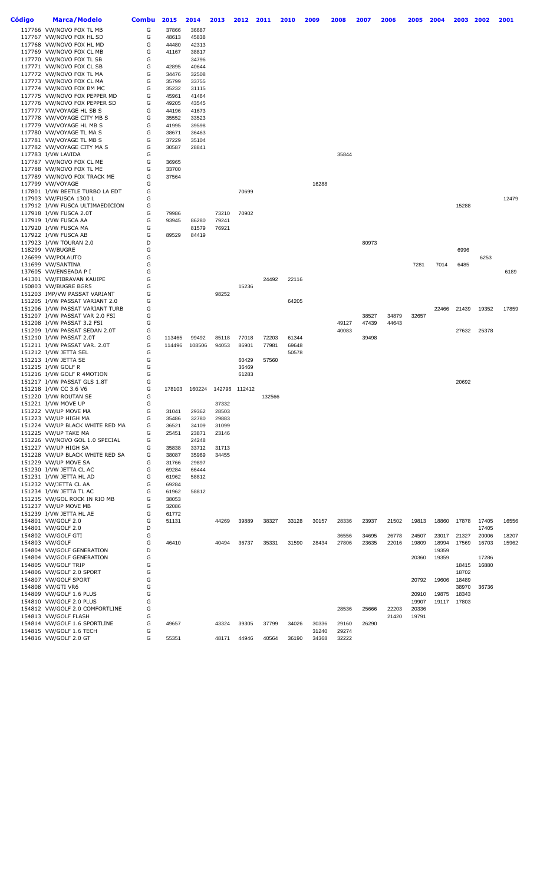| Código | <b>Marca/Modelo</b>                                     | <b>Combu</b> | 2015           | 2014           | 2013           | 2012  | 2011   | 2010           | 2009  | 2008  | 2007  | 2006  | 2005  | 2004  | 2003           | 2002  | 2001  |
|--------|---------------------------------------------------------|--------------|----------------|----------------|----------------|-------|--------|----------------|-------|-------|-------|-------|-------|-------|----------------|-------|-------|
|        | 117766 VW/NOVO FOX TL MB                                | G            | 37866          | 36687          |                |       |        |                |       |       |       |       |       |       |                |       |       |
|        | 117767 VW/NOVO FOX HL SD                                | G            | 48613          | 45838          |                |       |        |                |       |       |       |       |       |       |                |       |       |
|        | 117768 VW/NOVO FOX HL MD<br>117769 VW/NOVO FOX CL MB    | G<br>G       | 44480<br>41167 | 42313<br>38817 |                |       |        |                |       |       |       |       |       |       |                |       |       |
|        | 117770 VW/NOVO FOX TL SB                                | G            |                | 34796          |                |       |        |                |       |       |       |       |       |       |                |       |       |
|        | 117771 VW/NOVO FOX CL SB                                | G            | 42895          | 40644          |                |       |        |                |       |       |       |       |       |       |                |       |       |
|        | 117772 VW/NOVO FOX TL MA                                | G            | 34476          | 32508          |                |       |        |                |       |       |       |       |       |       |                |       |       |
|        | 117773 VW/NOVO FOX CL MA                                | G            | 35799          | 33755          |                |       |        |                |       |       |       |       |       |       |                |       |       |
|        | 117774 VW/NOVO FOX BM MC                                | G            | 35232          | 31115          |                |       |        |                |       |       |       |       |       |       |                |       |       |
|        | 117775 VW/NOVO FOX PEPPER MD                            | G            | 45961          | 41464          |                |       |        |                |       |       |       |       |       |       |                |       |       |
|        | 117776 VW/NOVO FOX PEPPER SD                            | G            | 49205          | 43545          |                |       |        |                |       |       |       |       |       |       |                |       |       |
|        | 117777 VW/VOYAGE HL SB S<br>117778 VW/VOYAGE CITY MB S  | G<br>G       | 44196<br>35552 | 41673<br>33523 |                |       |        |                |       |       |       |       |       |       |                |       |       |
|        | 117779 VW/VOYAGE HL MB S                                | G            | 41995          | 39598          |                |       |        |                |       |       |       |       |       |       |                |       |       |
|        | 117780 VW/VOYAGE TL MA S                                | G            | 38671          | 36463          |                |       |        |                |       |       |       |       |       |       |                |       |       |
|        | 117781 VW/VOYAGE TL MB S                                | G            | 37229          | 35104          |                |       |        |                |       |       |       |       |       |       |                |       |       |
|        | 117782 VW/VOYAGE CITY MAS                               | G            | 30587          | 28841          |                |       |        |                |       |       |       |       |       |       |                |       |       |
|        | 117783 I/VW LAVIDA                                      | G            |                |                |                |       |        |                |       | 35844 |       |       |       |       |                |       |       |
|        | 117787 VW/NOVO FOX CL ME                                | G            | 36965          |                |                |       |        |                |       |       |       |       |       |       |                |       |       |
|        | 117788 VW/NOVO FOX TL ME                                | G            | 33700          |                |                |       |        |                |       |       |       |       |       |       |                |       |       |
|        | 117789 VW/NOVO FOX TRACK ME                             | G            | 37564          |                |                |       |        |                |       |       |       |       |       |       |                |       |       |
|        | 117799 VW/VOYAGE<br>117801 I/VW BEETLE TURBO LA EDT     | G<br>G       |                |                |                | 70699 |        |                | 16288 |       |       |       |       |       |                |       |       |
|        | 117903 VW/FUSCA 1300 L                                  | G            |                |                |                |       |        |                |       |       |       |       |       |       |                |       | 12479 |
|        | 117912 I/VW FUSCA ULTIMAEDICION                         | G            |                |                |                |       |        |                |       |       |       |       |       |       | 15288          |       |       |
|        | 117918 I/VW FUSCA 2.0T                                  | G            | 79986          |                | 73210          | 70902 |        |                |       |       |       |       |       |       |                |       |       |
|        | 117919 I/VW FUSCA AA                                    | G            | 93945          | 86280          | 79241          |       |        |                |       |       |       |       |       |       |                |       |       |
|        | 117920 I/VW FUSCA MA                                    | G            |                | 81579          | 76921          |       |        |                |       |       |       |       |       |       |                |       |       |
|        | 117922 I/VW FUSCA AB                                    | G            | 89529          | 84419          |                |       |        |                |       |       |       |       |       |       |                |       |       |
|        | 117923 I/VW TOURAN 2.0                                  | D            |                |                |                |       |        |                |       |       | 80973 |       |       |       |                |       |       |
|        | 118299 VW/BUGRE                                         | G            |                |                |                |       |        |                |       |       |       |       |       |       | 6996           |       |       |
|        | 126699 VW/POLAUTO                                       | G<br>G       |                |                |                |       |        |                |       |       |       |       |       |       |                | 6253  |       |
|        | 131699 VW/SANTINA<br>137605 VW/ENSEADA P I              | G            |                |                |                |       |        |                |       |       |       |       | 7281  | 7014  | 6485           |       | 6189  |
|        | 141301 VW/FIBRAVAN KAUIPE                               | G            |                |                |                |       | 24492  | 22116          |       |       |       |       |       |       |                |       |       |
|        | 150803 VW/BUGRE BGR5                                    | G            |                |                |                | 15236 |        |                |       |       |       |       |       |       |                |       |       |
|        | 151203 IMP/VW PASSAT VARIANT                            | G            |                |                | 98252          |       |        |                |       |       |       |       |       |       |                |       |       |
|        | 151205 I/VW PASSAT VARIANT 2.0                          | G            |                |                |                |       |        | 64205          |       |       |       |       |       |       |                |       |       |
|        | 151206 I/VW PASSAT VARIANT TURB                         | G            |                |                |                |       |        |                |       |       |       |       |       | 22466 | 21439          | 19352 | 17859 |
|        | 151207 I/VW PASSAT VAR 2.0 FSI                          | G            |                |                |                |       |        |                |       |       | 38527 | 34879 | 32657 |       |                |       |       |
|        | 151208 I/VW PASSAT 3.2 FSI                              | G            |                |                |                |       |        |                |       | 49127 | 47439 | 44643 |       |       |                |       |       |
|        | 151209 I/VW PASSAT SEDAN 2.0T                           | G            |                |                |                |       |        |                |       | 40083 |       |       |       |       | 27632          | 25378 |       |
|        | 151210 I/VW PASSAT 2.0T                                 | G<br>G       | 113465         | 99492          | 85118          | 77018 | 72203  | 61344          |       |       | 39498 |       |       |       |                |       |       |
|        | 151211 I/VW PASSAT VAR. 2.0T<br>151212 I/VW JETTA SEL   | G            | 114496         | 108506         | 94053          | 86901 | 77981  | 69648<br>50578 |       |       |       |       |       |       |                |       |       |
|        | 151213 I/VW JETTA SE                                    | G            |                |                |                | 60429 | 57560  |                |       |       |       |       |       |       |                |       |       |
|        | 151215 I/VW GOLF R                                      | G            |                |                |                | 36469 |        |                |       |       |       |       |       |       |                |       |       |
|        | 151216 I/VW GOLF R 4MOTION                              | G            |                |                |                | 61283 |        |                |       |       |       |       |       |       |                |       |       |
|        | 151217 I/VW PASSAT GLS 1.8T                             | G            |                |                |                |       |        |                |       |       |       |       |       |       | 20692          |       |       |
|        | 151218 I/VW CC 3.6 V6                                   | G            | 178103         | 160224         | 142796 112412  |       |        |                |       |       |       |       |       |       |                |       |       |
|        | 151220 I/VW ROUTAN SE                                   | G            |                |                |                |       | 132566 |                |       |       |       |       |       |       |                |       |       |
|        | 151221 I/VW MOVE UP                                     | G            |                |                | 37332          |       |        |                |       |       |       |       |       |       |                |       |       |
|        | 151222 VW/UP MOVE MA                                    | G            | 31041          | 29362          | 28503          |       |        |                |       |       |       |       |       |       |                |       |       |
|        | 151223 VW/UP HIGH MA                                    | G            | 35486          | 32780          | 29883          |       |        |                |       |       |       |       |       |       |                |       |       |
|        | 151224 VW/UP BLACK WHITE RED MA<br>151225 VW/UP TAKE MA | G<br>G       | 36521<br>25451 | 34109<br>23871 | 31099<br>23146 |       |        |                |       |       |       |       |       |       |                |       |       |
|        | 151226 VW/NOVO GOL 1.0 SPECIAL                          | G            |                | 24248          |                |       |        |                |       |       |       |       |       |       |                |       |       |
|        | 151227 VW/UP HIGH SA                                    | G            | 35838          | 33712          | 31713          |       |        |                |       |       |       |       |       |       |                |       |       |
|        | 151228 VW/UP BLACK WHITE RED SA                         | G            | 38087          | 35969          | 34455          |       |        |                |       |       |       |       |       |       |                |       |       |
|        | 151229 VW/UP MOVE SA                                    | G            | 31766          | 29897          |                |       |        |                |       |       |       |       |       |       |                |       |       |
|        | 151230 I/VW JETTA CL AC                                 | G            | 69284          | 66444          |                |       |        |                |       |       |       |       |       |       |                |       |       |
|        | 151231 I/VW JETTA HL AD                                 | G            | 61962          | 58812          |                |       |        |                |       |       |       |       |       |       |                |       |       |
|        | 151232 VW/JETTA CL AA                                   | G            | 69284          |                |                |       |        |                |       |       |       |       |       |       |                |       |       |
|        | 151234 I/VW JETTA TL AC                                 | G            | 61962          | 58812          |                |       |        |                |       |       |       |       |       |       |                |       |       |
|        | 151235 VW/GOL ROCK IN RIO MB<br>151237 VW/UP MOVE MB    | G            | 38053          |                |                |       |        |                |       |       |       |       |       |       |                |       |       |
|        | 151239 I/VW JETTA HL AE                                 | G<br>G       | 32086<br>61772 |                |                |       |        |                |       |       |       |       |       |       |                |       |       |
|        | 154801 VW/GOLF 2.0                                      | G            | 51131          |                | 44269          | 39889 | 38327  | 33128          | 30157 | 28336 | 23937 | 21502 | 19813 | 18860 | 17878          | 17405 | 16556 |
|        | 154801 VW/GOLF 2.0                                      | D            |                |                |                |       |        |                |       |       |       |       |       |       |                | 17405 |       |
|        | 154802 VW/GOLF GTI                                      | G            |                |                |                |       |        |                |       | 36556 | 34695 | 26778 | 24507 | 23017 | 21327          | 20006 | 18207 |
|        | 154803 VW/GOLF                                          | G            | 46410          |                | 40494          | 36737 | 35331  | 31590          | 28434 | 27806 | 23635 | 22016 | 19809 | 18994 | 17569          | 16703 | 15962 |
|        | 154804 VW/GOLF GENERATION                               | D            |                |                |                |       |        |                |       |       |       |       |       | 19359 |                |       |       |
|        | 154804 VW/GOLF GENERATION                               | G            |                |                |                |       |        |                |       |       |       |       | 20360 | 19359 |                | 17286 |       |
|        | 154805 VW/GOLF TRIP                                     | G            |                |                |                |       |        |                |       |       |       |       |       |       | 18415          | 16880 |       |
|        | 154806 VW/GOLF 2.0 SPORT                                | G            |                |                |                |       |        |                |       |       |       |       |       |       | 18702          |       |       |
|        | 154807 VW/GOLF SPORT                                    | G<br>G       |                |                |                |       |        |                |       |       |       |       | 20792 | 19606 | 18489          |       |       |
|        | 154808 VW/GTI VR6<br>154809 VW/GOLF 1.6 PLUS            | G            |                |                |                |       |        |                |       |       |       |       | 20910 | 19875 | 38970<br>18343 | 36736 |       |
|        | 154810 VW/GOLF 2.0 PLUS                                 | G            |                |                |                |       |        |                |       |       |       |       | 19907 |       | 19117 17803    |       |       |
|        | 154812 VW/GOLF 2.0 COMFORTLINE                          | G            |                |                |                |       |        |                |       | 28536 | 25666 | 22203 | 20336 |       |                |       |       |
|        | 154813 VW/GOLF FLASH                                    | G            |                |                |                |       |        |                |       |       |       | 21420 | 19791 |       |                |       |       |
|        | 154814 VW/GOLF 1.6 SPORTLINE                            | G            | 49657          |                | 43324          | 39305 | 37799  | 34026          | 30336 | 29160 | 26290 |       |       |       |                |       |       |
|        | 154815 VW/GOLF 1.6 TECH                                 | G            |                |                |                |       |        |                | 31240 | 29274 |       |       |       |       |                |       |       |
|        | 154816 VW/GOLF 2.0 GT                                   | G            | 55351          |                | 48171          | 44946 | 40564  | 36190          | 34368 | 32222 |       |       |       |       |                |       |       |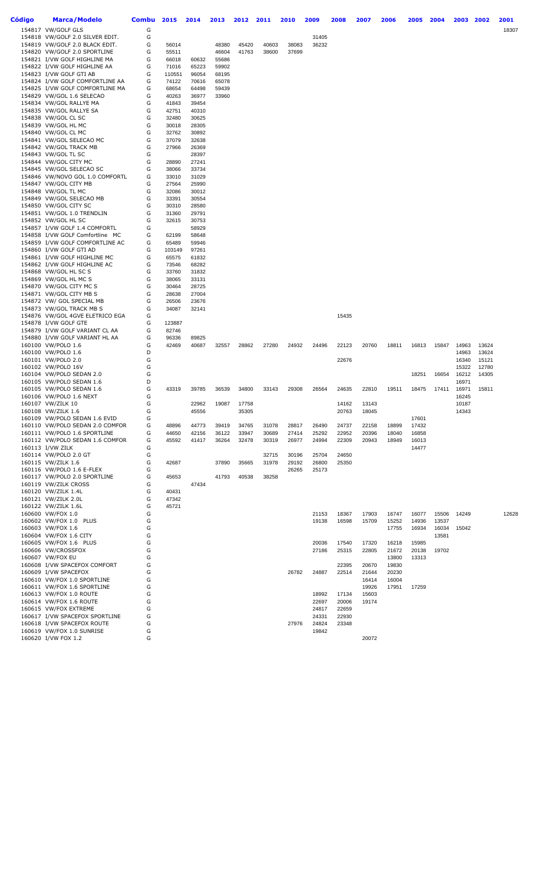| Código | <b>Marca/Modelo</b>                                          | Combu  | 2015           | 2014           | 2013           | 2012  | 2011  | 2010  | 2009 |       | 2008  | 2007  | 2006           | 2005           | 2004  | 2003           | 2002           | 2001  |
|--------|--------------------------------------------------------------|--------|----------------|----------------|----------------|-------|-------|-------|------|-------|-------|-------|----------------|----------------|-------|----------------|----------------|-------|
|        | 154817 VW/GOLF GLS                                           | G      |                |                |                |       |       |       |      |       |       |       |                |                |       |                |                | 18307 |
|        | 154818 VW/GOLF 2.0 SILVER EDIT.                              | G      |                |                |                |       |       |       |      | 31405 |       |       |                |                |       |                |                |       |
|        | 154819 VW/GOLF 2.0 BLACK EDIT.                               | G      | 56014          |                | 48380          | 45420 | 40603 | 38083 |      | 36232 |       |       |                |                |       |                |                |       |
|        | 154820 VW/GOLF 2.0 SPORTLINE                                 | G<br>G | 55511          |                | 46604          | 41763 | 38600 | 37699 |      |       |       |       |                |                |       |                |                |       |
|        | 154821 I/VW GOLF HIGHLINE MA<br>154822 I/VW GOLF HIGHLINE AA | G      | 66018<br>71016 | 60632<br>65223 | 55686<br>59902 |       |       |       |      |       |       |       |                |                |       |                |                |       |
|        | 154823 I/VW GOLF GTI AB                                      | G      | 110551         | 96054          | 68195          |       |       |       |      |       |       |       |                |                |       |                |                |       |
|        | 154824 I/VW GOLF COMFORTLINE AA                              | G      | 74122          | 70616          | 65078          |       |       |       |      |       |       |       |                |                |       |                |                |       |
|        | 154825 I/VW GOLF COMFORTLINE MA                              | G      | 68654          | 64498          | 59439          |       |       |       |      |       |       |       |                |                |       |                |                |       |
|        | 154829 VW/GOL 1.6 SELECAO                                    | G      | 40263          | 36977          | 33960          |       |       |       |      |       |       |       |                |                |       |                |                |       |
|        | 154834 VW/GOL RALLYE MA                                      | G      | 41843          | 39454          |                |       |       |       |      |       |       |       |                |                |       |                |                |       |
|        | 154835 VW/GOL RALLYE SA                                      | G      | 42751          | 40310          |                |       |       |       |      |       |       |       |                |                |       |                |                |       |
|        | 154838 VW/GOL CL SC                                          | G      | 32480          | 30625          |                |       |       |       |      |       |       |       |                |                |       |                |                |       |
|        | 154839 VW/GOL HL MC                                          | G      | 30018          | 28305          |                |       |       |       |      |       |       |       |                |                |       |                |                |       |
|        | 154840 VW/GOL CL MC                                          | G      | 32762          | 30892          |                |       |       |       |      |       |       |       |                |                |       |                |                |       |
|        | 154841 VW/GOL SELECAO MC                                     | G      | 37079          | 32638          |                |       |       |       |      |       |       |       |                |                |       |                |                |       |
|        | 154842 VW/GOL TRACK MB                                       | G      | 27966          | 26369          |                |       |       |       |      |       |       |       |                |                |       |                |                |       |
|        | 154843 VW/GOL TL SC                                          | G      |                | 28397          |                |       |       |       |      |       |       |       |                |                |       |                |                |       |
|        | 154844 VW/GOL CITY MC<br>154845 VW/GOL SELECAO SC            | G<br>G | 28890<br>38066 | 27241<br>33734 |                |       |       |       |      |       |       |       |                |                |       |                |                |       |
|        | 154846 VW/NOVO GOL 1.0 COMFORTL                              | G      | 33010          | 31029          |                |       |       |       |      |       |       |       |                |                |       |                |                |       |
|        | 154847 VW/GOL CITY MB                                        | G      | 27564          | 25990          |                |       |       |       |      |       |       |       |                |                |       |                |                |       |
|        | 154848 VW/GOL TL MC                                          | G      | 32086          | 30012          |                |       |       |       |      |       |       |       |                |                |       |                |                |       |
|        | 154849 VW/GOL SELECAO MB                                     | G      | 33391          | 30554          |                |       |       |       |      |       |       |       |                |                |       |                |                |       |
|        | 154850 VW/GOL CITY SC                                        | G      | 30310          | 28580          |                |       |       |       |      |       |       |       |                |                |       |                |                |       |
|        | 154851 VW/GOL 1.0 TRENDLIN                                   | G      | 31360          | 29791          |                |       |       |       |      |       |       |       |                |                |       |                |                |       |
|        | 154852 VW/GOL HL SC                                          | G      | 32615          | 30753          |                |       |       |       |      |       |       |       |                |                |       |                |                |       |
|        | 154857 I/VW GOLF 1.4 COMFORTL                                | G      |                | 58929          |                |       |       |       |      |       |       |       |                |                |       |                |                |       |
|        | 154858 I/VW GOLF Comfortline MC                              | G      | 62199          | 58648          |                |       |       |       |      |       |       |       |                |                |       |                |                |       |
|        | 154859 I/VW GOLF COMFORTLINE AC                              | G      | 65489          | 59946          |                |       |       |       |      |       |       |       |                |                |       |                |                |       |
|        | 154860 I/VW GOLF GTI AD                                      | G      | 103149         | 97261          |                |       |       |       |      |       |       |       |                |                |       |                |                |       |
|        | 154861 I/VW GOLF HIGHLINE MC                                 | G      | 65575          | 61832          |                |       |       |       |      |       |       |       |                |                |       |                |                |       |
|        | 154862 I/VW GOLF HIGHLINE AC                                 | G      | 73546          | 68282          |                |       |       |       |      |       |       |       |                |                |       |                |                |       |
|        | 154868 VW/GOL HL SC S<br>154869 VW/GOL HL MC S               | G<br>G | 33760<br>38065 | 31832<br>33131 |                |       |       |       |      |       |       |       |                |                |       |                |                |       |
|        | 154870 VW/GOL CITY MC S                                      | G      | 30464          | 28725          |                |       |       |       |      |       |       |       |                |                |       |                |                |       |
|        | 154871 VW/GOL CITY MB S                                      | G      | 28638          | 27004          |                |       |       |       |      |       |       |       |                |                |       |                |                |       |
|        | 154872 VW/ GOL SPECIAL MB                                    | G      | 26506          | 23676          |                |       |       |       |      |       |       |       |                |                |       |                |                |       |
|        | 154873 VW/GOL TRACK MB S                                     | G      | 34087          | 32141          |                |       |       |       |      |       |       |       |                |                |       |                |                |       |
|        | 154876 VW/GOL 4GVE ELETRICO EGA                              | G      |                |                |                |       |       |       |      |       | 15435 |       |                |                |       |                |                |       |
|        | 154878 I/VW GOLF GTE                                         | G      | 123887         |                |                |       |       |       |      |       |       |       |                |                |       |                |                |       |
|        | 154879 I/VW GOLF VARIANT CL AA                               | G      | 82746          |                |                |       |       |       |      |       |       |       |                |                |       |                |                |       |
|        | 154880 I/VW GOLF VARIANT HL AA                               | G      | 96336          | 89825          |                |       |       |       |      |       |       |       |                |                |       |                |                |       |
|        | 160100 VW/POLO 1.6                                           | G      | 42469          | 40687          | 32557          | 28862 | 27280 | 24932 |      | 24496 | 22123 | 20760 | 18811          | 16813          | 15847 | 14963          | 13624          |       |
|        | 160100 VW/POLO 1.6                                           | D      |                |                |                |       |       |       |      |       |       |       |                |                |       | 14963          | 13624          |       |
|        | 160101 VW/POLO 2.0<br>160102 VW/POLO 16V                     | G      |                |                |                |       |       |       |      |       | 22676 |       |                |                |       | 16340          | 15121          |       |
|        | 160104 VW/POLO SEDAN 2.0                                     | G<br>G |                |                |                |       |       |       |      |       |       |       |                | 18251          | 16654 | 15322<br>16212 | 12780<br>14305 |       |
|        | 160105 VW/POLO SEDAN 1.6                                     | D      |                |                |                |       |       |       |      |       |       |       |                |                |       | 16971          |                |       |
|        | 160105 VW/POLO SEDAN 1.6                                     | G      | 43319          | 39785          | 36539          | 34800 | 33143 | 29308 |      | 26564 | 24635 | 22810 | 19511          | 18475          | 17411 | 16971          | 15811          |       |
|        | 160106 VW/POLO 1.6 NEXT                                      | G      |                |                |                |       |       |       |      |       |       |       |                |                |       | 16245          |                |       |
|        | 160107 VW/ZILK 10                                            | G      |                | 22962          | 19087          | 17758 |       |       |      |       | 14162 | 13143 |                |                |       | 10187          |                |       |
|        | 160108 VW/ZILK 1.6                                           | G      |                | 45556          |                | 35305 |       |       |      |       | 20763 | 18045 |                |                |       | 14343          |                |       |
|        | 160109 VW/POLO SEDAN 1.6 EVID                                | G      |                |                |                |       |       |       |      |       |       |       |                | 17601          |       |                |                |       |
|        | 160110 VW/POLO SEDAN 2.0 COMFOR                              | G      | 48896          | 44773          | 39419          | 34765 | 31078 | 28817 |      | 26490 | 24737 | 22158 | 18899          | 17432          |       |                |                |       |
|        | 160111 VW/POLO 1.6 SPORTLINE                                 | G      | 44650          | 42156          | 36122          | 33947 | 30689 | 27414 |      | 25292 | 22952 | 20396 | 18040          | 16858          |       |                |                |       |
|        | 160112 VW/POLO SEDAN 1.6 COMFOR                              | G      | 45592          | 41417          | 36264          | 32478 | 30319 | 26977 |      | 24994 | 22309 | 20943 | 18949          | 16013          |       |                |                |       |
|        | 160113 I/VW ZILK<br>160114 VW/POLO 2.0 GT                    | G<br>G |                |                |                |       | 32715 | 30196 |      | 25704 | 24650 |       |                | 14477          |       |                |                |       |
|        | 160115 VW/ZILK 1.6                                           | G      | 42687          |                | 37890          | 35665 | 31978 | 29192 |      | 26800 | 25350 |       |                |                |       |                |                |       |
|        | 160116 VW/POLO 1.6 E-FLEX                                    | G      |                |                |                |       |       | 26265 |      | 25173 |       |       |                |                |       |                |                |       |
|        | 160117 VW/POLO 2.0 SPORTLINE                                 | G      | 45653          |                | 41793          | 40538 | 38258 |       |      |       |       |       |                |                |       |                |                |       |
|        | 160119 VW/ZILK CROSS                                         | G      |                | 47434          |                |       |       |       |      |       |       |       |                |                |       |                |                |       |
|        | 160120 VW/ZILK 1.4L                                          | G      | 40431          |                |                |       |       |       |      |       |       |       |                |                |       |                |                |       |
|        | 160121 VW/ZILK 2.0L                                          | G      | 47342          |                |                |       |       |       |      |       |       |       |                |                |       |                |                |       |
|        | 160122 VW/ZILK 1.6L                                          | G      | 45721          |                |                |       |       |       |      |       |       |       |                |                |       |                |                |       |
|        | 160600 VW/FOX 1.0                                            | G      |                |                |                |       |       |       |      | 21153 | 18367 | 17903 | 16747          | 16077          | 15506 | 14249          |                | 12628 |
|        | 160602 VW/FOX 1.0 PLUS                                       | G      |                |                |                |       |       |       |      | 19138 | 16598 | 15709 | 15252          | 14936          | 13537 |                |                |       |
|        | 160603 VW/FOX 1.6                                            | G      |                |                |                |       |       |       |      |       |       |       | 17755          | 16934          | 16034 | 15042          |                |       |
|        | 160604 VW/FOX 1.6 CITY                                       | G      |                |                |                |       |       |       |      |       |       |       |                |                | 13581 |                |                |       |
|        | 160605 VW/FOX 1.6 PLUS                                       | G      |                |                |                |       |       |       |      | 20036 | 17540 | 17320 | 16218          | 15985          |       |                |                |       |
|        | 160606 VW/CROSSFOX<br>160607 VW/FOX EU                       | G<br>G |                |                |                |       |       |       |      | 27186 | 25315 | 22805 | 21672<br>13800 | 20138<br>13313 | 19702 |                |                |       |
|        | 160608 I/VW SPACEFOX COMFORT                                 | G      |                |                |                |       |       |       |      |       | 22395 | 20670 | 19830          |                |       |                |                |       |
|        | 160609 I/VW SPACEFOX                                         | G      |                |                |                |       |       | 26782 |      | 24887 | 22514 | 21644 | 20230          |                |       |                |                |       |
|        | 160610 VW/FOX 1.0 SPORTLINE                                  | G      |                |                |                |       |       |       |      |       |       | 16414 | 16004          |                |       |                |                |       |
|        | 160611 VW/FOX 1.6 SPORTLINE                                  | G      |                |                |                |       |       |       |      |       |       | 19926 | 17951          | 17259          |       |                |                |       |
|        | 160613 VW/FOX 1.0 ROUTE                                      | G      |                |                |                |       |       |       |      | 18992 | 17134 | 15603 |                |                |       |                |                |       |
|        | 160614 VW/FOX 1.6 ROUTE                                      | G      |                |                |                |       |       |       |      | 22697 | 20006 | 19174 |                |                |       |                |                |       |
|        | 160615 VW/FOX EXTREME                                        | G      |                |                |                |       |       |       |      | 24817 | 22659 |       |                |                |       |                |                |       |
|        | 160617 I/VW SPACEFOX SPORTLINE                               | G      |                |                |                |       |       |       |      | 24331 | 22930 |       |                |                |       |                |                |       |
|        | 160618 I/VW SPACEFOX ROUTE                                   | G      |                |                |                |       |       | 27976 |      | 24824 | 23348 |       |                |                |       |                |                |       |
|        | 160619 VW/FOX 1.0 SUNRISE                                    | G<br>G |                |                |                |       |       |       |      | 19842 |       |       |                |                |       |                |                |       |
|        | 160620 I/VW FOX 1.2                                          |        |                |                |                |       |       |       |      |       |       | 20072 |                |                |       |                |                |       |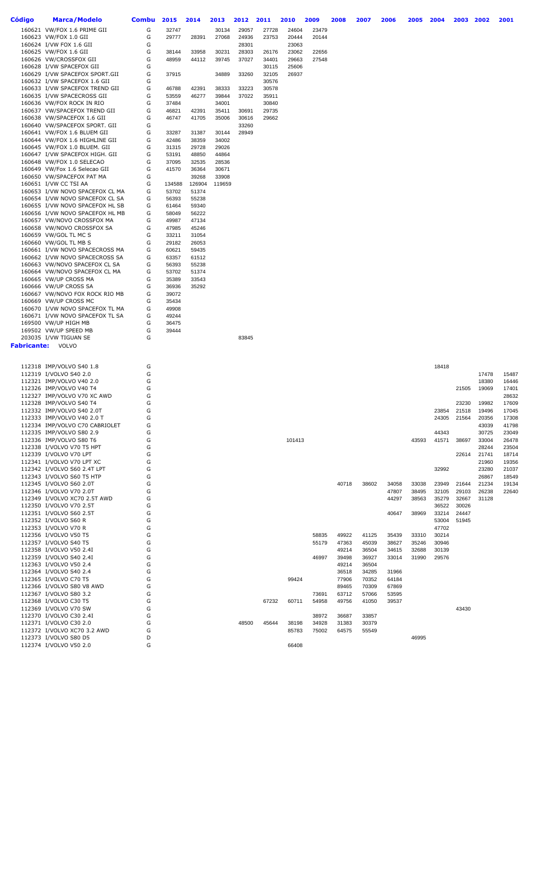| Código | Marca/Modelo                                                 | <b>Combu</b> | 2015           | 2014           | 2013           | 2012           | 2011           | 2010           | 2009           | 2008           | 2007           | 2006           | 2005  | 2004           | 2003  | 2002           | 2001           |
|--------|--------------------------------------------------------------|--------------|----------------|----------------|----------------|----------------|----------------|----------------|----------------|----------------|----------------|----------------|-------|----------------|-------|----------------|----------------|
|        | 160621 VW/FOX 1.6 PRIME GII                                  | G            | 32747          |                | 30134          | 29057          | 27728          | 24604          | 23479          |                |                |                |       |                |       |                |                |
|        | 160623 VW/FOX 1.0 GII                                        | G            | 29777          | 28391          | 27068          | 24936          | 23753          | 20444          | 20144          |                |                |                |       |                |       |                |                |
|        | 160624 I/VW FOX 1.6 GII                                      | G            |                |                |                | 28301          |                | 23063          |                |                |                |                |       |                |       |                |                |
|        | 160625 VW/FOX 1.6 GII<br>160626 VW/CROSSFOX GII              | G<br>G       | 38144<br>48959 | 33958<br>44112 | 30231<br>39745 | 28303<br>37027 | 26176<br>34401 | 23062<br>29663 | 22656<br>27548 |                |                |                |       |                |       |                |                |
|        | 160628 I/VW SPACEFOX GII                                     | G            |                |                |                |                | 30115          | 25606          |                |                |                |                |       |                |       |                |                |
|        | 160629 I/VW SPACEFOX SPORT.GII                               | G            | 37915          |                | 34889          | 33260          | 32105          | 26937          |                |                |                |                |       |                |       |                |                |
|        | 160632 I/VW SPACEFOX 1.6 GII                                 | G            |                |                |                |                | 30576          |                |                |                |                |                |       |                |       |                |                |
|        | 160633 I/VW SPACEFOX TREND GII                               | G            | 46788          | 42391          | 38333          | 33223          | 30578          |                |                |                |                |                |       |                |       |                |                |
|        | 160635 I/VW SPACECROSS GII                                   | G            | 53559          | 46277          | 39844          | 37022          | 35911          |                |                |                |                |                |       |                |       |                |                |
|        | 160636 VW/FOX ROCK IN RIO                                    | G            | 37484          |                | 34001          |                | 30840          |                |                |                |                |                |       |                |       |                |                |
|        | 160637 VW/SPACEFOX TREND GII<br>160638 VW/SPACEFOX 1.6 GII   | G<br>G       | 46821<br>46747 | 42391<br>41705 | 35411<br>35006 | 30691<br>30616 | 29735<br>29662 |                |                |                |                |                |       |                |       |                |                |
|        | 160640 VW/SPACEFOX SPORT. GII                                | G            |                |                |                | 33260          |                |                |                |                |                |                |       |                |       |                |                |
|        | 160641 VW/FOX 1.6 BLUEM GII                                  | G            | 33287          | 31387          | 30144          | 28949          |                |                |                |                |                |                |       |                |       |                |                |
|        | 160644 VW/FOX 1.6 HIGHLINE GII                               | G            | 42486          | 38359          | 34002          |                |                |                |                |                |                |                |       |                |       |                |                |
|        | 160645 VW/FOX 1.0 BLUEM. GII                                 | G            | 31315          | 29728          | 29026          |                |                |                |                |                |                |                |       |                |       |                |                |
|        | 160647 I/VW SPACEFOX HIGH. GII                               | G            | 53191          | 48850          | 44864          |                |                |                |                |                |                |                |       |                |       |                |                |
|        | 160648 VW/FOX 1.0 SELECAO<br>160649 VW/Fox 1.6 Selecao GII   | G<br>G       | 37095<br>41570 | 32535<br>36364 | 28536<br>30671 |                |                |                |                |                |                |                |       |                |       |                |                |
|        | 160650 VW/SPACEFOX PAT MA                                    | G            |                | 39268          | 33908          |                |                |                |                |                |                |                |       |                |       |                |                |
|        | 160651 I/VW CC TSI AA                                        | G            | 134588         | 126904         | 119659         |                |                |                |                |                |                |                |       |                |       |                |                |
|        | 160653 I/VW NOVO SPACEFOX CL MA                              | G            | 53702          | 51374          |                |                |                |                |                |                |                |                |       |                |       |                |                |
|        | 160654 I/VW NOVO SPACEFOX CL SA                              | G            | 56393          | 55238          |                |                |                |                |                |                |                |                |       |                |       |                |                |
|        | 160655 I/VW NOVO SPACEFOX HL SB                              | G            | 61464          | 59340          |                |                |                |                |                |                |                |                |       |                |       |                |                |
|        | 160656 I/VW NOVO SPACEFOX HL MB                              | G            | 58049          | 56222          |                |                |                |                |                |                |                |                |       |                |       |                |                |
|        | 160657 VW/NOVO CROSSFOX MA<br>160658 VW/NOVO CROSSFOX SA     | G<br>G       | 49987<br>47985 | 47134<br>45246 |                |                |                |                |                |                |                |                |       |                |       |                |                |
|        | 160659 VW/GOL TL MC S                                        | G            | 33211          | 31054          |                |                |                |                |                |                |                |                |       |                |       |                |                |
|        | 160660 VW/GOL TL MB S                                        | G            | 29182          | 26053          |                |                |                |                |                |                |                |                |       |                |       |                |                |
|        | 160661 I/VW NOVO SPACECROSS MA                               | G            | 60621          | 59435          |                |                |                |                |                |                |                |                |       |                |       |                |                |
|        | 160662 I/VW NOVO SPACECROSS SA                               | G            | 63357          | 61512          |                |                |                |                |                |                |                |                |       |                |       |                |                |
|        | 160663 VW/NOVO SPACEFOX CL SA                                | G            | 56393          | 55238          |                |                |                |                |                |                |                |                |       |                |       |                |                |
|        | 160664 VW/NOVO SPACEFOX CL MA                                | G<br>G       | 53702<br>35389 | 51374<br>33543 |                |                |                |                |                |                |                |                |       |                |       |                |                |
|        | 160665 VW/UP CROSS MA<br>160666 VW/UP CROSS SA               | G            | 36936          | 35292          |                |                |                |                |                |                |                |                |       |                |       |                |                |
|        | 160667 VW/NOVO FOX ROCK RIO MB                               | G            | 39072          |                |                |                |                |                |                |                |                |                |       |                |       |                |                |
|        | 160669 VW/UP CROSS MC                                        | G            | 35434          |                |                |                |                |                |                |                |                |                |       |                |       |                |                |
|        | 160670 I/VW NOVO SPACEFOX TL MA                              | G            | 49908          |                |                |                |                |                |                |                |                |                |       |                |       |                |                |
|        | 160671 I/VW NOVO SPACEFOX TL SA                              | G            | 49244          |                |                |                |                |                |                |                |                |                |       |                |       |                |                |
|        | 169500 VW/UP HIGH MB                                         | G<br>G       | 36475<br>39444 |                |                |                |                |                |                |                |                |                |       |                |       |                |                |
|        | 169502 VW/UP SPEED MB<br>203035 I/VW TIGUAN SE               | G            |                |                |                | 83845          |                |                |                |                |                |                |       |                |       |                |                |
|        | <b>Fabricante:</b> VOLVO                                     |              |                |                |                |                |                |                |                |                |                |                |       |                |       |                |                |
|        |                                                              |              |                |                |                |                |                |                |                |                |                |                |       |                |       |                |                |
|        |                                                              |              |                |                |                |                |                |                |                |                |                |                |       |                |       |                |                |
|        | 112318 IMP/VOLVO S40 1.8<br>112319 I/VOLVO S40 2.0           | G<br>G       |                |                |                |                |                |                |                |                |                |                |       | 18418          |       | 17478          | 15487          |
|        | 112321 IMP/VOLVO V40 2.0                                     | G            |                |                |                |                |                |                |                |                |                |                |       |                |       | 18380          | 16446          |
|        | 112326 IMP/VOLVO V40 T4                                      | G            |                |                |                |                |                |                |                |                |                |                |       |                | 21505 | 19069          | 17401          |
|        | 112327 IMP/VOLVO V70 XC AWD                                  | G            |                |                |                |                |                |                |                |                |                |                |       |                |       |                | 28632          |
|        | 112328 IMP/VOLVO S40 T4                                      | G            |                |                |                |                |                |                |                |                |                |                |       |                | 23230 | 19982          | 17609          |
|        | 112332 IMP/VOLVO S40 2.0T                                    | G            |                |                |                |                |                |                |                |                |                |                |       | 23854          | 21518 | 19496          | 17045          |
|        | 112333 IMP/VOLVO V40 2.0 T<br>112334 IMP/VOLVO C70 CABRIOLET | G<br>G       |                |                |                |                |                |                |                |                |                |                |       | 24305          | 21564 | 20356<br>43039 | 17308<br>41798 |
|        | 112335 IMP/VOLVO S80 2.9                                     | G            |                |                |                |                |                |                |                |                |                |                |       | 44343          |       | 30725          | 23049          |
|        | 112336 IMP/VOLVO S80 T6                                      | G            |                |                |                |                |                | 101413         |                |                |                |                | 43593 | 41571          | 38697 | 33004          | 26478          |
|        | 112338 I/VOLVO V70 T5 HPT                                    | G            |                |                |                |                |                |                |                |                |                |                |       |                |       | 28244          | 23504          |
|        | 112339 I/VOLVO V70 LPT                                       | G            |                |                |                |                |                |                |                |                |                |                |       |                | 22614 | 21741          | 18714          |
|        | 112341 I/VOLVO V70 LPT XC                                    | G            |                |                |                |                |                |                |                |                |                |                |       |                |       | 21960          | 19356          |
|        | 112342 I/VOLVO S60 2.4T LPT<br>112343 I/VOLVO S60 T5 HTP     | G<br>G       |                |                |                |                |                |                |                |                |                |                |       | 32992          |       | 23280<br>26867 | 21037<br>18549 |
|        | 112345 I/VOLVO S60 2.0T                                      | G            |                |                |                |                |                |                |                | 40718          | 38602          | 34058          | 33038 | 23949          | 21644 | 21234          | 19134          |
|        | 112346 I/VOLVO V70 2.0T                                      | G            |                |                |                |                |                |                |                |                |                | 47807          | 38495 | 32105          | 29103 | 26238          | 22640          |
|        | 112349 I/VOLVO XC70 2.5T AWD                                 | G            |                |                |                |                |                |                |                |                |                | 44297          | 38563 | 35279          | 32667 | 31128          |                |
|        | 112350 I/VOLVO V70 2.5T                                      | G            |                |                |                |                |                |                |                |                |                |                |       | 36522          | 30026 |                |                |
|        | 112351 I/VOLVO S60 2.5T                                      | G            |                |                |                |                |                |                |                |                |                | 40647          | 38969 | 33214          | 24447 |                |                |
|        | 112352 I/VOLVO S60 R<br>112353 I/VOLVO V70 R                 | G<br>G       |                |                |                |                |                |                |                |                |                |                |       | 53004<br>47702 | 51945 |                |                |
|        | 112356 I/VOLVO V50 T5                                        | G            |                |                |                |                |                |                | 58835          | 49922          | 41125          | 35439          | 33310 | 30214          |       |                |                |
|        | 112357 I/VOLVO S40 T5                                        | G            |                |                |                |                |                |                | 55179          | 47363          | 45039          | 38627          | 35246 | 30946          |       |                |                |
|        | 112358 I/VOLVO V50 2.4I                                      | G            |                |                |                |                |                |                |                | 49214          | 36504          | 34615          | 32688 | 30139          |       |                |                |
|        |                                                              |              |                |                |                |                |                |                | 46997          | 39498          | 36927          | 33014          | 31990 | 29576          |       |                |                |
|        | 112359 I/VOLVO S40 2.4I                                      | G            |                |                |                |                |                |                |                | 49214          | 36504          |                |       |                |       |                |                |
|        | 112363 I/VOLVO V50 2.4                                       | G            |                |                |                |                |                |                |                |                |                |                |       |                |       |                |                |
|        | 112364 I/VOLVO S40 2.4                                       | G            |                |                |                |                |                |                |                | 36518          | 34285          | 31966          |       |                |       |                |                |
|        | 112365 I/VOLVO C70 T5                                        | G            |                |                |                |                |                | 99424          |                | 77906          | 70352          | 64184          |       |                |       |                |                |
|        | 112366 I/VOLVO S80 V8 AWD<br>112367 I/VOLVO S80 3.2          | G<br>G       |                |                |                |                |                |                | 73691          | 89465<br>63712 | 70309<br>57066 | 67869<br>53595 |       |                |       |                |                |
|        | 112368 I/VOLVO C30 T5                                        | G            |                |                |                |                | 67232          | 60711          | 54958          | 49756          | 41050          | 39537          |       |                |       |                |                |
|        | 112369 I/VOLVO V70 SW                                        | G            |                |                |                |                |                |                |                |                |                |                |       |                | 43430 |                |                |
|        | 112370 I/VOLVO C30 2.4I                                      | G            |                |                |                |                |                |                | 38972          | 36687          | 33857          |                |       |                |       |                |                |
|        | 112371 I/VOLVO C30 2.0                                       | G            |                |                |                | 48500          | 45644          | 38198          | 34928          | 31383          | 30379          |                |       |                |       |                |                |
|        | 112372 I/VOLVO XC70 3.2 AWD<br>112373 I/VOLVO S80 D5         | G<br>D       |                |                |                |                |                | 85783          | 75002          | 64575          | 55549          |                | 46995 |                |       |                |                |